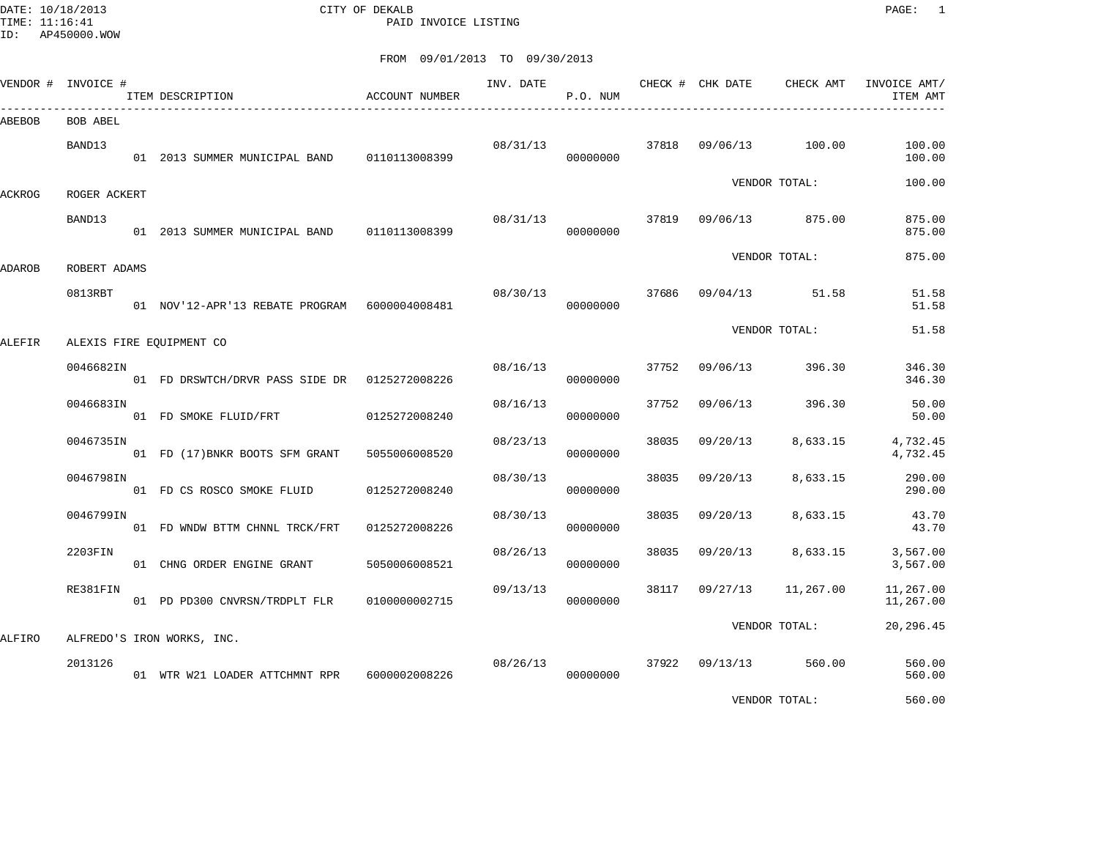DATE: 10/18/2013 CITY OF DEKALB PAGE: 1 PAID INVOICE LISTING

ID: AP450000.WOW

|        | VENDOR # INVOICE #      | ITEM DESCRIPTION                               | ACCOUNT NUMBER | INV. DATE | P.O. NUM             |       | CHECK # CHK DATE | CHECK AMT            | INVOICE AMT/<br>ITEM AMT |
|--------|-------------------------|------------------------------------------------|----------------|-----------|----------------------|-------|------------------|----------------------|--------------------------|
| ABEBOB | BOB ABEL                |                                                |                |           |                      |       |                  |                      |                          |
|        | BAND13                  | 01  2013 SUMMER MUNICIPAL BAND   0110113008399 |                | 08/31/13  | 00000000             |       | 37818 09/06/13   | 100.00               | 100.00<br>100.00         |
| ACKROG | ROGER ACKERT            |                                                |                |           |                      |       |                  | VENDOR TOTAL:        | 100.00                   |
|        | BAND13                  | 01 2013 SUMMER MUNICIPAL BAND 0110113008399    |                | 08/31/13  | 00000000             | 37819 | 09/06/13         | 875.00               | 875.00<br>875.00         |
|        |                         |                                                |                |           |                      |       |                  | VENDOR TOTAL:        | 875.00                   |
| ADAROB | ROBERT ADAMS<br>0813RBT | 01 NOV'12-APR'13 REBATE PROGRAM 6000004008481  |                | 08/30/13  | 00000000             |       |                  | 37686 09/04/13 51.58 | 51.58<br>51.58           |
| ALEFIR |                         | ALEXIS FIRE EQUIPMENT CO                       |                |           |                      |       |                  | VENDOR TOTAL:        | 51.58                    |
|        | 0046682IN               | 01 FD DRSWTCH/DRVR PASS SIDE DR  0125272008226 |                | 08/16/13  | 00000000             |       | 37752 09/06/13   | 396.30               | 346.30<br>346.30         |
|        | 0046683IN               | 01 FD SMOKE FLUID/FRT                          | 0125272008240  | 08/16/13  | 00000000             | 37752 | 09/06/13         | 396.30               | 50.00<br>50.00           |
|        | 0046735IN               | 01 FD (17) BNKR BOOTS SFM GRANT                | 5055006008520  | 08/23/13  | 00000000             | 38035 | 09/20/13         | 8,633.15             | 4,732.45<br>4,732.45     |
|        | 0046798IN               | 01 FD CS ROSCO SMOKE FLUID                     | 0125272008240  | 08/30/13  | 00000000             | 38035 | 09/20/13         | 8,633.15             | 290.00<br>290.00         |
|        | 0046799IN               | 01 FD WNDW BTTM CHNNL TRCK/FRT                 | 0125272008226  | 08/30/13  | 00000000             | 38035 | 09/20/13         | 8,633.15             | 43.70<br>43.70           |
|        | 2203FIN                 | 01 CHNG ORDER ENGINE GRANT                     | 5050006008521  | 08/26/13  | 00000000             | 38035 | 09/20/13         | 8,633.15             | 3,567.00<br>3,567.00     |
|        | RE381FIN                | 01 PD PD300 CNVRSN/TRDPLT FLR                  | 0100000002715  | 09/13/13  | 00000000             |       | 38117 09/27/13   | 11,267.00            | 11,267.00<br>11,267.00   |
| ALFIRO |                         | ALFREDO'S IRON WORKS, INC.                     |                |           |                      |       |                  | VENDOR TOTAL:        | 20,296.45                |
|        | 2013126                 | 01 WTR W21 LOADER ATTCHMNT RPR                 | 6000002008226  |           | 08/26/13<br>00000000 |       | 37922 09/13/13   | 560.00               | 560.00<br>560.00         |
|        |                         |                                                |                |           |                      |       |                  | VENDOR TOTAL:        | 560.00                   |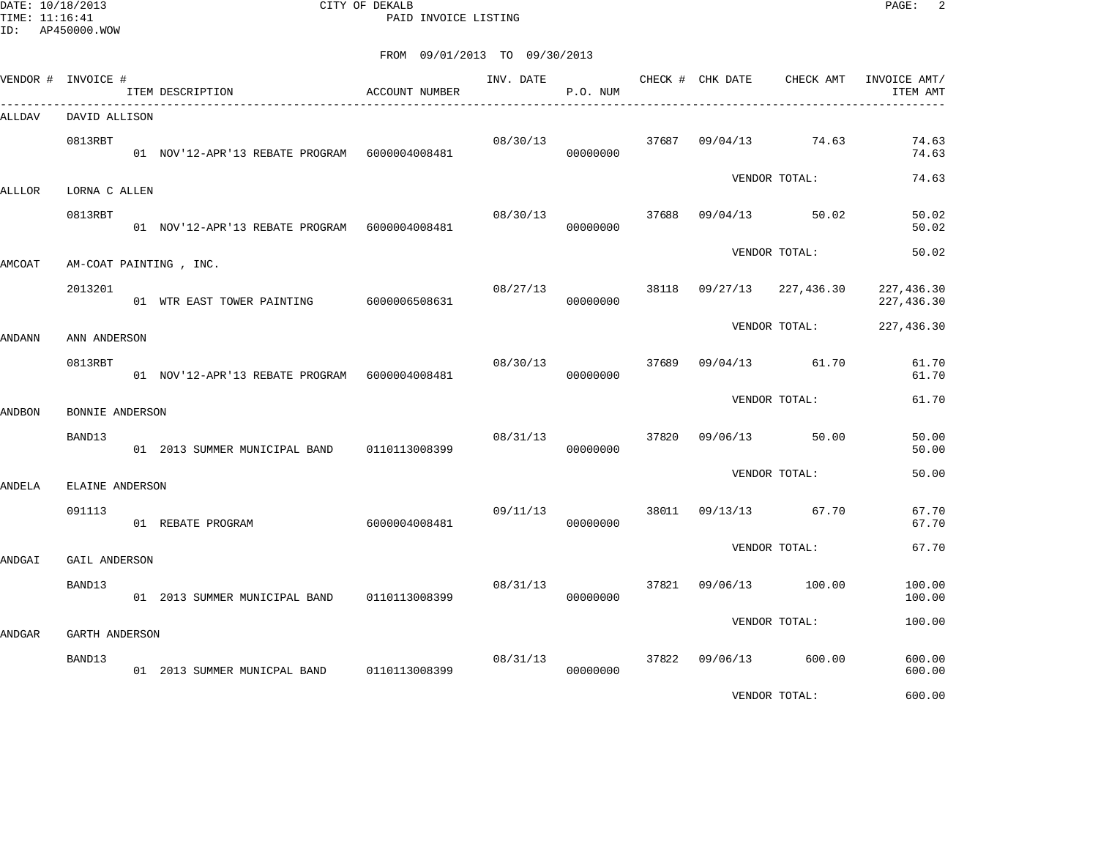DATE: 10/18/2013 CITY OF DEKALB PAGE: 2 PAID INVOICE LISTING

|        | VENDOR # INVOICE #      | ITEM DESCRIPTION                              | ACCOUNT NUMBER | INV. DATE | P.O. NUM |       | CHECK # CHK DATE | CHECK AMT     | INVOICE AMT/<br>ITEM AMT  |
|--------|-------------------------|-----------------------------------------------|----------------|-----------|----------|-------|------------------|---------------|---------------------------|
| ALLDAV | DAVID ALLISON           |                                               |                |           |          |       |                  |               |                           |
|        | 0813RBT                 | 01 NOV'12-APR'13 REBATE PROGRAM 6000004008481 |                | 08/30/13  | 00000000 | 37687 | 09/04/13         | 74.63         | 74.63<br>74.63            |
| ALLLOR | LORNA C ALLEN           |                                               |                |           |          |       |                  | VENDOR TOTAL: | 74.63                     |
|        | 0813RBT                 | 01 NOV'12-APR'13 REBATE PROGRAM 6000004008481 |                | 08/30/13  | 00000000 | 37688 | 09/04/13         | 50.02         | 50.02<br>50.02            |
| AMCOAT |                         | AM-COAT PAINTING, INC.                        |                |           |          |       |                  | VENDOR TOTAL: | 50.02                     |
|        | 2013201                 | 01 WTR EAST TOWER PAINTING                    | 6000006508631  | 08/27/13  | 00000000 |       | 38118 09/27/13   | 227,436.30    | 227, 436.30<br>227,436.30 |
| ANDANN | ANN ANDERSON            |                                               |                |           |          |       |                  | VENDOR TOTAL: | 227,436.30                |
|        | 0813RBT                 | 01 NOV'12-APR'13 REBATE PROGRAM 6000004008481 |                | 08/30/13  | 00000000 | 37689 | 09/04/13         | 61.70         | 61.70<br>61.70            |
| ANDBON | BONNIE ANDERSON         |                                               |                |           |          |       |                  | VENDOR TOTAL: | 61.70                     |
|        | BAND13                  | 01 2013 SUMMER MUNICIPAL BAND 0110113008399   |                | 08/31/13  | 00000000 | 37820 | 09/06/13         | 50.00         | 50.00<br>50.00            |
| ANDELA | ELAINE ANDERSON         |                                               |                |           |          |       |                  | VENDOR TOTAL: | 50.00                     |
|        | 091113                  | 01 REBATE PROGRAM                             | 6000004008481  | 09/11/13  | 00000000 | 38011 | 09/13/13         | 67.70         | 67.70<br>67.70            |
|        |                         |                                               |                |           |          |       |                  | VENDOR TOTAL: | 67.70                     |
| ANDGAI | GAIL ANDERSON<br>BAND13 | 01 2013 SUMMER MUNICIPAL BAND                 | 0110113008399  | 08/31/13  | 00000000 | 37821 | 09/06/13         | 100.00        | 100.00<br>100.00          |
|        |                         |                                               |                |           |          |       |                  | VENDOR TOTAL: | 100.00                    |
| ANDGAR | GARTH ANDERSON          |                                               |                |           |          | 37822 |                  |               |                           |
|        | BAND13                  | 01 2013 SUMMER MUNICPAL BAND 0110113008399    |                | 08/31/13  | 00000000 |       | 09/06/13         | 600.00        | 600.00<br>600.00          |
|        |                         |                                               |                |           |          |       |                  | VENDOR TOTAL: | 600.00                    |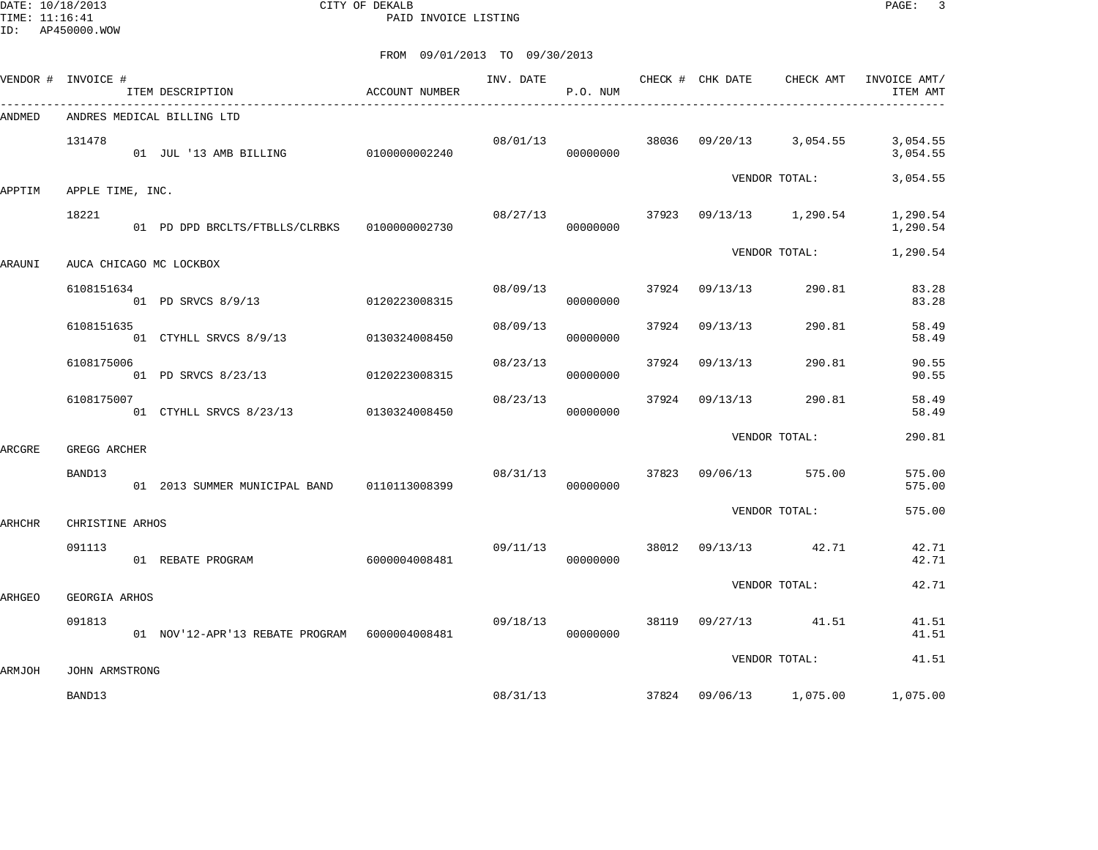DATE: 10/18/2013 CITY OF DEKALB PAGE: 3 PAID INVOICE LISTING

|        | VENDOR # INVOICE #       | ITEM DESCRIPTION                               | ACCOUNT NUMBER | INV. DATE | P.O. NUM |       |                | CHECK # CHK DATE CHECK AMT  | INVOICE AMT/<br>ITEM AMT |
|--------|--------------------------|------------------------------------------------|----------------|-----------|----------|-------|----------------|-----------------------------|--------------------------|
| ANDMED |                          | ANDRES MEDICAL BILLING LTD                     |                |           |          |       |                |                             |                          |
|        | 131478                   | 01 JUL '13 AMB BILLING 0100000002240           |                | 08/01/13  | 00000000 |       |                | 38036 09/20/13 3,054.55     | 3,054.55<br>3,054.55     |
| APPTIM | APPLE TIME, INC.         |                                                |                |           |          |       |                | VENDOR TOTAL:               | 3,054.55                 |
|        | 18221                    | 01 PD DPD BRCLTS/FTBLLS/CLRBKS 0100000002730   |                | 08/27/13  | 00000000 |       |                | $37923$ $09/13/13$ 1,290.54 | 1,290.54<br>1,290.54     |
| ARAUNI |                          | AUCA CHICAGO MC LOCKBOX                        |                |           |          |       |                | VENDOR TOTAL:               | 1,290.54                 |
|        | 6108151634               | 01 PD SRVCS 8/9/13                             | 0120223008315  | 08/09/13  | 00000000 |       | 37924 09/13/13 | 290.81                      | 83.28<br>83.28           |
|        | 6108151635               | 01 CTYHLL SRVCS 8/9/13                         | 0130324008450  | 08/09/13  | 00000000 | 37924 | 09/13/13       | 290.81                      | 58.49<br>58.49           |
|        | 6108175006               | 01 PD SRVCS 8/23/13                            | 0120223008315  | 08/23/13  | 00000000 |       | 37924 09/13/13 | 290.81                      | 90.55<br>90.55           |
|        | 6108175007               | 01 CTYHLL SRVCS 8/23/13 0130324008450          |                | 08/23/13  | 00000000 |       | 37924 09/13/13 | 290.81                      | 58.49<br>58.49           |
| ARCGRE | GREGG ARCHER             |                                                |                |           |          |       |                | VENDOR TOTAL:               | 290.81                   |
|        | BAND13                   | 01  2013 SUMMER MUNICIPAL BAND   0110113008399 |                | 08/31/13  | 00000000 |       | 37823 09/06/13 | 575.00                      | 575.00<br>575.00         |
| ARHCHR | CHRISTINE ARHOS          |                                                |                |           |          |       |                | VENDOR TOTAL:               | 575.00                   |
|        | 091113                   | 01 REBATE PROGRAM                              | 6000004008481  | 09/11/13  | 00000000 | 38012 |                | 09/13/13 42.71              | 42.71<br>42.71           |
| ARHGEO | GEORGIA ARHOS            |                                                |                |           |          |       |                | VENDOR TOTAL:               | 42.71                    |
|        | 091813                   | 01 NOV'12-APR'13 REBATE PROGRAM 6000004008481  |                | 09/18/13  | 00000000 |       |                | 38119 09/27/13 41.51        | 41.51<br>41.51           |
|        |                          |                                                |                |           |          |       |                | VENDOR TOTAL:               | 41.51                    |
| ARMJOH | JOHN ARMSTRONG<br>BAND13 |                                                |                | 08/31/13  |          |       |                | 37824 09/06/13 1,075.00     | 1,075.00                 |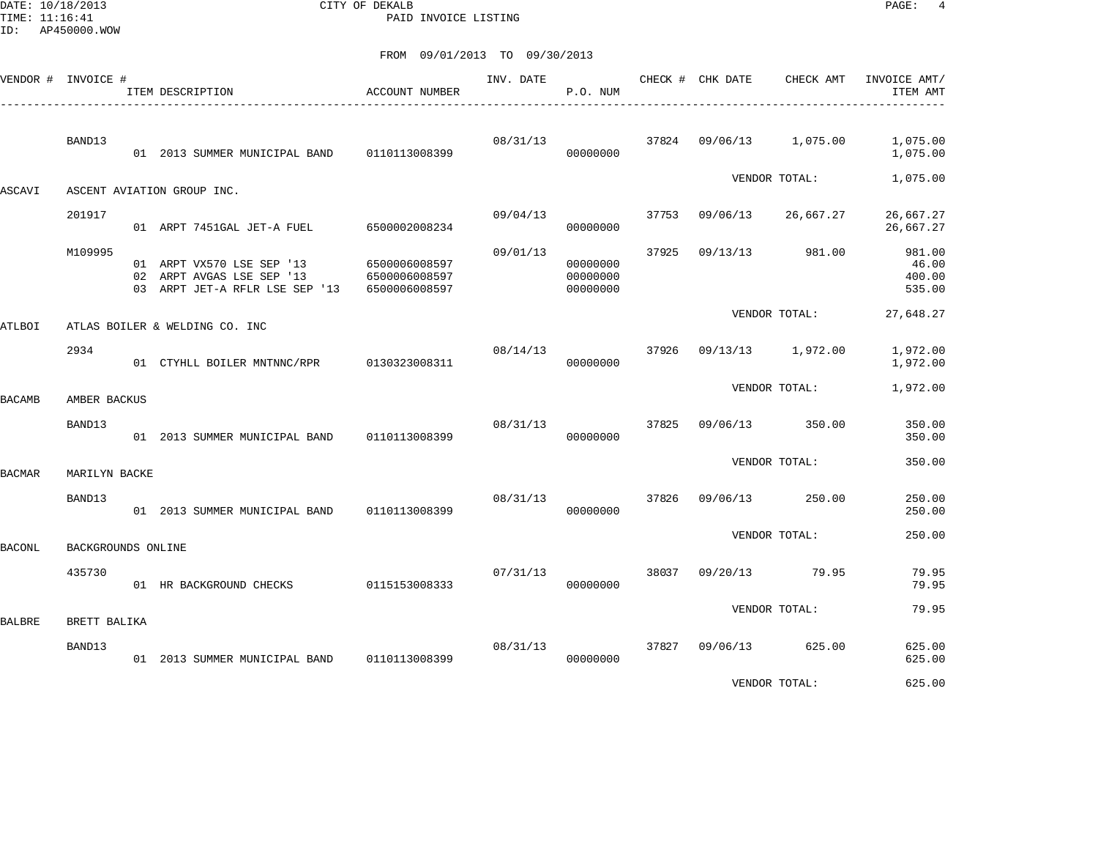DATE: 10/18/2013 CITY OF DEKALB PAGE: 4 PAID INVOICE LISTING

| VENDOR #      | INVOICE #          | ITEM DESCRIPTION                                                                         | ACCOUNT NUMBER                                  | INV. DATE | P.O. NUM                         |       | CHECK # CHK DATE | CHECK AMT     | INVOICE AMT/<br>ITEM AMT            |
|---------------|--------------------|------------------------------------------------------------------------------------------|-------------------------------------------------|-----------|----------------------------------|-------|------------------|---------------|-------------------------------------|
|               | BAND13             | 01 2013 SUMMER MUNICIPAL BAND                                                            | 0110113008399                                   | 08/31/13  | 00000000                         | 37824 | 09/06/13         | 1,075.00      | 1,075.00<br>1,075.00                |
| ASCAVI        |                    | ASCENT AVIATION GROUP INC.                                                               |                                                 |           |                                  |       |                  | VENDOR TOTAL: | 1,075.00                            |
|               | 201917             | 01 ARPT 7451GAL JET-A FUEL                                                               | 6500002008234                                   | 09/04/13  | 00000000                         | 37753 | 09/06/13         | 26,667.27     | 26,667.27<br>26,667.27              |
|               | M109995            | 01 ARPT VX570 LSE SEP '13<br>02 ARPT AVGAS LSE SEP '13<br>03 ARPT JET-A RFLR LSE SEP '13 | 6500006008597<br>6500006008597<br>6500006008597 | 09/01/13  | 00000000<br>00000000<br>00000000 | 37925 | 09/13/13         | 981.00        | 981.00<br>46.00<br>400.00<br>535.00 |
| <b>ATLBOI</b> |                    | ATLAS BOILER & WELDING CO. INC                                                           |                                                 |           |                                  |       |                  | VENDOR TOTAL: | 27,648.27                           |
|               | 2934               | 01 CTYHLL BOILER MNTNNC/RPR                                                              | 0130323008311                                   | 08/14/13  | 00000000                         | 37926 | 09/13/13         | 1,972.00      | 1,972.00<br>1,972.00                |
| <b>BACAMB</b> | AMBER BACKUS       |                                                                                          |                                                 |           |                                  |       |                  | VENDOR TOTAL: | 1,972.00                            |
|               | BAND13             | 01 2013 SUMMER MUNICIPAL BAND                                                            | 0110113008399                                   | 08/31/13  | 00000000                         | 37825 | 09/06/13         | 350.00        | 350.00<br>350.00                    |
| <b>BACMAR</b> | MARILYN BACKE      |                                                                                          |                                                 |           |                                  |       |                  | VENDOR TOTAL: | 350.00                              |
|               | BAND13             | 01 2013 SUMMER MUNICIPAL BAND                                                            | 0110113008399                                   | 08/31/13  | 00000000                         | 37826 | 09/06/13         | 250.00        | 250.00<br>250.00                    |
| <b>BACONL</b> | BACKGROUNDS ONLINE |                                                                                          |                                                 |           |                                  |       |                  | VENDOR TOTAL: | 250.00                              |
|               | 435730             | 01 HR BACKGROUND CHECKS                                                                  | 0115153008333                                   | 07/31/13  | 00000000                         | 38037 | 09/20/13         | 79.95         | 79.95<br>79.95                      |
| <b>BALBRE</b> | BRETT BALIKA       |                                                                                          |                                                 |           |                                  |       |                  | VENDOR TOTAL: | 79.95                               |
|               | BAND13             | 01 2013 SUMMER MUNICIPAL BAND                                                            | 0110113008399                                   | 08/31/13  | 00000000                         | 37827 | 09/06/13         | 625.00        | 625.00<br>625.00                    |
|               |                    |                                                                                          |                                                 |           |                                  |       |                  | VENDOR TOTAL: | 625.00                              |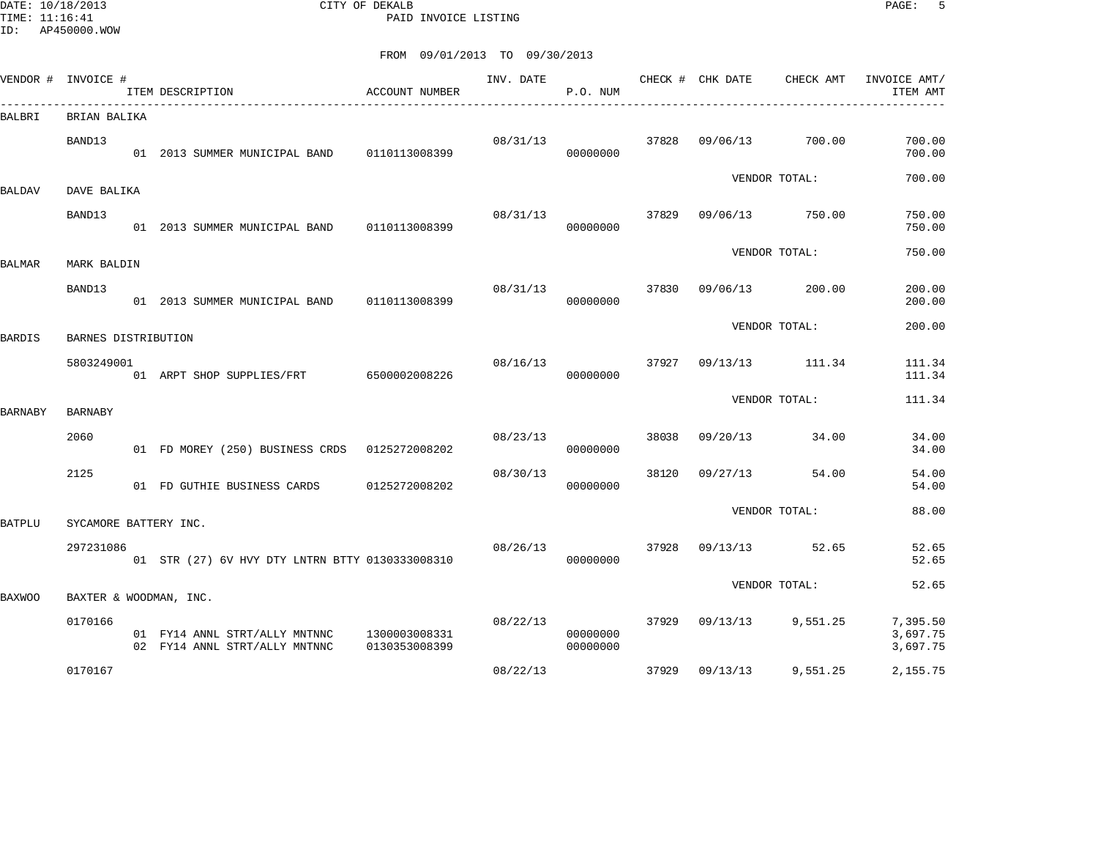DATE: 10/18/2013 CITY OF DEKALB PAGE: 5 PAID INVOICE LISTING

|               | VENDOR # INVOICE #     | ITEM DESCRIPTION                                               | <b>ACCOUNT NUMBER</b>          | INV. DATE | P.O. NUM             |       | CHECK # CHK DATE | CHECK AMT       | INVOICE AMT/<br>ITEM AMT |
|---------------|------------------------|----------------------------------------------------------------|--------------------------------|-----------|----------------------|-------|------------------|-----------------|--------------------------|
| BALBRI        | BRIAN BALIKA           |                                                                |                                |           |                      |       |                  |                 |                          |
|               | BAND13                 | 01 2013 SUMMER MUNICIPAL BAND 0110113008399                    |                                | 08/31/13  | 00000000             | 37828 | 09/06/13         | 700.00          | 700.00<br>700.00         |
| BALDAV        | DAVE BALIKA            |                                                                |                                |           |                      |       |                  | VENDOR TOTAL:   | 700.00                   |
|               | BAND13                 | 01  2013  SUMMER MUNICIPAL BAND   0110113008399                |                                | 08/31/13  | 00000000             | 37829 |                  | 09/06/13 750.00 | 750.00<br>750.00         |
| BALMAR        | MARK BALDIN            |                                                                |                                |           |                      |       |                  | VENDOR TOTAL:   | 750.00                   |
|               | BAND13                 | 01 2013 SUMMER MUNICIPAL BAND                                  | 0110113008399                  | 08/31/13  | 00000000             | 37830 | 09/06/13         | 200.00          | 200.00<br>200.00         |
| BARDIS        | BARNES DISTRIBUTION    |                                                                |                                |           |                      |       |                  | VENDOR TOTAL:   | 200.00                   |
|               | 5803249001             | 01 ARPT SHOP SUPPLIES/FRT 6500002008226                        |                                | 08/16/13  | 00000000             | 37927 |                  | 09/13/13 111.34 | 111.34<br>111.34         |
| BARNABY       | <b>BARNABY</b>         |                                                                |                                |           |                      |       |                  | VENDOR TOTAL:   | 111.34                   |
|               | 2060                   | 01 FD MOREY (250) BUSINESS CRDS 0125272008202                  |                                | 08/23/13  | 00000000             | 38038 | 09/20/13         | 34.00           | 34.00<br>34.00           |
|               | 2125                   | 01 FD GUTHIE BUSINESS CARDS                                    | 0125272008202                  | 08/30/13  | 00000000             | 38120 | 09/27/13         | 54.00           | 54.00<br>54.00           |
| BATPLU        | SYCAMORE BATTERY INC.  |                                                                |                                |           |                      |       |                  | VENDOR TOTAL:   | 88.00                    |
|               | 297231086              | 01 STR (27) 6V HVY DTY LNTRN BTTY 0130333008310                |                                | 08/26/13  | 00000000             | 37928 | 09/13/13         | 52.65           | 52.65<br>52.65           |
| <b>BAXWOO</b> | BAXTER & WOODMAN, INC. |                                                                |                                |           |                      |       |                  | VENDOR TOTAL:   | 52.65                    |
|               | 0170166                |                                                                |                                | 08/22/13  |                      | 37929 | 09/13/13         |                 | 7,395.50                 |
|               |                        | 01 FY14 ANNL STRT/ALLY MNTNNC<br>02 FY14 ANNL STRT/ALLY MNTNNC | 1300003008331<br>0130353008399 |           | 00000000<br>00000000 |       |                  | 9,551.25        | 3,697.75<br>3,697.75     |
|               | 0170167                |                                                                |                                | 08/22/13  |                      | 37929 | 09/13/13         | 9,551.25        | 2,155.75                 |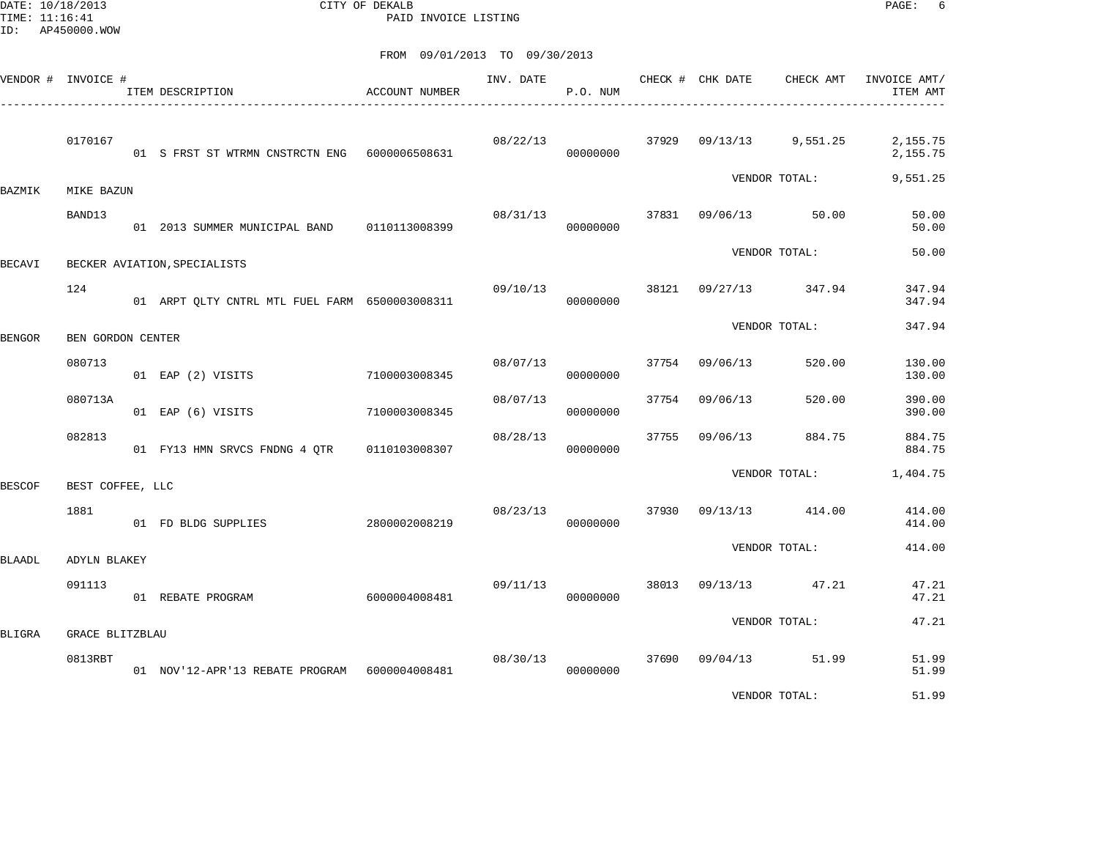DATE: 10/18/2013 CITY OF DEKALB PAGE: 6 PAID INVOICE LISTING

|        | VENDOR # INVOICE #     | ITEM DESCRIPTION                               | <b>ACCOUNT NUMBER</b> | INV. DATE | P.O. NUM |       | CHECK # CHK DATE | CHECK AMT      | INVOICE AMT/<br>ITEM AMT |
|--------|------------------------|------------------------------------------------|-----------------------|-----------|----------|-------|------------------|----------------|--------------------------|
|        | 0170167                | 01 S FRST ST WTRMN CNSTRCTN ENG 6000006508631  |                       | 08/22/13  | 00000000 | 37929 | 09/13/13         | 9,551.25       | 2,155.75<br>2,155.75     |
| BAZMIK | MIKE BAZUN             |                                                |                       |           |          |       |                  | VENDOR TOTAL:  | 9,551.25                 |
|        | BAND13                 | 01  2013 SUMMER MUNICIPAL BAND   0110113008399 |                       | 08/31/13  | 00000000 | 37831 | 09/06/13         | 50.00          | 50.00<br>50.00           |
| BECAVI |                        | BECKER AVIATION, SPECIALISTS                   |                       |           |          |       |                  | VENDOR TOTAL:  | 50.00                    |
|        | 124                    | 01 ARPT QLTY CNTRL MTL FUEL FARM 6500003008311 |                       | 09/10/13  | 00000000 | 38121 | 09/27/13         | 347.94         | 347.94<br>347.94         |
| BENGOR | BEN GORDON CENTER      |                                                |                       |           |          |       |                  | VENDOR TOTAL:  | 347.94                   |
|        | 080713                 | 01 EAP (2) VISITS                              | 7100003008345         | 08/07/13  | 00000000 | 37754 | 09/06/13         | 520.00         | 130.00<br>130.00         |
|        | 080713A                | 01 EAP (6) VISITS                              | 7100003008345         | 08/07/13  | 00000000 | 37754 | 09/06/13         | 520.00         | 390.00<br>390.00         |
|        | 082813                 | 01 FY13 HMN SRVCS FNDNG 4 QTR                  | 0110103008307         | 08/28/13  | 00000000 | 37755 | 09/06/13         | 884.75         | 884.75<br>884.75         |
| BESCOF | BEST COFFEE, LLC       |                                                |                       |           |          |       |                  | VENDOR TOTAL:  | 1,404.75                 |
|        | 1881                   | 01 FD BLDG SUPPLIES                            | 2800002008219         | 08/23/13  | 00000000 | 37930 | 09/13/13         | 414.00         | 414.00<br>414.00         |
| BLAADL | ADYLN BLAKEY           |                                                |                       |           |          |       |                  | VENDOR TOTAL:  | 414.00                   |
|        | 091113                 | 01 REBATE PROGRAM                              | 6000004008481         | 09/11/13  | 00000000 | 38013 | 09/13/13         | 47.21          | 47.21<br>47.21           |
| BLIGRA | <b>GRACE BLITZBLAU</b> |                                                |                       |           |          |       |                  | VENDOR TOTAL:  | 47.21                    |
|        | 0813RBT                | 01 NOV'12-APR'13 REBATE PROGRAM 6000004008481  |                       | 08/30/13  | 00000000 | 37690 |                  | 09/04/13 51.99 | 51.99<br>51.99           |
|        |                        |                                                |                       |           |          |       |                  | VENDOR TOTAL:  | 51.99                    |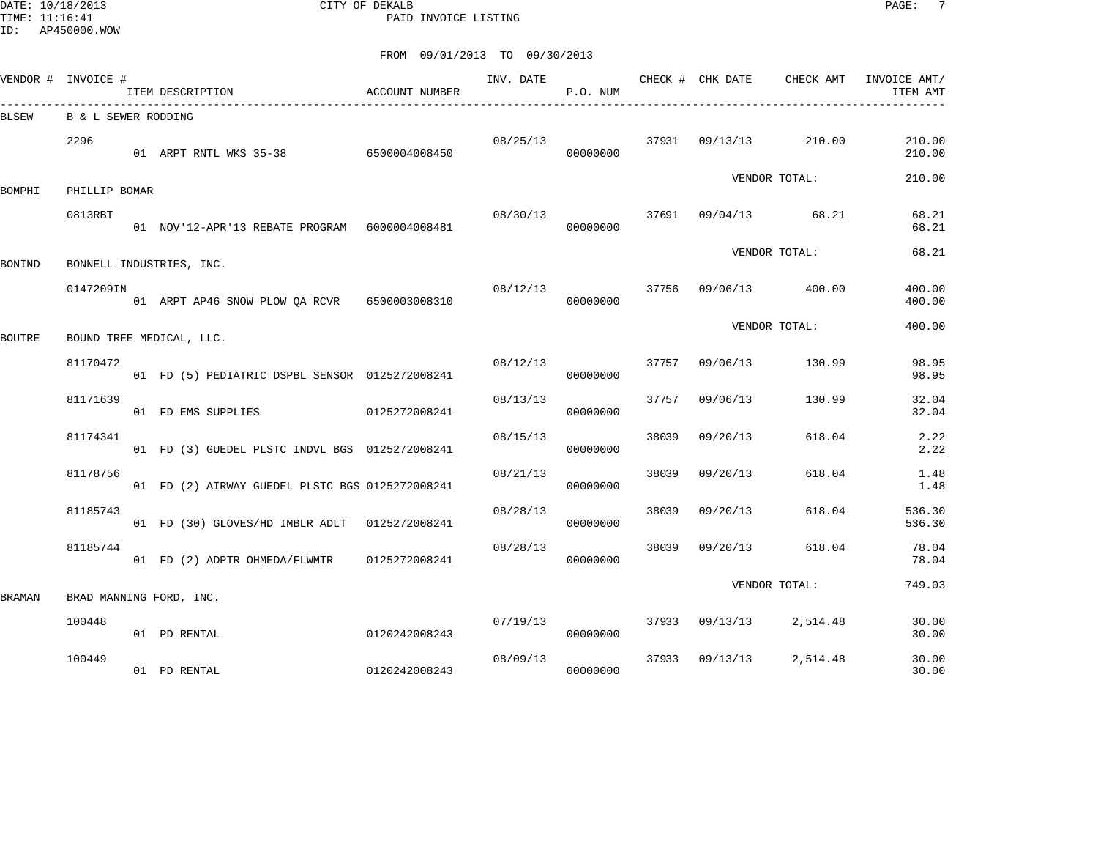DATE: 10/18/2013 CITY OF DEKALB PAGE: 7 PAID INVOICE LISTING

|        | VENDOR # INVOICE #  | ITEM DESCRIPTION                                | ACCOUNT NUMBER | INV. DATE | P.O. NUM |       | CHECK # CHK DATE      | CHECK AMT     | INVOICE AMT/<br>ITEM AMT |
|--------|---------------------|-------------------------------------------------|----------------|-----------|----------|-------|-----------------------|---------------|--------------------------|
| BLSEW  | B & L SEWER RODDING | __________________________                      |                |           |          |       |                       |               |                          |
|        | 2296                | 01 ARPT RNTL WKS 35-38 6500004008450            |                | 08/25/13  | 00000000 |       | 37931 09/13/13 210.00 |               | 210.00<br>210.00         |
|        |                     |                                                 |                |           |          |       |                       | VENDOR TOTAL: | 210.00                   |
| BOMPHI | PHILLIP BOMAR       |                                                 |                |           |          |       |                       |               |                          |
|        | 0813RBT             | 01 NOV'12-APR'13 REBATE PROGRAM 6000004008481   |                | 08/30/13  | 00000000 |       | 37691 09/04/13 68.21  |               | 68.21<br>68.21           |
|        |                     |                                                 |                |           |          |       |                       | VENDOR TOTAL: | 68.21                    |
| BONIND |                     | BONNELL INDUSTRIES, INC.                        |                |           |          |       |                       |               |                          |
|        | 0147209IN           | 01 ARPT AP46 SNOW PLOW QA RCVR 6500003008310    |                | 08/12/13  | 00000000 |       | 37756 09/06/13 400.00 |               | 400.00<br>400.00         |
| BOUTRE |                     | BOUND TREE MEDICAL, LLC.                        |                |           |          |       |                       | VENDOR TOTAL: | 400.00                   |
|        | 81170472            | 01 FD (5) PEDIATRIC DSPBL SENSOR 0125272008241  |                | 08/12/13  | 00000000 | 37757 | 09/06/13              | 130.99        | 98.95<br>98.95           |
|        | 81171639            | 01 FD EMS SUPPLIES                              | 0125272008241  | 08/13/13  | 00000000 | 37757 | 09/06/13              | 130.99        | 32.04<br>32.04           |
|        | 81174341            | 01 FD (3) GUEDEL PLSTC INDVL BGS 0125272008241  |                | 08/15/13  | 00000000 | 38039 | 09/20/13              | 618.04        | 2.22<br>2.22             |
|        | 81178756            | 01 FD (2) AIRWAY GUEDEL PLSTC BGS 0125272008241 |                | 08/21/13  | 00000000 | 38039 | 09/20/13              | 618.04        | 1.48<br>1.48             |
|        | 81185743            | 01 FD (30) GLOVES/HD IMBLR ADLT 0125272008241   |                | 08/28/13  | 00000000 | 38039 | 09/20/13              | 618.04        | 536.30<br>536.30         |
|        | 81185744            | 01 FD (2) ADPTR OHMEDA/FLWMTR                   | 0125272008241  | 08/28/13  | 00000000 | 38039 | 09/20/13              | 618.04        | 78.04<br>78.04           |
|        |                     |                                                 |                |           |          |       |                       | VENDOR TOTAL: | 749.03                   |
| BRAMAN |                     | BRAD MANNING FORD, INC.                         |                |           |          |       |                       |               |                          |
|        | 100448              | 01 PD RENTAL                                    | 0120242008243  | 07/19/13  | 00000000 | 37933 | 09/13/13 2,514.48     |               | 30.00<br>30.00           |
|        | 100449              | 01 PD RENTAL                                    | 0120242008243  | 08/09/13  | 00000000 | 37933 | 09/13/13              | 2,514.48      | 30.00<br>30.00           |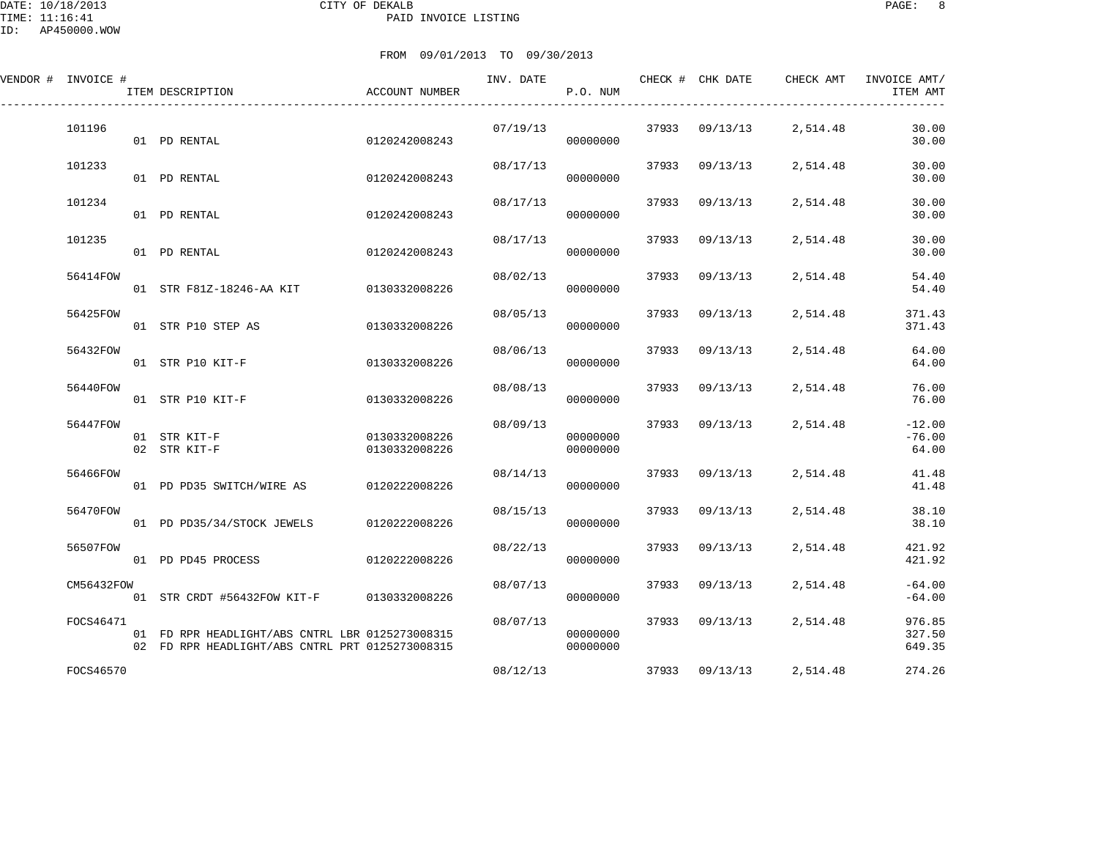DATE: 10/18/2013 CITY OF DEKALB PAGE: 8 PAID INVOICE LISTING

| VENDOR # INVOICE # | ITEM DESCRIPTION                                                                                   | ACCOUNT NUMBER                 | INV. DATE | P.O. NUM             |       |                | CHECK # CHK DATE CHECK AMT | INVOICE AMT/<br>ITEM AMT      |
|--------------------|----------------------------------------------------------------------------------------------------|--------------------------------|-----------|----------------------|-------|----------------|----------------------------|-------------------------------|
| 101196             | 01 PD RENTAL                                                                                       | 0120242008243                  | 07/19/13  | 00000000             |       |                | 37933 09/13/13 2,514.48    | 30.00<br>30.00                |
| 101233             | 01 PD RENTAL                                                                                       | 0120242008243                  | 08/17/13  | 00000000             | 37933 | 09/13/13       | 2,514.48                   | 30.00<br>30.00                |
| 101234             | 01 PD RENTAL                                                                                       | 0120242008243                  | 08/17/13  | 00000000             | 37933 | 09/13/13       | 2,514.48                   | 30.00<br>30.00                |
| 101235             | 01 PD RENTAL                                                                                       | 0120242008243                  | 08/17/13  | 00000000             | 37933 | 09/13/13       | 2,514.48                   | 30.00<br>30.00                |
| 56414FOW           | 01 STR F81Z-18246-AA KIT 0130332008226                                                             |                                | 08/02/13  | 00000000             | 37933 | 09/13/13       | 2,514.48                   | 54.40<br>54.40                |
| 56425FOW           | 01 STR P10 STEP AS                                                                                 | 0130332008226                  | 08/05/13  | 00000000             | 37933 | 09/13/13       | 2,514.48                   | 371.43<br>371.43              |
| 56432FOW           | 01 STR P10 KIT-F                                                                                   | 0130332008226                  | 08/06/13  | 00000000             | 37933 | 09/13/13       | 2,514.48                   | 64.00<br>64.00                |
| 56440FOW           | 01 STR P10 KIT-F                                                                                   | 0130332008226                  | 08/08/13  | 00000000             | 37933 | 09/13/13       | 2,514.48                   | 76.00<br>76.00                |
| 56447FOW           | 01 STR KIT-F<br>02 STR KIT-F                                                                       | 0130332008226<br>0130332008226 | 08/09/13  | 00000000<br>00000000 | 37933 | 09/13/13       | 2,514.48                   | $-12.00$<br>$-76.00$<br>64.00 |
| 56466FOW           | 01 PD PD35 SWITCH/WIRE AS 0120222008226                                                            |                                | 08/14/13  | 00000000             | 37933 | 09/13/13       | 2,514.48                   | 41.48<br>41.48                |
| 56470FOW           | 01 PD PD35/34/STOCK JEWELS                                                                         | 0120222008226                  | 08/15/13  | 00000000             | 37933 | 09/13/13       | 2,514.48                   | 38.10<br>38.10                |
| 56507FOW           | 01 PD PD45 PROCESS                                                                                 | 0120222008226                  | 08/22/13  | 00000000             | 37933 | 09/13/13       | 2,514.48                   | 421.92<br>421.92              |
| CM56432FOW         | 01 STR CRDT #56432FOW KIT-F 0130332008226                                                          |                                | 08/07/13  | 00000000             | 37933 | 09/13/13       | 2,514.48                   | $-64.00$<br>$-64.00$          |
| FOCS46471          | 01 FD RPR HEADLIGHT/ABS CNTRL LBR 0125273008315<br>02 FD RPR HEADLIGHT/ABS CNTRL PRT 0125273008315 |                                | 08/07/13  | 00000000<br>00000000 |       | 37933 09/13/13 | 2,514.48                   | 976.85<br>327.50<br>649.35    |
| FOCS46570          |                                                                                                    |                                | 08/12/13  |                      |       | 37933 09/13/13 | 2,514.48                   | 274.26                        |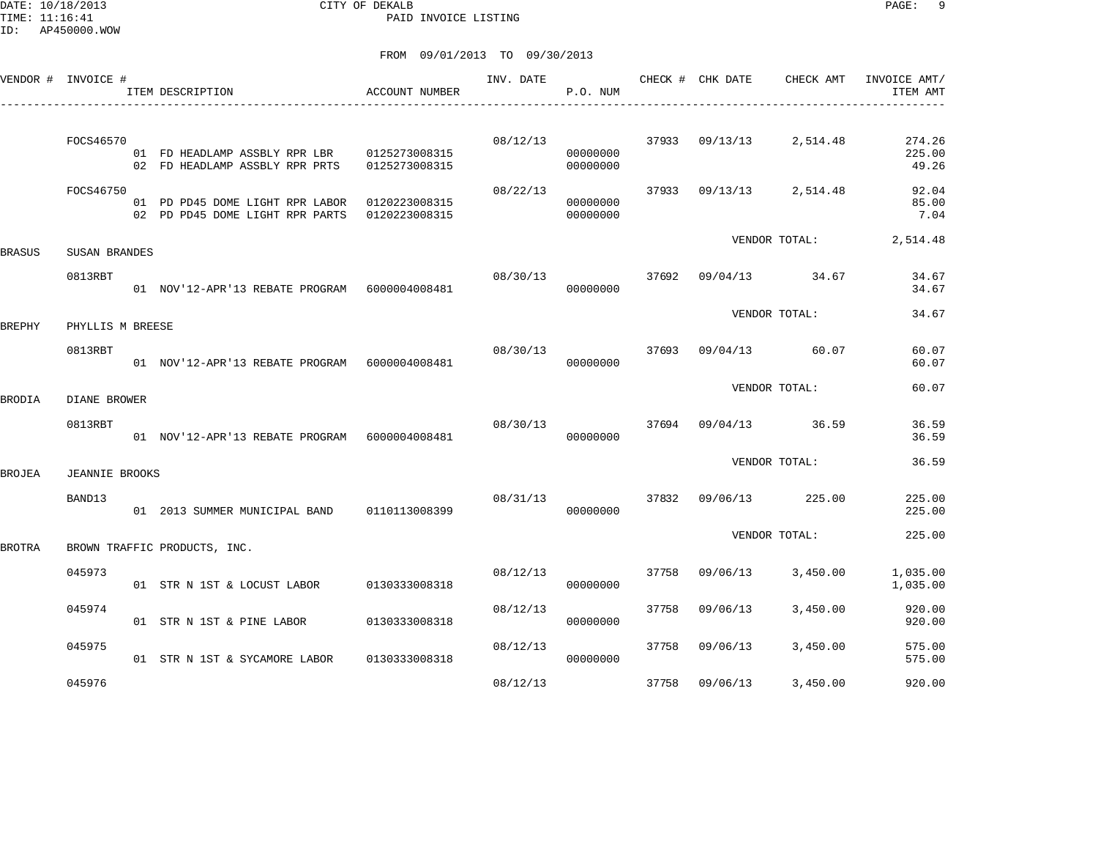DATE: 10/18/2013 CITY OF DEKALB PAGE: 9 PAID INVOICE LISTING

|        | VENDOR # INVOICE #    | ITEM DESCRIPTION                                                   | ACCOUNT NUMBER                 | INV. DATE | P.O. NUM             |       | CHECK # CHK DATE | CHECK AMT         | INVOICE AMT/<br>ITEM AMT  |
|--------|-----------------------|--------------------------------------------------------------------|--------------------------------|-----------|----------------------|-------|------------------|-------------------|---------------------------|
|        | FOCS46570             | 01 FD HEADLAMP ASSBLY RPR LBR<br>02 FD HEADLAMP ASSBLY RPR PRTS    | 0125273008315<br>0125273008315 | 08/12/13  | 00000000<br>00000000 | 37933 |                  | 09/13/13 2,514.48 | 274.26<br>225.00<br>49.26 |
|        | FOCS46750             | 01 PD PD45 DOME LIGHT RPR LABOR<br>02 PD PD45 DOME LIGHT RPR PARTS | 0120223008315<br>0120223008315 | 08/22/13  | 00000000<br>00000000 | 37933 |                  | 09/13/13 2,514.48 | 92.04<br>85.00<br>7.04    |
| BRASUS | SUSAN BRANDES         |                                                                    |                                |           |                      |       |                  | VENDOR TOTAL:     | 2,514.48                  |
|        | 0813RBT               | 01 NOV'12-APR'13 REBATE PROGRAM 6000004008481                      |                                | 08/30/13  | 00000000             | 37692 | 09/04/13         | 34.67             | 34.67<br>34.67            |
| BREPHY | PHYLLIS M BREESE      |                                                                    |                                |           |                      |       |                  | VENDOR TOTAL:     | 34.67                     |
|        | 0813RBT               | 01 NOV'12-APR'13 REBATE PROGRAM 6000004008481                      |                                |           | 08/30/13<br>00000000 | 37693 |                  | 09/04/13 60.07    | 60.07<br>60.07            |
| BRODIA | DIANE BROWER          |                                                                    |                                |           |                      |       |                  | VENDOR TOTAL:     | 60.07                     |
|        | 0813RBT               | 01 NOV'12-APR'13 REBATE PROGRAM 6000004008481                      |                                | 08/30/13  | 00000000             | 37694 | 09/04/13         | 36.59             | 36.59<br>36.59            |
| BROJEA | <b>JEANNIE BROOKS</b> |                                                                    |                                |           |                      |       |                  | VENDOR TOTAL:     | 36.59                     |
|        | BAND13                | 01  2013  SUMMER MUNICIPAL BAND   0110113008399                    |                                | 08/31/13  | 00000000             | 37832 | 09/06/13         | 225.00            | 225.00<br>225.00          |
| BROTRA |                       | BROWN TRAFFIC PRODUCTS, INC.                                       |                                |           |                      |       |                  | VENDOR TOTAL:     | 225.00                    |
|        | 045973                | 01 STR N 1ST & LOCUST LABOR                                        | 0130333008318                  | 08/12/13  | 00000000             | 37758 | 09/06/13         | 3,450.00          | 1,035.00<br>1,035.00      |
|        | 045974                | 01 STR N 1ST & PINE LABOR                                          | 0130333008318                  | 08/12/13  | 00000000             | 37758 | 09/06/13         | 3,450.00          | 920.00<br>920.00          |
|        | 045975                | 01 STR N 1ST & SYCAMORE LABOR                                      | 0130333008318                  | 08/12/13  | 00000000             | 37758 | 09/06/13         | 3,450.00          | 575.00<br>575.00          |
|        | 045976                |                                                                    |                                | 08/12/13  |                      | 37758 | 09/06/13         | 3,450.00          | 920.00                    |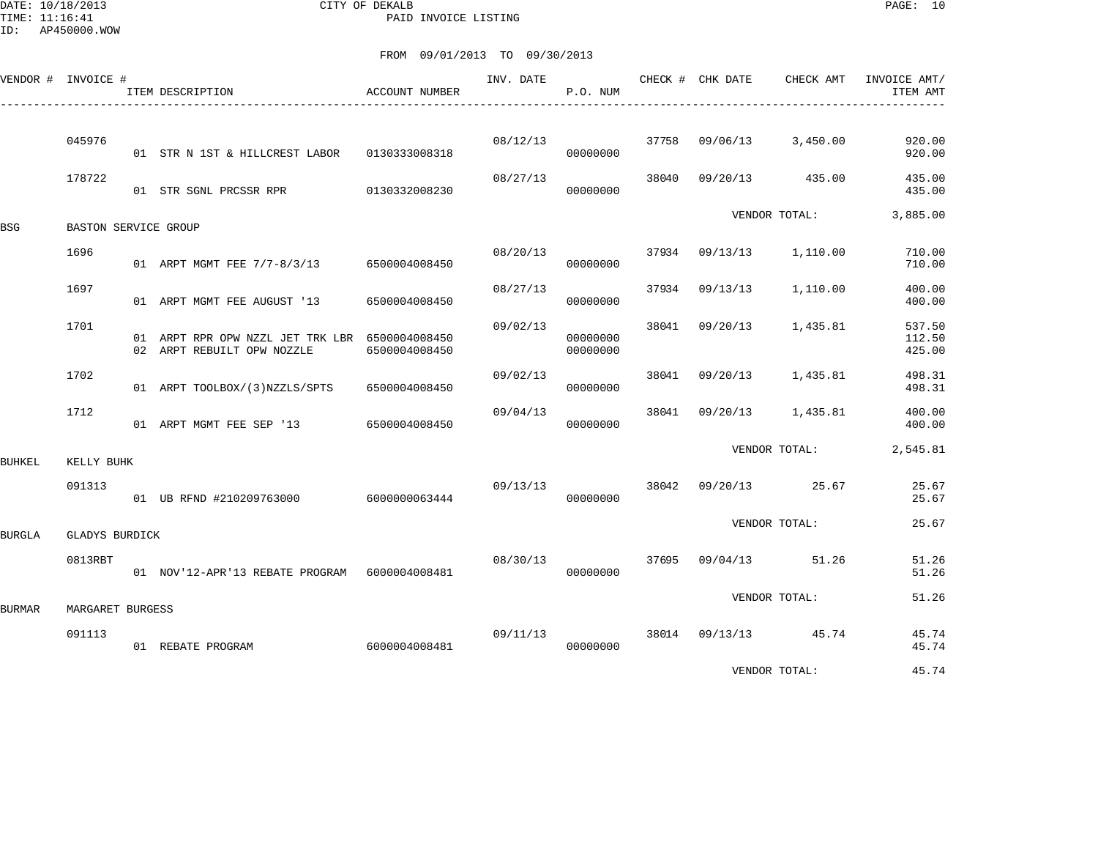DATE: 10/18/2013 CITY OF DEKALB PAGE: 10 PAID INVOICE LISTING

| FROM 09/01/2013 TO 09/30/2013 |  |
|-------------------------------|--|

|               | VENDOR # INVOICE #   | ITEM DESCRIPTION                                                             | ACCOUNT NUMBER | INV. DATE | P.O. NUM             |       | CHECK # CHK DATE | CHECK AMT      | INVOICE AMT/<br>ITEM AMT   |
|---------------|----------------------|------------------------------------------------------------------------------|----------------|-----------|----------------------|-------|------------------|----------------|----------------------------|
|               |                      |                                                                              |                |           |                      |       |                  |                |                            |
|               | 045976               | 01 STR N 1ST & HILLCREST LABOR                                               | 0130333008318  | 08/12/13  | 00000000             | 37758 | 09/06/13         | 3,450.00       | 920.00<br>920.00           |
|               | 178722               | 01 STR SGNL PRCSSR RPR 0130332008230                                         |                | 08/27/13  | 00000000             | 38040 | 09/20/13         | 435.00         | 435.00<br>435.00           |
| BSG           | BASTON SERVICE GROUP |                                                                              |                |           |                      |       |                  | VENDOR TOTAL:  | 3,885.00                   |
|               | 1696                 | 01 ARPT MGMT FEE 7/7-8/3/13 6500004008450                                    |                | 08/20/13  | 00000000             | 37934 | 09/13/13         | 1,110.00       | 710.00<br>710.00           |
|               | 1697                 | 01 ARPT MGMT FEE AUGUST '13                                                  | 6500004008450  | 08/27/13  | 00000000             | 37934 | 09/13/13         | 1,110.00       | 400.00<br>400.00           |
|               | 1701                 | 01 ARPT RPR OPW NZZL JET TRK LBR 6500004008450<br>02 ARPT REBUILT OPW NOZZLE | 6500004008450  | 09/02/13  | 00000000<br>00000000 | 38041 | 09/20/13         | 1,435.81       | 537.50<br>112.50<br>425.00 |
|               | 1702                 | 01 ARPT TOOLBOX/(3)NZZLS/SPTS                                                | 6500004008450  | 09/02/13  | 00000000             | 38041 | 09/20/13         | 1,435.81       | 498.31<br>498.31           |
|               | 1712                 | 01 ARPT MGMT FEE SEP '13                                                     | 6500004008450  | 09/04/13  | 00000000             | 38041 | 09/20/13         | 1,435.81       | 400.00<br>400.00           |
| <b>BUHKEL</b> | KELLY BUHK           |                                                                              |                |           |                      |       |                  | VENDOR TOTAL:  | 2,545.81                   |
|               | 091313               | 01 UB RFND #210209763000 6000000063444                                       |                | 09/13/13  | 00000000             | 38042 | 09/20/13         | 25.67          | 25.67<br>25.67             |
| BURGLA        | GLADYS BURDICK       |                                                                              |                |           |                      |       |                  | VENDOR TOTAL:  | 25.67                      |
|               | 0813RBT              | 01 NOV'12-APR'13 REBATE PROGRAM 6000004008481                                |                | 08/30/13  | 00000000             | 37695 |                  | 09/04/13 51.26 | 51.26<br>51.26             |
| <b>BURMAR</b> | MARGARET BURGESS     |                                                                              |                |           |                      |       |                  | VENDOR TOTAL:  | 51.26                      |
|               | 091113               |                                                                              |                | 09/11/13  |                      |       | 38014 09/13/13   | 45.74          | 45.74                      |
|               |                      | 01 REBATE PROGRAM                                                            | 6000004008481  |           | 00000000             |       |                  |                | 45.74                      |

VENDOR TOTAL: 45.74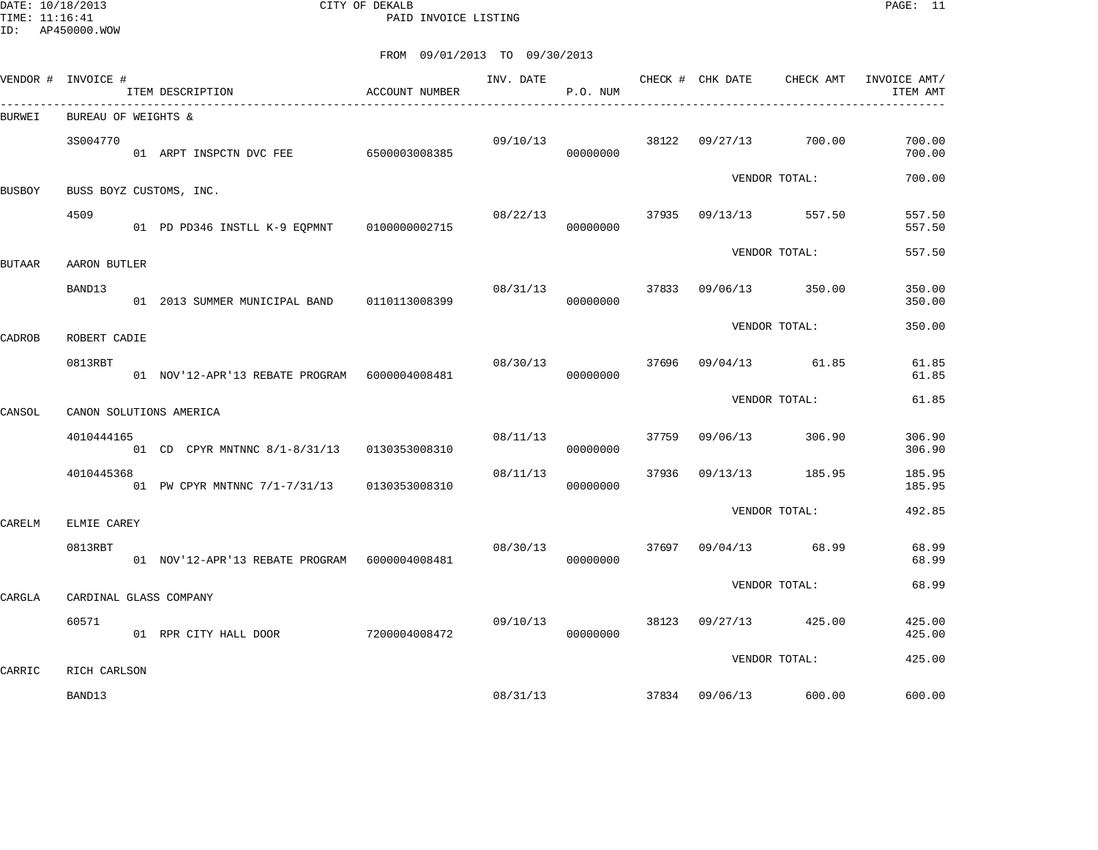DATE: 10/18/2013 CITY OF DEKALB PAGE: 11 PAID INVOICE LISTING

|               | VENDOR # INVOICE #  | ITEM DESCRIPTION                              | ACCOUNT NUMBER | INV. DATE | P.O. NUM |       | CHECK # CHK DATE | CHECK AMT            | INVOICE AMT/<br>ITEM AMT |
|---------------|---------------------|-----------------------------------------------|----------------|-----------|----------|-------|------------------|----------------------|--------------------------|
| BURWEI        | BUREAU OF WEIGHTS & | -----------------------------------           |                |           |          |       |                  |                      |                          |
|               | 3S004770            | 01 ARPT INSPCTN DVC FEE 6500003008385         |                | 09/10/13  | 00000000 |       | 38122 09/27/13   | 700.00               | 700.00<br>700.00         |
| <b>BUSBOY</b> |                     | BUSS BOYZ CUSTOMS, INC.                       |                |           |          |       |                  | VENDOR TOTAL:        | 700.00                   |
|               | 4509                | 01 PD PD346 INSTLL K-9 EQPMNT 0100000002715   |                | 08/22/13  | 00000000 |       | 37935 09/13/13   | 557.50               | 557.50<br>557.50         |
| <b>BUTAAR</b> | AARON BUTLER        |                                               |                |           |          |       |                  | VENDOR TOTAL:        | 557.50                   |
|               | BAND13              | 01 2013 SUMMER MUNICIPAL BAND 0110113008399   |                | 08/31/13  | 00000000 |       | 37833 09/06/13   | 350.00               | 350.00<br>350.00         |
| CADROB        | ROBERT CADIE        |                                               |                |           |          |       |                  | VENDOR TOTAL:        | 350.00                   |
|               | 0813RBT             | 01 NOV'12-APR'13 REBATE PROGRAM 6000004008481 |                | 08/30/13  | 00000000 |       |                  | 37696 09/04/13 61.85 | 61.85<br>61.85           |
| CANSOL        |                     | CANON SOLUTIONS AMERICA                       |                |           |          |       |                  | VENDOR TOTAL:        | 61.85                    |
|               | 4010444165          | 01 CD CPYR MNTNNC 8/1-8/31/13 0130353008310   |                | 08/11/13  | 00000000 | 37759 | 09/06/13         | 306.90               | 306.90<br>306.90         |
|               | 4010445368          | 01 PW CPYR MNTNNC 7/1-7/31/13 0130353008310   |                | 08/11/13  | 00000000 | 37936 | 09/13/13         | 185.95               | 185.95<br>185.95         |
| CARELM        | ELMIE CAREY         |                                               |                |           |          |       |                  | VENDOR TOTAL:        | 492.85                   |
|               | 0813RBT             | 01 NOV'12-APR'13 REBATE PROGRAM 6000004008481 |                | 08/30/13  | 00000000 | 37697 | 09/04/13         | 68.99                | 68.99<br>68.99           |
| CARGLA        |                     | CARDINAL GLASS COMPANY                        |                |           |          |       |                  | VENDOR TOTAL:        | 68.99                    |
|               | 60571               | 01 RPR CITY HALL DOOR 7200004008472           |                | 09/10/13  | 00000000 |       | 38123 09/27/13   | 425.00               | 425.00<br>425.00         |
| CARRIC        | RICH CARLSON        |                                               |                |           |          |       |                  | VENDOR TOTAL:        | 425.00                   |
|               | BAND13              |                                               |                | 08/31/13  |          |       | 37834 09/06/13   | 600.00               | 600.00                   |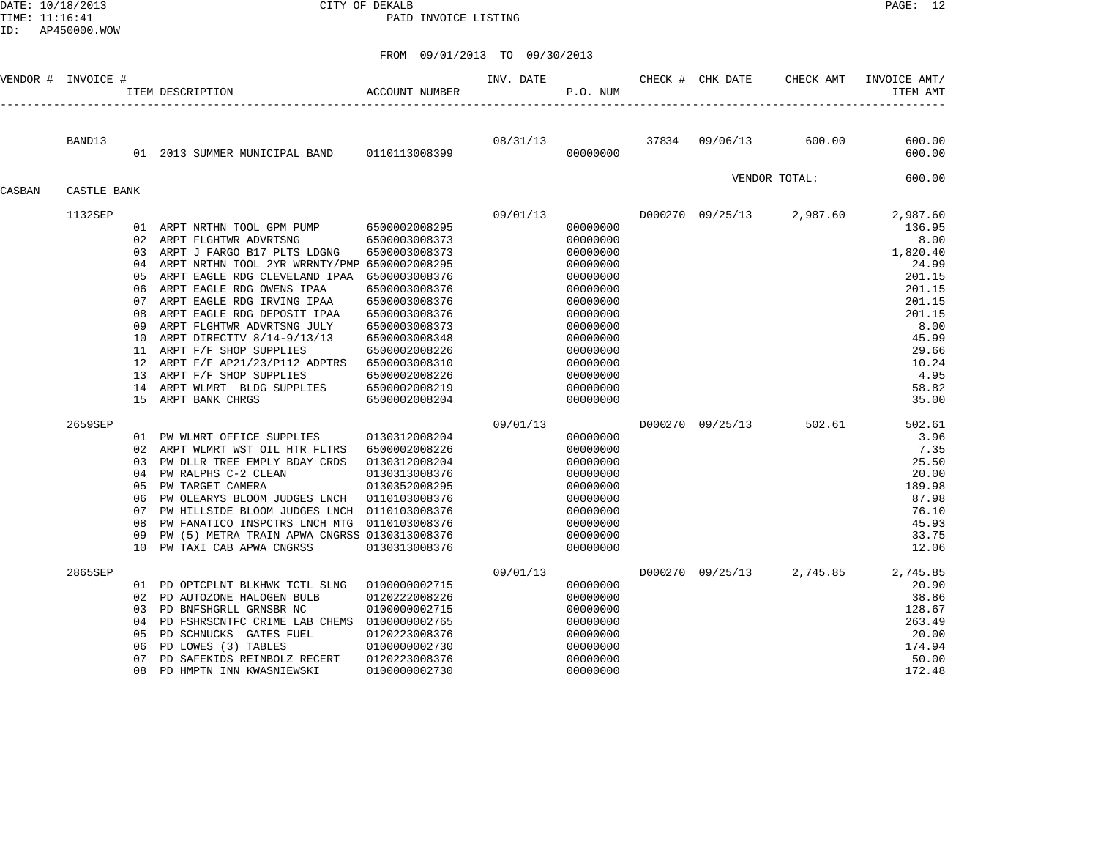DATE: 10/18/2013 CITY OF DEKALB PAGE: 12 PAID INVOICE LISTING

|        | VENDOR # INVOICE # |          | ACCOUNT NUMBER<br>ITEM DESCRIPTION                                            |               | INV. DATE | P.O. NUM             | CHECK # CHK DATE | CHECK AMT                 | INVOICE AMT/<br>ITEM AMT |
|--------|--------------------|----------|-------------------------------------------------------------------------------|---------------|-----------|----------------------|------------------|---------------------------|--------------------------|
|        | BAND13             |          |                                                                               |               | 08/31/13  |                      | 37834 09/06/13   | 600.00                    | 600.00                   |
|        |                    |          | 01 2013 SUMMER MUNICIPAL BAND 0110113008399                                   |               |           | 00000000             |                  |                           | 600.00                   |
| CASBAN | CASTLE BANK        |          |                                                                               |               |           |                      |                  | VENDOR TOTAL:             | 600.00                   |
|        |                    |          |                                                                               |               |           |                      |                  |                           |                          |
|        | 1132SEP            |          |                                                                               |               | 09/01/13  |                      |                  | D000270 09/25/13 2,987.60 | 2,987.60                 |
|        |                    |          | 01 ARPT NRTHN TOOL GPM PUMP                                                   | 6500002008295 |           | 00000000             |                  |                           | 136.95                   |
|        |                    |          | 02 ARPT FLGHTWR ADVRTSNG                                                      | 6500003008373 |           | 00000000             |                  |                           | 8.00                     |
|        |                    | 03<br>04 | ARPT J FARGO B17 PLTS LDGNG                                                   | 6500003008373 |           | 00000000             |                  |                           | 1,820.40                 |
|        |                    | 05       | ARPT NRTHN TOOL 2YR WRRNTY/PMP 6500002008295<br>ARPT EAGLE RDG CLEVELAND IPAA | 6500003008376 |           | 00000000<br>00000000 |                  |                           | 24.99<br>201.15          |
|        |                    | 06       | ARPT EAGLE RDG OWENS IPAA                                                     | 6500003008376 |           | 00000000             |                  |                           | 201.15                   |
|        |                    | 07       | ARPT EAGLE RDG IRVING IPAA                                                    | 6500003008376 |           | 00000000             |                  |                           | 201.15                   |
|        |                    | 08       | ARPT EAGLE RDG DEPOSIT IPAA                                                   | 6500003008376 |           | 00000000             |                  |                           | 201.15                   |
|        |                    | 09       | ARPT FLGHTWR ADVRTSNG JULY                                                    | 6500003008373 |           | 00000000             |                  |                           | 8.00                     |
|        |                    | 10       | ARPT DIRECTTV 8/14-9/13/13                                                    | 6500003008348 |           | 00000000             |                  |                           | 45.99                    |
|        |                    | 11       | ARPT F/F SHOP SUPPLIES                                                        | 6500002008226 |           | 00000000             |                  |                           | 29.66                    |
|        |                    | 12       | ARPT F/F AP21/23/P112 ADPTRS                                                  | 6500003008310 |           | 00000000             |                  |                           | 10.24                    |
|        |                    | 13       | ARPT F/F SHOP SUPPLIES                                                        | 6500002008226 |           | 00000000             |                  |                           | 4.95                     |
|        |                    | 14       | ARPT WLMRT BLDG SUPPLIES                                                      | 6500002008219 |           | 00000000             |                  |                           | 58.82                    |
|        |                    | 15       | ARPT BANK CHRGS                                                               | 6500002008204 |           | 00000000             |                  |                           | 35.00                    |
|        | 2659SEP            |          |                                                                               |               | 09/01/13  |                      | D000270 09/25/13 | 502.61                    | 502.61                   |
|        |                    |          | 01 PW WLMRT OFFICE SUPPLIES                                                   | 0130312008204 |           | 00000000             |                  |                           | 3.96                     |
|        |                    | 02       | ARPT WLMRT WST OIL HTR FLTRS                                                  | 6500002008226 |           | 00000000             |                  |                           | 7.35                     |
|        |                    | 03       | PW DLLR TREE EMPLY BDAY CRDS                                                  | 0130312008204 |           | 00000000             |                  |                           | 25.50                    |
|        |                    | 04       | PW RALPHS C-2 CLEAN                                                           | 0130313008376 |           | 00000000             |                  |                           | 20.00                    |
|        |                    | 05       | PW TARGET CAMERA                                                              | 0130352008295 |           | 00000000             |                  |                           | 189.98                   |
|        |                    | 06       | PW OLEARYS BLOOM JUDGES LNCH                                                  | 0110103008376 |           | 00000000             |                  |                           | 87.98                    |
|        |                    | 07       | PW HILLSIDE BLOOM JUDGES LNCH                                                 | 0110103008376 |           | 00000000             |                  |                           | 76.10                    |
|        |                    | 08       | PW FANATICO INSPCTRS LNCH MTG                                                 | 0110103008376 |           | 00000000             |                  |                           | 45.93                    |
|        |                    | 09       | PW (5) METRA TRAIN APWA CNGRSS 0130313008376                                  |               |           | 00000000             |                  |                           | 33.75                    |
|        |                    | 10       | PW TAXI CAB APWA CNGRSS                                                       | 0130313008376 |           | 00000000             |                  |                           | 12.06                    |
|        | 2865SEP            |          |                                                                               |               | 09/01/13  |                      |                  | D000270 09/25/13 2,745.85 | 2,745.85                 |
|        |                    |          | 01 PD OPTCPLNT BLKHWK TCTL SLNG                                               | 0100000002715 |           | 00000000             |                  |                           | 20.90                    |
|        |                    | 02       | PD AUTOZONE HALOGEN BULB                                                      | 0120222008226 |           | 00000000             |                  |                           | 38.86                    |
|        |                    | 03       | PD BNFSHGRLL GRNSBR NC                                                        | 0100000002715 |           | 00000000             |                  |                           | 128.67                   |
|        |                    | 04       | PD FSHRSCNTFC CRIME LAB CHEMS                                                 | 0100000002765 |           | 00000000             |                  |                           | 263.49                   |
|        |                    | 05       | PD SCHNUCKS GATES FUEL                                                        | 0120223008376 |           | 00000000             |                  |                           | 20.00                    |
|        |                    | 06       | PD LOWES (3) TABLES                                                           | 0100000002730 |           | 00000000             |                  |                           | 174.94                   |
|        |                    | 07       | PD SAFEKIDS REINBOLZ RECERT                                                   | 0120223008376 |           | 00000000             |                  |                           | 50.00                    |
|        |                    | 08       | PD HMPTN INN KWASNIEWSKI                                                      | 0100000002730 |           | 00000000             |                  |                           | 172.48                   |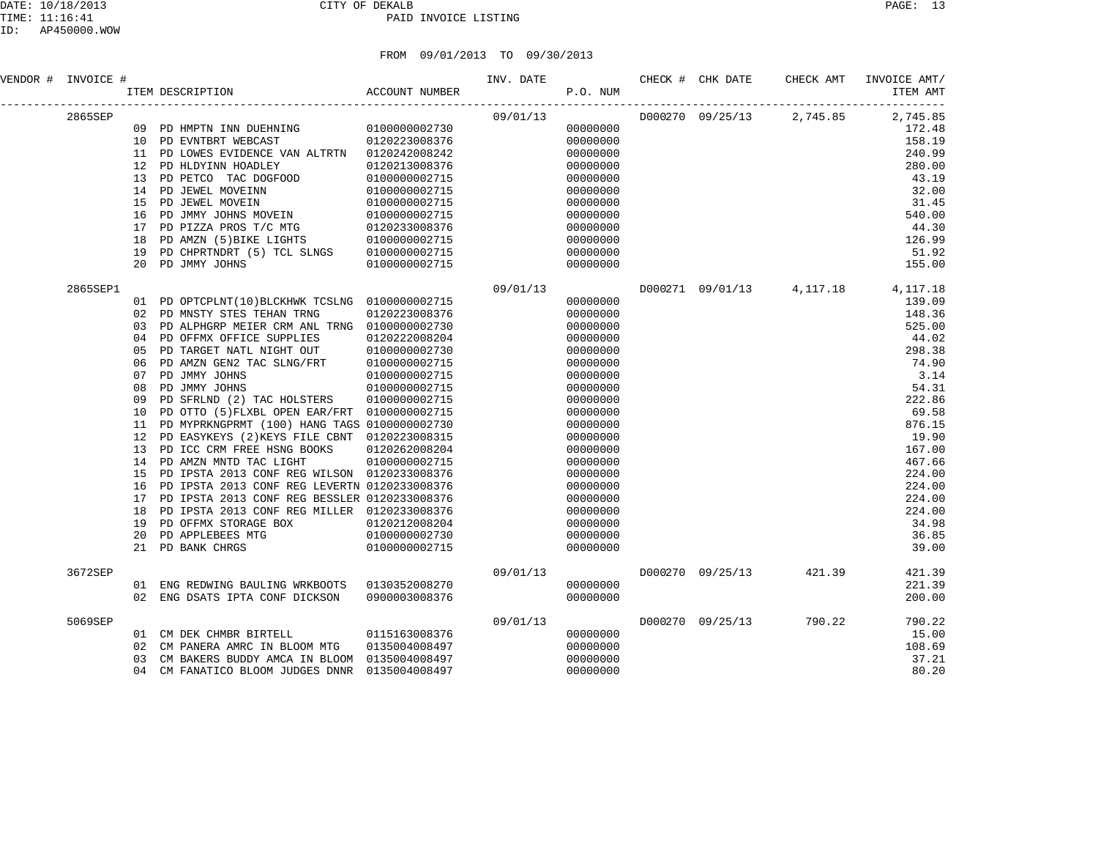| PAGE. |  |
|-------|--|
|-------|--|

| VENDOR # INVOICE # |                                                                                                                       | <br> ITEM DESCRIPTION                                 ACCOUNT NUMBER                                                                                                                                                                                                                                                                                                                                                                                                                                                                                                                                                                                                                                                                               |                                                                                                                                                                                                                | INV. DATE<br>P.O. NUM |                                                                                                                                                                                                                                                          | CHECK # CHK DATE | CHECK AMT                 | INVOICE AMT/<br>ITEM AMT                                                                                                                                                                                                                   |
|--------------------|-----------------------------------------------------------------------------------------------------------------------|----------------------------------------------------------------------------------------------------------------------------------------------------------------------------------------------------------------------------------------------------------------------------------------------------------------------------------------------------------------------------------------------------------------------------------------------------------------------------------------------------------------------------------------------------------------------------------------------------------------------------------------------------------------------------------------------------------------------------------------------------|----------------------------------------------------------------------------------------------------------------------------------------------------------------------------------------------------------------|-----------------------|----------------------------------------------------------------------------------------------------------------------------------------------------------------------------------------------------------------------------------------------------------|------------------|---------------------------|--------------------------------------------------------------------------------------------------------------------------------------------------------------------------------------------------------------------------------------------|
| 2865SEP            | 12<br>13<br>14<br>15<br>16<br>17<br>18<br>19<br>20                                                                    | 11 PD LOWES EVIDENCE VAN ALTRTN 0120242008242<br>PD HLDYINN HOADLEY<br>PD PETCO TAC DOGFOOD<br>PD JEWEL MOVEINN<br>PD JEWEL MOVEIN<br>PD JMMY JOHNS MOVEIN<br>PD JMMY JURING NOTICE.<br>PD PIZZA PROS T/C MTG 0120233008370<br>ALLO STATE LIGHTS 010000002715<br>PD CHPRTNDRT (5) TCL SLNGS 0100000002715<br>PD JMMY JOHNS                                                                                                                                                                                                                                                                                                                                                                                                                         | 0120213008376<br>0100000002715<br>0100000002715<br>0100000002715<br>0100000002715<br>0100000002715                                                                                                             | 09/01/13              | 00000000<br>00000000<br>00000000<br>00000000<br>00000000<br>00000000<br>00000000<br>00000000<br>00000000<br>00000000<br>00000000<br>00000000                                                                                                             |                  | D000270 09/25/13 2,745.85 | 2,745.85<br>172.48<br>158.19<br>240.99<br>280.00<br>43.19<br>32.00<br>31.45<br>540.00<br>44.30<br>126.99<br>51.92<br>155.00                                                                                                                |
| 2865SEP1           | 02<br>03<br>04<br>0.5<br>06<br>07<br>08<br>09<br>10<br>11<br>12<br>13<br>14<br>15<br>16<br>17<br>18<br>19<br>20<br>21 | 01 PD OPTCPLNT(10) BLCKHWK TCSLNG 0100000002715<br>PD MNSTY STES TEHAN TRNG<br>PD ALPHGRP MEIER CRM ANL TRNG 0100000002730<br>PD OFFMX OFFICE SUPPLIES<br>PD TARGET NATL NIGHT OUT<br>PD AMZN GEN2 TAC SLNG/FRT<br>PD JMMY JOHNS<br>PD JMMY JOHNS<br>PD SFRLND (2) TAC HOLSTERS<br>PD OTTO (5) FLXBL OPEN EAR/FRT 0100000002715<br>PD MYPRKNGPRMT (100) HANG TAGS 0100000002730<br>PD EASYKEYS (2) KEYS FILE CBNT 0120223008315<br>PD ICC CRM FREE HSNG BOOKS<br>PD AMZN MNTD TAC LIGHT<br>PD IPSTA 2013 CONF REG WILSON 0120233008376<br>PD IPSTA 2013 CONF REG LEVERTN 0120233008376<br>PD IPSTA 2013 CONF REG BESSLER 0120233008376<br>PD IPSTA 2013 CONF REG MILLER 0120233008376<br>PD OFFMX STORAGE BOX<br>PD APPLEBEES MTG<br>PD BANK CHRGS | 0120223008376<br>0120222008204<br>0100000002730<br>LNG/FRT 010000002715<br>010000002715<br>0100000002715<br>0100000002715<br>0120262008204<br>0100000002715<br>0120212008204<br>0100000002730<br>0100000002715 | 09/01/13              | 00000000<br>00000000<br>00000000<br>00000000<br>00000000<br>00000000<br>00000000<br>00000000<br>00000000<br>00000000<br>00000000<br>00000000<br>00000000<br>00000000<br>00000000<br>00000000<br>00000000<br>00000000<br>00000000<br>00000000<br>00000000 |                  |                           | D000271 09/01/13 4,117.18 4,117.18<br>139.09<br>148.36<br>525.00<br>44.02<br>298.38<br>74.90<br>3.14<br>54.31<br>222.86<br>69.58<br>876.15<br>19.90<br>167.00<br>467.66<br>224.00<br>224.00<br>224.00<br>224.00<br>34.98<br>36.85<br>39.00 |
| 3672SEP            |                                                                                                                       | 01 ENG REDWING BAULING WRKBOOTS 0130352008270<br>02 ENG DSATS IPTA CONF DICKSON                                                                                                                                                                                                                                                                                                                                                                                                                                                                                                                                                                                                                                                                    | 0900003008376                                                                                                                                                                                                  | 09/01/13              | 00000000<br>00000000                                                                                                                                                                                                                                     |                  | D000270 09/25/13 421.39   | 421.39<br>221.39<br>200.00                                                                                                                                                                                                                 |
| 5069SEP            | 03<br>04                                                                                                              | 01 CM DEK CHMBR BIRTELL<br>02 CM PANERA AMRC IN BLOOM MTG<br>CM BAKERS BUDDY AMCA IN BLOOM 0135004008497<br>CM FANATICO BLOOM JUDGES DNNR                                                                                                                                                                                                                                                                                                                                                                                                                                                                                                                                                                                                          | 0115163008376<br>0135004008497<br>0135004008497                                                                                                                                                                | 09/01/13              | 00000000<br>00000000<br>00000000<br>00000000                                                                                                                                                                                                             | D000270 09/25/13 | 790.22                    | 790.22<br>15.00<br>108.69<br>37.21<br>80.20                                                                                                                                                                                                |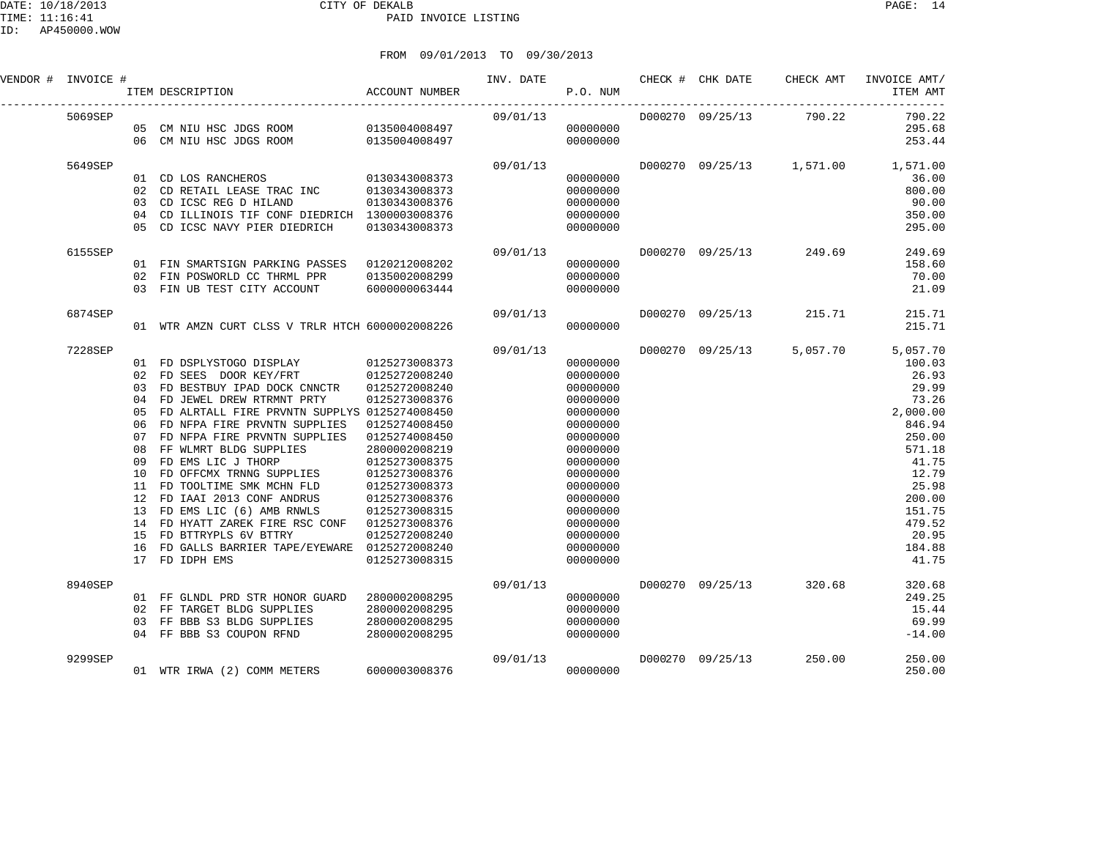| VENDOR # INVOICE # |                                                                            | ACCOUNT NUMBER<br>ITEM DESCRIPTION                                                                                                                                                                                                                                                                                                                                                                                                                                                                                                        |                                                                                                                                                                                                                                            | INV. DATE CHECK # CHK DATE | P.O. NUM                                                                                                                                                                                                 |                  |                                    | CHECK AMT INVOICE AMT/<br>ITEM AMT                                                                                                                                           |
|--------------------|----------------------------------------------------------------------------|-------------------------------------------------------------------------------------------------------------------------------------------------------------------------------------------------------------------------------------------------------------------------------------------------------------------------------------------------------------------------------------------------------------------------------------------------------------------------------------------------------------------------------------------|--------------------------------------------------------------------------------------------------------------------------------------------------------------------------------------------------------------------------------------------|----------------------------|----------------------------------------------------------------------------------------------------------------------------------------------------------------------------------------------------------|------------------|------------------------------------|------------------------------------------------------------------------------------------------------------------------------------------------------------------------------|
| 5069SEP            |                                                                            | 05 CM NIU HSC JDGS ROOM 0135004008497<br>06 CM NIU HSC JDGS ROOM 0135004008497                                                                                                                                                                                                                                                                                                                                                                                                                                                            |                                                                                                                                                                                                                                            | 09/01/13                   | 00000000<br>00000000                                                                                                                                                                                     |                  | D000270 09/25/13 790.22            | 790.22<br>295.68<br>253.44                                                                                                                                                   |
| 5649SEP            | 04<br>0.5                                                                  | 01 CD LOS RANCHEROS<br>02 CD RETAIL LEASE TRAC INC 0130343008373<br>03 CD ICSC REG D HILAND<br>CD ILLINOIS TIF CONF DIEDRICH 1300003008376<br>CD ICSC NAVY PIER DIEDRICH                                                                                                                                                                                                                                                                                                                                                                  | 0130343008373<br>0130343008376<br>0130343008373                                                                                                                                                                                            | 09/01/13                   | 00000000<br>00000000<br>00000000<br>00000000<br>00000000                                                                                                                                                 |                  | D000270 09/25/13 1,571.00 1,571.00 | 36.00<br>800.00<br>90.00<br>350.00<br>295.00                                                                                                                                 |
| 6155SEP            |                                                                            | 01 FIN SMARTSIGN PARKING PASSES 0120212008202<br>02 FIN POSWORLD CC THRML PPR<br>03 FIN UB TEST CITY ACCOUNT                                                                                                                                                                                                                                                                                                                                                                                                                              | 0135002008299<br>6000000063444                                                                                                                                                                                                             | 09/01/13                   | 00000000<br>00000000<br>00000000                                                                                                                                                                         |                  | D000270 09/25/13 249.69            | 249.69<br>158.60<br>70.00<br>21.09                                                                                                                                           |
| 6874SEP            |                                                                            | 01 WTR AMZN CURT CLSS V TRLR HTCH 6000002008226                                                                                                                                                                                                                                                                                                                                                                                                                                                                                           |                                                                                                                                                                                                                                            | 09/01/13                   | 00000000                                                                                                                                                                                                 |                  | D000270 09/25/13 215.71            | 215.71<br>215.71                                                                                                                                                             |
| 7228SEP            | 02<br>03<br>04<br>05<br>06<br>07<br>08<br>09<br>10<br>12<br>13<br>15<br>16 | 01 FD DSPLYSTOGO DISPLAY 0125273008373<br>FD SEES DOOR KEY/FRT<br>FD BESTBUY IPAD DOCK CNNCTR<br>FD JEWEL DREW RTRMNT PRTY<br>FD ALRTALL FIRE PRVNTN SUPPLYS 0125274008450<br>FD NFPA FIRE PRVNTN SUPPLIES<br>FD NFPA FIRE PRVNTN SUPPLIES<br>FF WLMRT BLDG SUPPLIES<br>FD EMS LIC J THORP<br>FD OFFCMX TRNNG SUPPLIES<br>11 FD TOOLTIME SMK MCHN FLD<br>FD IAAI 2013 CONF ANDRUS<br>FD EMS LIC (6) AMB RNWLS<br>14 FD HYATT ZAREK FIRE RSC CONF<br>FD BTTRYPLS 6V BTTRY<br>FD GALLS BARRIER TAPE/EYEWARE 0125272008240<br>17 FD IDPH EMS | 0125272008240<br>0125272008240<br>0125273008376<br>0125274008450<br>0125274008450<br>2800002008219<br>0125273008375<br>0125273008376<br>0125273008373<br>0125273008376<br>0125273008315<br>0125273008376<br>0125272008240<br>0125273008315 | 09/01/13                   | 00000000<br>00000000<br>00000000<br>00000000<br>00000000<br>00000000<br>00000000<br>00000000<br>00000000<br>00000000<br>00000000<br>00000000<br>00000000<br>00000000<br>00000000<br>00000000<br>00000000 |                  | D000270 09/25/13 5,057.70          | 5,057.70<br>100.03<br>26.93<br>29.99<br>73.26<br>2,000.00<br>846.94<br>250.00<br>571.18<br>41.75<br>12.79<br>25.98<br>200.00<br>151.75<br>479.52<br>20.95<br>184.88<br>41.75 |
| 8940SEP            | 03                                                                         | 01 FF GLNDL PRD STR HONOR GUARD<br>02 FF TARGET BLDG SUPPLIES<br>FF BBB S3 BLDG SUPPLIES 2800002008295<br>FF BBB S3 COUPON RFND 2800002008295<br>04 FF BBB S3 COUPON RFND                                                                                                                                                                                                                                                                                                                                                                 | 2800002008295<br>2800002008295                                                                                                                                                                                                             | 09/01/13                   | 00000000<br>00000000<br>00000000<br>00000000                                                                                                                                                             |                  | D000270 09/25/13 320.68            | 320.68<br>249.25<br>15.44<br>69.99<br>$-14.00$                                                                                                                               |
| 9299SEP            |                                                                            | 01 WTR IRWA (2) COMM METERS                                                                                                                                                                                                                                                                                                                                                                                                                                                                                                               | 6000003008376                                                                                                                                                                                                                              | 09/01/13                   | 00000000                                                                                                                                                                                                 | D000270 09/25/13 | 250.00                             | 250.00<br>250.00                                                                                                                                                             |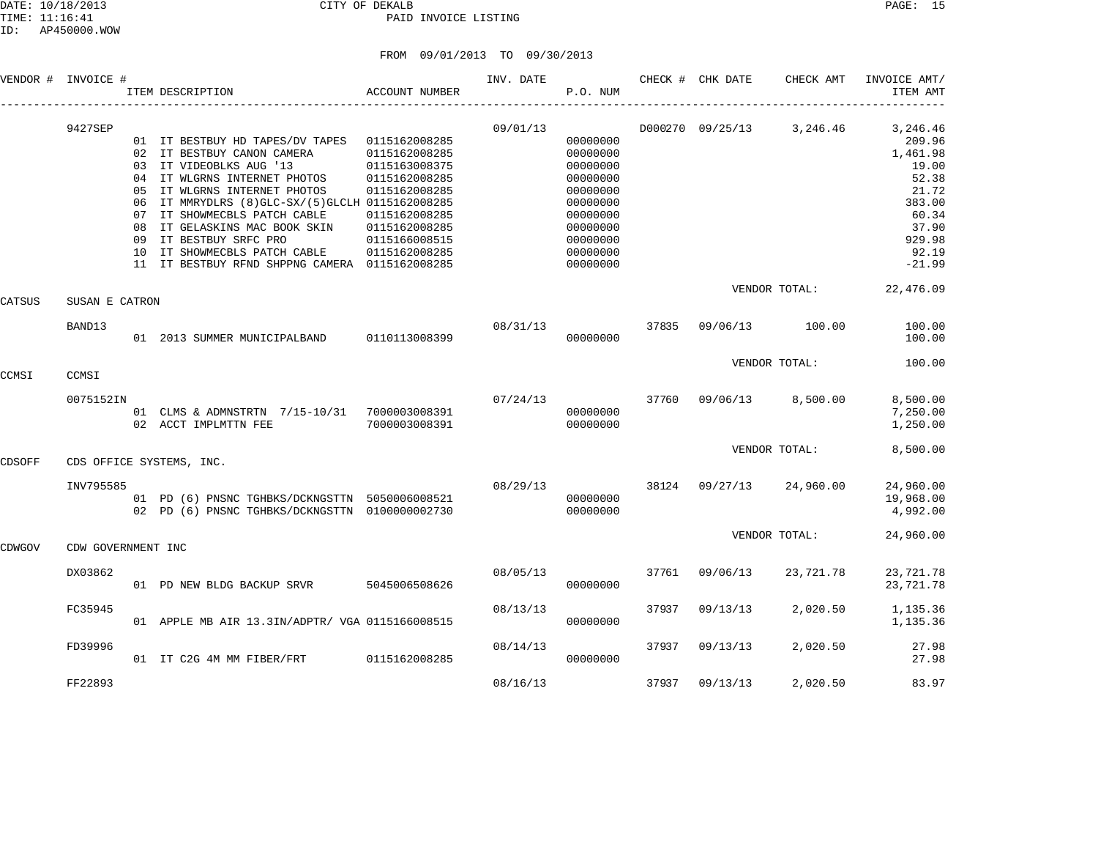|        | VENDOR # INVOICE # |                            | ITEM DESCRIPTION                                                                                                                                                                                                                                                                                                                                                            | ACCOUNT NUMBER                                                                                                                                        | INV. DATE | P.O. NUM                                                                                                                         |       | CHECK # CHK DATE         | CHECK AMT                 | INVOICE AMT/<br>ITEM AMT                                                                                             |
|--------|--------------------|----------------------------|-----------------------------------------------------------------------------------------------------------------------------------------------------------------------------------------------------------------------------------------------------------------------------------------------------------------------------------------------------------------------------|-------------------------------------------------------------------------------------------------------------------------------------------------------|-----------|----------------------------------------------------------------------------------------------------------------------------------|-------|--------------------------|---------------------------|----------------------------------------------------------------------------------------------------------------------|
|        | 9427SEP            | 05<br>06<br>08<br>09<br>10 | 01 IT BESTBUY HD TAPES/DV TAPES<br>02 IT BESTBUY CANON CAMERA<br>03 IT VIDEOBLKS AUG '13<br>04 IT WLGRNS INTERNET PHOTOS<br>IT WLGRNS INTERNET PHOTOS<br>IT MMRYDLRS (8) GLC-SX/(5) GLCLH 0115162008285<br>07 IT SHOWMECBLS PATCH CABLE<br>IT GELASKINS MAC BOOK SKIN<br>IT BESTBUY SRFC PRO<br>IT SHOWMECBLS PATCH CABLE<br>11 IT BESTBUY RFND SHPPNG CAMERA 0115162008285 | 0115162008285<br>0115162008285<br>0115163008375<br>0115162008285<br>0115162008285<br>0115162008285<br>0115162008285<br>0115166008515<br>0115162008285 | 09/01/13  | 00000000<br>00000000<br>00000000<br>00000000<br>00000000<br>00000000<br>00000000<br>00000000<br>00000000<br>00000000<br>00000000 |       |                          | D000270 09/25/13 3,246.46 | 3,246.46<br>209.96<br>1,461.98<br>19.00<br>52.38<br>21.72<br>383.00<br>60.34<br>37.90<br>929.98<br>92.19<br>$-21.99$ |
| CATSUS | SUSAN E CATRON     |                            |                                                                                                                                                                                                                                                                                                                                                                             |                                                                                                                                                       |           |                                                                                                                                  |       |                          | VENDOR TOTAL:             | 22,476.09                                                                                                            |
|        | BAND13             |                            | 01  2013 SUMMER MUNICIPALBAND   0110113008399                                                                                                                                                                                                                                                                                                                               |                                                                                                                                                       | 08/31/13  | 00000000                                                                                                                         | 37835 | 09/06/13                 | 100.00                    | 100.00<br>100.00                                                                                                     |
| CCMSI  | CCMSI              |                            |                                                                                                                                                                                                                                                                                                                                                                             |                                                                                                                                                       |           |                                                                                                                                  |       |                          | VENDOR TOTAL:             | 100.00                                                                                                               |
|        | 0075152IN          |                            | 01 CLMS & ADMNSTRTN 7/15-10/31 7000003008391<br>02 ACCT IMPLMTTN FEE                                                                                                                                                                                                                                                                                                        | 7000003008391                                                                                                                                         | 07/24/13  | 00000000<br>00000000                                                                                                             |       | 37760 09/06/13 8,500.00  |                           | 8,500.00<br>7,250.00<br>1,250.00                                                                                     |
| CDSOFF |                    |                            | CDS OFFICE SYSTEMS, INC.                                                                                                                                                                                                                                                                                                                                                    |                                                                                                                                                       |           |                                                                                                                                  |       |                          | VENDOR TOTAL:             | 8,500.00                                                                                                             |
|        | INV795585          |                            | 01 PD (6) PNSNC TGHBKS/DCKNGSTTN 5050006008521<br>02 PD (6) PNSNC TGHBKS/DCKNGSTTN 0100000002730                                                                                                                                                                                                                                                                            |                                                                                                                                                       |           | 08/29/13<br>00000000<br>00000000                                                                                                 |       | 38124 09/27/13 24,960.00 |                           | 24,960.00<br>19,968.00<br>4,992.00                                                                                   |
| CDWGOV | CDW GOVERNMENT INC |                            |                                                                                                                                                                                                                                                                                                                                                                             |                                                                                                                                                       |           |                                                                                                                                  |       |                          | VENDOR TOTAL:             | 24,960.00                                                                                                            |
|        | DX03862            |                            | 01 PD NEW BLDG BACKUP SRVR 5045006508626                                                                                                                                                                                                                                                                                                                                    |                                                                                                                                                       | 08/05/13  | 00000000                                                                                                                         | 37761 | 09/06/13                 | 23,721.78                 | 23,721.78<br>23,721.78                                                                                               |
|        | FC35945            |                            | 01 APPLE MB AIR 13.3IN/ADPTR/ VGA 0115166008515                                                                                                                                                                                                                                                                                                                             |                                                                                                                                                       | 08/13/13  | 00000000                                                                                                                         | 37937 | 09/13/13                 | 2,020.50                  | 1,135.36<br>1,135.36                                                                                                 |
|        | FD39996            |                            | 01 IT C2G 4M MM FIBER/FRT                                                                                                                                                                                                                                                                                                                                                   | 0115162008285                                                                                                                                         | 08/14/13  | 00000000                                                                                                                         | 37937 | 09/13/13                 | 2,020.50                  | 27.98<br>27.98                                                                                                       |
|        | FF22893            |                            |                                                                                                                                                                                                                                                                                                                                                                             |                                                                                                                                                       | 08/16/13  |                                                                                                                                  | 37937 | 09/13/13                 | 2,020.50                  | 83.97                                                                                                                |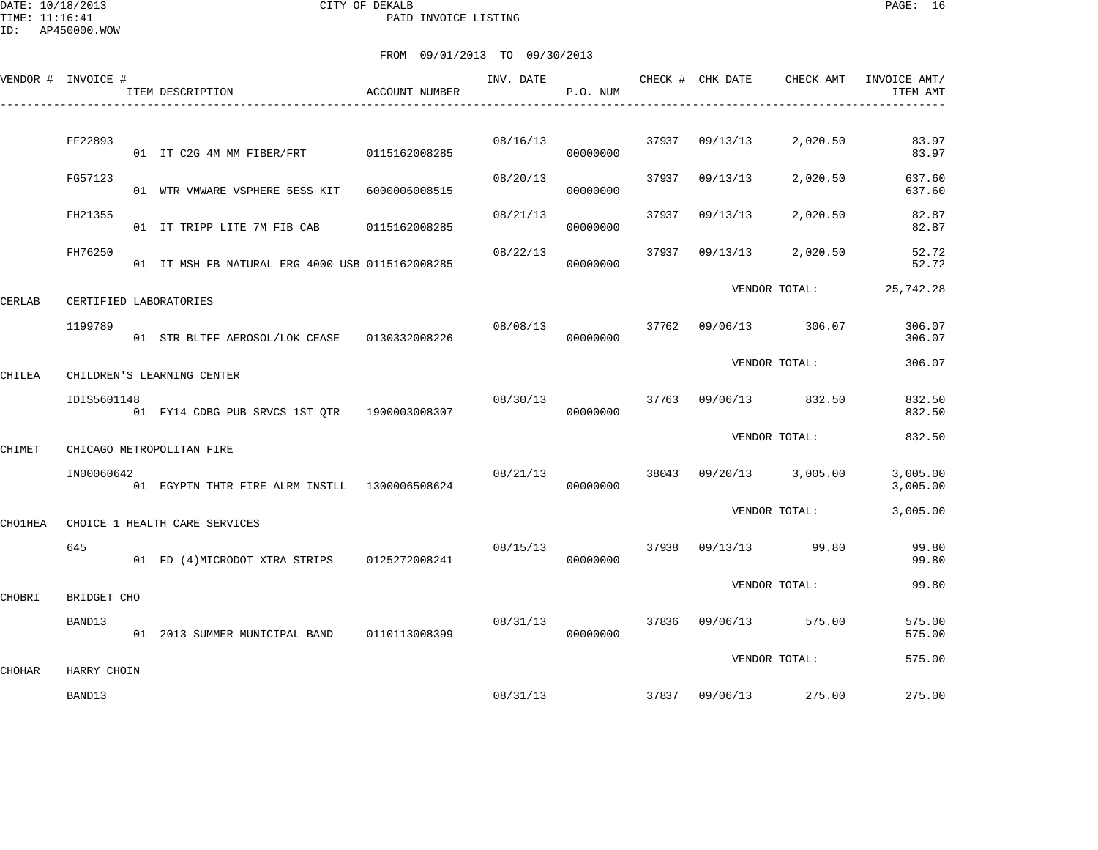DATE: 10/18/2013 CITY OF DEKALB PAGE: 16 PAID INVOICE LISTING

ID: AP450000.WOW

|         | VENDOR # INVOICE #    | ITEM DESCRIPTION                                | <b>ACCOUNT NUMBER</b> | INV. DATE | P.O. NUM |       | CHECK # CHK DATE | CHECK AMT             | INVOICE AMT/<br>ITEM AMT |
|---------|-----------------------|-------------------------------------------------|-----------------------|-----------|----------|-------|------------------|-----------------------|--------------------------|
|         |                       |                                                 |                       |           |          |       |                  |                       |                          |
|         | FF22893               | 01 IT C2G 4M MM FIBER/FRT 0115162008285         |                       | 08/16/13  | 00000000 | 37937 | 09/13/13         | 2,020.50              | 83.97<br>83.97           |
|         | FG57123               | 01 WTR VMWARE VSPHERE 5ESS KIT                  | 6000006008515         | 08/20/13  | 00000000 | 37937 | 09/13/13         | 2,020.50              | 637.60<br>637.60         |
|         | FH21355               | 01 IT TRIPP LITE 7M FIB CAB 0115162008285       |                       | 08/21/13  | 00000000 | 37937 | 09/13/13         | 2,020.50              | 82.87<br>82.87           |
|         | FH76250               | 01 IT MSH FB NATURAL ERG 4000 USB 0115162008285 |                       | 08/22/13  | 00000000 | 37937 | 09/13/13         | 2,020.50              | 52.72<br>52.72           |
| CERLAB  |                       | CERTIFIED LABORATORIES                          |                       |           |          |       |                  | VENDOR TOTAL:         | 25,742.28                |
|         | 1199789               | 01 STR BLTFF AEROSOL/LOK CEASE 0130332008226    |                       | 08/08/13  | 00000000 | 37762 |                  | 09/06/13 306.07       | 306.07<br>306.07         |
| CHILEA  |                       | CHILDREN'S LEARNING CENTER                      |                       |           |          |       |                  | VENDOR TOTAL:         | 306.07                   |
|         | IDIS5601148           | 01 FY14 CDBG PUB SRVCS 1ST OTR 1900003008307    |                       | 08/30/13  | 00000000 |       |                  | 37763 09/06/13 832.50 | 832.50<br>832.50         |
| CHIMET  |                       | CHICAGO METROPOLITAN FIRE                       |                       |           |          |       |                  | VENDOR TOTAL:         | 832.50                   |
|         | IN00060642            | 01 EGYPTN THTR FIRE ALRM INSTLL 1300006508624   |                       | 08/21/13  | 00000000 | 38043 |                  | 09/20/13 3,005.00     | 3,005.00<br>3,005.00     |
| CHO1HEA |                       | CHOICE 1 HEALTH CARE SERVICES                   |                       |           |          |       |                  | VENDOR TOTAL:         | 3,005.00                 |
|         | 645                   | 01 FD (4) MICRODOT XTRA STRIPS 0125272008241    |                       | 08/15/13  | 00000000 | 37938 |                  | 09/13/13 99.80        | 99.80<br>99.80           |
| CHOBRI  | BRIDGET CHO           |                                                 |                       |           |          |       |                  | VENDOR TOTAL:         | 99.80                    |
|         | BAND13                | 01  2013  SUMMER MUNICIPAL BAND   0110113008399 |                       | 08/31/13  | 00000000 |       | 37836 09/06/13   | 575.00                | 575.00<br>575.00         |
|         |                       |                                                 |                       |           |          |       |                  | VENDOR TOTAL:         | 575.00                   |
| CHOHAR  | HARRY CHOIN<br>BAND13 |                                                 |                       | 08/31/13  |          |       | 37837 09/06/13   | 275.00                | 275.00                   |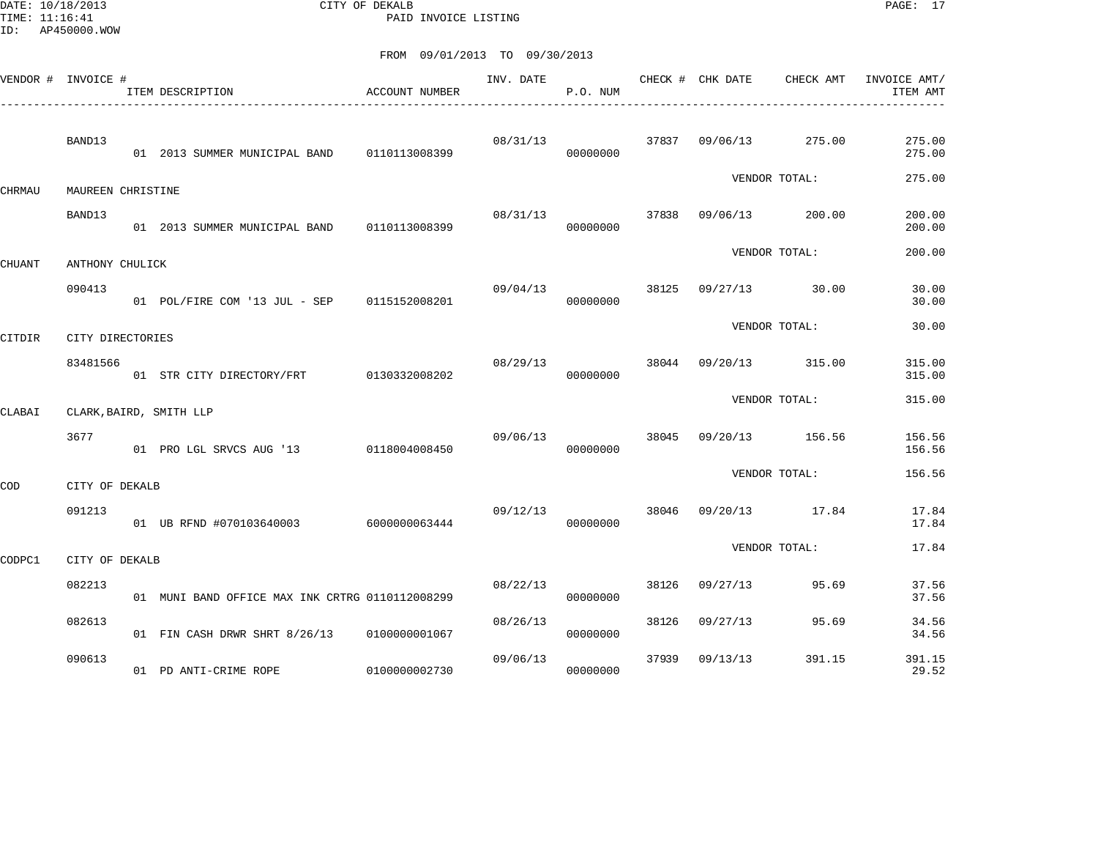DATE: 10/18/2013 CITY OF DEKALB PAGE: 17 PAID INVOICE LISTING

|        | VENDOR # INVOICE # | ACCOUNT NUMBER<br>ITEM DESCRIPTION<br>-------------------------------- |               | INV. DATE | P.O. NUM |       | CHECK # CHK DATE | CHECK AMT       | INVOICE AMT/<br>ITEM AMT |
|--------|--------------------|------------------------------------------------------------------------|---------------|-----------|----------|-------|------------------|-----------------|--------------------------|
|        | BAND13             | 01  2013 SUMMER MUNICIPAL BAND   0110113008399                         |               | 08/31/13  | 00000000 | 37837 | 09/06/13         | 275.00          | 275.00<br>275.00         |
| CHRMAU | MAUREEN CHRISTINE  |                                                                        |               |           |          |       |                  | VENDOR TOTAL:   | 275.00                   |
|        | BAND13             | 01  2013  SUMMER MUNICIPAL BAND   0110113008399                        |               | 08/31/13  | 00000000 | 37838 | 09/06/13         | 200.00          | 200.00<br>200.00         |
| CHUANT | ANTHONY CHULICK    |                                                                        |               |           |          |       |                  | VENDOR TOTAL:   | 200.00                   |
|        | 090413             | 01 POL/FIRE COM '13 JUL - SEP 0115152008201                            |               | 09/04/13  | 00000000 | 38125 | 09/27/13         | 30.00           | 30.00<br>30.00           |
| CITDIR | CITY DIRECTORIES   |                                                                        |               |           |          |       |                  | VENDOR TOTAL:   | 30.00                    |
|        | 83481566           | 01 STR CITY DIRECTORY/FRT 0130332008202                                |               | 08/29/13  | 00000000 | 38044 | 09/20/13         | 315.00          | 315.00<br>315.00         |
| CLABAI |                    | CLARK, BAIRD, SMITH LLP                                                |               |           |          |       |                  | VENDOR TOTAL:   | 315.00                   |
|        | 3677               | 01 PRO LGL SRVCS AUG '13 0118004008450                                 |               | 09/06/13  | 00000000 | 38045 |                  | 09/20/13 156.56 | 156.56<br>156.56         |
| COD    | CITY OF DEKALB     |                                                                        |               |           |          |       |                  | VENDOR TOTAL:   | 156.56                   |
|        | 091213             | 01 UB RFND #070103640003 6000000063444                                 |               | 09/12/13  | 00000000 | 38046 | 09/20/13         | 17.84           | 17.84<br>17.84           |
| CODPC1 | CITY OF DEKALB     |                                                                        |               |           |          |       |                  | VENDOR TOTAL:   | 17.84                    |
|        | 082213             | 01 MUNI BAND OFFICE MAX INK CRTRG 0110112008299                        |               | 08/22/13  | 00000000 | 38126 | 09/27/13         | 95.69           | 37.56<br>37.56           |
|        | 082613             | 01 FIN CASH DRWR SHRT 8/26/13                                          | 0100000001067 | 08/26/13  | 00000000 | 38126 | 09/27/13         | 95.69           | 34.56<br>34.56           |
|        | 090613             | 01 PD ANTI-CRIME ROPE                                                  | 0100000002730 | 09/06/13  | 00000000 | 37939 | 09/13/13         | 391.15          | 391.15<br>29.52          |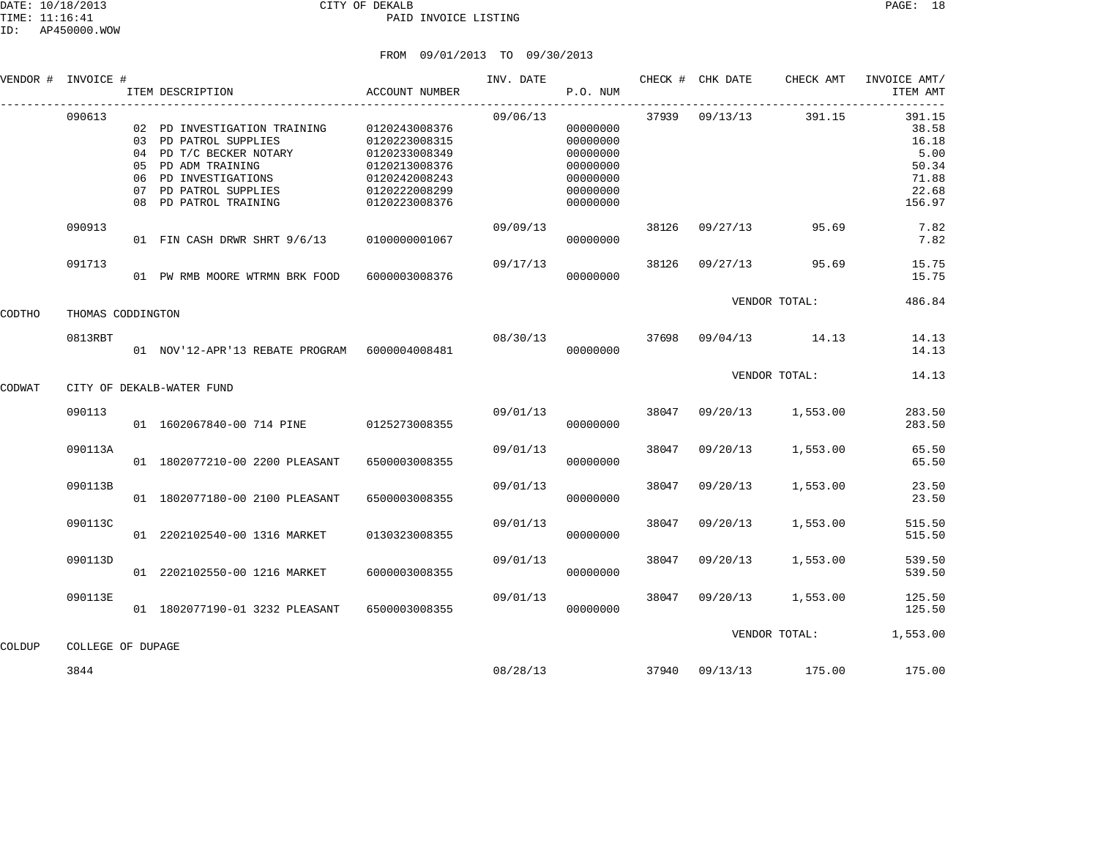### DATE: 10/18/2013 CITY OF DEKALB PAGE: 18 PAID INVOICE LISTING

|        | VENDOR # INVOICE # |                | ITEM DESCRIPTION                                                                                                                                                        | ACCOUNT NUMBER                                                                                                      | INV. DATE      | P.O. NUM                                                                         |       | CHECK # CHK DATE | CHECK AMT             | INVOICE AMT/<br>ITEM AMT                                              |
|--------|--------------------|----------------|-------------------------------------------------------------------------------------------------------------------------------------------------------------------------|---------------------------------------------------------------------------------------------------------------------|----------------|----------------------------------------------------------------------------------|-------|------------------|-----------------------|-----------------------------------------------------------------------|
|        | 090613             | 05<br>06<br>07 | 02 PD INVESTIGATION TRAINING<br>03 PD PATROL SUPPLIES<br>04 PD T/C BECKER NOTARY<br>PD ADM TRAINING<br>PD INVESTIGATIONS<br>PD PATROL SUPPLIES<br>08 PD PATROL TRAINING | 0120243008376<br>0120223008315<br>0120233008349<br>0120213008376<br>0120242008243<br>0120222008299<br>0120223008376 | 09/06/13       | 00000000<br>00000000<br>00000000<br>00000000<br>00000000<br>00000000<br>00000000 |       | 37939 09/13/13   | 391.15                | 391.15<br>38.58<br>16.18<br>5.00<br>50.34<br>71.88<br>22.68<br>156.97 |
|        | 090913             |                | 01 FIN CASH DRWR SHRT 9/6/13                                                                                                                                            | 0100000001067                                                                                                       | 09/09/13       | 00000000                                                                         | 38126 | 09/27/13         | 95.69                 | 7.82<br>7.82                                                          |
|        | 091713             |                | 01 PW RMB MOORE WTRMN BRK FOOD                                                                                                                                          | 6000003008376                                                                                                       | 09/17/13       | 00000000                                                                         | 38126 | 09/27/13         | 95.69                 | 15.75<br>15.75                                                        |
| CODTHO | THOMAS CODDINGTON  |                |                                                                                                                                                                         |                                                                                                                     |                |                                                                                  |       |                  | VENDOR TOTAL:         | 486.84                                                                |
|        | 0813RBT            |                | 01 NOV'12-APR'13 REBATE PROGRAM 6000004008481                                                                                                                           |                                                                                                                     | 08/30/13 37698 | 00000000                                                                         |       |                  | 09/04/13 14.13        | 14.13<br>14.13                                                        |
| CODWAT |                    |                | CITY OF DEKALB-WATER FUND                                                                                                                                               |                                                                                                                     |                |                                                                                  |       |                  | VENDOR TOTAL:         | 14.13                                                                 |
|        | 090113             |                | 01 1602067840-00 714 PINE 0125273008355                                                                                                                                 |                                                                                                                     | 09/01/13       | 00000000                                                                         | 38047 | 09/20/13         | 1,553.00              | 283.50<br>283.50                                                      |
|        | 090113A            |                | 01 1802077210-00 2200 PLEASANT                                                                                                                                          | 6500003008355                                                                                                       | 09/01/13       | 00000000                                                                         | 38047 | 09/20/13         | 1,553.00              | 65.50<br>65.50                                                        |
|        | 090113B            |                | 01 1802077180-00 2100 PLEASANT                                                                                                                                          | 6500003008355                                                                                                       | 09/01/13       | 00000000                                                                         | 38047 | 09/20/13         | 1,553.00              | 23.50<br>23.50                                                        |
|        | 090113C            |                | 01 2202102540-00 1316 MARKET                                                                                                                                            | 0130323008355                                                                                                       | 09/01/13       | 00000000                                                                         | 38047 | 09/20/13         | 1,553.00              | 515.50<br>515.50                                                      |
|        | 090113D            |                | 01 2202102550-00 1216 MARKET                                                                                                                                            | 6000003008355                                                                                                       | 09/01/13       | 00000000                                                                         | 38047 | 09/20/13         | 1,553.00              | 539.50<br>539.50                                                      |
|        | 090113E            |                | 01 1802077190-01 3232 PLEASANT                                                                                                                                          | 6500003008355                                                                                                       | 09/01/13       | 00000000                                                                         | 38047 | 09/20/13         | 1,553.00              | 125.50<br>125.50                                                      |
| COLDUP | COLLEGE OF DUPAGE  |                |                                                                                                                                                                         |                                                                                                                     |                |                                                                                  |       |                  | VENDOR TOTAL:         | 1,553.00                                                              |
|        | 3844               |                |                                                                                                                                                                         |                                                                                                                     | 08/28/13       |                                                                                  |       |                  | 37940 09/13/13 175.00 | 175.00                                                                |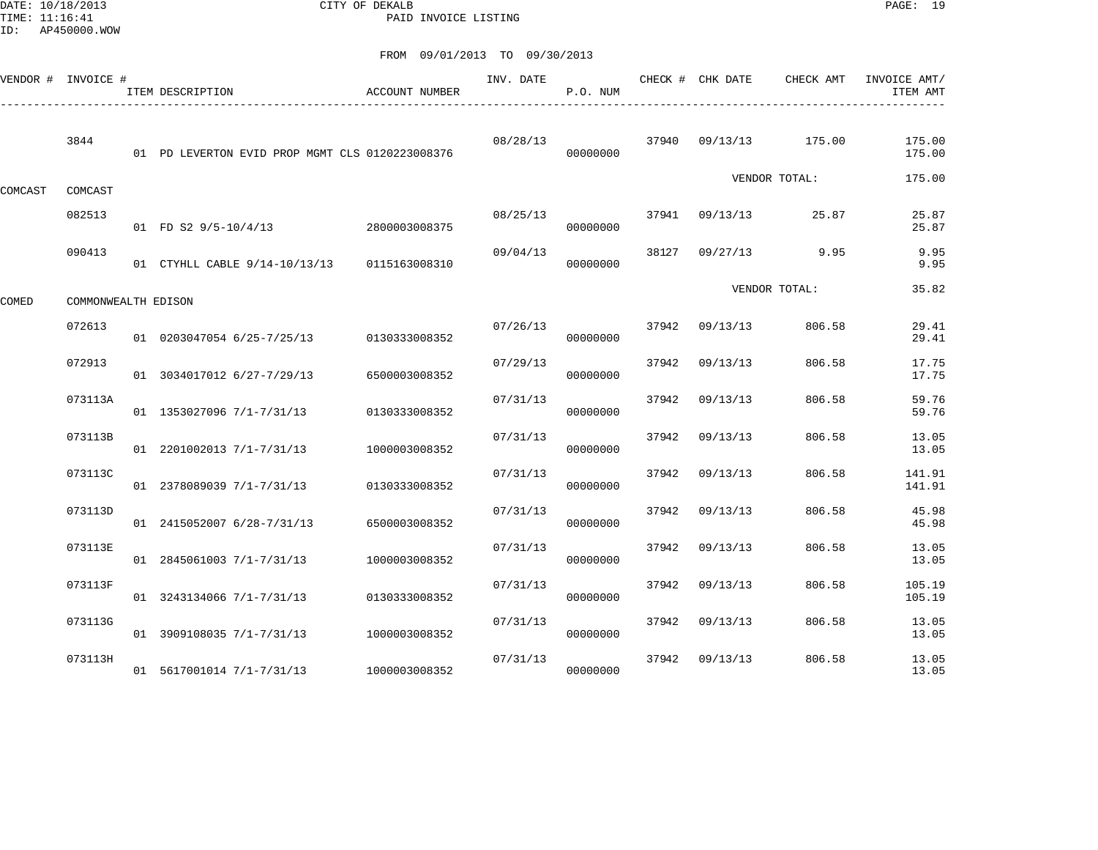DATE: 10/18/2013 CITY OF DEKALB PAGE: 19 PAID INVOICE LISTING

|         | VENDOR # INVOICE #  | ITEM DESCRIPTION                                | ACCOUNT NUMBER | INV. DATE | P.O. NUM | CHECK # | CHK DATE | CHECK AMT     | INVOICE AMT/<br>ITEM AMT |
|---------|---------------------|-------------------------------------------------|----------------|-----------|----------|---------|----------|---------------|--------------------------|
|         | 3844                | 01 PD LEVERTON EVID PROP MGMT CLS 0120223008376 |                | 08/28/13  | 00000000 | 37940   | 09/13/13 | 175.00        | 175.00<br>175.00         |
| COMCAST | COMCAST             |                                                 |                |           |          |         |          | VENDOR TOTAL: | 175.00                   |
|         | 082513              | 01 FD S2 9/5-10/4/13                            | 2800003008375  | 08/25/13  | 00000000 | 37941   | 09/13/13 | 25.87         | 25.87<br>25.87           |
|         | 090413              | 01 CTYHLL CABLE 9/14-10/13/13 0115163008310     |                | 09/04/13  | 00000000 | 38127   | 09/27/13 | 9.95          | 9.95<br>9.95             |
| COMED   | COMMONWEALTH EDISON |                                                 |                |           |          |         |          | VENDOR TOTAL: | 35.82                    |
|         | 072613              | 01 0203047054 6/25-7/25/13                      | 0130333008352  | 07/26/13  | 00000000 | 37942   | 09/13/13 | 806.58        | 29.41<br>29.41           |
|         | 072913              | 01 3034017012 6/27-7/29/13                      | 6500003008352  | 07/29/13  | 00000000 | 37942   | 09/13/13 | 806.58        | 17.75<br>17.75           |
|         | 073113A             | 01 1353027096 7/1-7/31/13                       | 0130333008352  | 07/31/13  | 00000000 | 37942   | 09/13/13 | 806.58        | 59.76<br>59.76           |
|         | 073113B             | 01 2201002013 7/1-7/31/13                       | 1000003008352  | 07/31/13  | 00000000 | 37942   | 09/13/13 | 806.58        | 13.05<br>13.05           |
|         | 073113C             | 01 2378089039 7/1-7/31/13                       | 0130333008352  | 07/31/13  | 00000000 | 37942   | 09/13/13 | 806.58        | 141.91<br>141.91         |
|         | 073113D             | 01 2415052007 6/28-7/31/13                      | 6500003008352  | 07/31/13  | 00000000 | 37942   | 09/13/13 | 806.58        | 45.98<br>45.98           |
|         | 073113E             | 01 2845061003 7/1-7/31/13                       | 1000003008352  | 07/31/13  | 00000000 | 37942   | 09/13/13 | 806.58        | 13.05<br>13.05           |
|         | 073113F             | 01 3243134066 7/1-7/31/13                       | 0130333008352  | 07/31/13  | 00000000 | 37942   | 09/13/13 | 806.58        | 105.19<br>105.19         |
|         | 073113G             | 01 3909108035 7/1-7/31/13                       | 1000003008352  | 07/31/13  | 00000000 | 37942   | 09/13/13 | 806.58        | 13.05<br>13.05           |
|         | 073113H             | 01 5617001014 7/1-7/31/13                       | 1000003008352  | 07/31/13  | 00000000 | 37942   | 09/13/13 | 806.58        | 13.05<br>13.05           |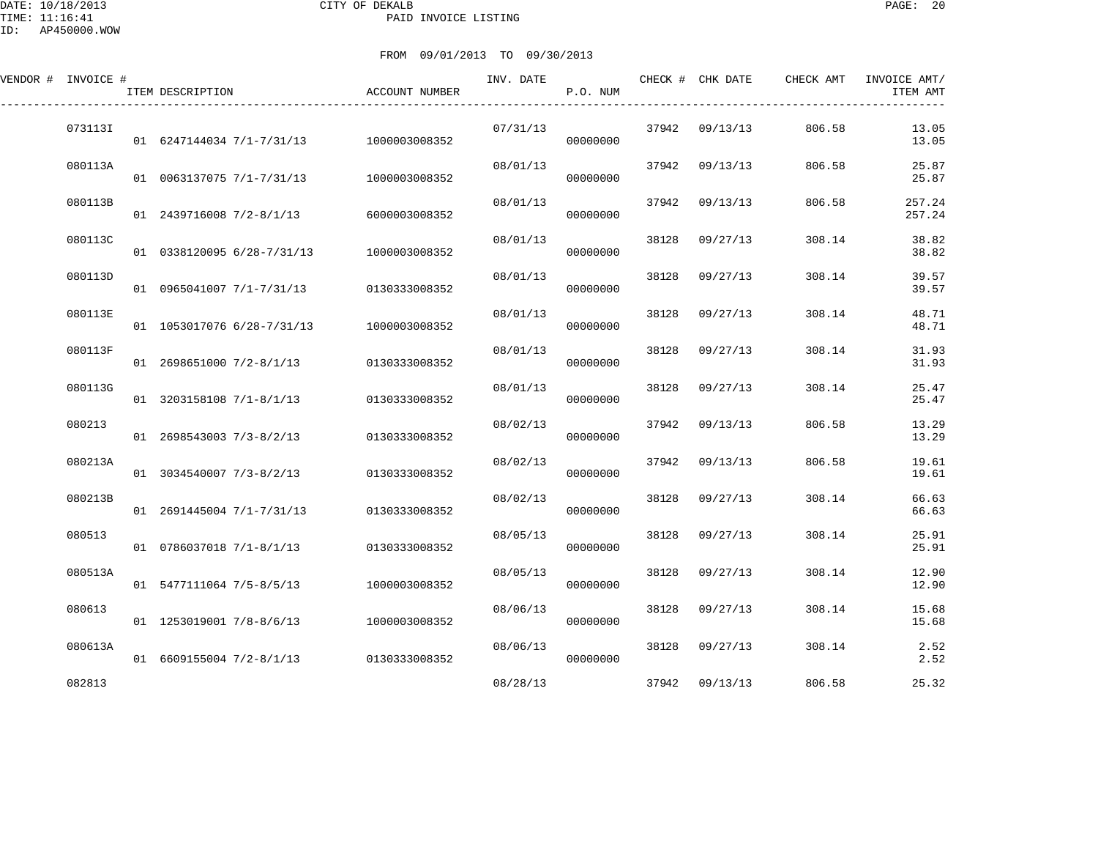DATE: 10/18/2013 CITY OF DEKALB PAGE: 20 PAID INVOICE LISTING

| VENDOR # INVOICE # |         | ITEM DESCRIPTION           | ACCOUNT NUMBER | INV. DATE | P.O. NUM |       | CHECK # CHK DATE | CHECK AMT | INVOICE AMT/<br>ITEM AMT |
|--------------------|---------|----------------------------|----------------|-----------|----------|-------|------------------|-----------|--------------------------|
|                    | 0731131 | 01 6247144034 7/1-7/31/13  | 1000003008352  | 07/31/13  | 00000000 | 37942 | 09/13/13         | 806.58    | 13.05<br>13.05           |
|                    | 080113A | 01 0063137075 7/1-7/31/13  | 1000003008352  | 08/01/13  | 00000000 | 37942 | 09/13/13         | 806.58    | 25.87<br>25.87           |
|                    | 080113B | 01 2439716008 7/2-8/1/13   | 6000003008352  | 08/01/13  | 00000000 | 37942 | 09/13/13         | 806.58    | 257.24<br>257.24         |
|                    | 080113C | 01 0338120095 6/28-7/31/13 | 1000003008352  | 08/01/13  | 00000000 | 38128 | 09/27/13         | 308.14    | 38.82<br>38.82           |
|                    | 080113D | 01 0965041007 7/1-7/31/13  | 0130333008352  | 08/01/13  | 00000000 | 38128 | 09/27/13         | 308.14    | 39.57<br>39.57           |
|                    | 080113E | 01 1053017076 6/28-7/31/13 | 1000003008352  | 08/01/13  | 00000000 | 38128 | 09/27/13         | 308.14    | 48.71<br>48.71           |
|                    | 080113F | 01 2698651000 7/2-8/1/13   | 0130333008352  | 08/01/13  | 00000000 | 38128 | 09/27/13         | 308.14    | 31.93<br>31.93           |
|                    | 080113G | 01 3203158108 7/1-8/1/13   | 0130333008352  | 08/01/13  | 00000000 | 38128 | 09/27/13         | 308.14    | 25.47<br>25.47           |
|                    | 080213  | 01 2698543003 7/3-8/2/13   | 0130333008352  | 08/02/13  | 00000000 | 37942 | 09/13/13         | 806.58    | 13.29<br>13.29           |
|                    | 080213A | 01 3034540007 7/3-8/2/13   | 0130333008352  | 08/02/13  | 00000000 | 37942 | 09/13/13         | 806.58    | 19.61<br>19.61           |
|                    | 080213B | 01 2691445004 7/1-7/31/13  | 0130333008352  | 08/02/13  | 00000000 | 38128 | 09/27/13         | 308.14    | 66.63<br>66.63           |
|                    | 080513  | 01 0786037018 7/1-8/1/13   | 0130333008352  | 08/05/13  | 00000000 | 38128 | 09/27/13         | 308.14    | 25.91<br>25.91           |
|                    | 080513A | 01 5477111064 7/5-8/5/13   | 1000003008352  | 08/05/13  | 00000000 | 38128 | 09/27/13         | 308.14    | 12.90<br>12.90           |
|                    | 080613  | 01 1253019001 7/8-8/6/13   | 1000003008352  | 08/06/13  | 00000000 | 38128 | 09/27/13         | 308.14    | 15.68<br>15.68           |
|                    | 080613A | 01 6609155004 7/2-8/1/13   | 0130333008352  | 08/06/13  | 00000000 | 38128 | 09/27/13         | 308.14    | 2.52<br>2.52             |
|                    | 082813  |                            |                | 08/28/13  |          | 37942 | 09/13/13         | 806.58    | 25.32                    |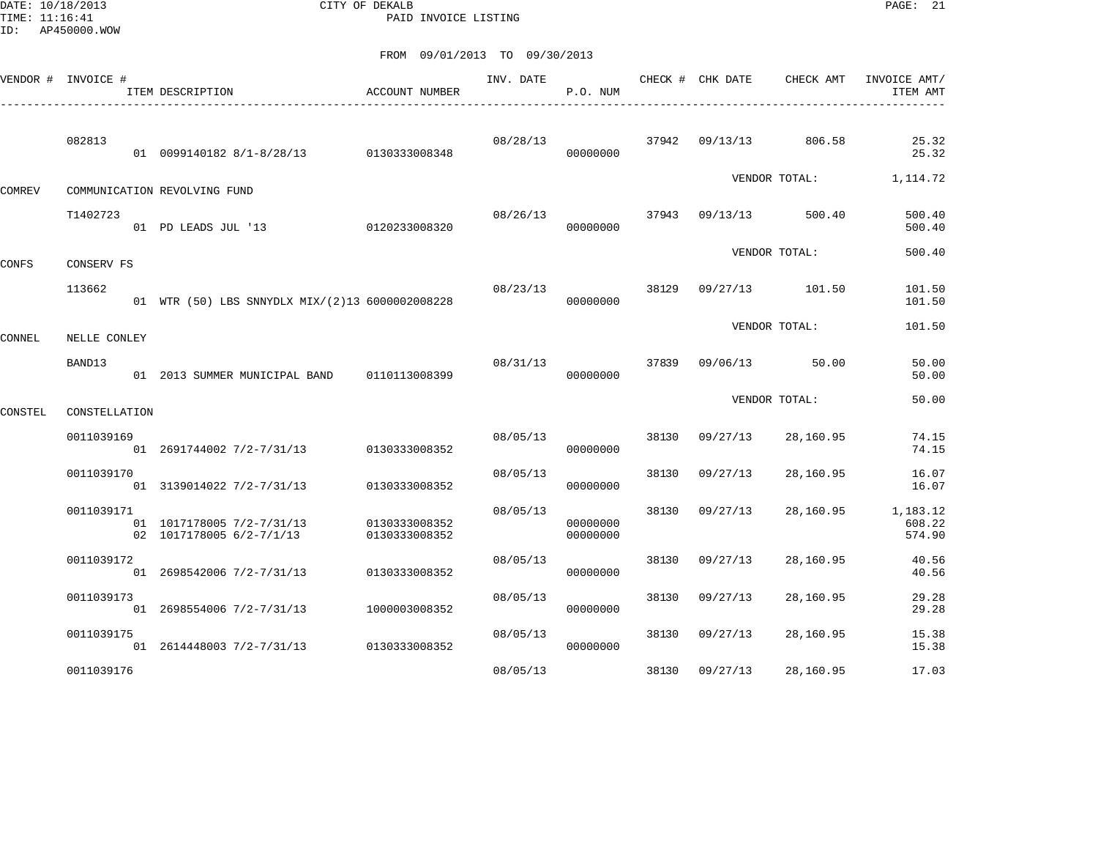DATE: 10/18/2013 CITY OF DEKALB PAGE: 21 PAID INVOICE LISTING

|               | VENDOR # INVOICE # | ACCOUNT NUMBER<br>ITEM DESCRIPTION                    |                                | INV. DATE | P.O. NUM             |       | CHECK # CHK DATE | CHECK AMT     | INVOICE AMT/<br>ITEM AMT     |
|---------------|--------------------|-------------------------------------------------------|--------------------------------|-----------|----------------------|-------|------------------|---------------|------------------------------|
|               | 082813             | 01 0099140182 8/1-8/28/13 0130333008348               |                                | 08/28/13  | 00000000             | 37942 | 09/13/13         | 806.58        | 25.32<br>25.32               |
| <b>COMREV</b> |                    | COMMUNICATION REVOLVING FUND                          |                                |           |                      |       |                  | VENDOR TOTAL: | 1,114.72                     |
|               | T1402723           | 01 PD LEADS JUL '13                                   | 0120233008320                  | 08/26/13  | 00000000             | 37943 | 09/13/13         | 500.40        | 500.40<br>500.40             |
| CONFS         | CONSERV FS         |                                                       |                                |           |                      |       |                  | VENDOR TOTAL: | 500.40                       |
|               | 113662             | 01 WTR (50) LBS SNNYDLX MIX/(2)13 6000002008228       |                                | 08/23/13  | 00000000             | 38129 | 09/27/13         | 101.50        | 101.50<br>101.50             |
| CONNEL        | NELLE CONLEY       |                                                       |                                |           |                      |       |                  | VENDOR TOTAL: | 101.50                       |
|               | BAND13             | 01 2013 SUMMER MUNICIPAL BAND                         | 0110113008399                  | 08/31/13  | 00000000             | 37839 | 09/06/13         | 50.00         | 50.00<br>50.00               |
| CONSTEL       | CONSTELLATION      |                                                       |                                |           |                      |       |                  | VENDOR TOTAL: | 50.00                        |
|               | 0011039169         | 01 2691744002 7/2-7/31/13                             | 0130333008352                  | 08/05/13  | 00000000             | 38130 | 09/27/13         | 28,160.95     | 74.15<br>74.15               |
|               | 0011039170         | 01 3139014022 7/2-7/31/13                             | 0130333008352                  | 08/05/13  | 00000000             | 38130 | 09/27/13         | 28,160.95     | 16.07<br>16.07               |
|               | 0011039171         | 01 1017178005 7/2-7/31/13<br>02 1017178005 6/2-7/1/13 | 0130333008352<br>0130333008352 | 08/05/13  | 00000000<br>00000000 | 38130 | 09/27/13         | 28,160.95     | 1,183.12<br>608.22<br>574.90 |
|               | 0011039172         | 01 2698542006 7/2-7/31/13                             | 0130333008352                  | 08/05/13  | 00000000             | 38130 | 09/27/13         | 28,160.95     | 40.56<br>40.56               |
|               | 0011039173         | 01 2698554006 7/2-7/31/13                             | 1000003008352                  | 08/05/13  | 00000000             | 38130 | 09/27/13         | 28,160.95     | 29.28<br>29.28               |
|               | 0011039175         | 01 2614448003 7/2-7/31/13                             | 0130333008352                  | 08/05/13  | 00000000             | 38130 | 09/27/13         | 28,160.95     | 15.38<br>15.38               |
|               | 0011039176         |                                                       |                                | 08/05/13  |                      | 38130 | 09/27/13         | 28,160.95     | 17.03                        |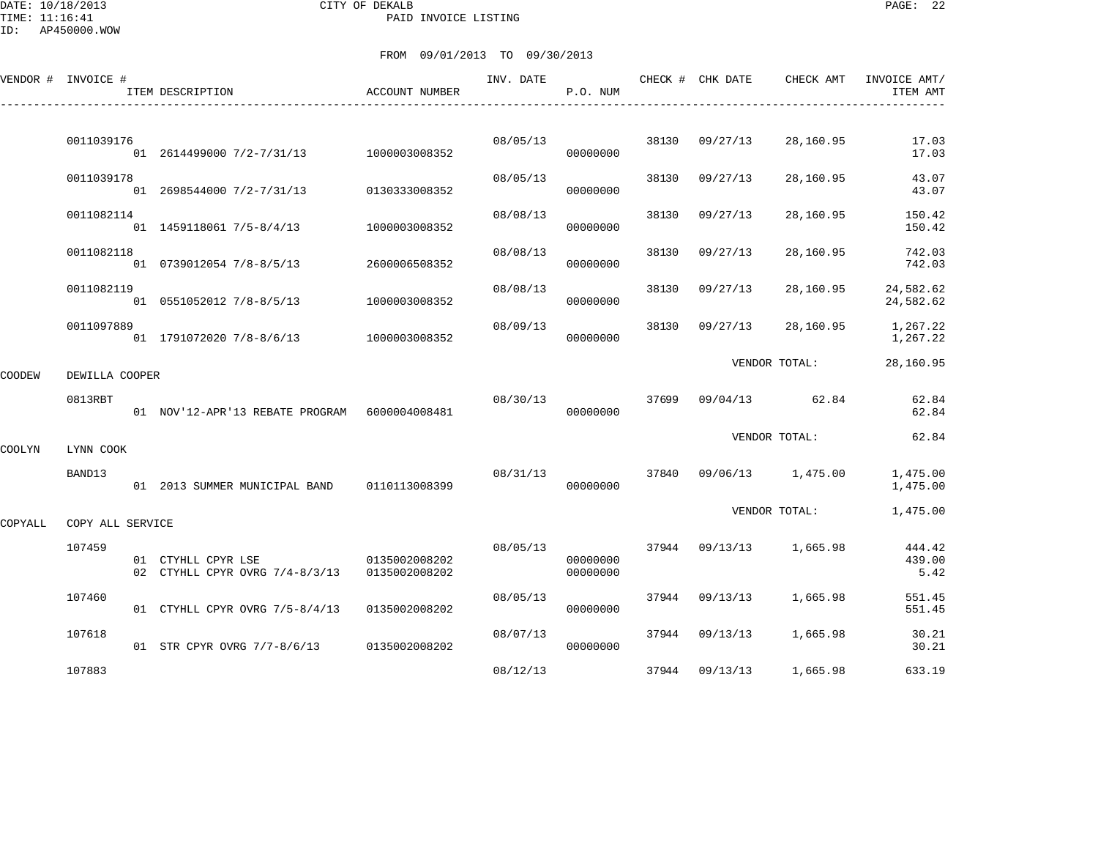DATE: 10/18/2013 CITY OF DEKALB PAGE: 22 PAID INVOICE LISTING

ID: AP450000.WOW

|         | VENDOR # INVOICE # | ITEM DESCRIPTION                                     | ACCOUNT NUMBER                 | INV. DATE | P.O. NUM             |       | CHECK # CHK DATE | CHECK AMT         | INVOICE AMT/<br>ITEM AMT |
|---------|--------------------|------------------------------------------------------|--------------------------------|-----------|----------------------|-------|------------------|-------------------|--------------------------|
|         | 0011039176         |                                                      |                                | 08/05/13  |                      | 38130 | 09/27/13         | 28,160.95         | 17.03                    |
|         |                    | 01 2614499000 7/2-7/31/13 1000003008352              |                                |           | 00000000             |       |                  |                   | 17.03                    |
|         | 0011039178         | 01 2698544000 7/2-7/31/13                            | 0130333008352                  | 08/05/13  | 00000000             | 38130 | 09/27/13         | 28,160.95         | 43.07<br>43.07           |
|         | 0011082114         | 01 1459118061 7/5-8/4/13                             | 1000003008352                  | 08/08/13  | 00000000             | 38130 | 09/27/13         | 28,160.95         | 150.42<br>150.42         |
|         | 0011082118         | 01 0739012054 7/8-8/5/13                             | 2600006508352                  | 08/08/13  | 00000000             | 38130 | 09/27/13         | 28,160.95         | 742.03<br>742.03         |
|         | 0011082119         | 01 0551052012 7/8-8/5/13                             | 1000003008352                  | 08/08/13  | 00000000             | 38130 | 09/27/13         | 28,160.95         | 24,582.62<br>24,582.62   |
|         | 0011097889         | 01 1791072020 7/8-8/6/13 1000003008352               |                                | 08/09/13  | 00000000             | 38130 | 09/27/13         | 28,160.95         | 1,267.22<br>1,267.22     |
| COODEW  | DEWILLA COOPER     |                                                      |                                |           |                      |       |                  | VENDOR TOTAL:     | 28,160.95                |
|         | 0813RBT            | 01 NOV'12-APR'13 REBATE PROGRAM 6000004008481        |                                | 08/30/13  | 00000000             | 37699 |                  | 09/04/13 62.84    | 62.84<br>62.84           |
| COOLYN  | LYNN COOK          |                                                      |                                |           |                      |       |                  | VENDOR TOTAL:     | 62.84                    |
|         | BAND13             | 01  2013  SUMMER MUNICIPAL BAND   0110113008399      |                                | 08/31/13  | 00000000             | 37840 |                  | 09/06/13 1,475.00 | 1,475.00<br>1,475.00     |
| COPYALL | COPY ALL SERVICE   |                                                      |                                |           |                      |       |                  | VENDOR TOTAL:     | 1,475.00                 |
|         | 107459             | 01 CTYHLL CPYR LSE<br>02 CTYHLL CPYR OVRG 7/4-8/3/13 | 0135002008202<br>0135002008202 | 08/05/13  | 00000000<br>00000000 |       | 37944 09/13/13   | 1,665.98          | 444.42<br>439.00<br>5.42 |
|         | 107460             | 01 CTYHLL CPYR OVRG 7/5-8/4/13                       | 0135002008202                  | 08/05/13  | 00000000             |       | 37944 09/13/13   | 1,665.98          | 551.45<br>551.45         |
|         | 107618             | 01 STR CPYR OVRG 7/7-8/6/13 0135002008202            |                                | 08/07/13  | 00000000             |       | 37944 09/13/13   | 1,665.98          | 30.21<br>30.21           |
|         | 107883             |                                                      |                                | 08/12/13  |                      | 37944 | 09/13/13         | 1,665.98          | 633.19                   |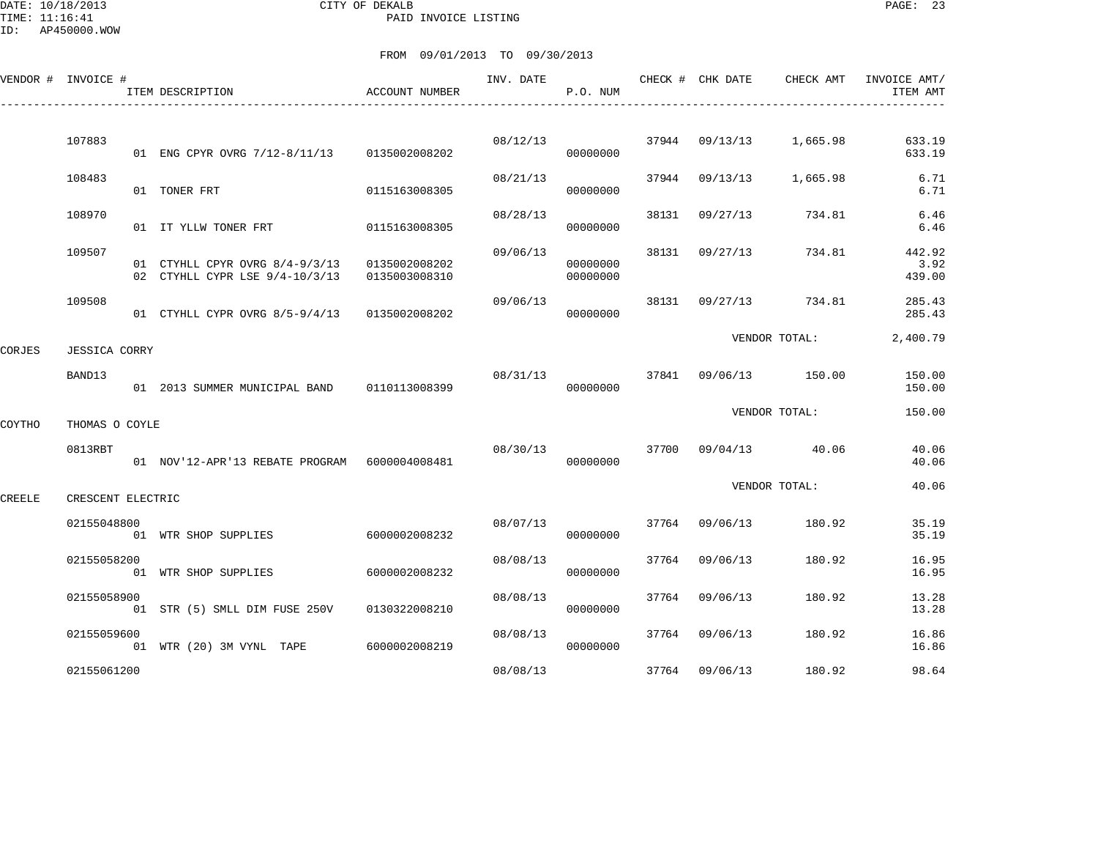|        | VENDOR # INVOICE #   | ITEM DESCRIPTION                                                   | <b>ACCOUNT NUMBER</b>          | INV. DATE | P.O. NUM             |       | CHECK # CHK DATE | CHECK AMT             | INVOICE AMT/<br>ITEM AMT |
|--------|----------------------|--------------------------------------------------------------------|--------------------------------|-----------|----------------------|-------|------------------|-----------------------|--------------------------|
|        |                      |                                                                    |                                |           |                      |       |                  |                       |                          |
|        | 107883               | 01 ENG CPYR OVRG 7/12-8/11/13 0135002008202                        |                                | 08/12/13  | 00000000             | 37944 | 09/13/13         | 1,665.98              | 633.19<br>633.19         |
|        | 108483               | 01 TONER FRT                                                       | 0115163008305                  | 08/21/13  | 00000000             | 37944 | 09/13/13         | 1,665.98              | 6.71<br>6.71             |
|        | 108970               | 01 IT YLLW TONER FRT                                               | 0115163008305                  | 08/28/13  | 00000000             | 38131 | 09/27/13         | 734.81                | 6.46<br>6.46             |
|        | 109507               | 01 CTYHLL CPYR OVRG 8/4-9/3/13<br>02 CTYHLL CYPR LSE $9/4-10/3/13$ | 0135002008202<br>0135003008310 | 09/06/13  | 00000000<br>00000000 | 38131 | 09/27/13         | 734.81                | 442.92<br>3.92<br>439.00 |
|        | 109508               | 01 CTYHLL CYPR OVRG 8/5-9/4/13 0135002008202                       |                                | 09/06/13  | 00000000             | 38131 | 09/27/13         | 734.81                | 285.43<br>285.43         |
| CORJES | <b>JESSICA CORRY</b> |                                                                    |                                |           |                      |       |                  | VENDOR TOTAL:         | 2,400.79                 |
|        | BAND13               | 01  2013  SUMMER MUNICIPAL BAND   0110113008399                    |                                | 08/31/13  | 00000000             |       |                  | 37841 09/06/13 150.00 | 150.00<br>150.00         |
| COYTHO | THOMAS O COYLE       |                                                                    |                                |           |                      |       |                  | VENDOR TOTAL:         | 150.00                   |
|        | 0813RBT              | 01 NOV'12-APR'13 REBATE PROGRAM 6000004008481                      |                                | 08/30/13  | 00000000             | 37700 |                  | 09/04/13 40.06        | 40.06<br>40.06           |
| CREELE | CRESCENT ELECTRIC    |                                                                    |                                |           |                      |       |                  | VENDOR TOTAL:         | 40.06                    |
|        | 02155048800          | 01 WTR SHOP SUPPLIES                                               | 6000002008232                  | 08/07/13  | 00000000             |       | 37764 09/06/13   | 180.92                | 35.19<br>35.19           |
|        | 02155058200          | 01 WTR SHOP SUPPLIES                                               | 6000002008232                  | 08/08/13  | 00000000             | 37764 | 09/06/13         | 180.92                | 16.95<br>16.95           |
|        | 02155058900          | 01 STR (5) SMLL DIM FUSE 250V                                      | 0130322008210                  | 08/08/13  | 00000000             | 37764 | 09/06/13         | 180.92                | 13.28<br>13.28           |
|        | 02155059600          | 01 WTR (20) 3M VYNL TAPE 6000002008219                             |                                | 08/08/13  | 00000000             | 37764 | 09/06/13         | 180.92                | 16.86<br>16.86           |
|        | 02155061200          |                                                                    |                                | 08/08/13  |                      | 37764 | 09/06/13         | 180.92                | 98.64                    |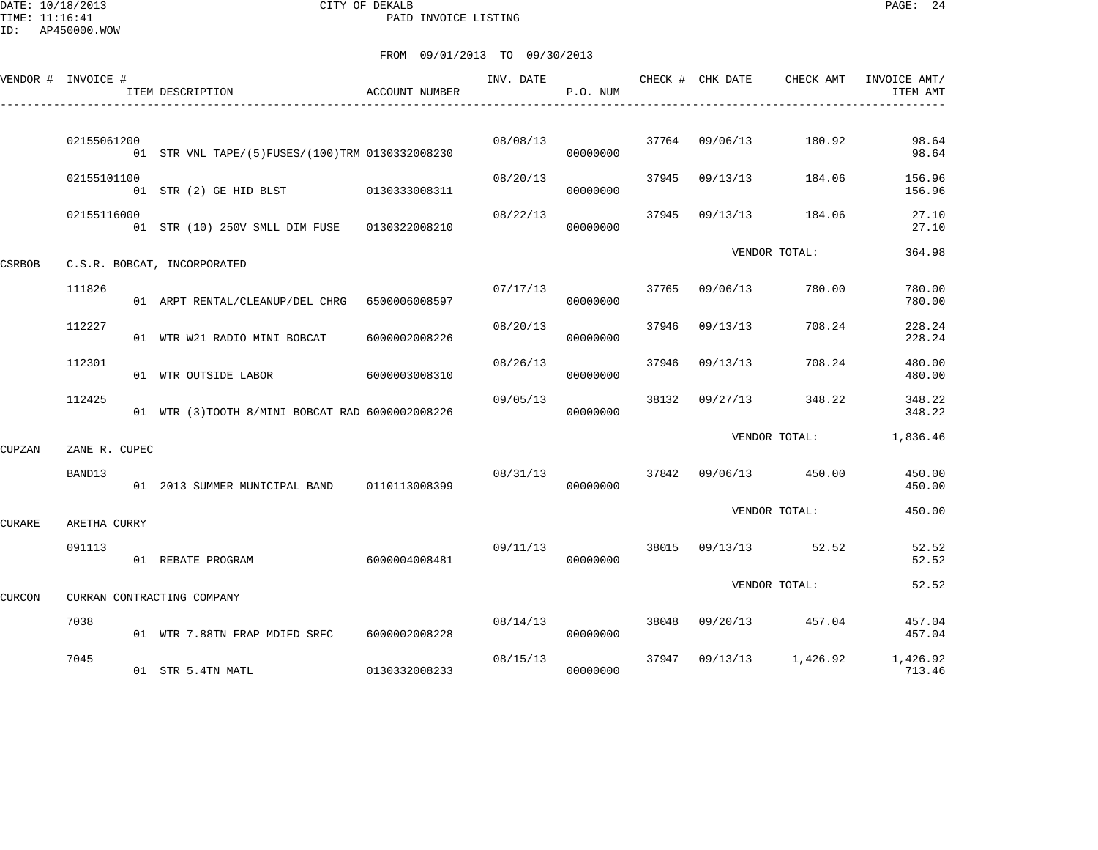DATE: 10/18/2013 CITY OF DEKALB PAGE: 24 PAID INVOICE LISTING

|        | VENDOR # INVOICE # | ITEM DESCRIPTION                                 | ACCOUNT NUMBER | INV. DATE | P.O. NUM |       | CHECK # CHK DATE | CHECK AMT             | INVOICE AMT/<br>ITEM AMT             |
|--------|--------------------|--------------------------------------------------|----------------|-----------|----------|-------|------------------|-----------------------|--------------------------------------|
|        | 02155061200        | 01 STR VNL TAPE/(5)FUSES/(100)TRM 0130332008230  |                | 08/08/13  | 00000000 |       | 37764 09/06/13   | 180.92                | 98.64<br>98.64                       |
|        | 02155101100        | 01 STR (2) GE HID BLST 0130333008311             |                | 08/20/13  | 00000000 | 37945 | 09/13/13         | 184.06                | 156.96<br>156.96                     |
|        | 02155116000        | 01 STR (10) 250V SMLL DIM FUSE 0130322008210     |                | 08/22/13  | 00000000 | 37945 | 09/13/13         | 184.06                | 27.10<br>27.10                       |
| CSRBOB |                    | C.S.R. BOBCAT, INCORPORATED                      |                |           |          |       |                  | VENDOR TOTAL:         | 364.98                               |
|        | 111826             | 01 ARPT RENTAL/CLEANUP/DEL CHRG 6500006008597    |                | 07/17/13  | 00000000 | 37765 | 09/06/13         | 780.00                | 780.00<br>780.00                     |
|        | 112227             | 01 WTR W21 RADIO MINI BOBCAT                     | 6000002008226  | 08/20/13  | 00000000 | 37946 | 09/13/13         | 708.24                | 228.24<br>228.24                     |
|        | 112301             | 01 WTR OUTSIDE LABOR                             | 6000003008310  | 08/26/13  | 00000000 | 37946 | 09/13/13         | 708.24                | 480.00<br>480.00                     |
|        | 112425             | 01 WTR (3) TOOTH 8/MINI BOBCAT RAD 6000002008226 |                | 09/05/13  | 00000000 | 38132 | 09/27/13         | 348.22                | 348.22<br>348.22                     |
| CUPZAN | ZANE R. CUPEC      |                                                  |                |           |          |       |                  | VENDOR TOTAL:         | 1,836.46                             |
|        | BAND13             | 01  2013  SUMMER MUNICIPAL BAND   0110113008399  |                | 08/31/13  | 00000000 |       |                  | 37842 09/06/13 450.00 | 450.00<br>450.00                     |
| CURARE | ARETHA CURRY       |                                                  |                |           |          |       |                  | VENDOR TOTAL:         | 450.00                               |
|        | 091113             | 01 REBATE PROGRAM                                | 6000004008481  | 09/11/13  | 00000000 |       | 38015 09/13/13   | 52.52                 | 52.52<br>52.52                       |
| CURCON |                    | CURRAN CONTRACTING COMPANY                       |                |           |          |       |                  | VENDOR TOTAL:         | 52.52                                |
|        | 7038               | 01 WTR 7.88TN FRAP MDIFD SRFC                    | 6000002008228  | 08/14/13  | 00000000 | 38048 |                  | 09/20/13 457.04       | 457.04<br>457.04                     |
|        | 7045               | 01 STR 5.4TN MATL                                | 0130332008233  | 08/15/13  | 00000000 | 37947 |                  |                       | 09/13/13 1,426.92 1,426.92<br>713.46 |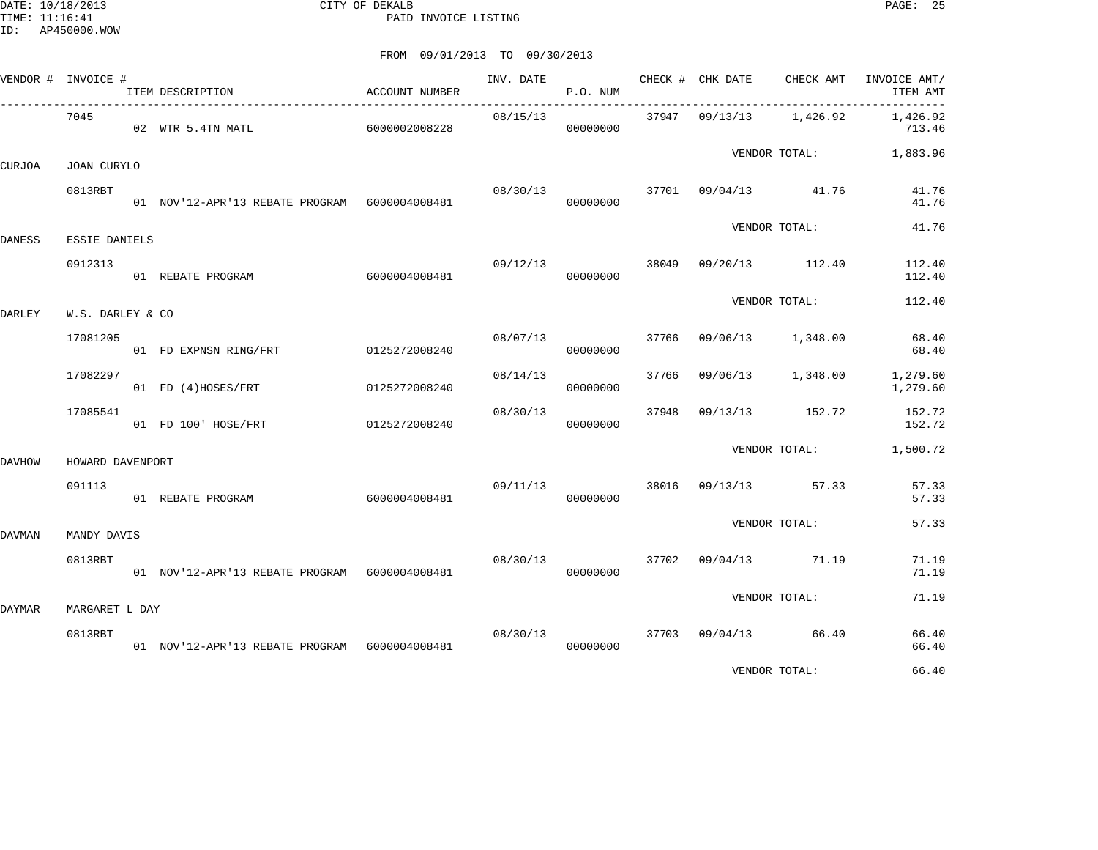DATE: 10/18/2013 CITY OF DEKALB PAGE: 25 PAID INVOICE LISTING

FROM 09/01/2013 TO 09/30/2013

|        | VENDOR # INVOICE # | ITEM DESCRIPTION                               | <b>ACCOUNT NUMBER</b> |          | P.O. NUM             |       |          | INV. DATE 6 CHECK # CHK DATE CHECK AMT | INVOICE AMT/<br>ITEM AMT<br>$------$ |
|--------|--------------------|------------------------------------------------|-----------------------|----------|----------------------|-------|----------|----------------------------------------|--------------------------------------|
|        | 7045               | 02 WTR 5.4TN MATL 6000002008228                |                       | 08/15/13 | 00000000             |       |          | 37947  09/13/13  1,426.92              | 1,426.92<br>713.46                   |
| CURJOA | <b>JOAN CURYLO</b> |                                                |                       |          |                      |       |          | VENDOR TOTAL: 1,883.96                 |                                      |
|        | 0813RBT            | 01 NOV'12-APR'13 REBATE PROGRAM  6000004008481 |                       | 08/30/13 | 00000000             | 37701 |          | 09/04/13 41.76                         | 41.76<br>41.76                       |
| DANESS | ESSIE DANIELS      |                                                |                       |          |                      |       |          | VENDOR TOTAL:                          | 41.76                                |
|        | 0912313            | 01 REBATE PROGRAM                              | 6000004008481         | 09/12/13 | 00000000             |       |          | 38049 09/20/13 112.40                  | 112.40<br>112.40                     |
| DARLEY | W.S. DARLEY & CO   |                                                |                       |          |                      |       |          | VENDOR TOTAL:                          | 112.40                               |
|        | 17081205           | 01 FD EXPNSN RING/FRT                          | 0125272008240         |          | 08/07/13<br>00000000 | 37766 |          | 09/06/13 1,348.00                      | 68.40<br>68.40                       |
|        | 17082297           | 01 FD (4)HOSES/FRT                             | 0125272008240         | 08/14/13 | 00000000             | 37766 | 09/06/13 | 1,348.00                               | 1,279.60<br>1,279.60                 |
|        | 17085541           | 01 FD 100' HOSE/FRT                            | 0125272008240         | 08/30/13 | 00000000             | 37948 |          | 09/13/13 152.72                        | 152.72<br>152.72                     |
| DAVHOW | HOWARD DAVENPORT   |                                                |                       |          |                      |       |          | VENDOR TOTAL:                          | 1,500.72                             |
|        | 091113             | 01 REBATE PROGRAM                              | 6000004008481         | 09/11/13 | 00000000             |       |          | 38016 09/13/13 57.33                   | 57.33<br>57.33                       |
| DAVMAN | MANDY DAVIS        |                                                |                       |          |                      |       |          | VENDOR TOTAL:                          | 57.33                                |
|        | 0813RBT            | 01 NOV'12-APR'13 REBATE PROGRAM 6000004008481  |                       | 08/30/13 | 00000000             |       |          | 37702 09/04/13 71.19                   | 71.19<br>71.19                       |
| DAYMAR | MARGARET L DAY     |                                                |                       |          |                      |       |          | VENDOR TOTAL:                          | 71.19                                |
|        | 0813RBT            | 01 NOV'12-APR'13 REBATE PROGRAM 6000004008481  |                       | 08/30/13 | 00000000             | 37703 |          | 09/04/13 66.40                         | 66.40<br>66.40                       |
|        |                    |                                                |                       |          |                      |       |          |                                        | .                                    |

VENDOR TOTAL: 66.40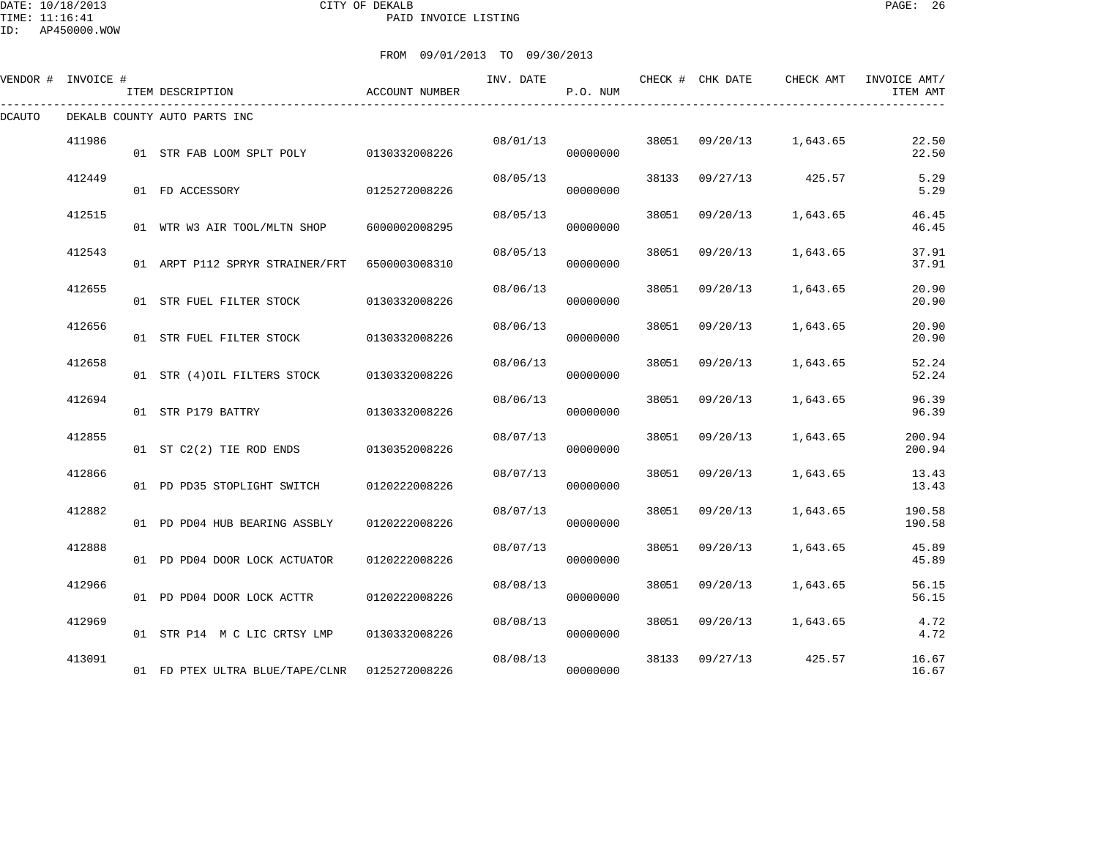#### DATE: 10/18/2013 CITY OF DEKALB PAGE: 26 PAID INVOICE LISTING

|        | VENDOR # INVOICE # | ITEM DESCRIPTION                | ACCOUNT NUMBER | INV. DATE | P.O. NUM |       | CHECK # CHK DATE | CHECK AMT | INVOICE AMT/<br>ITEM AMT |
|--------|--------------------|---------------------------------|----------------|-----------|----------|-------|------------------|-----------|--------------------------|
| DCAUTO |                    | DEKALB COUNTY AUTO PARTS INC    |                |           |          |       |                  |           |                          |
|        | 411986             | 01 STR FAB LOOM SPLT POLY       | 0130332008226  | 08/01/13  | 00000000 | 38051 | 09/20/13         | 1,643.65  | 22.50<br>22.50           |
|        | 412449             | 01 FD ACCESSORY                 | 0125272008226  | 08/05/13  | 00000000 | 38133 | 09/27/13         | 425.57    | 5.29<br>5.29             |
|        | 412515             | 01 WTR W3 AIR TOOL/MLTN SHOP    | 6000002008295  | 08/05/13  | 00000000 | 38051 | 09/20/13         | 1,643.65  | 46.45<br>46.45           |
|        | 412543             | 01 ARPT P112 SPRYR STRAINER/FRT | 6500003008310  | 08/05/13  | 00000000 | 38051 | 09/20/13         | 1,643.65  | 37.91<br>37.91           |
|        | 412655             | 01 STR FUEL FILTER STOCK        | 0130332008226  | 08/06/13  | 00000000 | 38051 | 09/20/13         | 1,643.65  | 20.90<br>20.90           |
|        | 412656             | 01 STR FUEL FILTER STOCK        | 0130332008226  | 08/06/13  | 00000000 | 38051 | 09/20/13         | 1,643.65  | 20.90<br>20.90           |
|        | 412658             | 01 STR (4) OIL FILTERS STOCK    | 0130332008226  | 08/06/13  | 00000000 | 38051 | 09/20/13         | 1,643.65  | 52.24<br>52.24           |
|        | 412694             | 01 STR P179 BATTRY              | 0130332008226  | 08/06/13  | 00000000 | 38051 | 09/20/13         | 1,643.65  | 96.39<br>96.39           |
|        | 412855             | 01 ST C2(2) TIE ROD ENDS        | 0130352008226  | 08/07/13  | 00000000 | 38051 | 09/20/13         | 1,643.65  | 200.94<br>200.94         |
|        | 412866             | 01 PD PD35 STOPLIGHT SWITCH     | 0120222008226  | 08/07/13  | 00000000 | 38051 | 09/20/13         | 1,643.65  | 13.43<br>13.43           |
|        | 412882             | 01 PD PD04 HUB BEARING ASSBLY   | 0120222008226  | 08/07/13  | 00000000 | 38051 | 09/20/13         | 1,643.65  | 190.58<br>190.58         |
|        | 412888             | 01 PD PD04 DOOR LOCK ACTUATOR   | 0120222008226  | 08/07/13  | 00000000 | 38051 | 09/20/13         | 1,643.65  | 45.89<br>45.89           |
|        | 412966             | 01 PD PD04 DOOR LOCK ACTTR      | 0120222008226  | 08/08/13  | 00000000 | 38051 | 09/20/13         | 1,643.65  | 56.15<br>56.15           |
|        | 412969             | 01 STR P14 M C LIC CRTSY LMP    | 0130332008226  | 08/08/13  | 00000000 | 38051 | 09/20/13         | 1,643.65  | 4.72<br>4.72             |
|        | 413091             | 01 FD PTEX ULTRA BLUE/TAPE/CLNR | 0125272008226  | 08/08/13  | 00000000 | 38133 | 09/27/13         | 425.57    | 16.67<br>16.67           |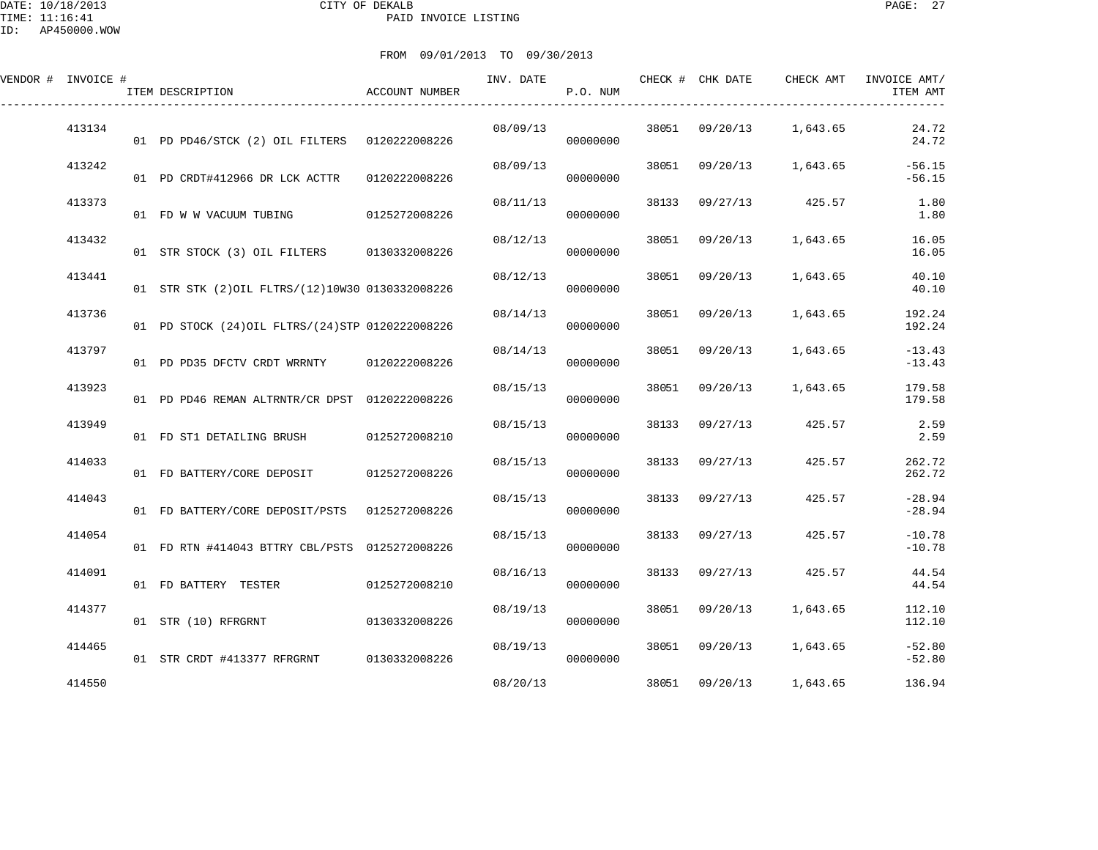| VENDOR # INVOICE # | ITEM DESCRIPTION                                  | ACCOUNT NUMBER | INV. DATE | P.O. NUM |       | CHECK # CHK DATE | CHECK AMT         | INVOICE AMT/<br>ITEM AMT |
|--------------------|---------------------------------------------------|----------------|-----------|----------|-------|------------------|-------------------|--------------------------|
| 413134             | 01 PD PD46/STCK (2) OIL FILTERS 0120222008226     |                | 08/09/13  | 00000000 | 38051 |                  | 09/20/13 1,643.65 | 24.72<br>24.72           |
| 413242             | 01 PD CRDT#412966 DR LCK ACTTR                    | 0120222008226  | 08/09/13  | 00000000 | 38051 |                  | 09/20/13 1,643.65 | $-56.15$<br>$-56.15$     |
| 413373             | 01 FD W W VACUUM TUBING 0125272008226             |                | 08/11/13  | 00000000 | 38133 |                  | 09/27/13 425.57   | 1.80<br>1.80             |
| 413432             | 01 STR STOCK (3) OIL FILTERS 0130332008226        |                | 08/12/13  | 00000000 | 38051 | 09/20/13         | 1,643.65          | 16.05<br>16.05           |
| 413441             | 01 STR STK (2) OIL FLTRS/(12) 10W30 0130332008226 |                | 08/12/13  | 00000000 | 38051 | 09/20/13         | 1,643.65          | 40.10<br>40.10           |
| 413736             | 01 PD STOCK (24) OIL FLTRS/(24) STP 0120222008226 |                | 08/14/13  | 00000000 | 38051 | 09/20/13         | 1,643.65          | 192.24<br>192.24         |
| 413797             | 01 PD PD35 DFCTV CRDT WRRNTY 0120222008226        |                | 08/14/13  | 00000000 | 38051 | 09/20/13         | 1,643.65          | $-13.43$<br>$-13.43$     |
| 413923             | 01 PD PD46 REMAN ALTRNTR/CR DPST 0120222008226    |                | 08/15/13  | 00000000 | 38051 | 09/20/13         | 1,643.65          | 179.58<br>179.58         |
| 413949             | 01 FD ST1 DETAILING BRUSH                         | 0125272008210  | 08/15/13  | 00000000 | 38133 | 09/27/13         | 425.57            | 2.59<br>2.59             |
| 414033             | 01 FD BATTERY/CORE DEPOSIT                        | 0125272008226  | 08/15/13  | 00000000 | 38133 | 09/27/13         | 425.57            | 262.72<br>262.72         |
| 414043             | 01 FD BATTERY/CORE DEPOSIT/PSTS 0125272008226     |                | 08/15/13  | 00000000 | 38133 | 09/27/13         | 425.57            | $-28.94$<br>$-28.94$     |
| 414054             | 01 FD RTN #414043 BTTRY CBL/PSTS 0125272008226    |                | 08/15/13  | 00000000 | 38133 | 09/27/13         | 425.57            | $-10.78$<br>$-10.78$     |
| 414091             | 01 FD BATTERY TESTER                              | 0125272008210  | 08/16/13  | 00000000 | 38133 | 09/27/13         | 425.57            | 44.54<br>44.54           |
| 414377             | 01 STR (10) RFRGRNT                               | 0130332008226  | 08/19/13  | 00000000 | 38051 | 09/20/13         | 1,643.65          | 112.10<br>112.10         |
| 414465             | 01 STR CRDT #413377 RFRGRNT 0130332008226         |                | 08/19/13  | 00000000 | 38051 | 09/20/13         | 1,643.65          | $-52.80$<br>$-52.80$     |
| 414550             |                                                   |                | 08/20/13  |          | 38051 | 09/20/13         | 1,643.65          | 136.94                   |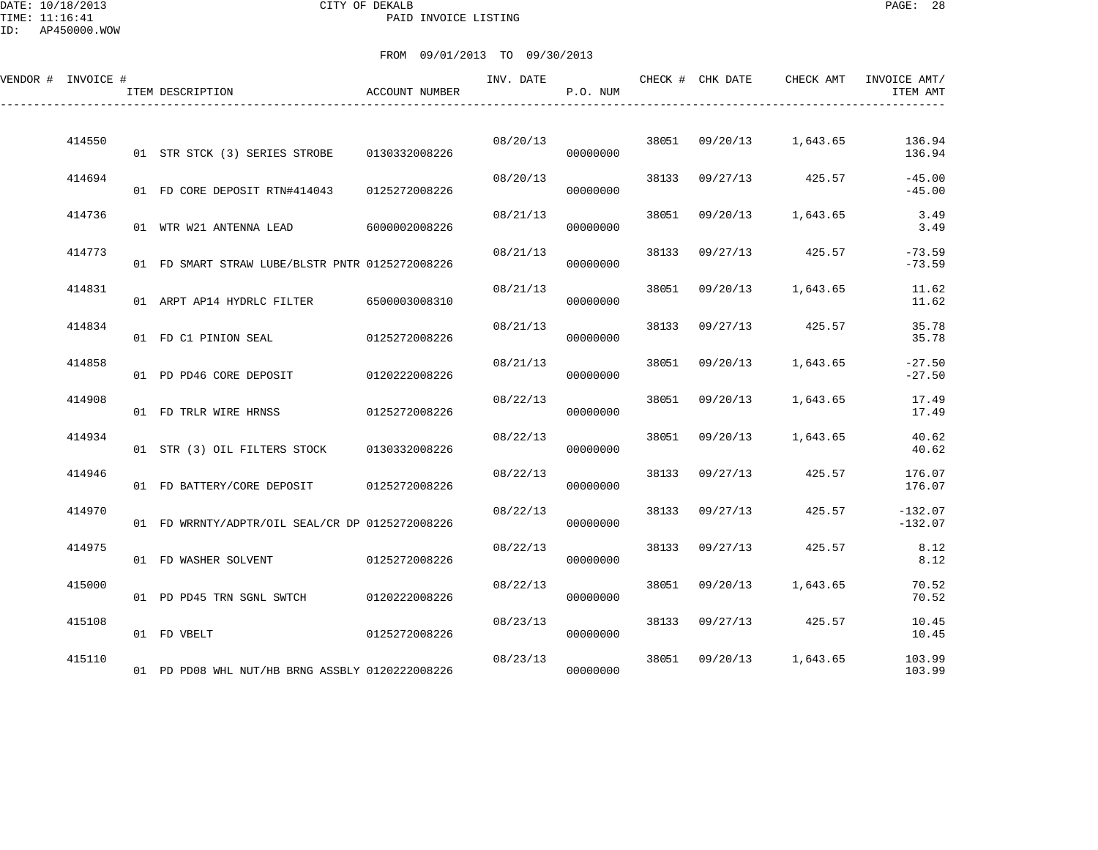### DATE: 10/18/2013 CITY OF DEKALB PAGE: 28 PAID INVOICE LISTING

ID: AP450000.WOW

| VENDOR # INVOICE # |        | ITEM DESCRIPTION                                | <b>ACCOUNT NUMBER</b> | INV. DATE | P.O. NUM |       | CHECK # CHK DATE | CHECK AMT               | INVOICE AMT/<br>ITEM AMT |
|--------------------|--------|-------------------------------------------------|-----------------------|-----------|----------|-------|------------------|-------------------------|--------------------------|
|                    | 414550 | 01 STR STCK (3) SERIES STROBE                   | 0130332008226         | 08/20/13  | 00000000 |       |                  | 38051 09/20/13 1,643.65 | 136.94<br>136.94         |
|                    | 414694 | 01 FD CORE DEPOSIT RTN#414043                   | 0125272008226         | 08/20/13  | 00000000 |       |                  | 38133 09/27/13 425.57   | $-45.00$<br>$-45.00$     |
|                    | 414736 | 01 WTR W21 ANTENNA LEAD 6000002008226           |                       | 08/21/13  | 00000000 | 38051 |                  | 09/20/13 1,643.65       | 3.49<br>3.49             |
|                    | 414773 | 01 FD SMART STRAW LUBE/BLSTR PNTR 0125272008226 |                       | 08/21/13  | 00000000 | 38133 | 09/27/13         | 425.57                  | $-73.59$<br>$-73.59$     |
|                    | 414831 | 01 ARPT AP14 HYDRLC FILTER                      | 6500003008310         | 08/21/13  | 00000000 | 38051 |                  | 09/20/13 1,643.65       | 11.62<br>11.62           |
|                    | 414834 | 01 FD C1 PINION SEAL                            | 0125272008226         | 08/21/13  | 00000000 | 38133 | 09/27/13         | 425.57                  | 35.78<br>35.78           |
|                    | 414858 | 01 PD PD46 CORE DEPOSIT                         | 0120222008226         | 08/21/13  | 00000000 | 38051 | 09/20/13         | 1,643.65                | $-27.50$<br>$-27.50$     |
|                    | 414908 | 01 FD TRLR WIRE HRNSS                           | 0125272008226         | 08/22/13  | 00000000 | 38051 | 09/20/13         | 1,643.65                | 17.49<br>17.49           |
|                    | 414934 | 01 STR (3) OIL FILTERS STOCK 0130332008226      |                       | 08/22/13  | 00000000 | 38051 | 09/20/13         | 1,643.65                | 40.62<br>40.62           |
|                    | 414946 | 01 FD BATTERY/CORE DEPOSIT                      | 0125272008226         | 08/22/13  | 00000000 |       | 38133 09/27/13   | 425.57                  | 176.07<br>176.07         |
|                    | 414970 | 01 FD WRRNTY/ADPTR/OIL SEAL/CR DP 0125272008226 |                       | 08/22/13  | 00000000 | 38133 | 09/27/13         | 425.57                  | $-132.07$<br>$-132.07$   |
|                    | 414975 | 01 FD WASHER SOLVENT                            | 0125272008226         | 08/22/13  | 00000000 | 38133 | 09/27/13         | 425.57                  | 8.12<br>8.12             |
|                    | 415000 | 01 PD PD45 TRN SGNL SWTCH                       | 0120222008226         | 08/22/13  | 00000000 | 38051 | 09/20/13         | 1,643.65                | 70.52<br>70.52           |
|                    | 415108 | 01 FD VBELT                                     | 0125272008226         | 08/23/13  | 00000000 | 38133 |                  | 09/27/13 425.57         | 10.45<br>10.45           |
|                    | 415110 | 01 PD PD08 WHL NUT/HB BRNG ASSBLY 0120222008226 |                       | 08/23/13  | 00000000 | 38051 |                  | 09/20/13 1,643.65       | 103.99<br>103.99         |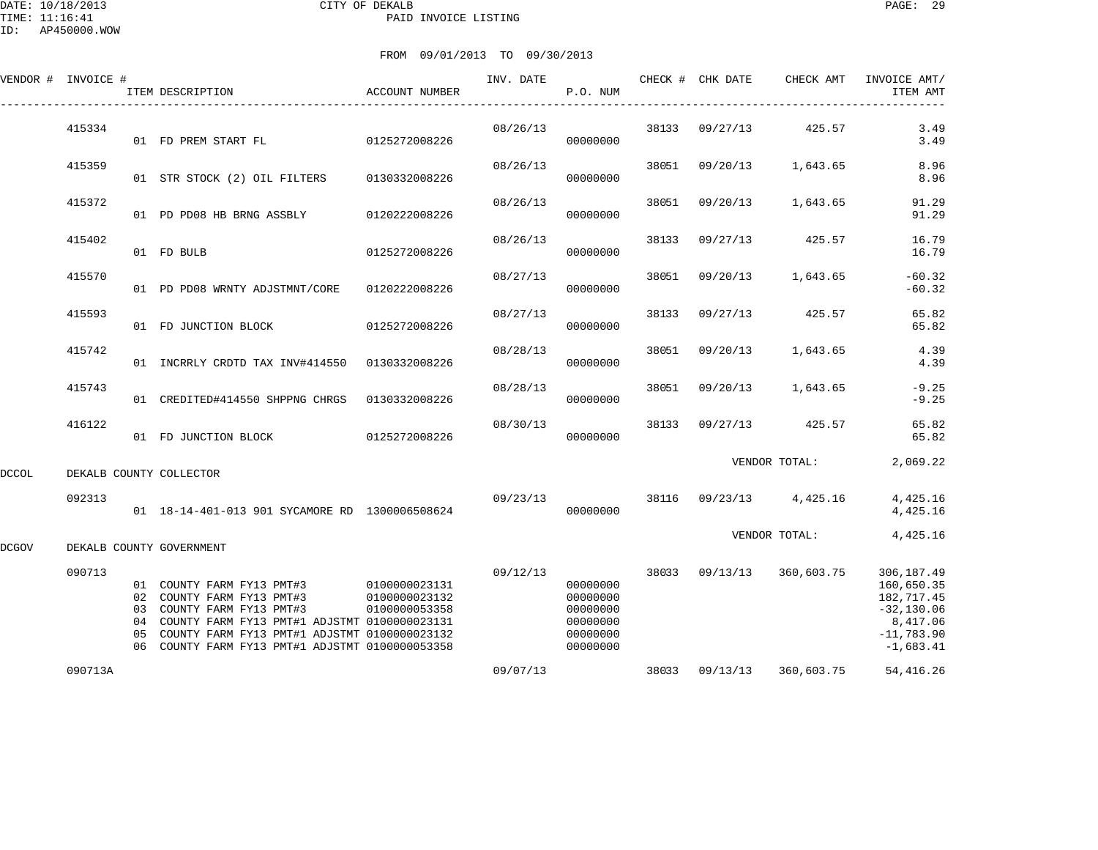|       | VENDOR # INVOICE # | ITEM DESCRIPTION                                                                                                                                                                                                                                           | ACCOUNT NUMBER                 | INV. DATE | P.O. NUM                                                             |       |                | CHECK # CHK DATE CHECK AMT           | INVOICE AMT/<br>ITEM AMT                                                                           |
|-------|--------------------|------------------------------------------------------------------------------------------------------------------------------------------------------------------------------------------------------------------------------------------------------------|--------------------------------|-----------|----------------------------------------------------------------------|-------|----------------|--------------------------------------|----------------------------------------------------------------------------------------------------|
|       | 415334             | 01 FD PREM START FL                                                                                                                                                                                                                                        | 0125272008226                  | 08/26/13  | 00000000                                                             |       | 38133 09/27/13 | 425.57                               | 3.49<br>3.49                                                                                       |
|       | 415359             | 01 STR STOCK (2) OIL FILTERS 0130332008226                                                                                                                                                                                                                 |                                | 08/26/13  | 00000000                                                             |       |                | 38051 09/20/13 1,643.65              | 8.96<br>8.96                                                                                       |
|       | 415372             | 01 PD PD08 HB BRNG ASSBLY 0120222008226                                                                                                                                                                                                                    |                                | 08/26/13  | 00000000                                                             | 38051 | 09/20/13       | 1,643.65                             | 91.29<br>91.29                                                                                     |
|       | 415402             | 01 FD BULB                                                                                                                                                                                                                                                 | 0125272008226                  | 08/26/13  | 00000000                                                             | 38133 | 09/27/13       | 425.57                               | 16.79<br>16.79                                                                                     |
|       | 415570             | 01 PD PD08 WRNTY ADJSTMNT/CORE                                                                                                                                                                                                                             | 0120222008226                  | 08/27/13  | 00000000                                                             |       |                | 38051 09/20/13 1,643.65              | $-60.32$<br>$-60.32$                                                                               |
|       | 415593             | 01 FD JUNCTION BLOCK                                                                                                                                                                                                                                       | 0125272008226                  | 08/27/13  | 00000000                                                             |       |                | 38133 09/27/13 425.57                | 65.82<br>65.82                                                                                     |
|       | 415742             | 01 INCRRLY CRDTD TAX INV#414550 0130332008226                                                                                                                                                                                                              |                                | 08/28/13  | 00000000                                                             | 38051 | 09/20/13       | 1,643.65                             | 4.39<br>4.39                                                                                       |
|       | 415743             | 01 CREDITED#414550 SHPPNG CHRGS 0130332008226                                                                                                                                                                                                              |                                | 08/28/13  | 00000000                                                             | 38051 |                | 09/20/13 1,643.65                    | $-9.25$<br>$-9.25$                                                                                 |
|       | 416122             | 01 FD JUNCTION BLOCK                                                                                                                                                                                                                                       | 0125272008226                  | 08/30/13  | 00000000                                                             |       |                | 38133 09/27/13 425.57                | 65.82<br>65.82                                                                                     |
| DCCOL |                    | DEKALB COUNTY COLLECTOR                                                                                                                                                                                                                                    |                                |           |                                                                      |       |                | VENDOR TOTAL:                        | 2,069.22                                                                                           |
|       | 092313             | 01   18-14-401-013   901   SYCAMORE RD   1300006508624                                                                                                                                                                                                     |                                |           | 00000000                                                             |       |                | $09/23/13$ 38116 $09/23/13$ 4,425.16 | 4,425.16<br>4,425.16                                                                               |
| DCGOV |                    | DEKALB COUNTY GOVERNMENT                                                                                                                                                                                                                                   |                                |           |                                                                      |       |                | VENDOR TOTAL:                        | 4,425.16                                                                                           |
|       | 090713             | 01 COUNTY FARM FY13 PMT#3 0100000023131<br>02 COUNTY FARM FY13 PMT#3<br>03 COUNTY FARM FY13 PMT#3<br>04 COUNTY FARM FY13 PMT#1 ADJSTMT 0100000023131<br>05 COUNTY FARM FY13 PMT#1 ADJSTMT 0100000023132<br>06 COUNTY FARM FY13 PMT#1 ADJSTMT 0100000053358 | 0100000023132<br>0100000053358 | 09/12/13  | 00000000<br>00000000<br>00000000<br>00000000<br>00000000<br>00000000 |       | 38033 09/13/13 | 360,603.75                           | 306,187.49<br>160,650.35<br>182,717.45<br>$-32, 130.06$<br>8,417.06<br>$-11,783.90$<br>$-1,683.41$ |
|       | 090713A            |                                                                                                                                                                                                                                                            |                                | 09/07/13  |                                                                      |       | 38033 09/13/13 | 360,603.75                           | 54, 416.26                                                                                         |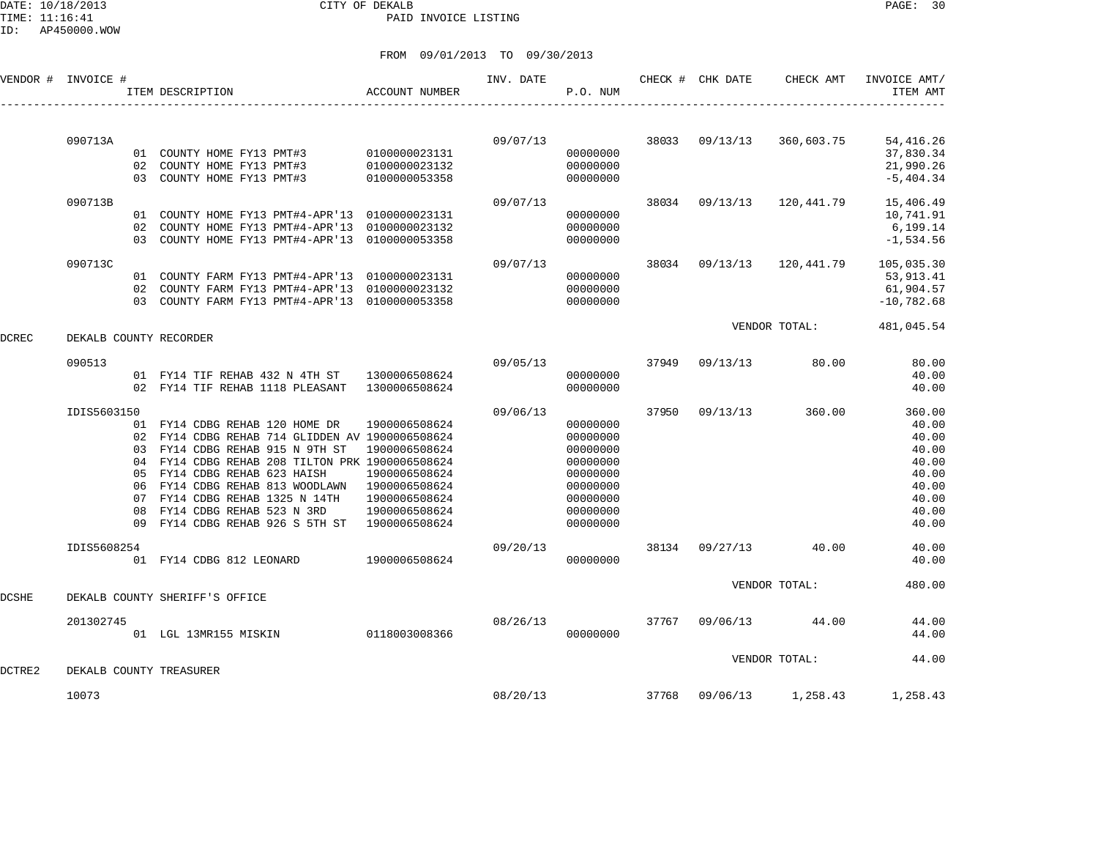DATE: 10/18/2013 CITY OF DEKALB PAGE: 30 PAID INVOICE LISTING

|        | VENDOR # INVOICE #     |    | ITEM DESCRIPTION                                | ACCOUNT NUMBER | INV. DATE | P.O. NUM |       | CHECK # CHK DATE | CHECK AMT                 | INVOICE AMT/<br>ITEM AMT |
|--------|------------------------|----|-------------------------------------------------|----------------|-----------|----------|-------|------------------|---------------------------|--------------------------|
|        |                        |    |                                                 |                |           |          |       |                  |                           |                          |
|        | 090713A                |    |                                                 |                | 09/07/13  |          |       | 38033 09/13/13   | 360,603.75                | 54, 416.26               |
|        |                        |    | 01 COUNTY HOME FY13 PMT#3 0100000023131         |                |           | 00000000 |       |                  |                           | 37,830.34                |
|        |                        |    | 02 COUNTY HOME FY13 PMT#3                       | 0100000023132  |           | 00000000 |       |                  |                           | 21,990.26                |
|        |                        |    | 03 COUNTY HOME FY13 PMT#3                       | 0100000053358  |           | 00000000 |       |                  |                           | $-5, 404.34$             |
|        | 090713B                |    |                                                 |                | 09/07/13  |          |       | 38034 09/13/13   | 120,441.79                | 15,406.49                |
|        |                        |    | 01 COUNTY HOME FY13 PMT#4-APR'13 0100000023131  |                |           | 00000000 |       |                  |                           | 10,741.91                |
|        |                        |    | 02 COUNTY HOME FY13 PMT#4-APR'13 0100000023132  |                |           | 00000000 |       |                  |                           | 6,199.14                 |
|        |                        |    | 03 COUNTY HOME FY13 PMT#4-APR'13 0100000053358  |                |           | 00000000 |       |                  |                           | $-1, 534.56$             |
|        | 090713C                |    |                                                 |                | 09/07/13  |          |       |                  | 38034 09/13/13 120,441.79 | 105,035.30               |
|        |                        |    | 01 COUNTY FARM FY13 PMT#4-APR'13 0100000023131  |                |           | 00000000 |       |                  |                           | 53,913.41                |
|        |                        |    | 02 COUNTY FARM FY13 PMT#4-APR'13 0100000023132  |                |           | 00000000 |       |                  |                           | 61,904.57                |
|        |                        |    | 03 COUNTY FARM FY13 PMT#4-APR'13 0100000053358  |                |           | 00000000 |       |                  |                           | $-10,782.68$             |
|        |                        |    |                                                 |                |           |          |       |                  | VENDOR TOTAL:             | 481,045.54               |
| DCREC  | DEKALB COUNTY RECORDER |    |                                                 |                |           |          |       |                  |                           |                          |
|        | 090513                 |    |                                                 |                | 09/05/13  |          | 37949 | 09/13/13         | 80.00                     | 80.00                    |
|        |                        |    | 01 FY14 TIF REHAB 432 N 4TH ST 1300006508624    |                |           | 00000000 |       |                  |                           | 40.00                    |
|        |                        |    | 02 FY14 TIF REHAB 1118 PLEASANT 1300006508624   |                |           | 00000000 |       |                  |                           | 40.00                    |
|        | IDIS5603150            |    |                                                 |                | 09/06/13  |          | 37950 | 09/13/13         | 360.00                    | 360.00                   |
|        |                        |    | 01 FY14 CDBG REHAB 120 HOME DR                  | 1900006508624  |           | 00000000 |       |                  |                           | 40.00                    |
|        |                        |    | 02 FY14 CDBG REHAB 714 GLIDDEN AV 1900006508624 |                |           | 00000000 |       |                  |                           | 40.00                    |
|        |                        |    | 03 FY14 CDBG REHAB 915 N 9TH ST                 | 1900006508624  |           | 00000000 |       |                  |                           | 40.00                    |
|        |                        |    | 04 FY14 CDBG REHAB 208 TILTON PRK 1900006508624 |                |           | 00000000 |       |                  |                           | 40.00                    |
|        |                        | 05 | FY14 CDBG REHAB 623 HAISH                       | 1900006508624  |           | 00000000 |       |                  |                           | 40.00                    |
|        |                        |    | 06 FY14 CDBG REHAB 813 WOODLAWN                 | 1900006508624  |           | 00000000 |       |                  |                           | 40.00                    |
|        |                        |    | 07 FY14 CDBG REHAB 1325 N 14TH                  | 1900006508624  |           | 00000000 |       |                  |                           | 40.00                    |
|        |                        | 08 | FY14 CDBG REHAB 523 N 3RD                       | 1900006508624  |           | 00000000 |       |                  |                           | 40.00                    |
|        |                        | 09 | FY14 CDBG REHAB 926 S 5TH ST 1900006508624      |                |           | 00000000 |       |                  |                           | 40.00                    |
|        | IDIS5608254            |    |                                                 |                | 09/20/13  |          | 38134 | 09/27/13         | 40.00                     | 40.00                    |
|        |                        |    | 01 FY14 CDBG 812 LEONARD                        | 1900006508624  |           | 00000000 |       |                  |                           | 40.00                    |
|        |                        |    |                                                 |                |           |          |       |                  | VENDOR TOTAL:             | 480.00                   |
| DCSHE  |                        |    | DEKALB COUNTY SHERIFF'S OFFICE                  |                |           |          |       |                  |                           |                          |
|        | 201302745              |    |                                                 |                | 08/26/13  |          |       | 37767 09/06/13   | 44.00                     | 44.00                    |
|        |                        |    | 01 LGL 13MR155 MISKIN                           | 0118003008366  |           | 00000000 |       |                  |                           | 44.00                    |
|        |                        |    |                                                 |                |           |          |       |                  | VENDOR TOTAL:             | 44.00                    |
| DCTRE2 |                        |    | DEKALB COUNTY TREASURER                         |                |           |          |       |                  |                           |                          |
|        | 10073                  |    |                                                 |                | 08/20/13  |          |       | 37768 09/06/13   | 1,258.43                  | 1,258.43                 |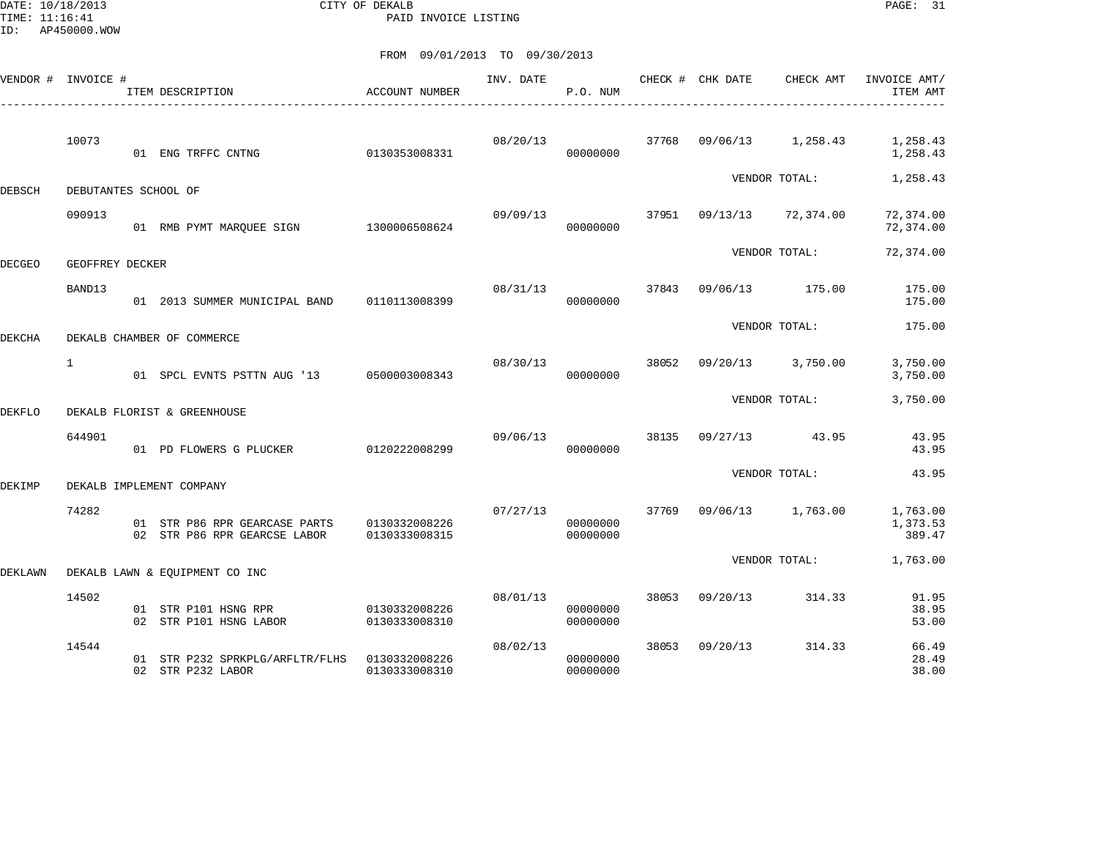DATE: 10/18/2013 CITY OF DEKALB PAGE: 31 PAID INVOICE LISTING

|         | VENDOR # INVOICE #   | ITEM DESCRIPTION                                              | <b>ACCOUNT NUMBER</b>          | INV. DATE | P.O. NUM             |       | CHECK # CHK DATE | CHECK AMT         | INVOICE AMT/<br>ITEM AMT       |
|---------|----------------------|---------------------------------------------------------------|--------------------------------|-----------|----------------------|-------|------------------|-------------------|--------------------------------|
|         | 10073                | 01 ENG TRFFC CNTNG                                            | 0130353008331                  | 08/20/13  | 00000000             | 37768 | 09/06/13         | 1,258.43          | 1,258.43<br>1,258.43           |
| DEBSCH  | DEBUTANTES SCHOOL OF |                                                               |                                |           |                      |       |                  | VENDOR TOTAL:     | 1,258.43                       |
|         | 090913               | 01 RMB PYMT MARQUEE SIGN 1300006508624                        |                                | 09/09/13  | 00000000             |       | 37951 09/13/13   | 72,374.00         | 72,374.00<br>72,374.00         |
| DECGEO  | GEOFFREY DECKER      |                                                               |                                |           |                      |       |                  | VENDOR TOTAL:     | 72,374.00                      |
|         | BAND13               | 01 2013 SUMMER MUNICIPAL BAND                                 | 0110113008399                  | 08/31/13  | 00000000             | 37843 | 09/06/13         | 175.00            | 175.00<br>175.00               |
| DEKCHA  |                      | DEKALB CHAMBER OF COMMERCE                                    |                                |           |                      |       |                  | VENDOR TOTAL:     | 175.00                         |
|         | $\mathbf{1}$         | 01 SPCL EVNTS PSTTN AUG '13                                   | 0500003008343                  | 08/30/13  | 00000000             | 38052 | 09/20/13         | 3,750.00          | 3,750.00<br>3,750.00           |
| DEKFLO  |                      | DEKALB FLORIST & GREENHOUSE                                   |                                |           |                      |       |                  | VENDOR TOTAL:     | 3,750.00                       |
|         | 644901               | 01 PD FLOWERS G PLUCKER                                       | 0120222008299                  | 09/06/13  | 00000000             | 38135 | 09/27/13         | 43.95             | 43.95<br>43.95                 |
| DEKIMP  |                      | DEKALB IMPLEMENT COMPANY                                      |                                |           |                      |       |                  | VENDOR TOTAL:     | 43.95                          |
|         | 74282                | 01 STR P86 RPR GEARCASE PARTS<br>02 STR P86 RPR GEARCSE LABOR | 0130332008226<br>0130333008315 | 07/27/13  | 00000000<br>00000000 | 37769 |                  | 09/06/13 1,763.00 | 1,763.00<br>1,373.53<br>389.47 |
| DEKLAWN |                      | DEKALB LAWN & EQUIPMENT CO INC                                |                                |           |                      |       |                  | VENDOR TOTAL:     | 1,763.00                       |
|         | 14502                | 01 STR P101 HSNG RPR<br>02 STR P101 HSNG LABOR                | 0130332008226<br>0130333008310 | 08/01/13  | 00000000<br>00000000 | 38053 | 09/20/13         | 314.33            | 91.95<br>38.95<br>53.00        |
|         | 14544                | 01 STR P232 SPRKPLG/ARFLTR/FLHS<br>02 STR P232 LABOR          | 0130332008226<br>0130333008310 | 08/02/13  | 00000000<br>00000000 | 38053 | 09/20/13         | 314.33            | 66.49<br>28.49<br>38.00        |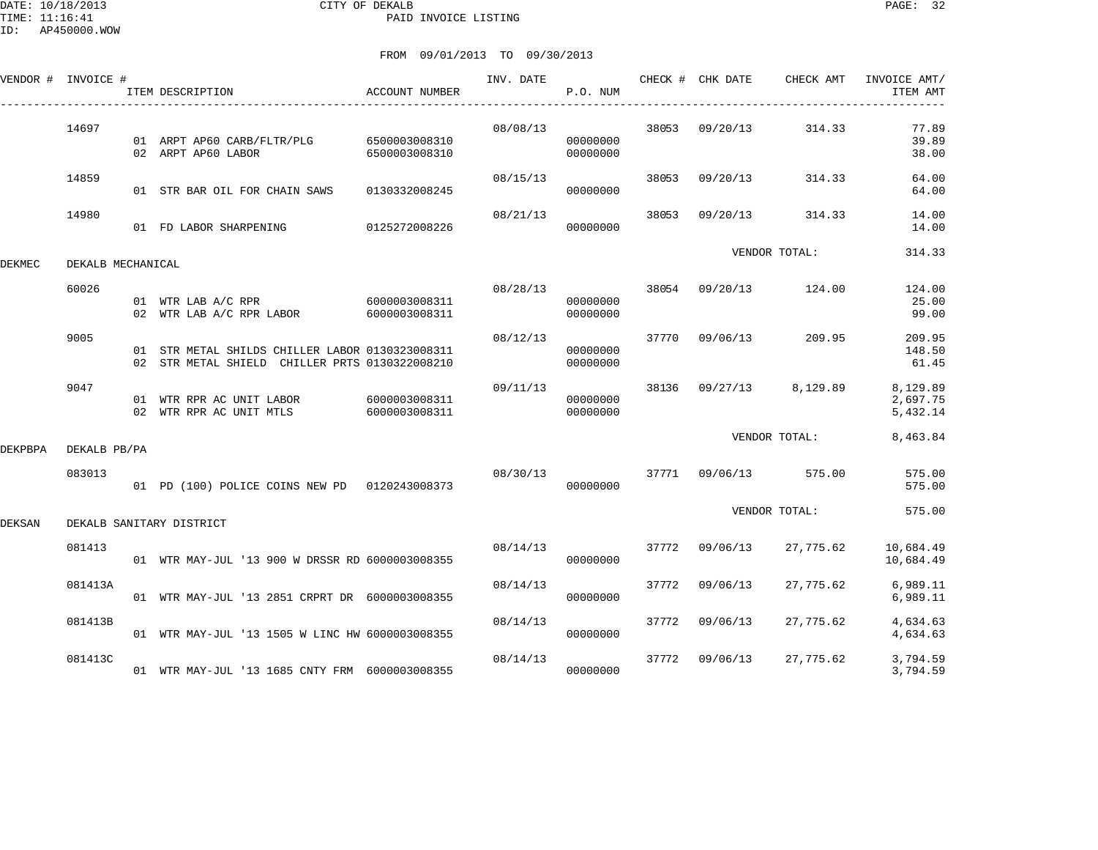DATE: 10/18/2013 CITY OF DEKALB PAGE: 32 PAID INVOICE LISTING

|         | VENDOR # INVOICE # | ITEM DESCRIPTION                                                                                  | <b>ACCOUNT NUMBER</b> | INV. DATE | P.O. NUM             |       | CHECK # CHK DATE | CHECK AMT               | INVOICE AMT/<br>ITEM AMT         |
|---------|--------------------|---------------------------------------------------------------------------------------------------|-----------------------|-----------|----------------------|-------|------------------|-------------------------|----------------------------------|
|         | 14697              | 01 ARPT AP60 CARB/FLTR/PLG 6500003008310<br>02 ARPT AP60 LABOR                                    | 6500003008310         | 08/08/13  | 00000000<br>00000000 | 38053 | 09/20/13         | 314.33                  | 77.89<br>39.89<br>38.00          |
|         | 14859              | 01 STR BAR OIL FOR CHAIN SAWS                                                                     | 0130332008245         | 08/15/13  | 00000000             | 38053 | 09/20/13         | 314.33                  | 64.00<br>64.00                   |
|         | 14980              | 01 FD LABOR SHARPENING 0125272008226                                                              |                       | 08/21/13  | 00000000             | 38053 | 09/20/13         | 314.33                  | 14.00<br>14.00                   |
| DEKMEC  | DEKALB MECHANICAL  |                                                                                                   |                       |           |                      |       |                  | VENDOR TOTAL:           | 314.33                           |
|         | 60026              | 01 WTR LAB A/C RPR 6000003008311<br>02 WTR LAB A/C RPR LABOR                                      | 6000003008311         | 08/28/13  | 00000000<br>00000000 |       |                  | 38054 09/20/13 124.00   | 124.00<br>25.00<br>99.00         |
|         | 9005               | 01 STR METAL SHILDS CHILLER LABOR 0130323008311<br>02 STR METAL SHIELD CHILLER PRTS 0130322008210 |                       | 08/12/13  | 00000000<br>00000000 |       | 37770 09/06/13   | 209.95                  | 209.95<br>148.50<br>61.45        |
|         | 9047               | 01 WTR RPR AC UNIT LABOR 6000003008311<br>02 WTR RPR AC UNIT MTLS 6000003008311                   |                       | 09/11/13  | 00000000<br>00000000 |       |                  | 38136 09/27/13 8,129.89 | 8,129.89<br>2,697.75<br>5,432.14 |
| DEKPBPA | DEKALB PB/PA       |                                                                                                   |                       |           |                      |       |                  | VENDOR TOTAL:           | 8,463.84                         |
|         | 083013             | 01 PD (100) POLICE COINS NEW PD 0120243008373                                                     |                       | 08/30/13  | 00000000             |       |                  | 37771 09/06/13 575.00   | 575.00<br>575.00                 |
| DEKSAN  |                    | DEKALB SANITARY DISTRICT                                                                          |                       |           |                      |       |                  | VENDOR TOTAL:           | 575.00                           |
|         | 081413             | 01 WTR MAY-JUL '13 900 W DRSSR RD 6000003008355                                                   |                       | 08/14/13  | 00000000             |       | 37772 09/06/13   | 27,775.62               | 10,684.49<br>10,684.49           |
|         | 081413A            | 01 WTR MAY-JUL '13 2851 CRPRT DR 6000003008355                                                    |                       | 08/14/13  | 00000000             | 37772 | 09/06/13         | 27,775.62               | 6,989.11<br>6,989.11             |
|         | 081413B            | 01 WTR MAY-JUL '13 1505 W LINC HW 6000003008355                                                   |                       | 08/14/13  | 00000000             |       | 37772 09/06/13   | 27,775.62               | 4,634.63<br>4,634.63             |
|         | 081413C            | 01 WTR MAY-JUL '13 1685 CNTY FRM 6000003008355                                                    |                       | 08/14/13  | 00000000             | 37772 | 09/06/13         | 27,775.62               | 3,794.59<br>3,794.59             |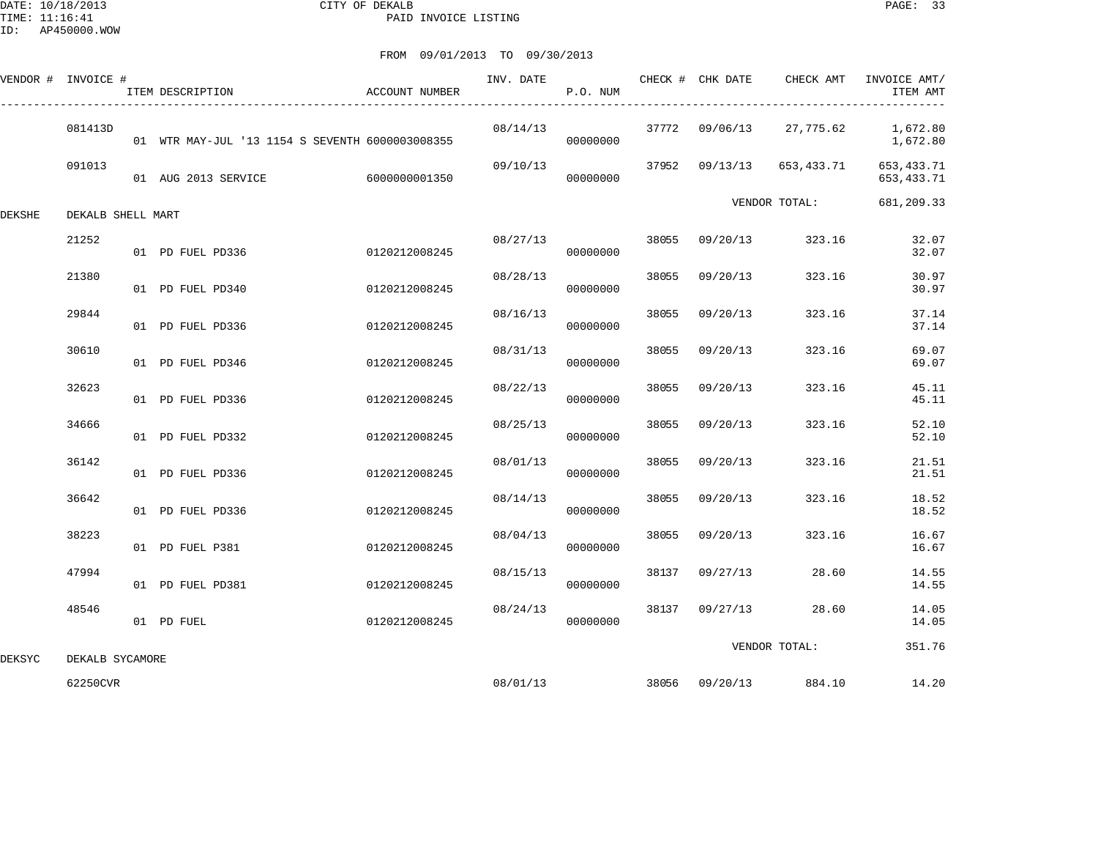DATE: 10/18/2013 CITY OF DEKALB PAGE: 33 PAID INVOICE LISTING

|        | VENDOR # INVOICE # | ITEM DESCRIPTION                                | ACCOUNT NUMBER | INV. DATE | P.O. NUM |       |                | CHECK # CHK DATE CHECK AMT | INVOICE AMT/<br>ITEM AMT     |
|--------|--------------------|-------------------------------------------------|----------------|-----------|----------|-------|----------------|----------------------------|------------------------------|
|        | 081413D            | 01 WTR MAY-JUL '13 1154 S SEVENTH 6000003008355 |                | 08/14/13  | 00000000 |       | 37772 09/06/13 | 27,775.62                  | 1,672.80<br>1,672.80         |
|        | 091013             | 01 AUG 2013 SERVICE                             | 60000000001350 | 09/10/13  | 00000000 |       | 37952 09/13/13 | 653,433.71                 | 653, 433. 71<br>653, 433. 71 |
| DEKSHE | DEKALB SHELL MART  |                                                 |                |           |          |       |                | VENDOR TOTAL:              | 681,209.33                   |
|        | 21252              | 01 PD FUEL PD336                                | 0120212008245  | 08/27/13  | 00000000 |       | 38055 09/20/13 | 323.16                     | 32.07<br>32.07               |
|        | 21380              | 01 PD FUEL PD340                                | 0120212008245  | 08/28/13  | 00000000 | 38055 | 09/20/13       | 323.16                     | 30.97<br>30.97               |
|        | 29844              | 01 PD FUEL PD336                                | 0120212008245  | 08/16/13  | 00000000 | 38055 | 09/20/13       | 323.16                     | 37.14<br>37.14               |
|        | 30610              | 01 PD FUEL PD346                                | 0120212008245  | 08/31/13  | 00000000 | 38055 | 09/20/13       | 323.16                     | 69.07<br>69.07               |
|        | 32623              | 01 PD FUEL PD336                                | 0120212008245  | 08/22/13  | 00000000 | 38055 | 09/20/13       | 323.16                     | 45.11<br>45.11               |
|        | 34666              | 01 PD FUEL PD332                                | 0120212008245  | 08/25/13  | 00000000 | 38055 | 09/20/13       | 323.16                     | 52.10<br>52.10               |
|        | 36142              | 01 PD FUEL PD336                                | 0120212008245  | 08/01/13  | 00000000 | 38055 | 09/20/13       | 323.16                     | 21.51<br>21.51               |
|        | 36642              | 01 PD FUEL PD336                                | 0120212008245  | 08/14/13  | 00000000 | 38055 | 09/20/13       | 323.16                     | 18.52<br>18.52               |
|        | 38223              | 01 PD FUEL P381                                 | 0120212008245  | 08/04/13  | 00000000 | 38055 | 09/20/13       | 323.16                     | 16.67<br>16.67               |
|        | 47994              | 01 PD FUEL PD381                                | 0120212008245  | 08/15/13  | 00000000 | 38137 | 09/27/13       | 28.60                      | 14.55<br>14.55               |
|        | 48546              | 01 PD FUEL                                      | 0120212008245  | 08/24/13  | 00000000 |       | 38137 09/27/13 | 28.60                      | 14.05<br>14.05               |
| DEKSYC | DEKALB SYCAMORE    |                                                 |                |           |          |       |                | VENDOR TOTAL:              | 351.76                       |
|        | 62250CVR           |                                                 |                | 08/01/13  |          |       | 38056 09/20/13 | 884.10                     | 14.20                        |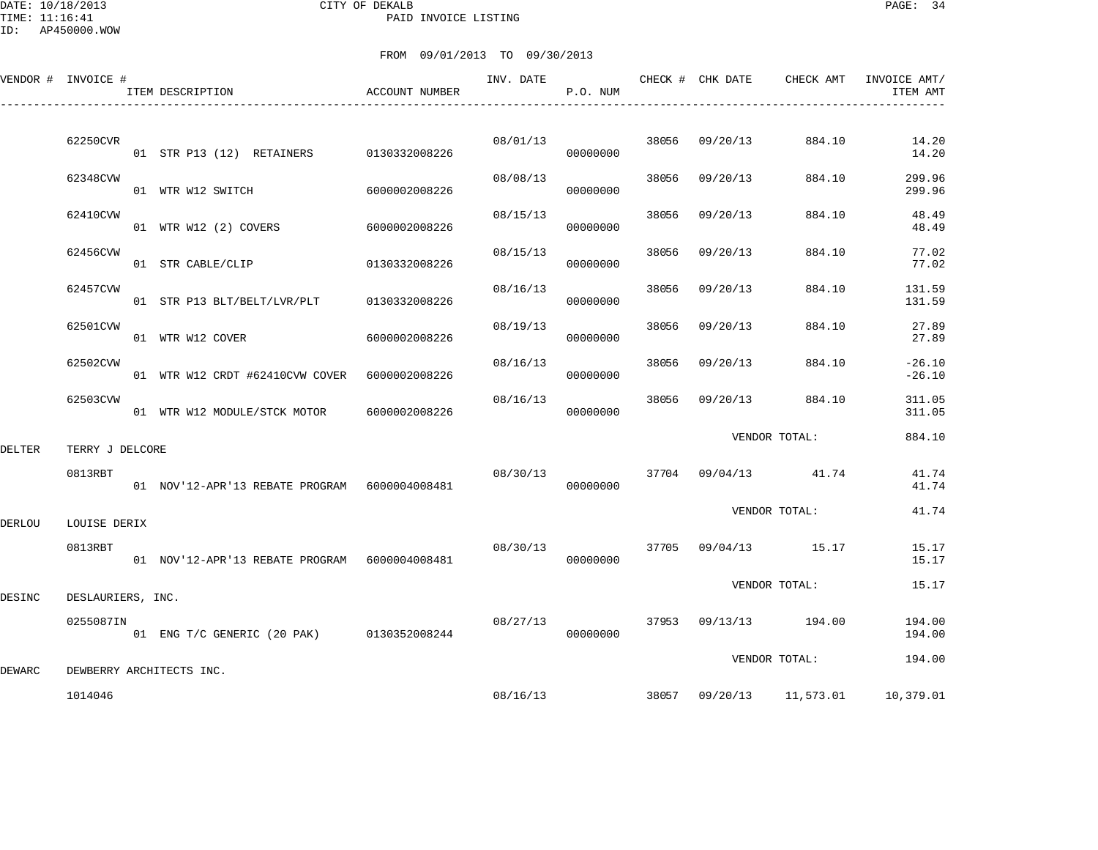DATE: 10/18/2013 CITY OF DEKALB PAGE: 34 PAID INVOICE LISTING

ID: AP450000.WOW

|        | VENDOR # INVOICE #       | ITEM DESCRIPTION                              | ACCOUNT NUMBER | INV. DATE | P.O. NUM |       | CHECK # CHK DATE | CHECK AMT                  | INVOICE AMT/<br>ITEM AMT |
|--------|--------------------------|-----------------------------------------------|----------------|-----------|----------|-------|------------------|----------------------------|--------------------------|
|        | 62250CVR                 |                                               |                | 08/01/13  |          | 38056 | 09/20/13         | 884.10                     | 14.20                    |
|        | 62348CVW                 | 01 STR P13 (12) RETAINERS 0130332008226       |                | 08/08/13  | 00000000 | 38056 | 09/20/13         | 884.10                     | 14.20<br>299.96          |
|        |                          | 01 WTR W12 SWITCH                             | 6000002008226  |           | 00000000 |       |                  |                            | 299.96                   |
|        | 62410CVW                 | 01 WTR W12 (2) COVERS                         | 6000002008226  | 08/15/13  | 00000000 | 38056 | 09/20/13         | 884.10                     | 48.49<br>48.49           |
|        | 62456CVW                 | 01 STR CABLE/CLIP                             | 0130332008226  | 08/15/13  | 00000000 | 38056 | 09/20/13         | 884.10                     | 77.02<br>77.02           |
|        | 62457CVW                 | 01 STR P13 BLT/BELT/LVR/PLT                   | 0130332008226  | 08/16/13  | 00000000 | 38056 | 09/20/13         | 884.10                     | 131.59<br>131.59         |
|        | 62501CVW                 | 01 WTR W12 COVER                              | 6000002008226  | 08/19/13  | 00000000 | 38056 | 09/20/13         | 884.10                     | 27.89<br>27.89           |
|        | 62502CVW                 | 01 WTR W12 CRDT #62410CVW COVER 6000002008226 |                | 08/16/13  | 00000000 | 38056 | 09/20/13         | 884.10                     | $-26.10$<br>$-26.10$     |
|        | 62503CVW                 | 01 WTR W12 MODULE/STCK MOTOR                  | 6000002008226  | 08/16/13  | 00000000 | 38056 | 09/20/13         | 884.10                     | 311.05<br>311.05         |
| DELTER | TERRY J DELCORE          |                                               |                |           |          |       |                  | VENDOR TOTAL:              | 884.10                   |
|        | 0813RBT                  | 01 NOV'12-APR'13 REBATE PROGRAM 6000004008481 |                | 08/30/13  | 00000000 |       |                  | 37704 09/04/13 41.74       | 41.74<br>41.74           |
| DERLOU | LOUISE DERIX             |                                               |                |           |          |       |                  | VENDOR TOTAL:              | 41.74                    |
|        | 0813RBT                  |                                               |                | 08/30/13  | 00000000 | 37705 |                  | 09/04/13 15.17             | 15.17<br>15.17           |
| DESINC | DESLAURIERS, INC.        |                                               |                |           |          |       |                  | VENDOR TOTAL:              | 15.17                    |
|        | 0255087IN                | 01 ENG T/C GENERIC (20 PAK) 0130352008244     |                | 08/27/13  | 00000000 |       |                  | 37953 09/13/13 194.00      | 194.00<br>194.00         |
| DEWARC | DEWBERRY ARCHITECTS INC. |                                               |                |           |          |       |                  | VENDOR TOTAL:              | 194.00                   |
|        | 1014046                  |                                               |                |           | 08/16/13 |       |                  | 38057  09/20/13  11,573.01 | 10,379.01                |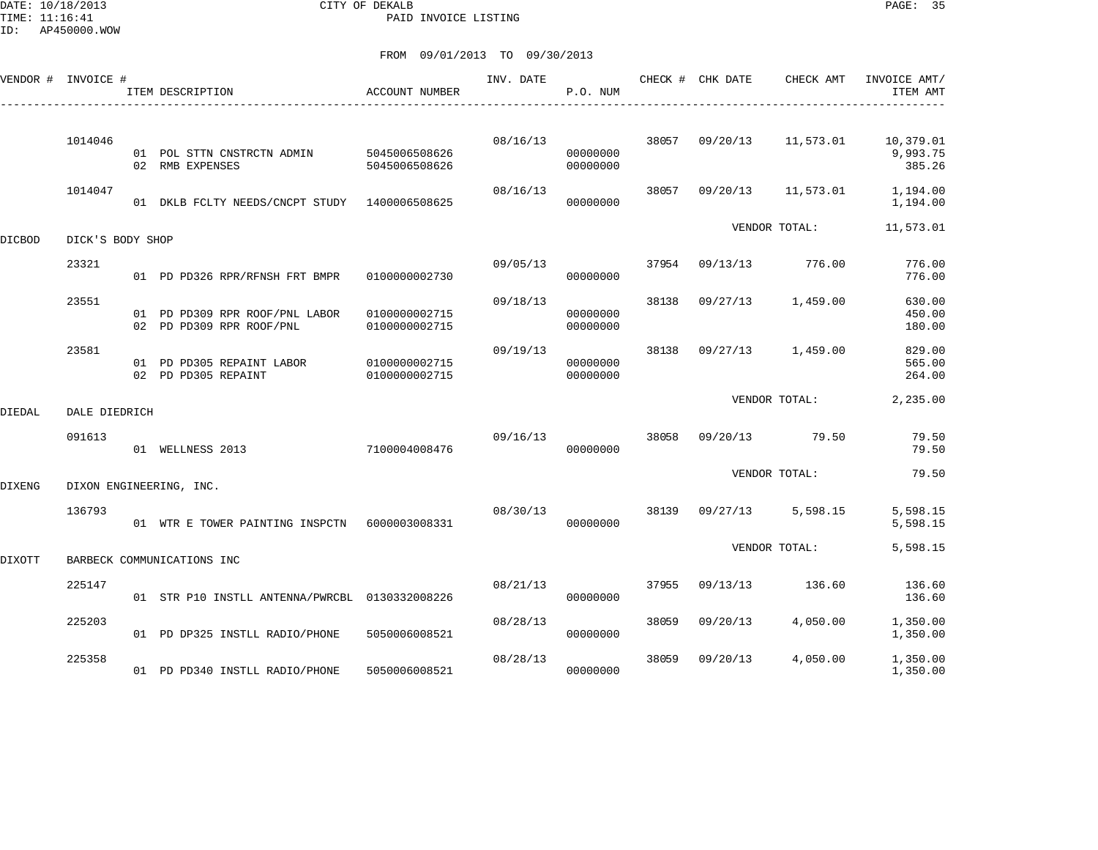DATE: 10/18/2013 CITY OF DEKALB PAGE: 35 PAID INVOICE LISTING

ID: AP450000.WOW

|        | VENDOR # INVOICE #      |  | ITEM DESCRIPTION                                           | ACCOUNT NUMBER                 | INV. DATE | P.O. NUM             |               | CHECK # CHK DATE | CHECK AMT | INVOICE AMT/<br>ITEM AMT        |
|--------|-------------------------|--|------------------------------------------------------------|--------------------------------|-----------|----------------------|---------------|------------------|-----------|---------------------------------|
|        | 1014046                 |  | 01 POL STTN CNSTRCTN ADMIN<br>02 RMB EXPENSES              | 5045006508626<br>5045006508626 | 08/16/13  | 00000000<br>00000000 |               | 38057 09/20/13   | 11,573.01 | 10,379.01<br>9,993.75<br>385.26 |
|        | 1014047                 |  | 01 DKLB FCLTY NEEDS/CNCPT STUDY 1400006508625              |                                | 08/16/13  | 00000000             | 38057         | 09/20/13         | 11,573.01 | 1,194.00<br>1,194.00            |
| DICBOD | DICK'S BODY SHOP        |  |                                                            |                                |           |                      |               | VENDOR TOTAL:    |           | 11,573.01                       |
|        | 23321                   |  | 01 PD PD326 RPR/RFNSH FRT BMPR                             | 0100000002730                  | 09/05/13  | 00000000             | 37954         | 09/13/13         | 776.00    | 776.00<br>776.00                |
|        | 23551                   |  | 01 PD PD309 RPR ROOF/PNL LABOR<br>02 PD PD309 RPR ROOF/PNL | 0100000002715<br>0100000002715 | 09/18/13  | 00000000<br>00000000 | 38138         | 09/27/13         | 1,459.00  | 630.00<br>450.00<br>180.00      |
|        | 23581                   |  | 01 PD PD305 REPAINT LABOR<br>02 PD PD305 REPAINT           | 0100000002715<br>0100000002715 | 09/19/13  | 00000000<br>00000000 | 38138         | 09/27/13         | 1,459.00  | 829.00<br>565.00<br>264.00      |
| DIEDAL | DALE DIEDRICH           |  |                                                            |                                |           |                      |               | VENDOR TOTAL:    | 2,235.00  |                                 |
|        | 091613                  |  | 01 WELLNESS 2013                                           | 7100004008476                  | 09/16/13  | 00000000             | 38058         | 09/20/13         | 79.50     | 79.50<br>79.50                  |
| DIXENG | DIXON ENGINEERING, INC. |  |                                                            |                                |           |                      |               | VENDOR TOTAL:    | 79.50     |                                 |
|        | 136793                  |  | 01 WTR E TOWER PAINTING INSPCTN 6000003008331              |                                | 08/30/13  | 00000000             | 38139         | 09/27/13         | 5,598.15  | 5,598.15<br>5,598.15            |
| DIXOTT |                         |  | BARBECK COMMUNICATIONS INC                                 |                                |           |                      | VENDOR TOTAL: | 5,598.15         |           |                                 |
|        | 225147                  |  | 01 STR P10 INSTLL ANTENNA/PWRCBL 0130332008226             |                                | 08/21/13  | 00000000             | 37955         | 09/13/13         | 136.60    | 136.60<br>136.60                |
|        | 225203                  |  | 01 PD DP325 INSTLL RADIO/PHONE                             | 5050006008521                  | 08/28/13  | 00000000             | 38059         | 09/20/13         | 4,050.00  | 1,350.00<br>1,350.00            |
|        | 225358                  |  | 01 PD PD340 INSTLL RADIO/PHONE                             | 5050006008521                  | 08/28/13  | 00000000             | 38059         | 09/20/13         | 4,050.00  | 1,350.00<br>1,350.00            |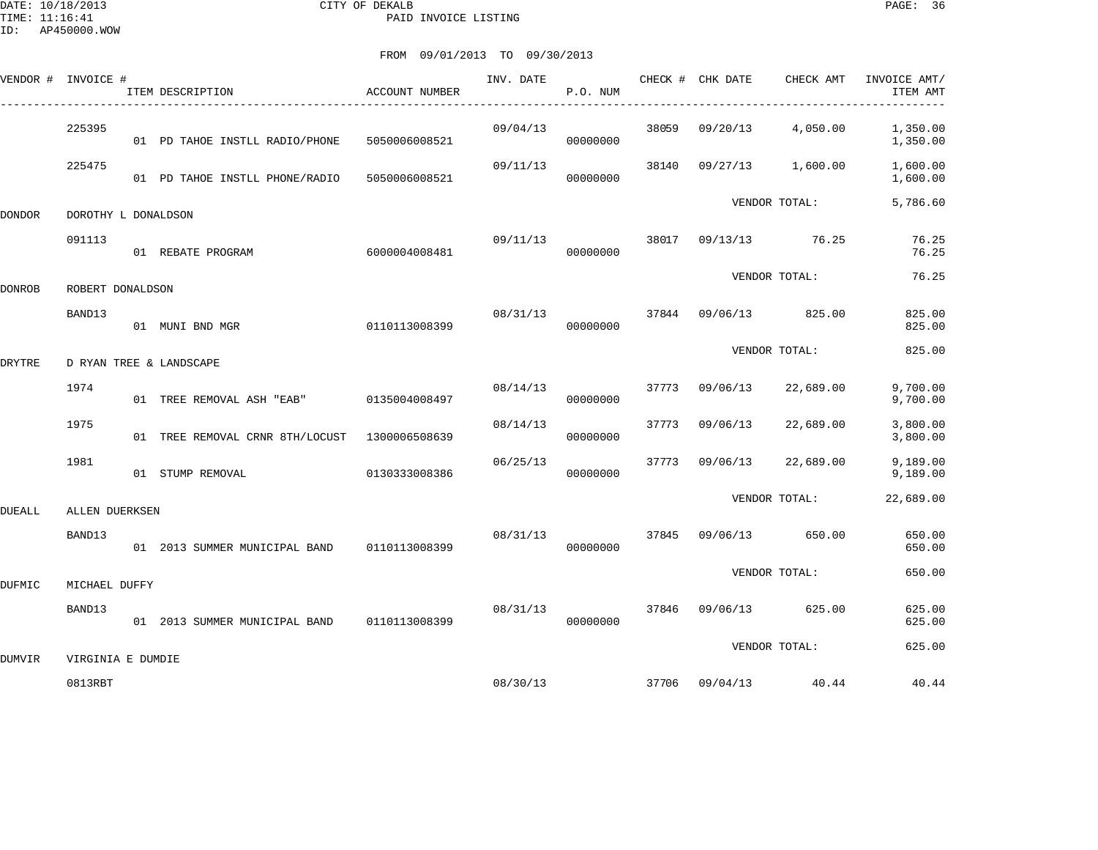DATE: 10/18/2013 CITY OF DEKALB PAGE: 36 PAID INVOICE LISTING

|        | VENDOR # INVOICE #  |  | ITEM DESCRIPTION                                | ACCOUNT NUMBER | INV. DATE | CHECK # CHK DATE<br>P.O. NUM |       |                | CHECK AMT             | INVOICE AMT/<br>ITEM AMT |
|--------|---------------------|--|-------------------------------------------------|----------------|-----------|------------------------------|-------|----------------|-----------------------|--------------------------|
|        | 225395              |  | 01 PD TAHOE INSTLL RADIO/PHONE                  | 5050006008521  | 09/04/13  | 00000000                     | 38059 | 09/20/13       | 4,050.00              | 1,350.00<br>1,350.00     |
|        | 225475              |  | 01 PD TAHOE INSTLL PHONE/RADIO 5050006008521    |                | 09/11/13  | 00000000                     | 38140 |                | 09/27/13 1,600.00     | 1,600.00<br>1,600.00     |
| DONDOR | DOROTHY L DONALDSON |  |                                                 |                |           |                              |       |                | VENDOR TOTAL:         | 5,786.60                 |
|        | 091113              |  | 01 REBATE PROGRAM                               | 6000004008481  | 09/11/13  | 00000000                     | 38017 |                | 09/13/13 76.25        | 76.25<br>76.25           |
| DONROB | ROBERT DONALDSON    |  |                                                 |                |           |                              |       | VENDOR TOTAL:  | 76.25                 |                          |
|        | BAND13              |  | 01 MUNI BND MGR                                 | 0110113008399  | 08/31/13  | 00000000                     |       |                | 37844 09/06/13 825.00 | 825.00<br>825.00         |
| DRYTRE |                     |  | D RYAN TREE & LANDSCAPE                         |                |           |                              |       |                | VENDOR TOTAL:         | 825.00                   |
|        | 1974                |  | 01 TREE REMOVAL ASH "EAB" 0135004008497         |                | 08/14/13  | 00000000                     |       | 37773 09/06/13 | 22,689.00             | 9,700.00<br>9,700.00     |
|        | 1975                |  | 01 TREE REMOVAL CRNR 8TH/LOCUST 1300006508639   |                | 08/14/13  | 00000000                     | 37773 | 09/06/13       | 22,689.00             | 3,800.00<br>3,800.00     |
|        | 1981                |  | 01 STUMP REMOVAL                                | 0130333008386  | 06/25/13  | 00000000                     |       | 37773 09/06/13 | 22,689.00             | 9,189.00<br>9,189.00     |
| DUEALL | ALLEN DUERKSEN      |  |                                                 |                |           |                              |       |                | VENDOR TOTAL:         | 22,689.00                |
|        | BAND13              |  | 01  2013 SUMMER MUNICIPAL BAND   0110113008399  |                | 08/31/13  | 00000000                     | 37845 |                | 09/06/13 650.00       | 650.00<br>650.00         |
| DUFMIC | MICHAEL DUFFY       |  |                                                 |                |           |                              |       | VENDOR TOTAL:  |                       |                          |
|        | BAND13              |  | 01  2013  SUMMER MUNICIPAL BAND   0110113008399 |                | 08/31/13  | 00000000                     |       |                | 37846 09/06/13 625.00 | 625.00<br>625.00         |
| DUMVIR | VIRGINIA E DUMDIE   |  |                                                 |                |           |                              |       |                | VENDOR TOTAL:         | 625.00                   |
|        | 0813RBT             |  |                                                 |                | 08/30/13  |                              |       | 37706 09/04/13 | 40.44                 | 40.44                    |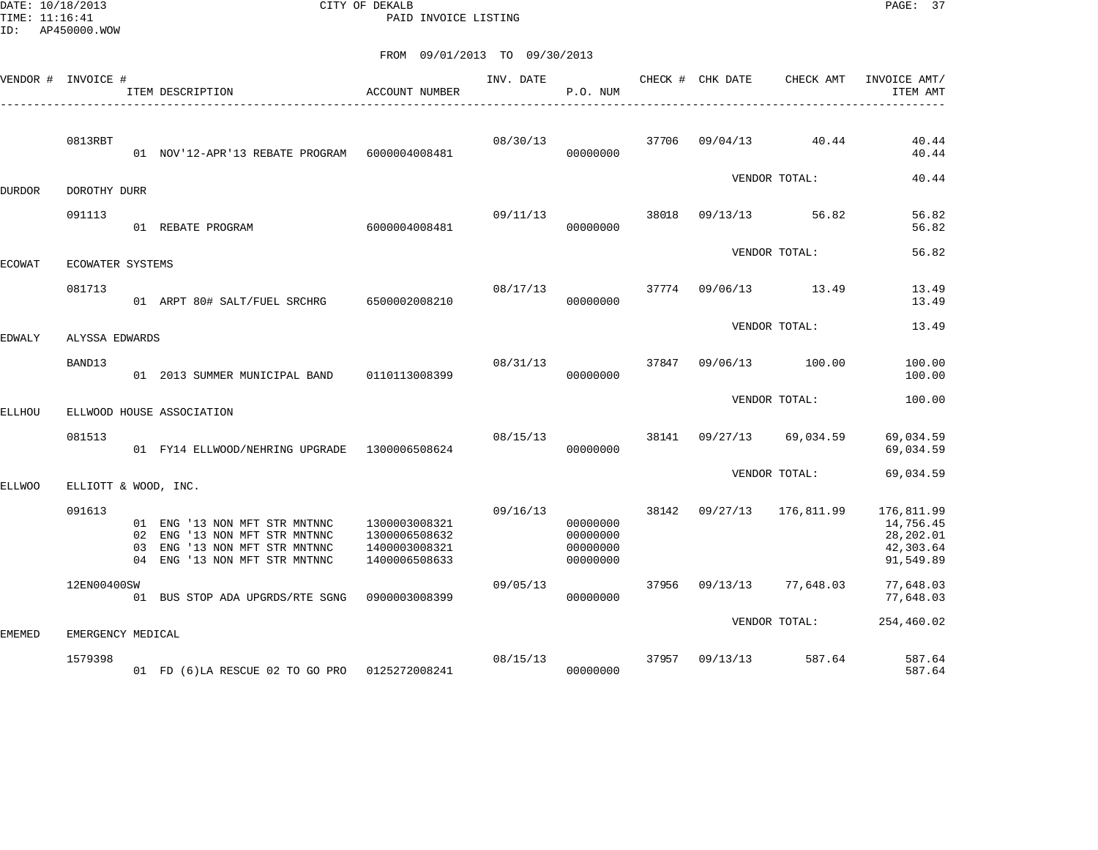DATE: 10/18/2013 CITY OF DEKALB PAGE: 37 PAID INVOICE LISTING

|        | VENDOR # INVOICE #   |    | ITEM DESCRIPTION                                                                                                              | <b>ACCOUNT NUMBER</b>                                            | INV. DATE | P.O. NUM                                     |       | CHECK # CHK DATE | CHECK AMT     | INVOICE AMT/<br>ITEM AMT                                       |
|--------|----------------------|----|-------------------------------------------------------------------------------------------------------------------------------|------------------------------------------------------------------|-----------|----------------------------------------------|-------|------------------|---------------|----------------------------------------------------------------|
|        | 0813RBT              |    | 01 NOV'12-APR'13 REBATE PROGRAM 6000004008481                                                                                 |                                                                  | 08/30/13  | 00000000                                     | 37706 | 09/04/13         | 40.44         | 40.44<br>40.44                                                 |
| DURDOR | DOROTHY DURR         |    |                                                                                                                               |                                                                  |           |                                              |       |                  | VENDOR TOTAL: | 40.44                                                          |
|        | 091113               |    | 01 REBATE PROGRAM                                                                                                             | 6000004008481                                                    | 09/11/13  | 00000000                                     | 38018 | 09/13/13         | 56.82         | 56.82<br>56.82                                                 |
| ECOWAT | ECOWATER SYSTEMS     |    |                                                                                                                               |                                                                  |           |                                              |       |                  | VENDOR TOTAL: | 56.82                                                          |
|        | 081713               |    | 01 ARPT 80# SALT/FUEL SRCHRG                                                                                                  | 6500002008210                                                    | 08/17/13  | 00000000                                     | 37774 | 09/06/13         | 13.49         | 13.49<br>13.49                                                 |
| EDWALY | ALYSSA EDWARDS       |    |                                                                                                                               |                                                                  |           |                                              |       |                  | VENDOR TOTAL: | 13.49                                                          |
|        | BAND13               |    | 01 2013 SUMMER MUNICIPAL BAND                                                                                                 | 0110113008399                                                    | 08/31/13  | 00000000                                     | 37847 | 09/06/13         | 100.00        | 100.00<br>100.00                                               |
| ELLHOU |                      |    | ELLWOOD HOUSE ASSOCIATION                                                                                                     |                                                                  |           |                                              |       |                  | VENDOR TOTAL: | 100.00                                                         |
|        | 081513               |    | 01 FY14 ELLWOOD/NEHRING UPGRADE 1300006508624                                                                                 |                                                                  | 08/15/13  | 00000000                                     | 38141 | 09/27/13         | 69,034.59     | 69,034.59<br>69,034.59                                         |
| ELLWOO | ELLIOTT & WOOD, INC. |    |                                                                                                                               |                                                                  |           |                                              |       |                  | VENDOR TOTAL: | 69,034.59                                                      |
|        | 091613               | 03 | 01 ENG '13 NON MFT STR MNTNNC<br>02 ENG '13 NON MFT STR MNTNNC<br>ENG '13 NON MFT STR MNTNNC<br>04 ENG '13 NON MFT STR MNTNNC | 1300003008321<br>1300006508632<br>1400003008321<br>1400006508633 | 09/16/13  | 00000000<br>00000000<br>00000000<br>00000000 | 38142 | 09/27/13         | 176,811.99    | 176,811.99<br>14,756.45<br>28,202.01<br>42,303.64<br>91,549.89 |
|        | 12EN00400SW          |    | 01 BUS STOP ADA UPGRDS/RTE SGNG                                                                                               | 0900003008399                                                    | 09/05/13  | 00000000                                     | 37956 | 09/13/13         | 77,648.03     | 77,648.03<br>77,648.03                                         |
| EMEMED | EMERGENCY MEDICAL    |    |                                                                                                                               |                                                                  |           |                                              |       |                  | VENDOR TOTAL: | 254,460.02                                                     |
|        | 1579398              |    | 01 FD (6)LA RESCUE 02 TO GO PRO 0125272008241                                                                                 |                                                                  | 08/15/13  | 00000000                                     | 37957 | 09/13/13         | 587.64        | 587.64<br>587.64                                               |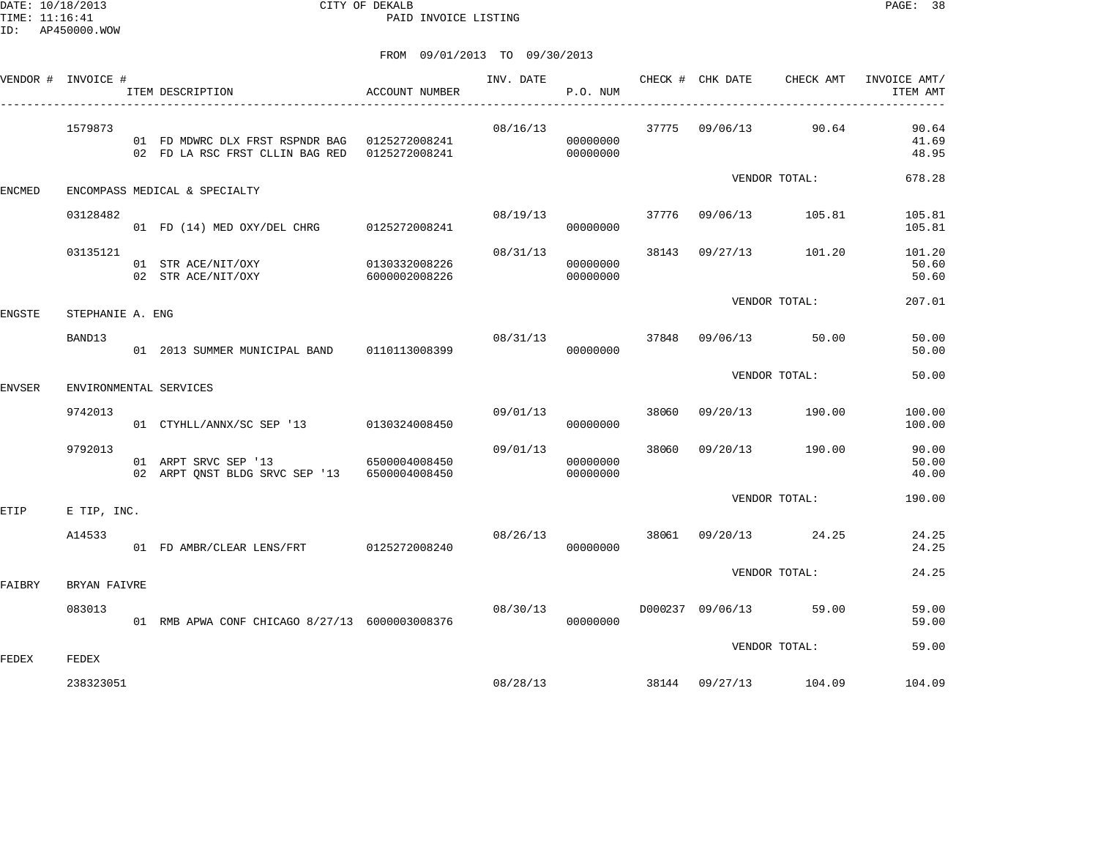DATE: 10/18/2013 CITY OF DEKALB PAGE: 38 PAID INVOICE LISTING

|               | VENDOR # INVOICE # | ITEM DESCRIPTION                                                                               | ACCOUNT NUMBER                 | INV. DATE | P.O. NUM                   |       | CHECK # CHK DATE | CHECK AMT              | INVOICE AMT/<br>ITEM AMT |
|---------------|--------------------|------------------------------------------------------------------------------------------------|--------------------------------|-----------|----------------------------|-------|------------------|------------------------|--------------------------|
|               | 1579873            | 01 FD MDWRC DLX FRST RSPNDR BAG 0125272008241<br>02 FD LA RSC FRST CLLIN BAG RED 0125272008241 |                                | 08/16/13  | 00000000<br>00000000       |       |                  | 37775 09/06/13 90.64   | 90.64<br>41.69<br>48.95  |
| ENCMED        |                    | ENCOMPASS MEDICAL & SPECIALTY                                                                  |                                |           |                            |       |                  | VENDOR TOTAL:          | 678.28                   |
|               | 03128482           | 01 FD (14) MED OXY/DEL CHRG 0125272008241                                                      |                                | 08/19/13  | 00000000                   | 37776 |                  | 09/06/13 105.81        | 105.81<br>105.81         |
|               | 03135121           | 01 STR ACE/NIT/OXY<br>02 STR ACE/NIT/OXY                                                       | 0130332008226<br>6000002008226 | 08/31/13  | 00000000<br>00000000       | 38143 | 09/27/13         | 101.20                 | 101.20<br>50.60<br>50.60 |
| ENGSTE        | STEPHANIE A. ENG   |                                                                                                |                                |           |                            |       |                  | VENDOR TOTAL:          | 207.01                   |
|               | BAND13             | 01  2013 SUMMER MUNICIPAL BAND   0110113008399                                                 |                                |           | 08/31/13 37848<br>00000000 |       |                  | 09/06/13 50.00         | 50.00<br>50.00           |
| <b>ENVSER</b> |                    | ENVIRONMENTAL SERVICES                                                                         |                                |           |                            |       |                  | VENDOR TOTAL:          | 50.00                    |
|               | 9742013            | 01 CTYHLL/ANNX/SC SEP '13 0130324008450                                                        |                                | 09/01/13  | 00000000                   | 38060 |                  | 09/20/13 190.00        | 100.00<br>100.00         |
|               | 9792013            | 01 ARPT SRVC SEP '13<br>02 ARPT QNST BLDG SRVC SEP '13 6500004008450                           | 6500004008450                  | 09/01/13  | 00000000<br>00000000       |       |                  | 38060 09/20/13 190.00  | 90.00<br>50.00<br>40.00  |
| ETIP          | E TIP, INC.        |                                                                                                |                                |           |                            |       |                  | VENDOR TOTAL:          | 190.00                   |
|               | A14533             | 01 FD AMBR/CLEAR LENS/FRT 0125272008240                                                        |                                |           | 08/26/13<br>00000000       |       |                  | 38061 09/20/13 24.25   | 24.25<br>24.25           |
| FAIBRY        | BRYAN FAIVRE       |                                                                                                |                                |           |                            |       |                  | VENDOR TOTAL:          | 24.25                    |
|               | 083013             | 01 RMB APWA CONF CHICAGO 8/27/13 6000003008376                                                 |                                | 08/30/13  | 00000000                   |       |                  | D000237 09/06/13 59.00 | 59.00<br>59.00           |
| FEDEX         | FEDEX              |                                                                                                |                                |           |                            |       |                  | VENDOR TOTAL:          | 59.00                    |
|               | 238323051          |                                                                                                |                                | 08/28/13  |                            |       |                  | 38144 09/27/13 104.09  | 104.09                   |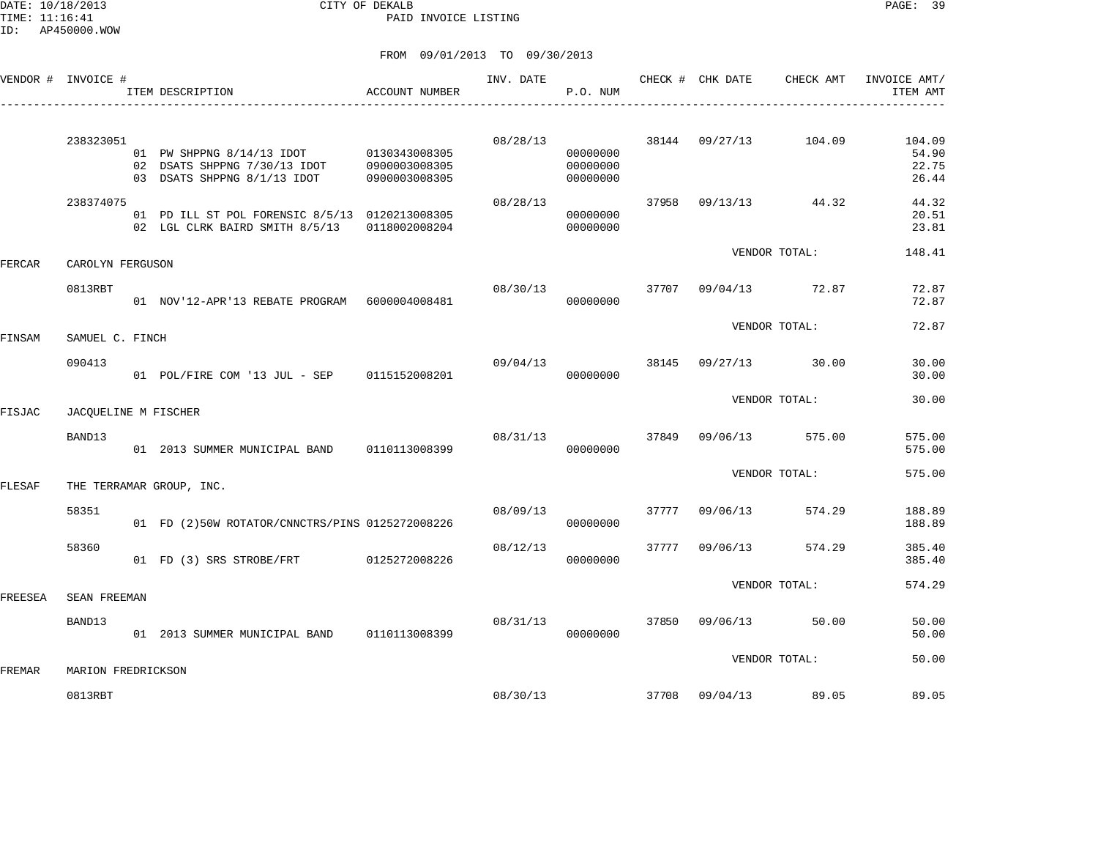DATE: 10/18/2013 CITY OF DEKALB PAGE: 39 PAID INVOICE LISTING

|         |                                                              |                                                                                                                                                                                                                                    | INV. DATE                                                                                                                                                                                                                                                                                                                                                                                                                  | P.O. NUM                         |       |          | CHECK AMT                                      | INVOICE AMT/<br>ITEM AMT                                                                                                                                       |
|---------|--------------------------------------------------------------|------------------------------------------------------------------------------------------------------------------------------------------------------------------------------------------------------------------------------------|----------------------------------------------------------------------------------------------------------------------------------------------------------------------------------------------------------------------------------------------------------------------------------------------------------------------------------------------------------------------------------------------------------------------------|----------------------------------|-------|----------|------------------------------------------------|----------------------------------------------------------------------------------------------------------------------------------------------------------------|
|         |                                                              |                                                                                                                                                                                                                                    |                                                                                                                                                                                                                                                                                                                                                                                                                            |                                  |       |          |                                                |                                                                                                                                                                |
|         |                                                              | 0900003008305                                                                                                                                                                                                                      | 08/28/13                                                                                                                                                                                                                                                                                                                                                                                                                   | 00000000<br>00000000<br>00000000 |       |          | 104.09                                         | 104.09<br>54.90<br>22.75<br>26.44                                                                                                                              |
|         |                                                              | 0118002008204                                                                                                                                                                                                                      | 08/28/13                                                                                                                                                                                                                                                                                                                                                                                                                   | 00000000<br>00000000             | 37958 |          |                                                | 44.32<br>20.51<br>23.81                                                                                                                                        |
|         |                                                              |                                                                                                                                                                                                                                    |                                                                                                                                                                                                                                                                                                                                                                                                                            |                                  |       |          |                                                | 148.41                                                                                                                                                         |
| 0813RBT |                                                              |                                                                                                                                                                                                                                    | 08/30/13                                                                                                                                                                                                                                                                                                                                                                                                                   | 00000000                         | 37707 | 09/04/13 | 72.87                                          | 72.87<br>72.87                                                                                                                                                 |
|         |                                                              |                                                                                                                                                                                                                                    |                                                                                                                                                                                                                                                                                                                                                                                                                            |                                  |       |          |                                                | 72.87                                                                                                                                                          |
| 090413  |                                                              |                                                                                                                                                                                                                                    | 09/04/13                                                                                                                                                                                                                                                                                                                                                                                                                   | 00000000                         | 38145 | 09/27/13 | 30.00                                          | 30.00<br>30.00                                                                                                                                                 |
|         |                                                              |                                                                                                                                                                                                                                    |                                                                                                                                                                                                                                                                                                                                                                                                                            |                                  |       |          |                                                | 30.00                                                                                                                                                          |
| BAND13  |                                                              |                                                                                                                                                                                                                                    | 08/31/13                                                                                                                                                                                                                                                                                                                                                                                                                   | 00000000                         | 37849 | 09/06/13 | 575.00                                         | 575.00<br>575.00                                                                                                                                               |
|         |                                                              |                                                                                                                                                                                                                                    |                                                                                                                                                                                                                                                                                                                                                                                                                            |                                  |       |          |                                                | 575.00                                                                                                                                                         |
| 58351   |                                                              |                                                                                                                                                                                                                                    | 08/09/13                                                                                                                                                                                                                                                                                                                                                                                                                   | 00000000                         | 37777 | 09/06/13 | 574.29                                         | 188.89<br>188.89                                                                                                                                               |
| 58360   |                                                              |                                                                                                                                                                                                                                    | 08/12/13                                                                                                                                                                                                                                                                                                                                                                                                                   | 00000000                         | 37777 | 09/06/13 | 574.29                                         | 385.40<br>385.40                                                                                                                                               |
|         |                                                              |                                                                                                                                                                                                                                    |                                                                                                                                                                                                                                                                                                                                                                                                                            |                                  |       |          |                                                | 574.29                                                                                                                                                         |
| BAND13  |                                                              |                                                                                                                                                                                                                                    | 08/31/13                                                                                                                                                                                                                                                                                                                                                                                                                   | 00000000                         | 37850 | 09/06/13 |                                                | 50.00<br>50.00                                                                                                                                                 |
|         |                                                              |                                                                                                                                                                                                                                    |                                                                                                                                                                                                                                                                                                                                                                                                                            |                                  |       |          |                                                | 50.00                                                                                                                                                          |
| 0813RBT |                                                              |                                                                                                                                                                                                                                    | 08/30/13                                                                                                                                                                                                                                                                                                                                                                                                                   |                                  | 37708 |          | 89.05                                          | 89.05                                                                                                                                                          |
|         | VENDOR # INVOICE #<br>238323051<br>238374075<br>SEAN FREEMAN | ITEM DESCRIPTION<br>02 DSATS SHPPNG 7/30/13 IDOT<br>03 DSATS SHPPNG 8/1/13 IDOT<br>02 LGL CLRK BAIRD SMITH 8/5/13<br>CAROLYN FERGUSON<br>SAMUEL C. FINCH<br>JACQUELINE M FISCHER<br>THE TERRAMAR GROUP, INC.<br>MARION FREDRICKSON | ACCOUNT NUMBER<br>01 PW SHPPNG 8/14/13 IDOT 0130343008305<br>0900003008305<br>01 PD ILL ST POL FORENSIC 8/5/13 0120213008305<br>01 NOV'12-APR'13 REBATE PROGRAM 6000004008481<br>01 POL/FIRE COM '13 JUL - SEP 0115152008201<br>01 2013 SUMMER MUNICIPAL BAND 0110113008399<br>01 FD (2)50W ROTATOR/CNNCTRS/PINS 0125272008226<br>01 FD (3) SRS STROBE/FRT 0125272008226<br>01  2013 SUMMER MUNICIPAL BAND   0110113008399 |                                  |       |          | CHECK # CHK DATE<br>38144 09/27/13<br>09/04/13 | -----------------------------<br>09/13/13 44.32<br>VENDOR TOTAL:<br>VENDOR TOTAL:<br>VENDOR TOTAL:<br>VENDOR TOTAL:<br>VENDOR TOTAL:<br>50.00<br>VENDOR TOTAL: |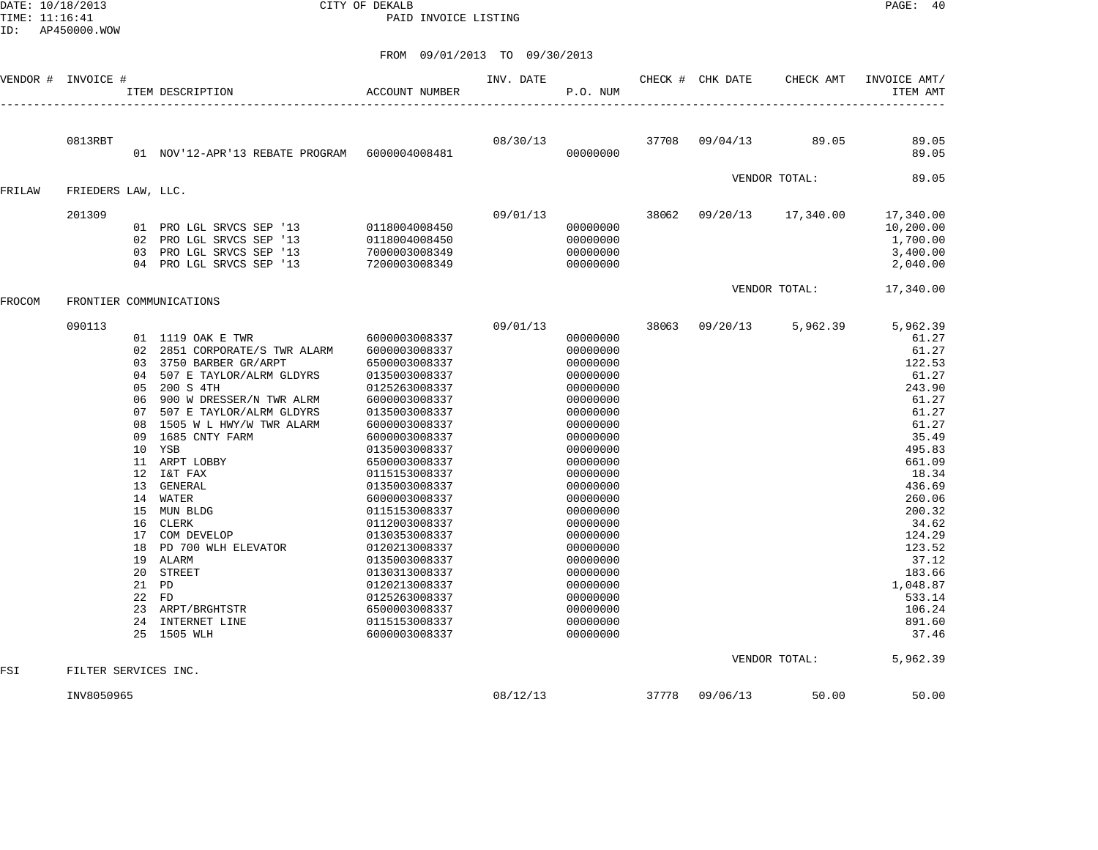DATE: 10/18/2013 CITY OF DEKALB PAGE: 40 PAID INVOICE LISTING

| VENDOR # | INVOICE #            |                                                                                                                                  | ITEM DESCRIPTION                                                                                                                                                                                                                                                                                                                                                                                                                             | <b>ACCOUNT NUMBER</b>                                                                                                                                                                                                                                                                                                                                                                                                                 | INV. DATE | P.O. NUM                                                                                                                                                                                                                                                                                                 |       | CHECK # CHK DATE | CHECK AMT     | INVOICE AMT/<br>ITEM AMT                                                                                                                                                                                                                                  |
|----------|----------------------|----------------------------------------------------------------------------------------------------------------------------------|----------------------------------------------------------------------------------------------------------------------------------------------------------------------------------------------------------------------------------------------------------------------------------------------------------------------------------------------------------------------------------------------------------------------------------------------|---------------------------------------------------------------------------------------------------------------------------------------------------------------------------------------------------------------------------------------------------------------------------------------------------------------------------------------------------------------------------------------------------------------------------------------|-----------|----------------------------------------------------------------------------------------------------------------------------------------------------------------------------------------------------------------------------------------------------------------------------------------------------------|-------|------------------|---------------|-----------------------------------------------------------------------------------------------------------------------------------------------------------------------------------------------------------------------------------------------------------|
|          |                      |                                                                                                                                  |                                                                                                                                                                                                                                                                                                                                                                                                                                              |                                                                                                                                                                                                                                                                                                                                                                                                                                       |           |                                                                                                                                                                                                                                                                                                          |       |                  |               |                                                                                                                                                                                                                                                           |
|          | 0813RBT              |                                                                                                                                  | 01 NOV'12-APR'13 REBATE PROGRAM 6000004008481                                                                                                                                                                                                                                                                                                                                                                                                |                                                                                                                                                                                                                                                                                                                                                                                                                                       | 08/30/13  | 00000000                                                                                                                                                                                                                                                                                                 | 37708 | 09/04/13         | 89.05         | 89.05<br>89.05                                                                                                                                                                                                                                            |
|          |                      |                                                                                                                                  |                                                                                                                                                                                                                                                                                                                                                                                                                                              |                                                                                                                                                                                                                                                                                                                                                                                                                                       |           |                                                                                                                                                                                                                                                                                                          |       |                  | VENDOR TOTAL: | 89.05                                                                                                                                                                                                                                                     |
| FRILAW   | FRIEDERS LAW, LLC.   |                                                                                                                                  |                                                                                                                                                                                                                                                                                                                                                                                                                                              |                                                                                                                                                                                                                                                                                                                                                                                                                                       |           |                                                                                                                                                                                                                                                                                                          |       |                  |               |                                                                                                                                                                                                                                                           |
|          | 201309               | 02<br>0.3<br>04                                                                                                                  | 01 PRO LGL SRVCS SEP '13<br>PRO LGL SRVCS SEP '13<br>PRO LGL SRVCS SEP '13<br>PRO LGL SRVCS SEP '13                                                                                                                                                                                                                                                                                                                                          | 0118004008450<br>0118004008450<br>7000003008349<br>7200003008349                                                                                                                                                                                                                                                                                                                                                                      | 09/01/13  | 00000000<br>00000000<br>00000000<br>00000000                                                                                                                                                                                                                                                             | 38062 | 09/20/13         | 17,340.00     | 17,340.00<br>10,200.00<br>1,700.00<br>3,400.00<br>2,040.00                                                                                                                                                                                                |
|          |                      |                                                                                                                                  |                                                                                                                                                                                                                                                                                                                                                                                                                                              |                                                                                                                                                                                                                                                                                                                                                                                                                                       |           |                                                                                                                                                                                                                                                                                                          |       |                  | VENDOR TOTAL: | 17,340.00                                                                                                                                                                                                                                                 |
| FROCOM   |                      |                                                                                                                                  | FRONTIER COMMUNICATIONS                                                                                                                                                                                                                                                                                                                                                                                                                      |                                                                                                                                                                                                                                                                                                                                                                                                                                       |           |                                                                                                                                                                                                                                                                                                          |       |                  |               |                                                                                                                                                                                                                                                           |
|          | 090113               | 02<br>03<br>04<br>05<br>06<br>07<br>08<br>09<br>11<br>12<br>13<br>14<br>15<br>16<br>17<br>18<br>19<br>20<br>22<br>23<br>24<br>25 | 01 1119 OAK E TWR<br>2851 CORPORATE/S TWR ALARM<br>3750 BARBER GR/ARPT<br>507 E TAYLOR/ALRM GLDYRS<br>200 S 4TH<br>900 W DRESSER/N TWR ALRM<br>507 E TAYLOR/ALRM GLDYRS<br>1505 W L HWY/W TWR ALARM<br>1685 CNTY FARM<br>10 YSB<br>ARPT LOBBY<br>I&T FAX<br>GENERAL<br>WATER<br>MUN BLDG<br><b>CLERK</b><br>COM DEVELOP<br>PD 700 WLH ELEVATOR<br><b>ALARM</b><br><b>STREET</b><br>21 PD<br>FD<br>ARPT/BRGHTSTR<br>INTERNET LINE<br>1505 WLH | 6000003008337<br>6000003008337<br>6500003008337<br>0135003008337<br>0125263008337<br>6000003008337<br>0135003008337<br>6000003008337<br>6000003008337<br>0135003008337<br>6500003008337<br>0115153008337<br>0135003008337<br>6000003008337<br>0115153008337<br>0112003008337<br>0130353008337<br>0120213008337<br>0135003008337<br>0130313008337<br>0120213008337<br>0125263008337<br>6500003008337<br>0115153008337<br>6000003008337 | 09/01/13  | 00000000<br>00000000<br>00000000<br>00000000<br>00000000<br>00000000<br>00000000<br>00000000<br>00000000<br>00000000<br>00000000<br>00000000<br>00000000<br>00000000<br>00000000<br>00000000<br>00000000<br>00000000<br>00000000<br>00000000<br>00000000<br>00000000<br>00000000<br>00000000<br>00000000 | 38063 | 09/20/13         | 5,962.39      | 5,962.39<br>61.27<br>61.27<br>122.53<br>61.27<br>243.90<br>61.27<br>61.27<br>61.27<br>35.49<br>495.83<br>661.09<br>18.34<br>436.69<br>260.06<br>200.32<br>34.62<br>124.29<br>123.52<br>37.12<br>183.66<br>1,048.87<br>533.14<br>106.24<br>891.60<br>37.46 |
| FSI      | FILTER SERVICES INC. |                                                                                                                                  |                                                                                                                                                                                                                                                                                                                                                                                                                                              |                                                                                                                                                                                                                                                                                                                                                                                                                                       |           |                                                                                                                                                                                                                                                                                                          |       |                  | VENDOR TOTAL: | 5,962.39                                                                                                                                                                                                                                                  |
|          | INV8050965           |                                                                                                                                  |                                                                                                                                                                                                                                                                                                                                                                                                                                              |                                                                                                                                                                                                                                                                                                                                                                                                                                       | 08/12/13  |                                                                                                                                                                                                                                                                                                          | 37778 | 09/06/13         | 50.00         | 50.00                                                                                                                                                                                                                                                     |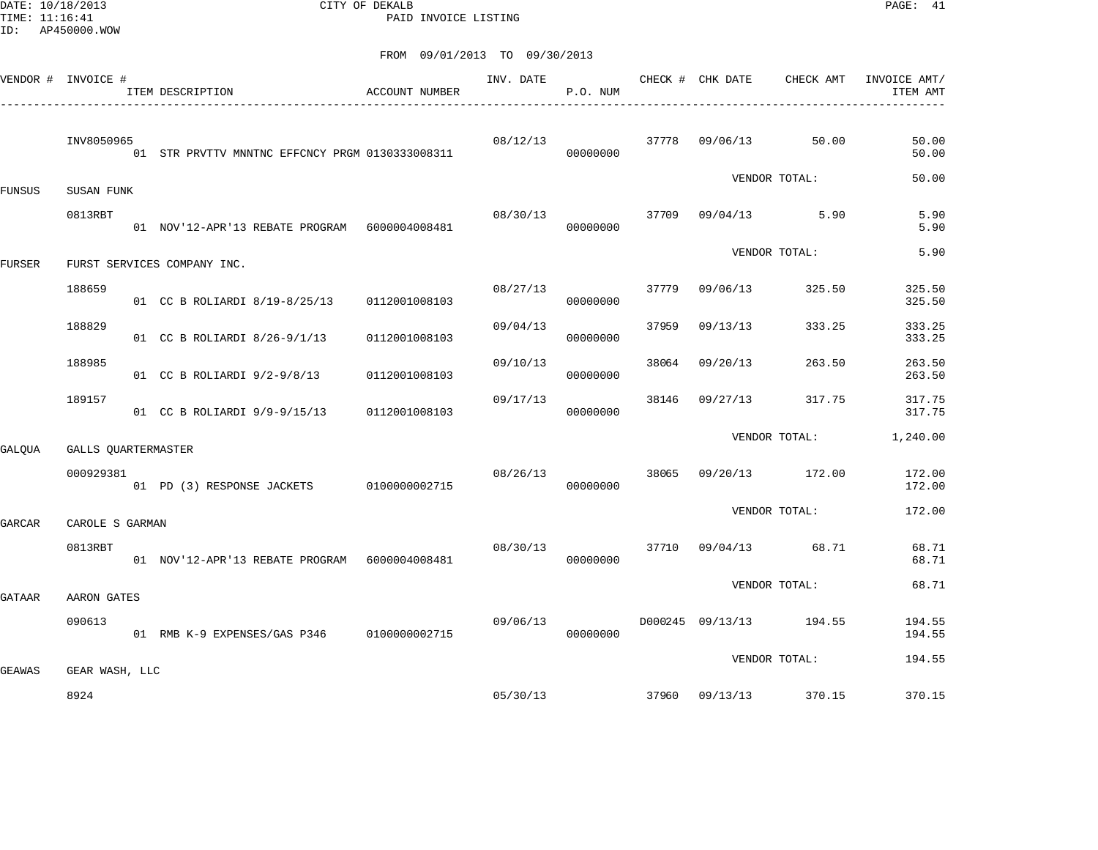DATE: 10/18/2013 CITY OF DEKALB PAGE: 41 PAID INVOICE LISTING

| VENDOR # INVOICE # |                     | ITEM DESCRIPTION<br>------------------------------ | ACCOUNT NUMBER | INV. DATE | P.O. NUM |       | CHECK # CHK DATE | CHECK AMT               | INVOICE AMT/<br>ITEM AMT |
|--------------------|---------------------|----------------------------------------------------|----------------|-----------|----------|-------|------------------|-------------------------|--------------------------|
|                    | INV8050965          | 01 STR PRVTTV MNNTNC EFFCNCY PRGM 0130333008311    |                | 08/12/13  | 00000000 |       | 37778 09/06/13   | 50.00                   | 50.00<br>50.00           |
| FUNSUS             | SUSAN FUNK          |                                                    |                |           |          |       |                  | VENDOR TOTAL:           | 50.00                    |
|                    | 0813RBT             | 01 NOV'12-APR'13 REBATE PROGRAM 6000004008481      |                | 08/30/13  | 00000000 |       |                  | 37709 09/04/13 5.90     | 5.90<br>5.90             |
| <b>FURSER</b>      |                     | FURST SERVICES COMPANY INC.                        |                |           |          |       |                  | VENDOR TOTAL:           | 5.90                     |
|                    | 188659              | 01 CC B ROLIARDI 8/19-8/25/13                      | 0112001008103  | 08/27/13  | 00000000 | 37779 | 09/06/13         | 325.50                  | 325.50<br>325.50         |
|                    | 188829              | 01 CC B ROLIARDI 8/26-9/1/13                       | 0112001008103  | 09/04/13  | 00000000 | 37959 | 09/13/13         | 333.25                  | 333.25<br>333.25         |
|                    | 188985              | 01 CC B ROLIARDI 9/2-9/8/13                        | 0112001008103  | 09/10/13  | 00000000 | 38064 | 09/20/13         | 263.50                  | 263.50<br>263.50         |
|                    | 189157              | 01 CC B ROLIARDI 9/9-9/15/13                       | 0112001008103  | 09/17/13  | 00000000 |       | 38146 09/27/13   | 317.75                  | 317.75<br>317.75         |
| GALOUA             | GALLS OUARTERMASTER |                                                    |                |           |          |       |                  | VENDOR TOTAL:           | 1,240.00                 |
|                    | 000929381           | 01 PD (3) RESPONSE JACKETS 0100000002715           |                | 08/26/13  | 00000000 | 38065 |                  | 09/20/13 172.00         | 172.00<br>172.00         |
| GARCAR             | CAROLE S GARMAN     |                                                    |                |           |          |       |                  | VENDOR TOTAL:           | 172.00                   |
|                    | 0813RBT             | 01 NOV'12-APR'13 REBATE PROGRAM 6000004008481      |                | 08/30/13  | 00000000 |       |                  | 37710 09/04/13 68.71    | 68.71<br>68.71           |
| GATAAR             | AARON GATES         |                                                    |                |           |          |       |                  | VENDOR TOTAL:           | 68.71                    |
|                    | 090613              | 01 RMB K-9 EXPENSES/GAS P346 0100000002715         |                | 09/06/13  | 00000000 |       |                  | D000245 09/13/13 194.55 | 194.55<br>194.55         |
| <b>GEAWAS</b>      | GEAR WASH, LLC      |                                                    |                |           |          |       |                  | VENDOR TOTAL:           | 194.55                   |
|                    | 8924                |                                                    |                | 05/30/13  |          |       | 37960 09/13/13   | 370.15                  | 370.15                   |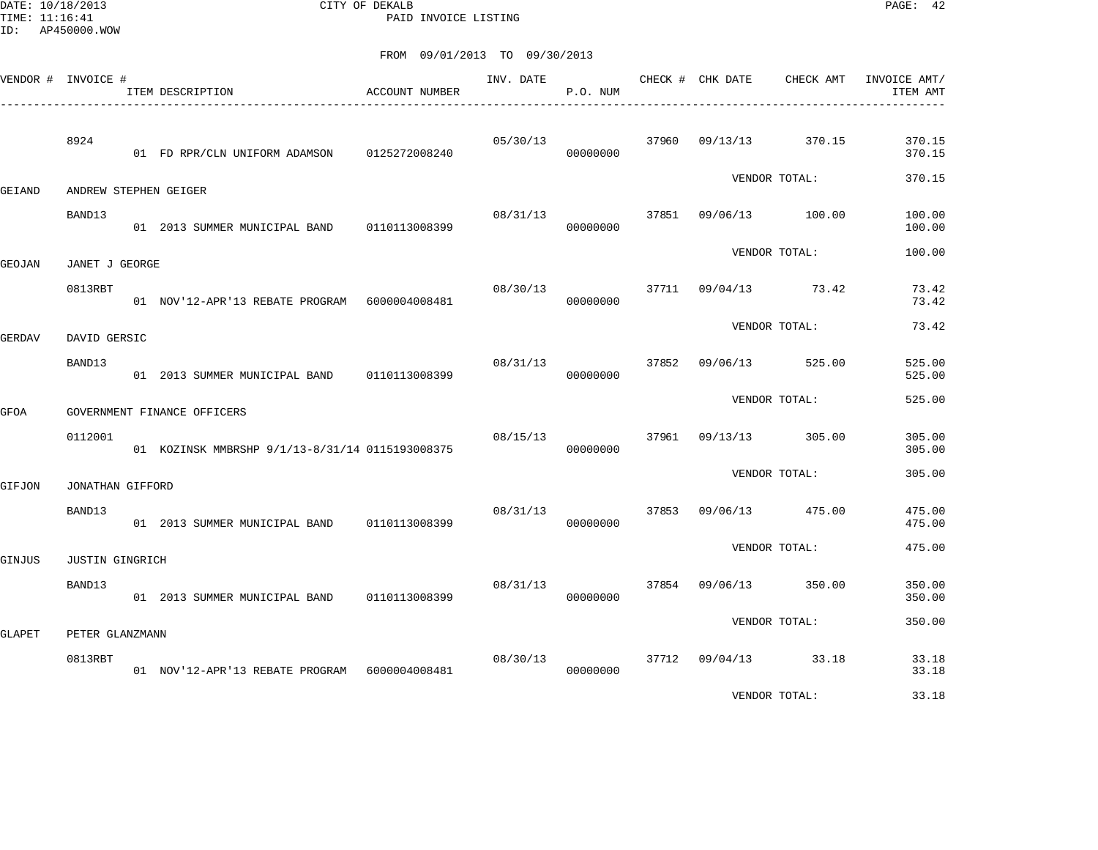DATE: 10/18/2013 CITY OF DEKALB PAGE: 42 PAID INVOICE LISTING

| --------- | VENDOR # INVOICE #     | ITEM DESCRIPTION                                | <b>ACCOUNT NUMBER</b> | INV. DATE | P.O. NUM |       | CHECK # CHK DATE | CHECK AMT      | INVOICE AMT/<br>ITEM AMT |
|-----------|------------------------|-------------------------------------------------|-----------------------|-----------|----------|-------|------------------|----------------|--------------------------|
|           | 8924                   | 01 FD RPR/CLN UNIFORM ADAMSON 0125272008240     |                       | 05/30/13  | 00000000 | 37960 | 09/13/13         | 370.15         | 370.15<br>370.15         |
| GEIAND    |                        | ANDREW STEPHEN GEIGER                           |                       |           |          |       |                  | VENDOR TOTAL:  | 370.15                   |
|           | BAND13                 | 01 2013 SUMMER MUNICIPAL BAND 0110113008399     |                       | 08/31/13  | 00000000 | 37851 | 09/06/13         | 100.00         | 100.00<br>100.00         |
| GEOJAN    | JANET J GEORGE         |                                                 |                       |           |          |       |                  | VENDOR TOTAL:  | 100.00                   |
|           | 0813RBT                | 01 NOV'12-APR'13 REBATE PROGRAM 6000004008481   |                       | 08/30/13  | 00000000 | 37711 | 09/04/13         | 73.42          | 73.42<br>73.42           |
| GERDAV    | DAVID GERSIC           |                                                 |                       |           |          |       |                  | VENDOR TOTAL:  | 73.42                    |
|           | BAND13                 | 01 2013 SUMMER MUNICIPAL BAND                   | 0110113008399         | 08/31/13  | 00000000 | 37852 | 09/06/13         | 525.00         | 525.00<br>525.00         |
| GFOA      |                        | GOVERNMENT FINANCE OFFICERS                     |                       |           |          |       |                  | VENDOR TOTAL:  | 525.00                   |
|           | 0112001                | 01 KOZINSK MMBRSHP 9/1/13-8/31/14 0115193008375 |                       | 08/15/13  | 00000000 | 37961 | 09/13/13         | 305.00         | 305.00<br>305.00         |
| GIFJON    | JONATHAN GIFFORD       |                                                 |                       |           |          |       |                  | VENDOR TOTAL:  | 305.00                   |
|           | BAND13                 | 01 2013 SUMMER MUNICIPAL BAND 0110113008399     |                       | 08/31/13  | 00000000 | 37853 | 09/06/13         | 475.00         | 475.00<br>475.00         |
| GINJUS    | <b>JUSTIN GINGRICH</b> |                                                 |                       |           |          |       |                  | VENDOR TOTAL:  | 475.00                   |
|           | BAND13                 | 01 2013 SUMMER MUNICIPAL BAND 0110113008399     |                       | 08/31/13  | 00000000 | 37854 | 09/06/13         | 350.00         | 350.00<br>350.00         |
| GLAPET    | PETER GLANZMANN        |                                                 |                       |           |          |       |                  | VENDOR TOTAL:  | 350.00                   |
|           | 0813RBT                | 01 NOV'12-APR'13 REBATE PROGRAM 6000004008481   |                       | 08/30/13  | 00000000 | 37712 |                  | 09/04/13 33.18 | 33.18<br>33.18           |
|           |                        |                                                 |                       |           |          |       |                  | VENDOR TOTAL:  | 33.18                    |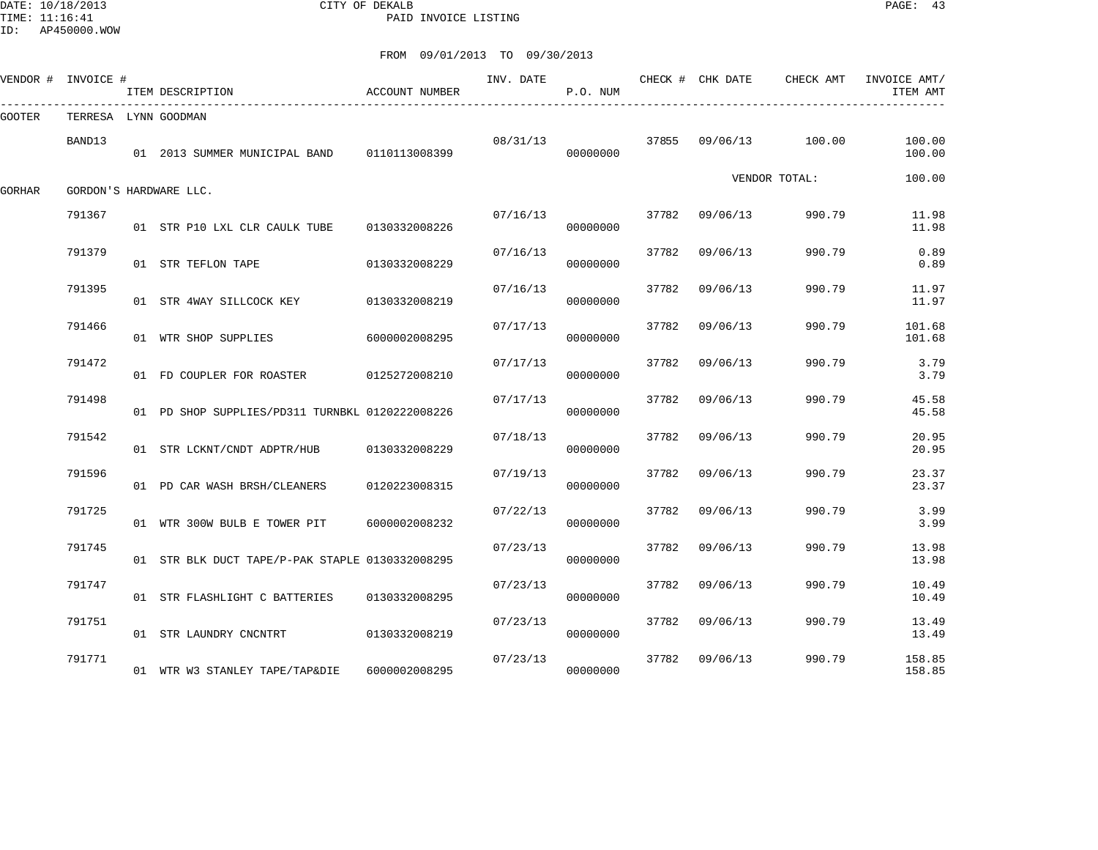DATE: 10/18/2013 CITY OF DEKALB PAGE: 43 PAID INVOICE LISTING

|        | VENDOR # INVOICE #   | ITEM DESCRIPTION                                | ACCOUNT NUMBER | INV. DATE | P.O. NUM |       | CHECK # CHK DATE | CHECK AMT     | INVOICE AMT/<br>ITEM AMT |
|--------|----------------------|-------------------------------------------------|----------------|-----------|----------|-------|------------------|---------------|--------------------------|
| GOOTER | TERRESA LYNN GOODMAN |                                                 |                |           |          |       |                  |               |                          |
|        | BAND13               | 01  2013  SUMMER MUNICIPAL BAND   0110113008399 |                | 08/31/13  | 00000000 | 37855 | 09/06/13 100.00  |               | 100.00<br>100.00         |
| GORHAR |                      | GORDON'S HARDWARE LLC.                          |                |           |          |       |                  | VENDOR TOTAL: | 100.00                   |
|        | 791367               | 01 STR P10 LXL CLR CAULK TUBE 0130332008226     |                | 07/16/13  | 00000000 | 37782 | 09/06/13         | 990.79        | 11.98<br>11.98           |
|        | 791379               | 01 STR TEFLON TAPE                              | 0130332008229  | 07/16/13  | 00000000 | 37782 | 09/06/13         | 990.79        | 0.89<br>0.89             |
|        | 791395               | 01 STR 4WAY SILLCOCK KEY                        | 0130332008219  | 07/16/13  | 00000000 | 37782 | 09/06/13         | 990.79        | 11.97<br>11.97           |
|        | 791466               | 01 WTR SHOP SUPPLIES                            | 6000002008295  | 07/17/13  | 00000000 | 37782 | 09/06/13         | 990.79        | 101.68<br>101.68         |
|        | 791472               | 01 FD COUPLER FOR ROASTER 0125272008210         |                | 07/17/13  | 00000000 | 37782 | 09/06/13         | 990.79        | 3.79<br>3.79             |
|        | 791498               | 01 PD SHOP SUPPLIES/PD311 TURNBKL 0120222008226 |                | 07/17/13  | 00000000 | 37782 | 09/06/13         | 990.79        | 45.58<br>45.58           |
|        | 791542               | 01 STR LCKNT/CNDT ADPTR/HUB                     | 0130332008229  | 07/18/13  | 00000000 | 37782 | 09/06/13         | 990.79        | 20.95<br>20.95           |
|        | 791596               | 01 PD CAR WASH BRSH/CLEANERS                    | 0120223008315  | 07/19/13  | 00000000 | 37782 | 09/06/13         | 990.79        | 23.37<br>23.37           |
|        | 791725               | 01 WTR 300W BULB E TOWER PIT                    | 6000002008232  | 07/22/13  | 00000000 | 37782 | 09/06/13         | 990.79        | 3.99<br>3.99             |
|        | 791745               | 01 STR BLK DUCT TAPE/P-PAK STAPLE 0130332008295 |                | 07/23/13  | 00000000 | 37782 | 09/06/13         | 990.79        | 13.98<br>13.98           |
|        | 791747               | 01 STR FLASHLIGHT C BATTERIES                   | 0130332008295  | 07/23/13  | 00000000 | 37782 | 09/06/13         | 990.79        | 10.49<br>10.49           |
|        | 791751               | 01 STR LAUNDRY CNCNTRT                          | 0130332008219  | 07/23/13  | 00000000 | 37782 | 09/06/13         | 990.79        | 13.49<br>13.49           |
|        | 791771               | 01 WTR W3 STANLEY TAPE/TAP&DIE                  | 6000002008295  | 07/23/13  | 00000000 | 37782 | 09/06/13         | 990.79        | 158.85<br>158.85         |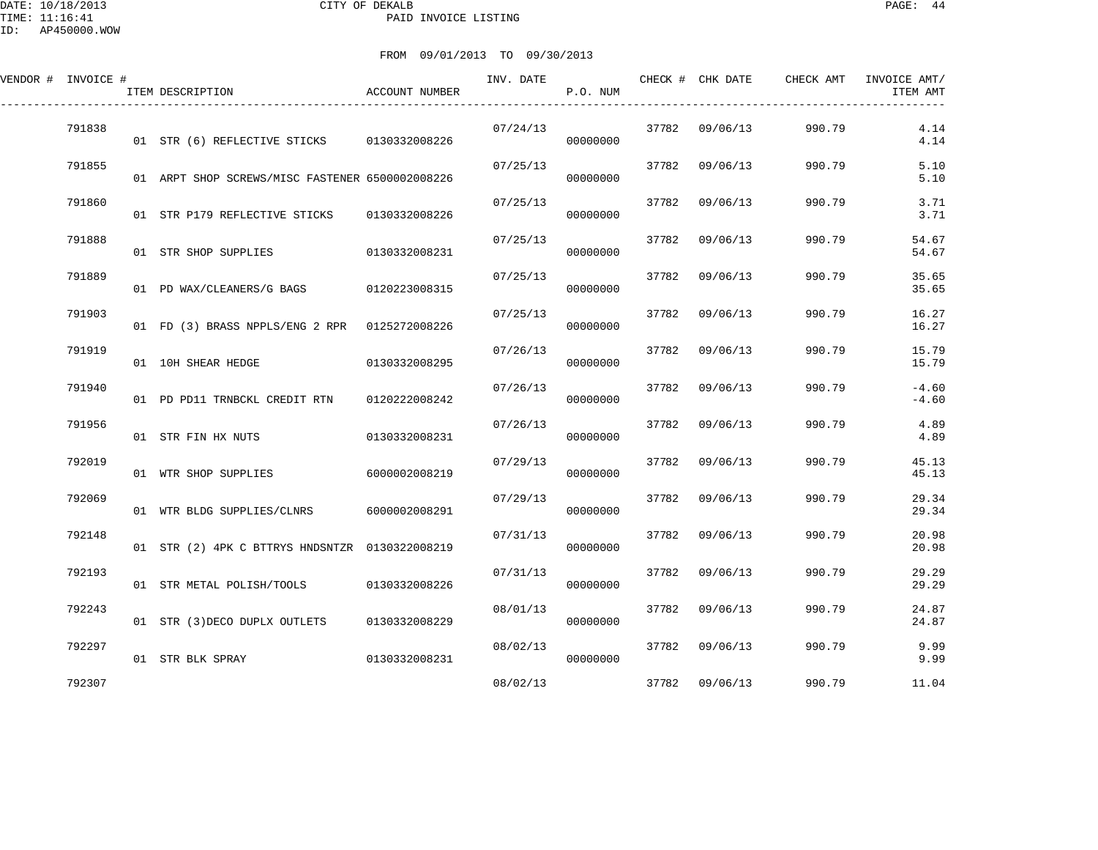DATE: 10/18/2013 CITY OF DEKALB PAGE: 44 PAID INVOICE LISTING

ID: AP450000.WOW

| VENDOR # INVOICE # | ITEM DESCRIPTION                                | ACCOUNT NUMBER | INV. DATE | P.O. NUM |       | CHECK # CHK DATE | CHECK AMT | INVOICE AMT/<br>ITEM AMT |
|--------------------|-------------------------------------------------|----------------|-----------|----------|-------|------------------|-----------|--------------------------|
| 791838             | 01 STR (6) REFLECTIVE STICKS 0130332008226      |                | 07/24/13  | 00000000 | 37782 | 09/06/13         | 990.79    | 4.14<br>4.14             |
| 791855             | 01 ARPT SHOP SCREWS/MISC FASTENER 6500002008226 |                | 07/25/13  | 00000000 | 37782 | 09/06/13         | 990.79    | 5.10<br>5.10             |
| 791860             | 01 STR P179 REFLECTIVE STICKS                   | 0130332008226  | 07/25/13  | 00000000 | 37782 | 09/06/13         | 990.79    | 3.71<br>3.71             |
| 791888             | 01 STR SHOP SUPPLIES                            | 0130332008231  | 07/25/13  | 00000000 | 37782 | 09/06/13         | 990.79    | 54.67<br>54.67           |
| 791889             | 01 PD WAX/CLEANERS/G BAGS                       | 0120223008315  | 07/25/13  | 00000000 | 37782 | 09/06/13         | 990.79    | 35.65<br>35.65           |
| 791903             | 01 FD (3) BRASS NPPLS/ENG 2 RPR 0125272008226   |                | 07/25/13  | 00000000 | 37782 | 09/06/13         | 990.79    | 16.27<br>16.27           |
| 791919             | 01 10H SHEAR HEDGE                              | 0130332008295  | 07/26/13  | 00000000 | 37782 | 09/06/13         | 990.79    | 15.79<br>15.79           |
| 791940             | 01 PD PD11 TRNBCKL CREDIT RTN                   | 0120222008242  | 07/26/13  | 00000000 | 37782 | 09/06/13         | 990.79    | $-4.60$<br>$-4.60$       |
| 791956             | 01 STR FIN HX NUTS                              | 0130332008231  | 07/26/13  | 00000000 | 37782 | 09/06/13         | 990.79    | 4.89<br>4.89             |
| 792019             | 01 WTR SHOP SUPPLIES                            | 6000002008219  | 07/29/13  | 00000000 | 37782 | 09/06/13         | 990.79    | 45.13<br>45.13           |
| 792069             | 01 WTR BLDG SUPPLIES/CLNRS                      | 6000002008291  | 07/29/13  | 00000000 | 37782 | 09/06/13         | 990.79    | 29.34<br>29.34           |
| 792148             | 01 STR (2) 4PK C BTTRYS HNDSNTZR 0130322008219  |                | 07/31/13  | 00000000 | 37782 | 09/06/13         | 990.79    | 20.98<br>20.98           |
| 792193             | 01 STR METAL POLISH/TOOLS                       | 0130332008226  | 07/31/13  | 00000000 | 37782 | 09/06/13         | 990.79    | 29.29<br>29.29           |
| 792243             | 01 STR (3) DECO DUPLX OUTLETS                   | 0130332008229  | 08/01/13  | 00000000 | 37782 | 09/06/13         | 990.79    | 24.87<br>24.87           |
| 792297             | 01 STR BLK SPRAY                                | 0130332008231  | 08/02/13  | 00000000 | 37782 | 09/06/13         | 990.79    | 9.99<br>9.99             |
| 792307             |                                                 |                | 08/02/13  |          |       | 37782 09/06/13   | 990.79    | 11.04                    |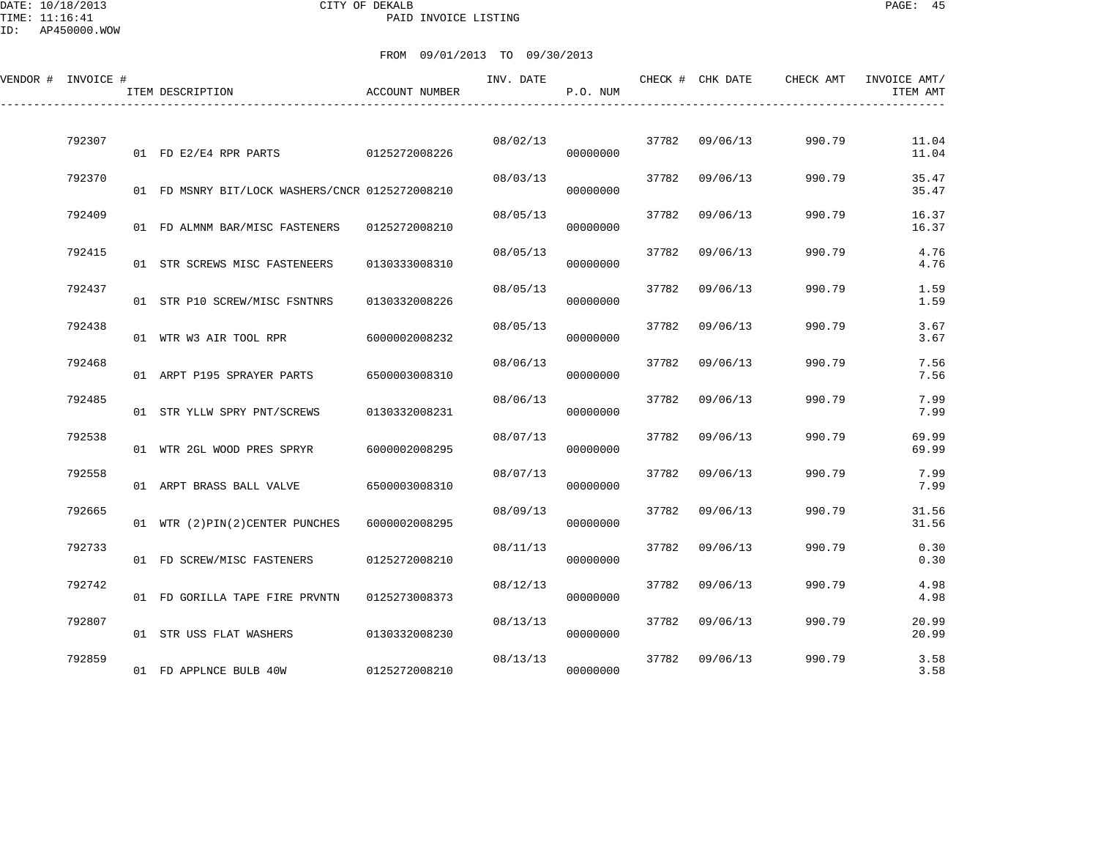#### DATE: 10/18/2013 CITY OF DEKALB PAGE: 45 PAID INVOICE LISTING

| VENDOR # INVOICE # |        | ITEM DESCRIPTION                                | ACCOUNT NUMBER | INV. DATE | P.O. NUM |       | CHECK # CHK DATE | CHECK AMT | INVOICE AMT/<br>ITEM AMT |
|--------------------|--------|-------------------------------------------------|----------------|-----------|----------|-------|------------------|-----------|--------------------------|
|                    | 792307 |                                                 |                | 08/02/13  |          | 37782 | 09/06/13         | 990.79    | 11.04                    |
|                    |        | 01 FD E2/E4 RPR PARTS                           | 0125272008226  |           | 00000000 |       |                  |           | 11.04                    |
|                    | 792370 | 01 FD MSNRY BIT/LOCK WASHERS/CNCR 0125272008210 |                | 08/03/13  | 00000000 | 37782 | 09/06/13         | 990.79    | 35.47<br>35.47           |
|                    | 792409 | 01 FD ALMNM BAR/MISC FASTENERS                  | 0125272008210  | 08/05/13  | 00000000 | 37782 | 09/06/13         | 990.79    | 16.37<br>16.37           |
|                    | 792415 | 01 STR SCREWS MISC FASTENEERS                   | 0130333008310  | 08/05/13  | 00000000 | 37782 | 09/06/13         | 990.79    | 4.76<br>4.76             |
|                    | 792437 | 01 STR P10 SCREW/MISC FSNTNRS                   | 0130332008226  | 08/05/13  | 00000000 | 37782 | 09/06/13         | 990.79    | 1.59<br>1.59             |
|                    | 792438 | 01 WTR W3 AIR TOOL RPR                          | 6000002008232  | 08/05/13  | 00000000 | 37782 | 09/06/13         | 990.79    | 3.67<br>3.67             |
|                    | 792468 | 01 ARPT P195 SPRAYER PARTS                      | 6500003008310  | 08/06/13  | 00000000 | 37782 | 09/06/13         | 990.79    | 7.56<br>7.56             |
|                    | 792485 | 01 STR YLLW SPRY PNT/SCREWS                     | 0130332008231  | 08/06/13  | 00000000 | 37782 | 09/06/13         | 990.79    | 7.99<br>7.99             |
|                    | 792538 | 01 WTR 2GL WOOD PRES SPRYR                      | 6000002008295  | 08/07/13  | 00000000 | 37782 | 09/06/13         | 990.79    | 69.99<br>69.99           |
|                    | 792558 |                                                 |                | 08/07/13  |          | 37782 | 09/06/13         | 990.79    | 7.99                     |
|                    |        | 01 ARPT BRASS BALL VALVE                        | 6500003008310  |           | 00000000 |       |                  |           | 7.99                     |
|                    | 792665 | 01 WTR (2) PIN(2) CENTER PUNCHES                | 6000002008295  | 08/09/13  | 00000000 | 37782 | 09/06/13         | 990.79    | 31.56<br>31.56           |
|                    | 792733 | 01 FD SCREW/MISC FASTENERS                      | 0125272008210  | 08/11/13  | 00000000 | 37782 | 09/06/13         | 990.79    | 0.30<br>0.30             |
|                    | 792742 | 01 FD GORILLA TAPE FIRE PRVNTN                  | 0125273008373  | 08/12/13  | 00000000 | 37782 | 09/06/13         | 990.79    | 4.98<br>4.98             |
|                    | 792807 | 01 STR USS FLAT WASHERS                         | 0130332008230  | 08/13/13  | 00000000 | 37782 | 09/06/13         | 990.79    | 20.99<br>20.99           |
|                    | 792859 | 01 FD APPLNCE BULB 40W                          | 0125272008210  | 08/13/13  | 00000000 | 37782 | 09/06/13         | 990.79    | 3.58<br>3.58             |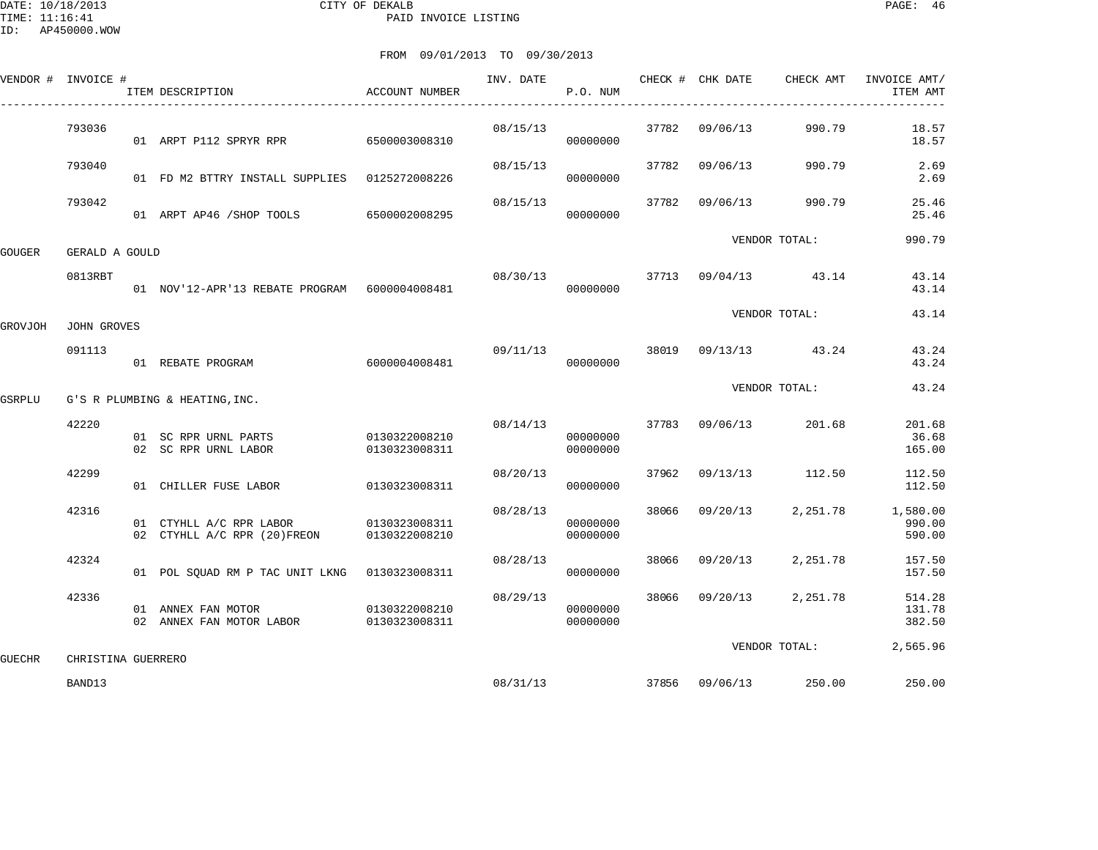DATE: 10/18/2013 CITY OF DEKALB PAGE: 46 PAID INVOICE LISTING

|               | VENDOR # INVOICE # | ITEM DESCRIPTION<br>_________________________          | ACCOUNT NUMBER                 | INV. DATE | P.O. NUM                         |       | CHECK # CHK DATE | CHECK AMT                         | INVOICE AMT/<br>ITEM AMT     |
|---------------|--------------------|--------------------------------------------------------|--------------------------------|-----------|----------------------------------|-------|------------------|-----------------------------------|------------------------------|
|               | 793036             | 01 ARPT P112 SPRYR RPR 6500003008310                   |                                | 08/15/13  | 00000000                         |       | 37782 09/06/13   | 990.79                            | 18.57<br>18.57               |
|               | 793040             | 01 FD M2 BTTRY INSTALL SUPPLIES 0125272008226          |                                | 08/15/13  | 00000000                         |       | 37782 09/06/13   | 990.79                            | 2.69<br>2.69                 |
|               | 793042             | 01 ARPT AP46 / SHOP TOOLS 6500002008295                |                                | 08/15/13  | 00000000                         |       | 37782 09/06/13   | 990.79                            | 25.46<br>25.46               |
| GOUGER        | GERALD A GOULD     |                                                        |                                |           |                                  |       |                  | VENDOR TOTAL:                     | 990.79                       |
|               | 0813RBT            | 01 NOV'12-APR'13 REBATE PROGRAM 6000004008481          |                                |           | 00000000                         |       |                  | $08/30/13$ 37713 $09/04/13$ 43.14 | 43.14<br>43.14               |
| GROVJOH       | JOHN GROVES        |                                                        |                                |           |                                  |       |                  | VENDOR TOTAL:                     | 43.14                        |
|               | 091113             | 01 REBATE PROGRAM                                      | 6000004008481                  | 09/11/13  | 00000000                         |       |                  | 38019 09/13/13 43.24              | 43.24<br>43.24               |
| GSRPLU        |                    | G'S R PLUMBING & HEATING, INC.                         |                                |           |                                  |       |                  | VENDOR TOTAL:                     | 43.24                        |
|               | 42220              | 01 SC RPR URNL PARTS<br>02 SC RPR URNL LABOR           | 0130322008210<br>0130323008311 |           | 08/14/13<br>00000000<br>00000000 |       | 37783 09/06/13   | 201.68                            | 201.68<br>36.68<br>165.00    |
|               | 42299              | 01 CHILLER FUSE LABOR                                  | 0130323008311                  | 08/20/13  | 00000000                         | 37962 |                  | 09/13/13 112.50                   | 112.50<br>112.50             |
|               | 42316              | 01 CTYHLL A/C RPR LABOR<br>02 CTYHLL A/C RPR (20)FREON | 0130323008311<br>0130322008210 | 08/28/13  | 00000000<br>00000000             | 38066 | 09/20/13         | 2,251.78                          | 1,580.00<br>990.00<br>590.00 |
|               | 42324              | 01 POL SQUAD RM P TAC UNIT LKNG 0130323008311          |                                | 08/28/13  | 00000000                         | 38066 | 09/20/13         | 2,251.78                          | 157.50<br>157.50             |
|               | 42336              | 01 ANNEX FAN MOTOR<br>02 ANNEX FAN MOTOR LABOR         | 0130322008210<br>0130323008311 | 08/29/13  | 00000000<br>00000000             |       | 38066 09/20/13   | 2,251.78                          | 514.28<br>131.78<br>382.50   |
| <b>GUECHR</b> | CHRISTINA GUERRERO |                                                        |                                |           |                                  |       |                  | VENDOR TOTAL:                     | 2,565.96                     |
|               | BAND13             |                                                        |                                | 08/31/13  |                                  |       | 37856 09/06/13   | 250.00                            | 250.00                       |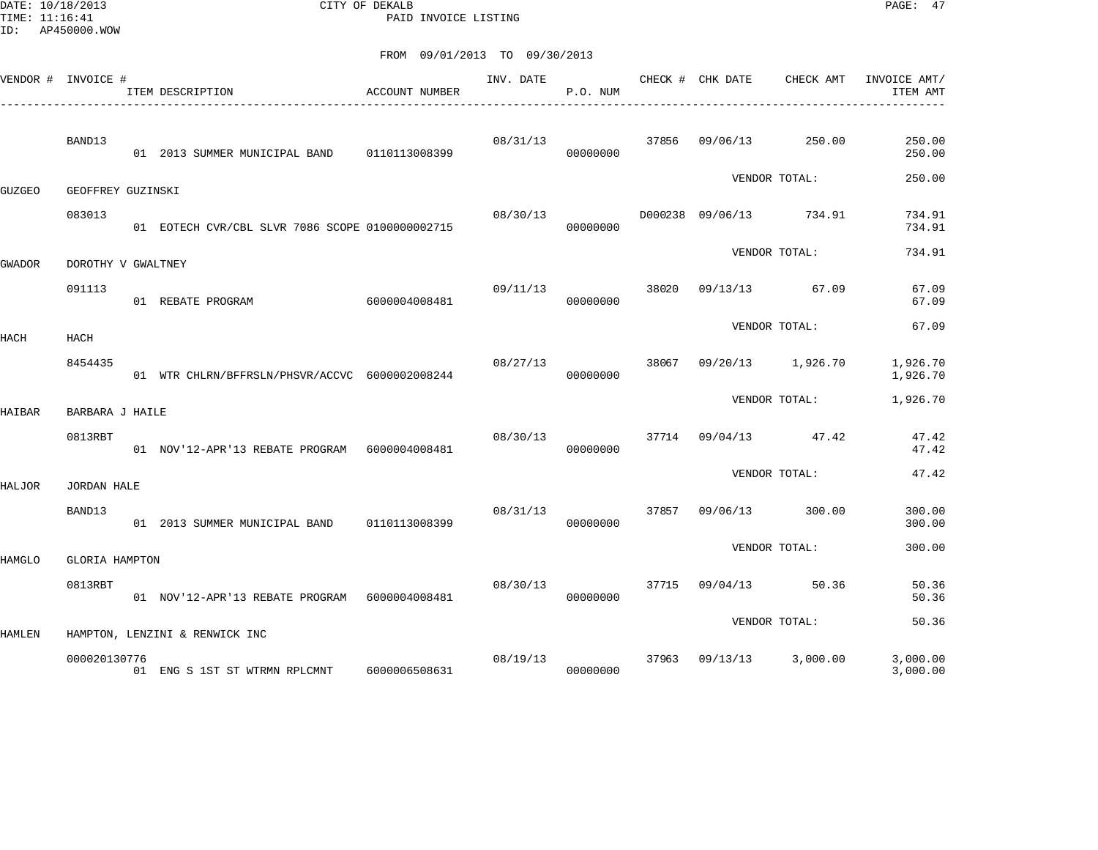DATE: 10/18/2013 CITY OF DEKALB PAGE: 47 PAID INVOICE LISTING

| VENDOR # INVOICE # |                    | ITEM DESCRIPTION                                 | ACCOUNT NUMBER | INV. DATE | P.O. NUM |       | CHECK # CHK DATE | CHECK AMT               | INVOICE AMT/<br>ITEM AMT |
|--------------------|--------------------|--------------------------------------------------|----------------|-----------|----------|-------|------------------|-------------------------|--------------------------|
|                    | BAND13             | 01  2013  SUMMER MUNICIPAL BAND   0110113008399  |                | 08/31/13  | 00000000 |       | 37856 09/06/13   | 250.00                  | 250.00<br>250.00         |
| GUZGEO             | GEOFFREY GUZINSKI  |                                                  |                |           |          |       |                  | VENDOR TOTAL:           | 250.00                   |
|                    | 083013             | 01 EOTECH CVR/CBL SLVR 7086 SCOPE 01000000002715 |                | 08/30/13  | 00000000 |       | D000238 09/06/13 | 734.91                  | 734.91<br>734.91         |
| GWADOR             | DOROTHY V GWALTNEY |                                                  |                |           |          |       |                  | VENDOR TOTAL:           | 734.91                   |
|                    | 091113             | 01 REBATE PROGRAM                                | 6000004008481  | 09/11/13  | 00000000 | 38020 | 09/13/13         | 67.09                   | 67.09<br>67.09           |
| HACH               | HACH               |                                                  |                |           |          |       |                  | VENDOR TOTAL:           | 67.09                    |
|                    | 8454435            | 01 WTR CHLRN/BFFRSLN/PHSVR/ACCVC 6000002008244   |                | 08/27/13  | 00000000 |       |                  | 38067 09/20/13 1,926.70 | 1,926.70<br>1,926.70     |
| HAIBAR             | BARBARA J HAILE    |                                                  |                |           |          |       |                  | VENDOR TOTAL:           | 1,926.70                 |
|                    | 0813RBT            | 01 NOV'12-APR'13 REBATE PROGRAM 6000004008481    |                | 08/30/13  | 00000000 |       |                  | 37714 09/04/13 47.42    | 47.42<br>47.42           |
| HALJOR             | <b>JORDAN HALE</b> |                                                  |                |           |          |       |                  | VENDOR TOTAL:           | 47.42                    |
|                    | BAND13             | 01  2013 SUMMER MUNICIPAL BAND   0110113008399   |                | 08/31/13  | 00000000 | 37857 | 09/06/13         | 300.00                  | 300.00<br>300.00         |
| HAMGLO             | GLORIA HAMPTON     |                                                  |                |           |          |       |                  | VENDOR TOTAL:           | 300.00                   |
|                    | 0813RBT            | 01 NOV'12-APR'13 REBATE PROGRAM 6000004008481    |                | 08/30/13  | 00000000 |       |                  | 37715 09/04/13 50.36    | 50.36<br>50.36           |
| HAMLEN             |                    | HAMPTON, LENZINI & RENWICK INC                   |                |           |          |       |                  | VENDOR TOTAL:           | 50.36                    |
|                    | 000020130776       | 01 ENG S 1ST ST WTRMN RPLCMNT                    | 6000006508631  | 08/19/13  | 00000000 |       |                  | 37963 09/13/13 3,000.00 | 3,000.00<br>3,000.00     |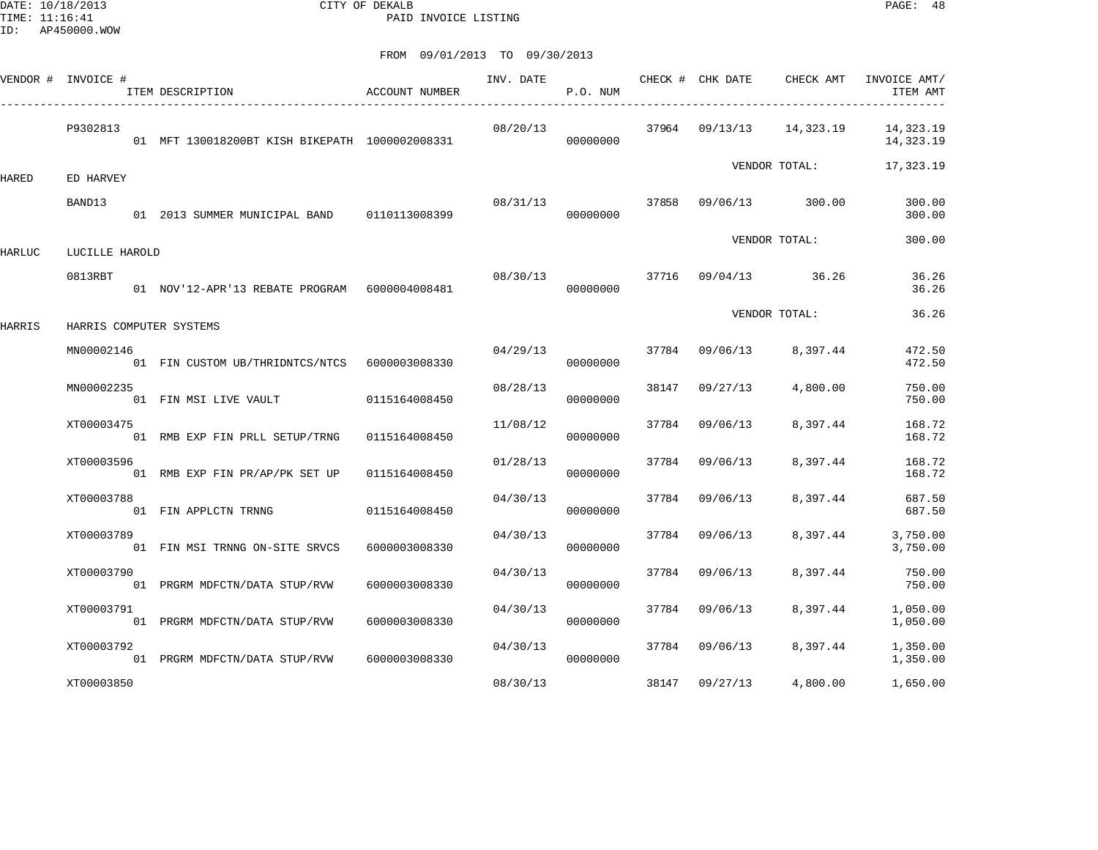DATE: 10/18/2013 CITY OF DEKALB PAGE: 48 PAID INVOICE LISTING

|        | VENDOR # INVOICE #        | ITEM DESCRIPTION                                | <b>ACCOUNT NUMBER</b> | INV. DATE | P.O. NUM |       | CHECK # CHK DATE     | CHECK AMT     | INVOICE AMT/<br>ITEM AMT |
|--------|---------------------------|-------------------------------------------------|-----------------------|-----------|----------|-------|----------------------|---------------|--------------------------|
|        | P9302813                  | 01 MFT 130018200BT KISH BIKEPATH 1000002008331  |                       | 08/20/13  | 00000000 |       | 37964 09/13/13       | 14,323.19     | 14,323.19<br>14,323.19   |
| HARED  | ED HARVEY                 |                                                 |                       |           |          |       |                      | VENDOR TOTAL: | 17,323.19                |
|        | BAND13                    | 01  2013  SUMMER MUNICIPAL BAND   0110113008399 |                       | 08/31/13  | 00000000 | 37858 | 09/06/13             | 300.00        | 300.00<br>300.00         |
|        |                           |                                                 |                       |           |          |       |                      | VENDOR TOTAL: | 300.00                   |
| HARLUC | LUCILLE HAROLD<br>0813RBT | 01 NOV'12-APR'13 REBATE PROGRAM 6000004008481   |                       | 08/30/13  | 00000000 |       | 37716 09/04/13 36.26 |               | 36.26<br>36.26           |
| HARRIS |                           | HARRIS COMPUTER SYSTEMS                         |                       |           |          |       |                      | VENDOR TOTAL: | 36.26                    |
|        | MN00002146                | 01 FIN CUSTOM UB/THRIDNTCS/NTCS 6000003008330   |                       | 04/29/13  | 00000000 | 37784 | 09/06/13             | 8,397.44      | 472.50<br>472.50         |
|        | MN00002235                | 01 FIN MSI LIVE VAULT                           | 0115164008450         | 08/28/13  | 00000000 | 38147 | 09/27/13             | 4,800.00      | 750.00<br>750.00         |
|        | XT00003475                | 01 RMB EXP FIN PRLL SETUP/TRNG                  | 0115164008450         | 11/08/12  | 00000000 | 37784 | 09/06/13             | 8,397.44      | 168.72<br>168.72         |
|        | XT00003596                | 01 RMB EXP FIN PR/AP/PK SET UP                  | 0115164008450         | 01/28/13  | 00000000 | 37784 | 09/06/13             | 8,397.44      | 168.72<br>168.72         |
|        | XT00003788                | 01 FIN APPLCTN TRNNG                            | 0115164008450         | 04/30/13  | 00000000 | 37784 | 09/06/13             | 8,397.44      | 687.50<br>687.50         |
|        | XT00003789                | 01 FIN MSI TRNNG ON-SITE SRVCS                  | 6000003008330         | 04/30/13  | 00000000 | 37784 | 09/06/13             | 8,397.44      | 3,750.00<br>3,750.00     |
|        | XT00003790                | 01 PRGRM MDFCTN/DATA STUP/RVW                   | 6000003008330         | 04/30/13  | 00000000 | 37784 | 09/06/13             | 8,397.44      | 750.00<br>750.00         |
|        | XT00003791                | 01 PRGRM MDFCTN/DATA STUP/RVW                   | 6000003008330         | 04/30/13  | 00000000 | 37784 | 09/06/13             | 8,397.44      | 1,050.00<br>1,050.00     |
|        | XT00003792                | 01 PRGRM MDFCTN/DATA STUP/RVW                   | 6000003008330         | 04/30/13  | 00000000 | 37784 | 09/06/13             | 8,397.44      | 1,350.00<br>1,350.00     |
|        | XT00003850                |                                                 |                       | 08/30/13  |          | 38147 | 09/27/13             | 4,800.00      | 1,650.00                 |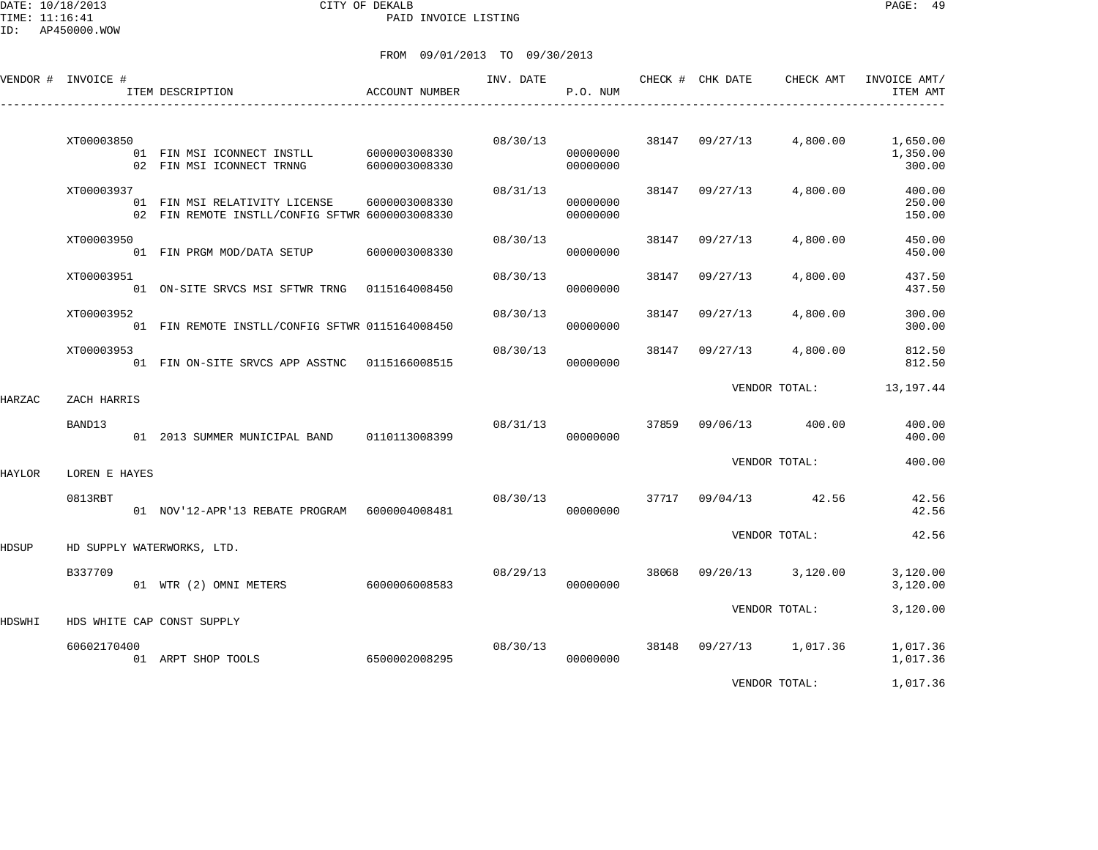DATE: 10/18/2013 CITY OF DEKALB PAGE: 49 PAID INVOICE LISTING

|        | VENDOR # INVOICE # | ACCOUNT NUMBER<br>ITEM DESCRIPTION                                               |                                | INV. DATE | P.O. NUM             |       | CHECK # CHK DATE     | CHECK AMT     | INVOICE AMT/<br>ITEM AMT       |
|--------|--------------------|----------------------------------------------------------------------------------|--------------------------------|-----------|----------------------|-------|----------------------|---------------|--------------------------------|
|        | XT00003850         | 01 FIN MSI ICONNECT INSTLL<br>02 FIN MSI ICONNECT TRNNG                          | 6000003008330<br>6000003008330 | 08/30/13  | 00000000<br>00000000 |       | 38147 09/27/13       | 4,800.00      | 1,650.00<br>1,350.00<br>300.00 |
|        | XT00003937         | 01 FIN MSI RELATIVITY LICENSE<br>02 FIN REMOTE INSTLL/CONFIG SFTWR 6000003008330 | 6000003008330                  | 08/31/13  | 00000000<br>00000000 | 38147 | 09/27/13             | 4,800.00      | 400.00<br>250.00<br>150.00     |
|        | XT00003950         | 01 FIN PRGM MOD/DATA SETUP                                                       | 6000003008330                  | 08/30/13  | 00000000             | 38147 | 09/27/13             | 4,800.00      | 450.00<br>450.00               |
|        | XT00003951         | 01 ON-SITE SRVCS MSI SFTWR TRNG 0115164008450                                    |                                | 08/30/13  | 00000000             | 38147 | 09/27/13             | 4,800.00      | 437.50<br>437.50               |
|        | XT00003952         | 01 FIN REMOTE INSTLL/CONFIG SFTWR 0115164008450                                  |                                | 08/30/13  | 00000000             | 38147 | 09/27/13             | 4,800.00      | 300.00<br>300.00               |
|        | XT00003953         | 01 FIN ON-SITE SRVCS APP ASSTNC 0115166008515                                    |                                | 08/30/13  | 00000000             | 38147 | 09/27/13             | 4,800.00      | 812.50<br>812.50               |
| HARZAC | ZACH HARRIS        |                                                                                  |                                |           |                      |       |                      | VENDOR TOTAL: | 13,197.44                      |
|        | BAND13             | 01  2013  SUMMER MUNICIPAL BAND   0110113008399                                  |                                | 08/31/13  | 00000000             | 37859 | 09/06/13             | 400.00        | 400.00<br>400.00               |
| HAYLOR | LOREN E HAYES      |                                                                                  |                                |           |                      |       |                      | VENDOR TOTAL: | 400.00                         |
|        | 0813RBT            | 01 NOV'12-APR'13 REBATE PROGRAM 6000004008481                                    |                                | 08/30/13  | 00000000             |       | 37717 09/04/13 42.56 |               | 42.56<br>42.56                 |
| HDSUP  |                    | HD SUPPLY WATERWORKS, LTD.                                                       |                                |           |                      |       |                      | VENDOR TOTAL: | 42.56                          |
|        | B337709            | 01 WTR (2) OMNI METERS                                                           | 6000006008583                  | 08/29/13  | 00000000             | 38068 | 09/20/13             | 3,120.00      | 3,120.00<br>3,120.00           |
| HDSWHI |                    | HDS WHITE CAP CONST SUPPLY                                                       |                                |           |                      |       |                      | VENDOR TOTAL: | 3,120.00                       |
|        | 60602170400        | 01 ARPT SHOP TOOLS                                                               | 6500002008295                  | 08/30/13  | 00000000             | 38148 | 09/27/13 1,017.36    |               | 1,017.36<br>1,017.36           |
|        |                    |                                                                                  |                                |           |                      |       |                      | VENDOR TOTAL: | 1,017.36                       |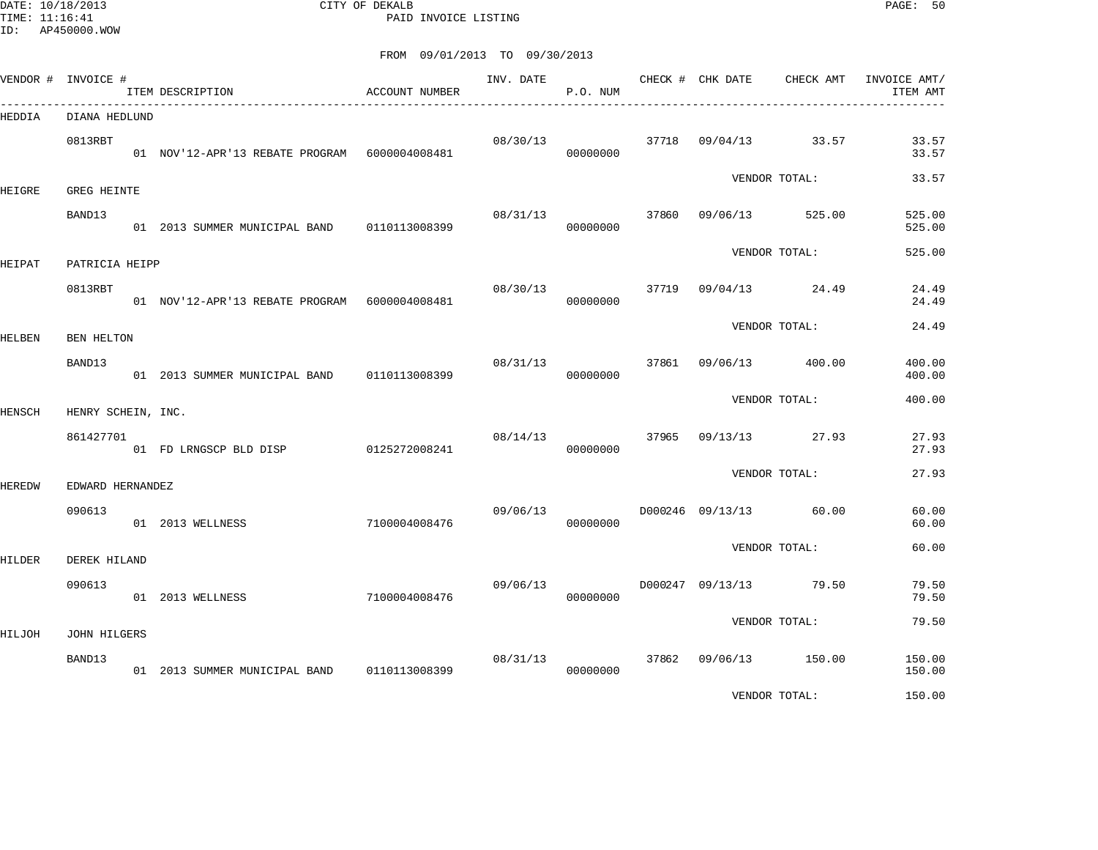DATE: 10/18/2013 CITY OF DEKALB PAGE: 50 PAID INVOICE LISTING

|        | VENDOR # INVOICE #            | ITEM DESCRIPTION                                | ACCOUNT NUMBER |          | P.O. NUM             |       |          | INV. DATE CHECK # CHK DATE CHECK AMT | INVOICE AMT/<br>ITEM AMT |
|--------|-------------------------------|-------------------------------------------------|----------------|----------|----------------------|-------|----------|--------------------------------------|--------------------------|
| HEDDIA | DIANA HEDLUND                 |                                                 |                |          |                      |       |          |                                      |                          |
|        | 0813RBT                       | 01 NOV'12-APR'13 REBATE PROGRAM 6000004008481   |                |          | 08/30/13<br>00000000 |       |          | 37718 09/04/13 33.57                 | 33.57<br>33.57           |
| HEIGRE | <b>GREG HEINTE</b>            |                                                 |                |          |                      |       |          | VENDOR TOTAL:                        | 33.57                    |
|        | BAND13                        | 01  2013  SUMMER MUNICIPAL BAND   0110113008399 |                | 08/31/13 | 00000000             | 37860 | 09/06/13 | 525.00                               | 525.00<br>525.00         |
| HEIPAT | PATRICIA HEIPP                |                                                 |                |          |                      |       |          | VENDOR TOTAL:                        | 525.00                   |
|        | 0813RBT                       | 01 NOV'12-APR'13 REBATE PROGRAM 6000004008481   |                | 08/30/13 | 00000000             | 37719 |          | 09/04/13 24.49                       | 24.49<br>24.49           |
| HELBEN | BEN HELTON                    |                                                 |                |          |                      |       |          | VENDOR TOTAL:                        | 24.49                    |
|        | BAND13                        | 01  2013  SUMMER MUNICIPAL BAND   0110113008399 |                |          | 08/31/13<br>00000000 | 37861 |          | 09/06/13 400.00                      | 400.00<br>400.00         |
| HENSCH | HENRY SCHEIN, INC.            |                                                 |                |          |                      |       |          | VENDOR TOTAL:                        | 400.00                   |
|        | 861427701                     | 01 FD LRNGSCP BLD DISP                          | 0125272008241  | 08/14/13 | 00000000             |       |          | 37965 09/13/13 27.93                 | 27.93<br>27.93           |
| HEREDW | EDWARD HERNANDEZ              |                                                 |                |          |                      |       |          | VENDOR TOTAL:                        | 27.93                    |
|        | 090613                        | 01 2013 WELLNESS                                | 7100004008476  | 09/06/13 | 00000000             |       |          | D000246 09/13/13 60.00               | 60.00<br>60.00           |
|        | DEREK HILAND                  |                                                 |                |          |                      |       |          | VENDOR TOTAL:                        | 60.00                    |
| HILDER | 090613                        | 01 2013 WELLNESS                                | 7100004008476  | 09/06/13 | 00000000             |       |          | D000247 09/13/13 79.50               | 79.50<br>79.50           |
|        |                               |                                                 |                |          |                      |       |          | VENDOR TOTAL:                        | 79.50                    |
| HILJOH | <b>JOHN HILGERS</b><br>BAND13 |                                                 |                | 08/31/13 |                      |       |          | 37862 09/06/13 150.00                | 150.00                   |
|        |                               | 01  2013  SUMMER MUNICIPAL BAND   0110113008399 |                |          | 00000000             |       |          |                                      | 150.00                   |
|        |                               |                                                 |                |          |                      |       |          | VENDOR TOTAL:                        | 150.00                   |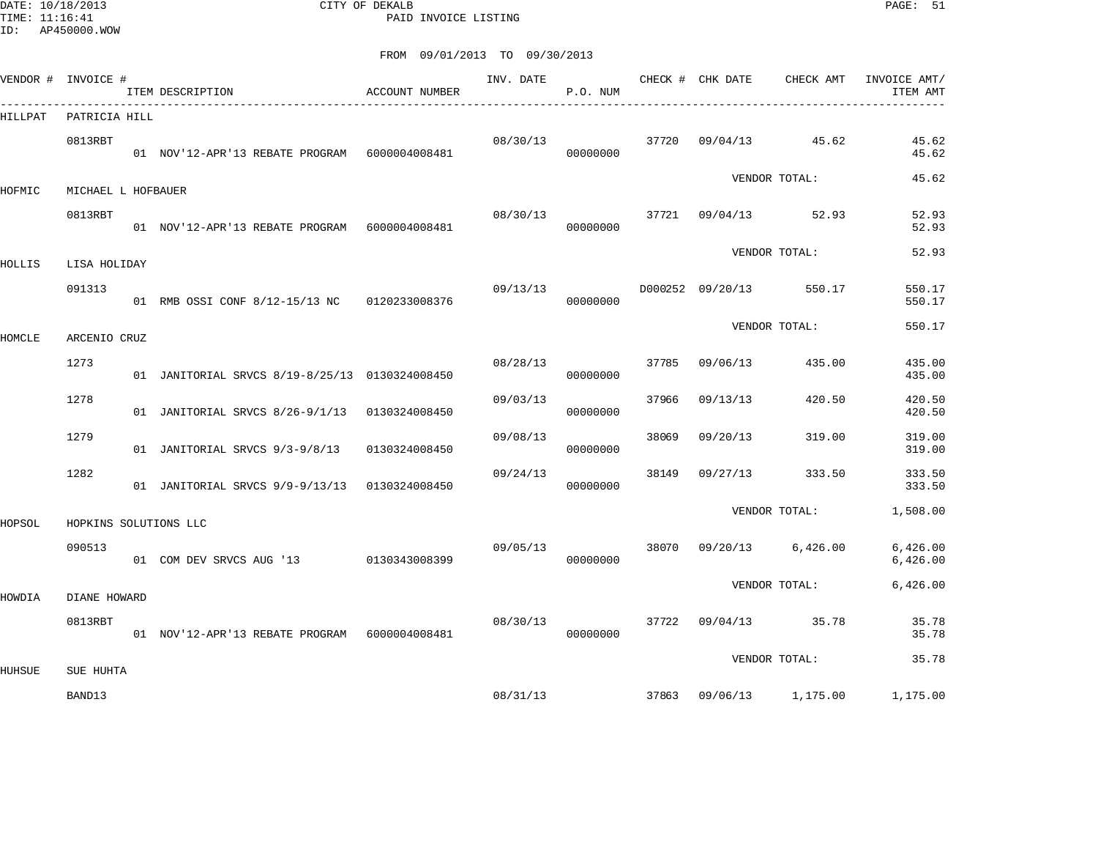DATE: 10/18/2013 CITY OF DEKALB PAGE: 51 PAID INVOICE LISTING

|               | VENDOR # INVOICE #    | ITEM DESCRIPTION<br>___________________________________ | ACCOUNT NUMBER | INV. DATE | P.O. NUM |       | CHECK # CHK DATE | CHECK AMT               | INVOICE AMT/<br>ITEM AMT |
|---------------|-----------------------|---------------------------------------------------------|----------------|-----------|----------|-------|------------------|-------------------------|--------------------------|
| HILLPAT       | PATRICIA HILL         |                                                         |                |           |          |       |                  |                         |                          |
|               | 0813RBT               | 01 NOV'12-APR'13 REBATE PROGRAM 6000004008481           |                | 08/30/13  | 00000000 | 37720 |                  | $09/04/13$ 45.62        | 45.62<br>45.62           |
| HOFMIC        | MICHAEL L HOFBAUER    |                                                         |                |           |          |       |                  | VENDOR TOTAL:           | 45.62                    |
|               | 0813RBT               | 01 NOV'12-APR'13 REBATE PROGRAM 6000004008481           |                | 08/30/13  | 00000000 |       |                  | 37721 09/04/13 52.93    | 52.93<br>52.93           |
| HOLLIS        | LISA HOLIDAY          |                                                         |                |           |          |       |                  | VENDOR TOTAL:           | 52.93                    |
|               | 091313                | 01 RMB OSSI CONF 8/12-15/13 NC 0120233008376            |                | 09/13/13  | 00000000 |       |                  | D000252 09/20/13 550.17 | 550.17<br>550.17         |
| <b>HOMCLE</b> | ARCENIO CRUZ          |                                                         |                |           |          |       |                  | VENDOR TOTAL:           | 550.17                   |
|               | 1273                  | 01 JANITORIAL SRVCS 8/19-8/25/13 0130324008450          |                | 08/28/13  | 00000000 | 37785 | 09/06/13         | 435.00                  | 435.00<br>435.00         |
|               | 1278                  | 01 JANITORIAL SRVCS 8/26-9/1/13 0130324008450           |                | 09/03/13  | 00000000 | 37966 | 09/13/13         | 420.50                  | 420.50<br>420.50         |
|               | 1279                  | 01 JANITORIAL SRVCS 9/3-9/8/13 0130324008450            |                | 09/08/13  | 00000000 | 38069 | 09/20/13         | 319.00                  | 319.00<br>319.00         |
|               | 1282                  | 01 JANITORIAL SRVCS 9/9-9/13/13 0130324008450           |                | 09/24/13  | 00000000 | 38149 | 09/27/13         | 333.50                  | 333.50<br>333.50         |
| HOPSOL        | HOPKINS SOLUTIONS LLC |                                                         |                |           |          |       |                  | VENDOR TOTAL:           | 1,508.00                 |
|               | 090513                | 01 COM DEV SRVCS AUG '13 0130343008399                  |                | 09/05/13  | 00000000 | 38070 | 09/20/13         | 6,426.00                | 6,426.00<br>6,426.00     |
| HOWDIA        | DIANE HOWARD          |                                                         |                |           |          |       |                  | VENDOR TOTAL:           | 6,426.00                 |
|               | 0813RBT               | 01 NOV'12-APR'13 REBATE PROGRAM 6000004008481           |                | 08/30/13  | 00000000 | 37722 |                  | $09/04/13$ 35.78        | 35.78<br>35.78           |
| HUHSUE        | SUE HUHTA             |                                                         |                |           |          |       |                  | VENDOR TOTAL:           | 35.78                    |
|               | BAND13                |                                                         |                | 08/31/13  |          | 37863 | 09/06/13         | 1,175.00                | 1,175.00                 |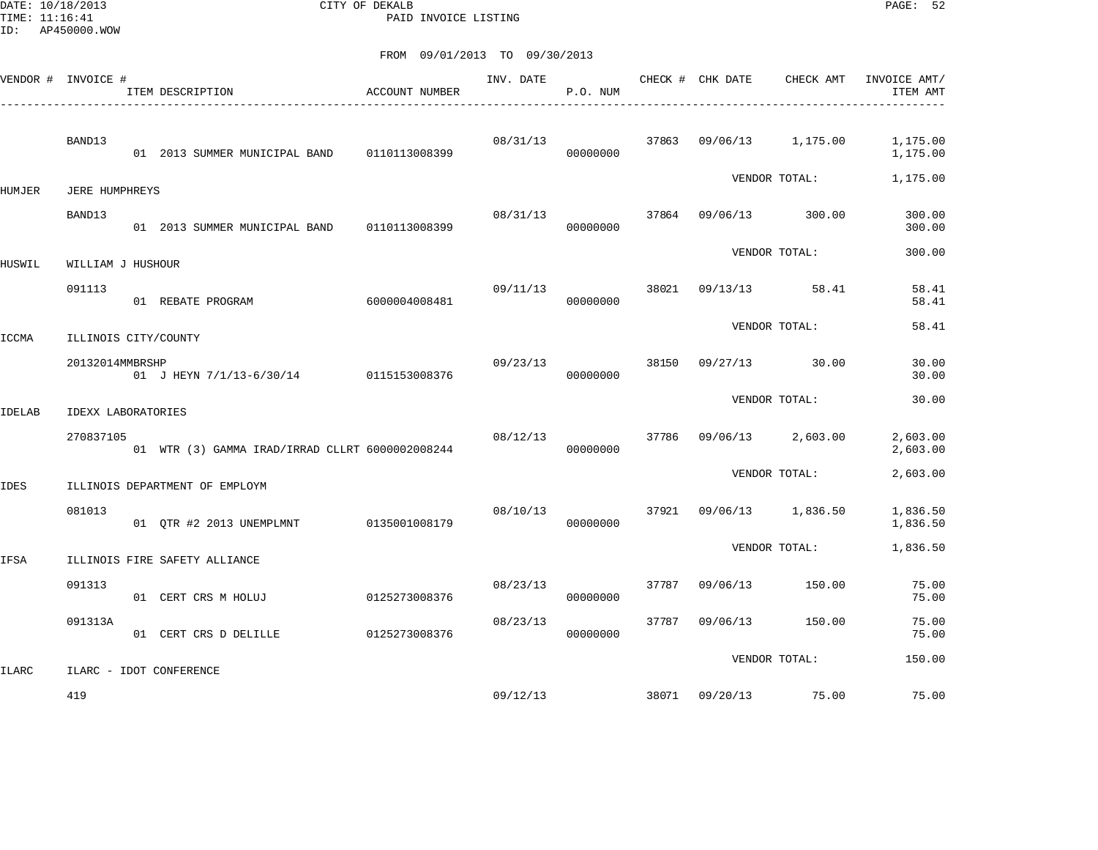DATE: 10/18/2013 CITY OF DEKALB PAGE: 52 PAID INVOICE LISTING

| VENDOR # INVOICE # |                           | ITEM DESCRIPTION                                | <b>ACCOUNT NUMBER</b> | INV. DATE | P.O. NUM |       | CHECK # CHK DATE | CHECK AMT         | INVOICE AMT/<br>ITEM AMT |
|--------------------|---------------------------|-------------------------------------------------|-----------------------|-----------|----------|-------|------------------|-------------------|--------------------------|
|                    | BAND13                    | 01 2013 SUMMER MUNICIPAL BAND                   | 0110113008399         | 08/31/13  | 00000000 | 37863 | 09/06/13         | 1,175.00          | 1,175.00<br>1,175.00     |
| HUMJER             | JERE HUMPHREYS            |                                                 |                       |           |          |       |                  | VENDOR TOTAL:     | 1,175.00                 |
|                    | BAND13                    | 01 2013 SUMMER MUNICIPAL BAND 0110113008399     |                       | 08/31/13  | 00000000 | 37864 | 09/06/13         | 300.00            | 300.00<br>300.00         |
| HUSWIL             | WILLIAM J HUSHOUR         |                                                 |                       |           |          |       |                  | VENDOR TOTAL:     | 300.00                   |
|                    | 091113                    | 01 REBATE PROGRAM                               | 6000004008481         | 09/11/13  | 00000000 | 38021 | 09/13/13         | 58.41             | 58.41<br>58.41           |
| ICCMA              | ILLINOIS CITY/COUNTY      |                                                 |                       |           |          |       |                  | VENDOR TOTAL:     | 58.41                    |
|                    | 20132014MMBRSHP           | 01 J HEYN 7/1/13-6/30/14 0115153008376          |                       | 09/23/13  | 00000000 | 38150 | 09/27/13         | 30.00             | 30.00<br>30.00           |
| <b>IDELAB</b>      | <b>IDEXX LABORATORIES</b> |                                                 |                       |           |          |       |                  | VENDOR TOTAL:     | 30.00                    |
|                    | 270837105                 | 01 WTR (3) GAMMA IRAD/IRRAD CLLRT 6000002008244 |                       | 08/12/13  | 00000000 | 37786 | 09/06/13         | 2,603.00          | 2,603.00<br>2,603.00     |
| <b>IDES</b>        |                           | ILLINOIS DEPARTMENT OF EMPLOYM                  |                       |           |          |       |                  | VENDOR TOTAL:     | 2,603.00                 |
|                    | 081013                    | 01 OTR #2 2013 UNEMPLMNT                        | 0135001008179         | 08/10/13  | 00000000 | 37921 |                  | 09/06/13 1,836.50 | 1,836.50<br>1,836.50     |
| IFSA               |                           | ILLINOIS FIRE SAFETY ALLIANCE                   |                       |           |          |       |                  | VENDOR TOTAL:     | 1,836.50                 |
|                    | 091313                    | 01 CERT CRS M HOLUJ                             | 0125273008376         | 08/23/13  | 00000000 | 37787 | 09/06/13         | 150.00            | 75.00<br>75.00           |
|                    | 091313A                   | 01 CERT CRS D DELILLE                           | 0125273008376         | 08/23/13  | 00000000 | 37787 | 09/06/13         | 150.00            | 75.00<br>75.00           |
| <b>ILARC</b>       |                           | ILARC - IDOT CONFERENCE                         |                       |           |          |       |                  | VENDOR TOTAL:     | 150.00                   |
|                    | 419                       |                                                 |                       | 09/12/13  |          | 38071 | 09/20/13         | 75.00             | 75.00                    |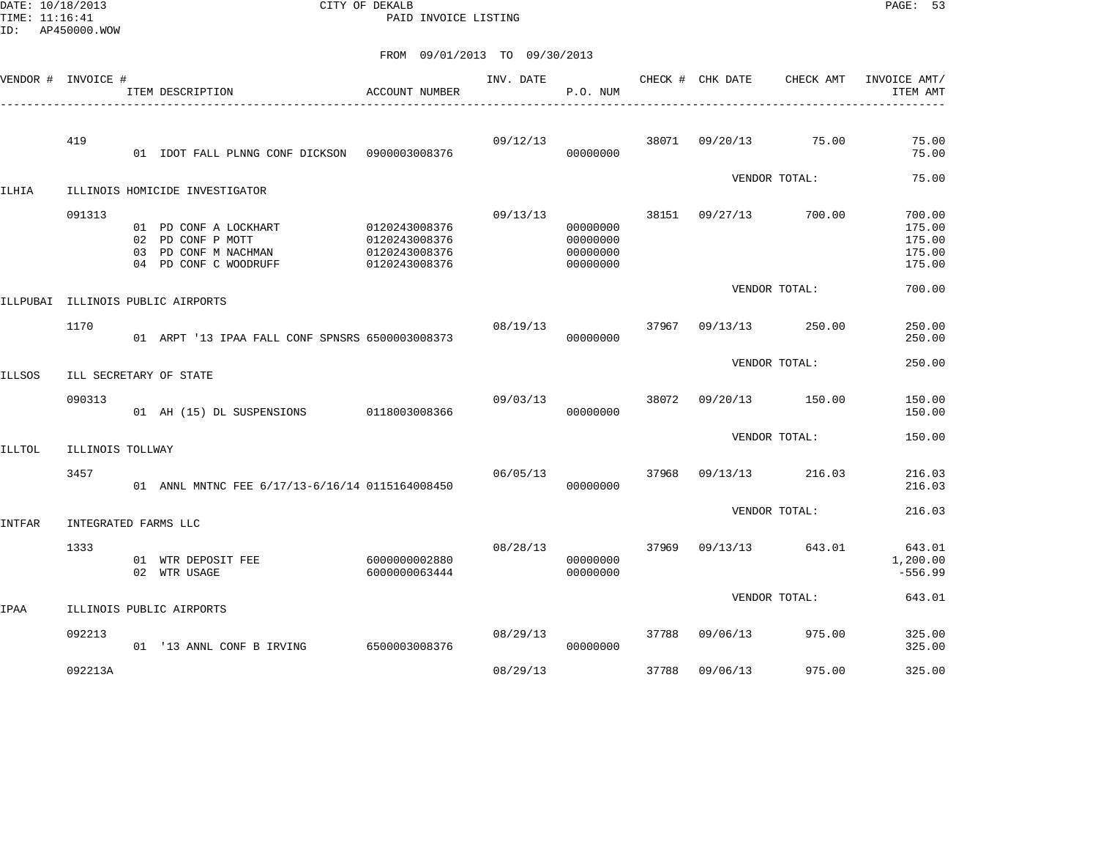DATE: 10/18/2013 CITY OF DEKALB PAGE: 53 PAID INVOICE LISTING

| VENDOR #      | INVOICE #            |           | ITEM DESCRIPTION                                                                      | <b>ACCOUNT NUMBER</b>                                            | INV. DATE | P.O. NUM                                     | CHECK # | CHK DATE | CHECK AMT     | INVOICE AMT/<br>ITEM AMT                       |
|---------------|----------------------|-----------|---------------------------------------------------------------------------------------|------------------------------------------------------------------|-----------|----------------------------------------------|---------|----------|---------------|------------------------------------------------|
|               | 419                  |           | 01 IDOT FALL PLNNG CONF DICKSON                                                       | 0900003008376                                                    | 09/12/13  | 00000000                                     | 38071   | 09/20/13 | 75.00         | 75.00<br>75.00                                 |
| ILHIA         |                      |           | ILLINOIS HOMICIDE INVESTIGATOR                                                        |                                                                  |           |                                              |         |          | VENDOR TOTAL: | 75.00                                          |
|               | 091313               | 02<br>0.3 | 01 PD CONF A LOCKHART<br>PD CONF P MOTT<br>PD CONF M NACHMAN<br>04 PD CONF C WOODRUFF | 0120243008376<br>0120243008376<br>0120243008376<br>0120243008376 | 09/13/13  | 00000000<br>00000000<br>00000000<br>00000000 | 38151   | 09/27/13 | 700.00        | 700.00<br>175.00<br>175.00<br>175.00<br>175.00 |
| ILLPUBAI      |                      |           | ILLINOIS PUBLIC AIRPORTS                                                              |                                                                  |           |                                              |         |          | VENDOR TOTAL: | 700.00                                         |
|               | 1170                 |           | 01 ARPT '13 IPAA FALL CONF SPNSRS 6500003008373                                       |                                                                  | 08/19/13  | 00000000                                     | 37967   | 09/13/13 | 250.00        | 250.00<br>250.00                               |
| <b>ILLSOS</b> |                      |           | ILL SECRETARY OF STATE                                                                |                                                                  |           |                                              |         |          | VENDOR TOTAL: | 250.00                                         |
|               | 090313               |           | 01 AH (15) DL SUSPENSIONS                                                             | 0118003008366                                                    | 09/03/13  | 00000000                                     | 38072   | 09/20/13 | 150.00        | 150.00<br>150.00                               |
| ILLTOL        | ILLINOIS TOLLWAY     |           |                                                                                       |                                                                  |           |                                              |         |          | VENDOR TOTAL: | 150.00                                         |
|               | 3457                 |           | 01 ANNL MNTNC FEE 6/17/13-6/16/14 0115164008450                                       |                                                                  | 06/05/13  | 00000000                                     | 37968   | 09/13/13 | 216.03        | 216.03<br>216.03                               |
| INTFAR        | INTEGRATED FARMS LLC |           |                                                                                       |                                                                  |           |                                              |         |          | VENDOR TOTAL: | 216.03                                         |
|               | 1333                 |           | 01 WTR DEPOSIT FEE<br>02 WTR USAGE                                                    | 6000000002880<br>6000000063444                                   | 08/28/13  | 00000000<br>00000000                         | 37969   | 09/13/13 | 643.01        | 643.01<br>1,200.00<br>$-556.99$                |
| IPAA          |                      |           | ILLINOIS PUBLIC AIRPORTS                                                              |                                                                  |           |                                              |         |          | VENDOR TOTAL: | 643.01                                         |
|               | 092213               |           | 01 '13 ANNL CONF B IRVING                                                             | 6500003008376                                                    | 08/29/13  | 00000000                                     | 37788   | 09/06/13 | 975.00        | 325.00<br>325.00                               |
|               | 092213A              |           |                                                                                       |                                                                  | 08/29/13  |                                              | 37788   | 09/06/13 | 975.00        | 325.00                                         |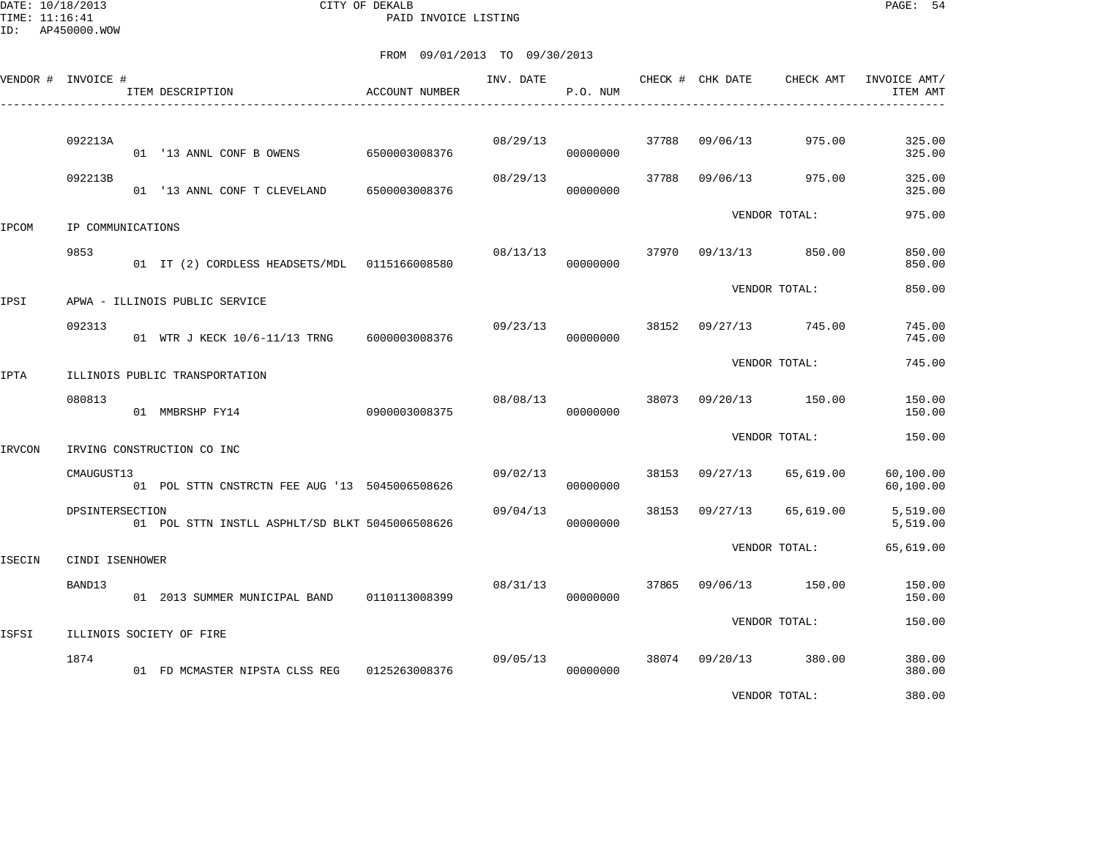DATE: 10/18/2013 CITY OF DEKALB PAGE: 54 PAID INVOICE LISTING

|        | VENDOR # INVOICE # | ITEM DESCRIPTION                                         | ACCOUNT NUMBER                 | INV. DATE | P.O. NUM             |       | CHECK # CHK DATE | CHECK AMT     | INVOICE AMT/<br>ITEM AMT   |
|--------|--------------------|----------------------------------------------------------|--------------------------------|-----------|----------------------|-------|------------------|---------------|----------------------------|
|        | 092213A            |                                                          |                                | 08/29/13  |                      | 37788 | 09/06/13         | 975.00        | 325.00                     |
|        | 092213B            | 01 '13 ANNL CONF B OWENS<br>01 '13 ANNL CONF T CLEVELAND | 6500003008376<br>6500003008376 | 08/29/13  | 00000000<br>00000000 | 37788 | 09/06/13         | 975.00        | 325.00<br>325.00<br>325.00 |
| IPCOM  | IP COMMUNICATIONS  |                                                          |                                |           |                      |       |                  | VENDOR TOTAL: | 975.00                     |
|        | 9853               | 01 IT (2) CORDLESS HEADSETS/MDL 0115166008580            |                                | 08/13/13  | 00000000             | 37970 | 09/13/13         | 850.00        | 850.00<br>850.00           |
| IPSI   |                    | APWA - ILLINOIS PUBLIC SERVICE                           |                                |           |                      |       |                  | VENDOR TOTAL: | 850.00                     |
|        | 092313             | 01 WTR J KECK 10/6-11/13 TRNG                            | 6000003008376                  | 09/23/13  | 00000000             | 38152 | 09/27/13         | 745.00        | 745.00<br>745.00           |
| IPTA   |                    | ILLINOIS PUBLIC TRANSPORTATION                           |                                |           |                      |       |                  | VENDOR TOTAL: | 745.00                     |
|        | 080813             | 01 MMBRSHP FY14                                          | 0900003008375                  | 08/08/13  | 00000000             | 38073 | 09/20/13         | 150.00        | 150.00<br>150.00           |
| IRVCON |                    | IRVING CONSTRUCTION CO INC                               |                                |           |                      |       |                  | VENDOR TOTAL: | 150.00                     |
|        | CMAUGUST13         | 01 POL STTN CNSTRCTN FEE AUG '13 5045006508626           |                                | 09/02/13  | 00000000             | 38153 | 09/27/13         | 65,619.00     | 60,100.00<br>60,100.00     |
|        | DPSINTERSECTION    | 01 POL STTN INSTLL ASPHLT/SD BLKT 5045006508626          |                                | 09/04/13  | 00000000             | 38153 | 09/27/13         | 65,619.00     | 5,519.00<br>5,519.00       |
| ISECIN | CINDI ISENHOWER    |                                                          |                                |           |                      |       |                  | VENDOR TOTAL: | 65,619.00                  |
|        | BAND13             | 01 2013 SUMMER MUNICIPAL BAND                            | 0110113008399                  | 08/31/13  | 00000000             | 37865 | 09/06/13         | 150.00        | 150.00<br>150.00           |
| ISFSI  |                    | ILLINOIS SOCIETY OF FIRE                                 |                                |           |                      |       |                  | VENDOR TOTAL: | 150.00                     |
|        | 1874               | 01 FD MCMASTER NIPSTA CLSS REG 0125263008376             |                                | 09/05/13  | 00000000             | 38074 | 09/20/13         | 380.00        | 380.00<br>380.00           |
|        |                    |                                                          |                                |           |                      |       |                  | VENDOR TOTAL: | 380.00                     |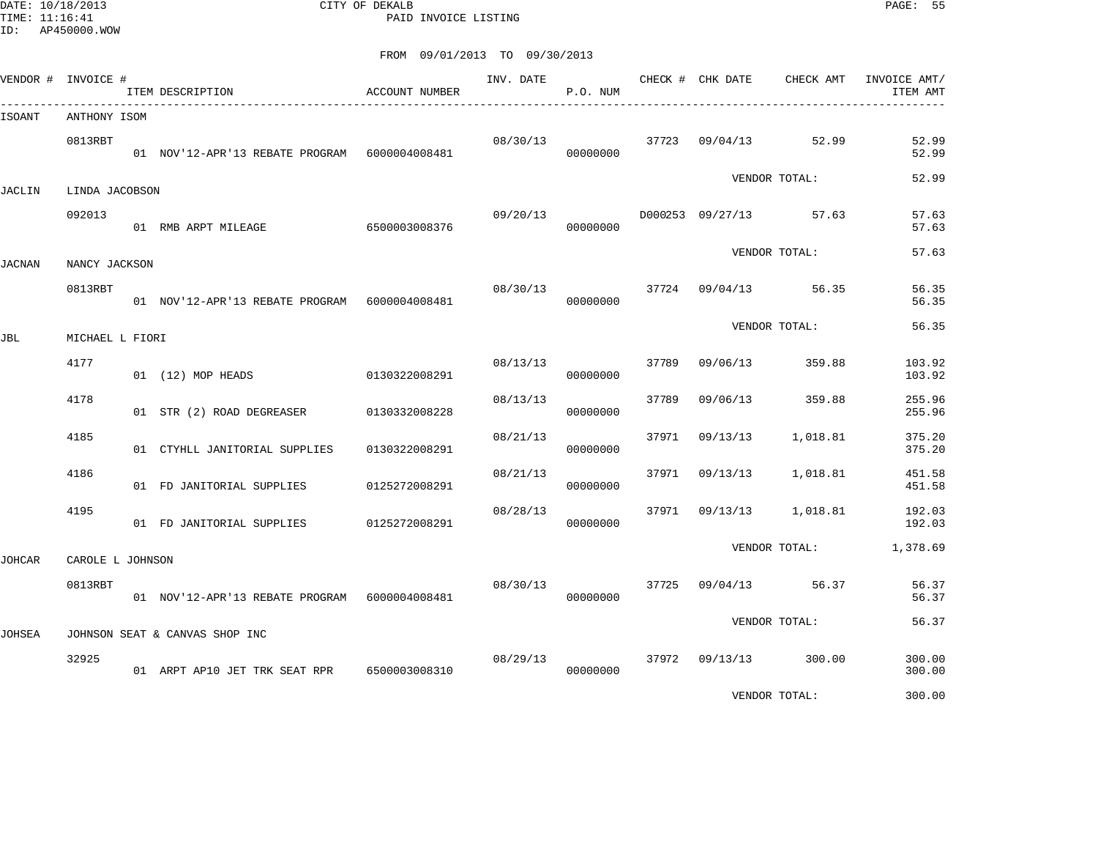DATE: 10/18/2013 CITY OF DEKALB PAGE: 55 PAID INVOICE LISTING

| VENDOR # INVOICE # |                  | ITEM DESCRIPTION                              | ACCOUNT NUMBER | INV. DATE | P.O. NUM |       | CHECK # CHK DATE | CHECK AMT     | INVOICE AMT/<br>ITEM AMT |
|--------------------|------------------|-----------------------------------------------|----------------|-----------|----------|-------|------------------|---------------|--------------------------|
| ISOANT             | ANTHONY ISOM     |                                               |                |           |          |       |                  |               |                          |
|                    | 0813RBT          | 01 NOV'12-APR'13 REBATE PROGRAM 6000004008481 |                | 08/30/13  | 00000000 |       | 37723 09/04/13   | 52.99         | 52.99<br>52.99           |
| JACLIN             | LINDA JACOBSON   |                                               |                |           |          |       |                  | VENDOR TOTAL: | 52.99                    |
|                    | 092013           | 01 RMB ARPT MILEAGE                           | 6500003008376  | 09/20/13  | 00000000 |       | D000253 09/27/13 | 57.63         | 57.63<br>57.63           |
| JACNAN             | NANCY JACKSON    |                                               |                |           |          |       |                  | VENDOR TOTAL: | 57.63                    |
|                    | 0813RBT          | 01 NOV'12-APR'13 REBATE PROGRAM 6000004008481 |                | 08/30/13  | 00000000 | 37724 | 09/04/13         | 56.35         | 56.35<br>56.35           |
| JBL                | MICHAEL L FIORI  |                                               |                |           |          |       |                  | VENDOR TOTAL: | 56.35                    |
|                    | 4177             | 01 (12) MOP HEADS                             | 0130322008291  | 08/13/13  | 00000000 | 37789 | 09/06/13         | 359.88        | 103.92<br>103.92         |
|                    | 4178             | 01 STR (2) ROAD DEGREASER                     | 0130332008228  | 08/13/13  | 00000000 | 37789 | 09/06/13         | 359.88        | 255.96<br>255.96         |
|                    | 4185             | 01 CTYHLL JANITORIAL SUPPLIES                 | 0130322008291  | 08/21/13  | 00000000 | 37971 | 09/13/13         | 1,018.81      | 375.20<br>375.20         |
|                    | 4186             | 01 FD JANITORIAL SUPPLIES                     | 0125272008291  | 08/21/13  | 00000000 | 37971 | 09/13/13         | 1,018.81      | 451.58<br>451.58         |
|                    | 4195             | 01 FD JANITORIAL SUPPLIES                     | 0125272008291  | 08/28/13  | 00000000 | 37971 | 09/13/13         | 1,018.81      | 192.03<br>192.03         |
| JOHCAR             | CAROLE L JOHNSON |                                               |                |           |          |       |                  | VENDOR TOTAL: | 1,378.69                 |
|                    | 0813RBT          | 01 NOV'12-APR'13 REBATE PROGRAM 6000004008481 |                | 08/30/13  | 00000000 | 37725 | 09/04/13         | 56.37         | 56.37<br>56.37           |
| JOHSEA             |                  | JOHNSON SEAT & CANVAS SHOP INC                |                |           |          |       |                  | VENDOR TOTAL: | 56.37                    |
|                    | 32925            | 01 ARPT AP10 JET TRK SEAT RPR 6500003008310   |                | 08/29/13  | 00000000 | 37972 | 09/13/13         | 300.00        | 300.00<br>300.00         |
|                    |                  |                                               |                |           |          |       |                  | VENDOR TOTAL: | 300.00                   |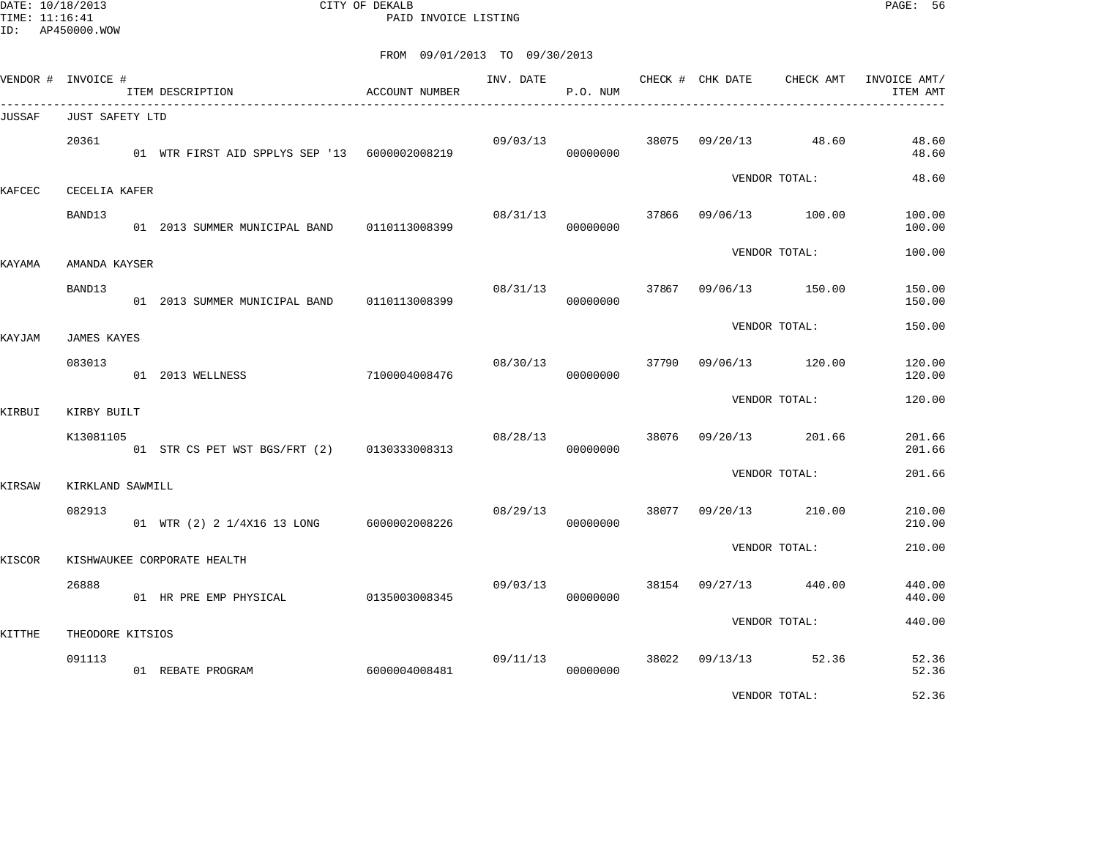DATE: 10/18/2013 CITY OF DEKALB PAGE: 56 PAID INVOICE LISTING

|        | VENDOR # INVOICE #           | ITEM DESCRIPTION                                      | ACCOUNT NUMBER | INV. DATE | P.O. NUM |       | CHECK # CHK DATE | CHECK AMT       | INVOICE AMT/<br>ITEM AMT |
|--------|------------------------------|-------------------------------------------------------|----------------|-----------|----------|-------|------------------|-----------------|--------------------------|
| JUSSAF | JUST SAFETY LTD              |                                                       |                |           |          |       |                  |                 |                          |
|        | 20361                        | 01 WTR FIRST AID SPPLYS SEP '13 6000002008219         |                | 09/03/13  | 00000000 |       | 38075 09/20/13   | 48.60           | 48.60<br>48.60           |
| KAFCEC | CECELIA KAFER                |                                                       |                |           |          |       |                  | VENDOR TOTAL:   | 48.60                    |
|        | BAND13                       | 01  2013 SUMMER MUNICIPAL BAND   0110113008399        |                | 08/31/13  | 00000000 | 37866 | 09/06/13         | 100.00          | 100.00<br>100.00         |
| KAYAMA | AMANDA KAYSER                |                                                       |                |           |          |       |                  | VENDOR TOTAL:   | 100.00                   |
|        | BAND13                       | 01  2013  SUMMER MUNICIPAL BAND   0110113008399       |                | 08/31/13  | 00000000 | 37867 |                  | 09/06/13 150.00 | 150.00<br>150.00         |
|        |                              |                                                       |                |           |          |       |                  | VENDOR TOTAL:   | 150.00                   |
| KAYJAM | <b>JAMES KAYES</b><br>083013 | 01 2013 WELLNESS                                      | 7100004008476  | 08/30/13  | 00000000 | 37790 | 09/06/13         | 120.00          | 120.00<br>120.00         |
|        |                              |                                                       |                |           |          |       |                  | VENDOR TOTAL:   | 120.00                   |
| KIRBUI | KIRBY BUILT<br>K13081105     | 01 STR CS PET WST BGS/FRT (2) 0130333008313           |                | 08/28/13  | 00000000 | 38076 | 09/20/13         | 201.66          | 201.66<br>201.66         |
| KIRSAW | KIRKLAND SAWMILL             |                                                       |                |           |          |       |                  | VENDOR TOTAL:   | 201.66                   |
|        | 082913                       | 01 WTR (2) 2 1/4X16 13 LONG 6000002008226             |                | 08/29/13  | 00000000 | 38077 | 09/20/13         | 210.00          | 210.00<br>210.00         |
|        |                              |                                                       |                |           |          |       |                  | VENDOR TOTAL:   | 210.00                   |
| KISCOR | 26888                        | KISHWAUKEE CORPORATE HEALTH<br>01 HR PRE EMP PHYSICAL | 0135003008345  | 09/03/13  | 00000000 | 38154 | 09/27/13         | 440.00          | 440.00<br>440.00         |
|        |                              |                                                       |                |           |          |       |                  | VENDOR TOTAL:   | 440.00                   |
| KITTHE | THEODORE KITSIOS<br>091113   | 01 REBATE PROGRAM                                     | 6000004008481  | 09/11/13  | 00000000 |       | 38022 09/13/13   | 52.36           | 52.36<br>52.36           |
|        |                              |                                                       |                |           |          |       |                  | VENDOR TOTAL:   | 52.36                    |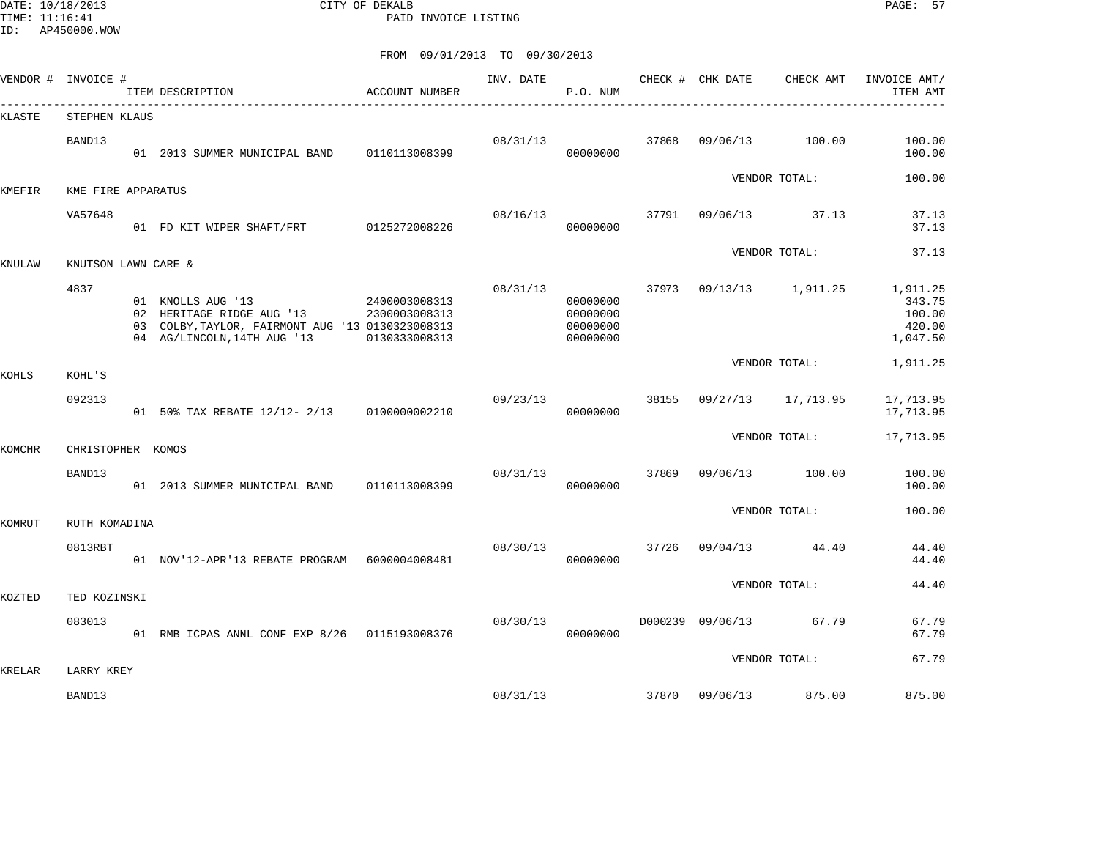DATE: 10/18/2013 CITY OF DEKALB PAGE: 57 PAID INVOICE LISTING

| VENDOR # INVOICE # |                             | ITEM DESCRIPTION                                                                                                                  | ACCOUNT NUMBER                                  | INV. DATE | P.O. NUM                                     |       | CHECK # CHK DATE | CHECK AMT     | INVOICE AMT/<br>ITEM AMT                           |
|--------------------|-----------------------------|-----------------------------------------------------------------------------------------------------------------------------------|-------------------------------------------------|-----------|----------------------------------------------|-------|------------------|---------------|----------------------------------------------------|
| KLASTE             | STEPHEN KLAUS               |                                                                                                                                   |                                                 |           |                                              |       |                  |               |                                                    |
|                    | BAND13                      | 01 2013 SUMMER MUNICIPAL BAND                                                                                                     | 0110113008399                                   | 08/31/13  | 00000000                                     | 37868 | 09/06/13         | 100.00        | 100.00<br>100.00                                   |
| KMEFIR             | KME FIRE APPARATUS          |                                                                                                                                   |                                                 |           |                                              |       |                  | VENDOR TOTAL: | 100.00                                             |
|                    | VA57648                     | 01 FD KIT WIPER SHAFT/FRT 0125272008226                                                                                           |                                                 | 08/16/13  | 00000000                                     | 37791 | 09/06/13         | 37.13         | 37.13<br>37.13                                     |
| KNULAW             | KNUTSON LAWN CARE &         |                                                                                                                                   |                                                 |           |                                              |       |                  | VENDOR TOTAL: | 37.13                                              |
|                    | 4837                        | 01 KNOLLS AUG '13<br>02 HERITAGE RIDGE AUG '13<br>03 COLBY, TAYLOR, FAIRMONT AUG '13 0130323008313<br>04 AG/LINCOLN, 14TH AUG '13 | 2400003008313<br>2300003008313<br>0130333008313 | 08/31/13  | 00000000<br>00000000<br>00000000<br>00000000 | 37973 | 09/13/13         | 1,911.25      | 1,911.25<br>343.75<br>100.00<br>420.00<br>1,047.50 |
| KOHLS              | KOHL'S                      |                                                                                                                                   |                                                 |           |                                              |       |                  | VENDOR TOTAL: | 1,911.25                                           |
|                    | 092313                      | 01 50% TAX REBATE 12/12- 2/13                                                                                                     | 0100000002210                                   | 09/23/13  | 00000000                                     | 38155 | 09/27/13         | 17,713.95     | 17,713.95<br>17,713.95                             |
|                    |                             |                                                                                                                                   |                                                 |           |                                              |       |                  | VENDOR TOTAL: | 17,713.95                                          |
| KOMCHR             | CHRISTOPHER KOMOS<br>BAND13 | 01 2013 SUMMER MUNICIPAL BAND                                                                                                     | 0110113008399                                   | 08/31/13  | 00000000                                     | 37869 | 09/06/13         | 100.00        | 100.00<br>100.00                                   |
| KOMRUT             | RUTH KOMADINA               |                                                                                                                                   |                                                 |           |                                              |       |                  | VENDOR TOTAL: | 100.00                                             |
|                    | 0813RBT                     | 01 NOV'12-APR'13 REBATE PROGRAM 6000004008481                                                                                     |                                                 | 08/30/13  | 00000000                                     | 37726 | 09/04/13         | 44.40         | 44.40<br>44.40                                     |
| KOZTED             | TED KOZINSKI                |                                                                                                                                   |                                                 |           |                                              |       |                  | VENDOR TOTAL: | 44.40                                              |
|                    | 083013                      | 01 RMB ICPAS ANNL CONF EXP 8/26  0115193008376                                                                                    |                                                 | 08/30/13  | 00000000                                     |       | D000239 09/06/13 | 67.79         | 67.79<br>67.79                                     |
|                    |                             |                                                                                                                                   |                                                 |           |                                              |       |                  | VENDOR TOTAL: | 67.79                                              |
| KRELAR             | LARRY KREY<br>BAND13        |                                                                                                                                   |                                                 | 08/31/13  |                                              | 37870 | 09/06/13         | 875.00        | 875.00                                             |
|                    |                             |                                                                                                                                   |                                                 |           |                                              |       |                  |               |                                                    |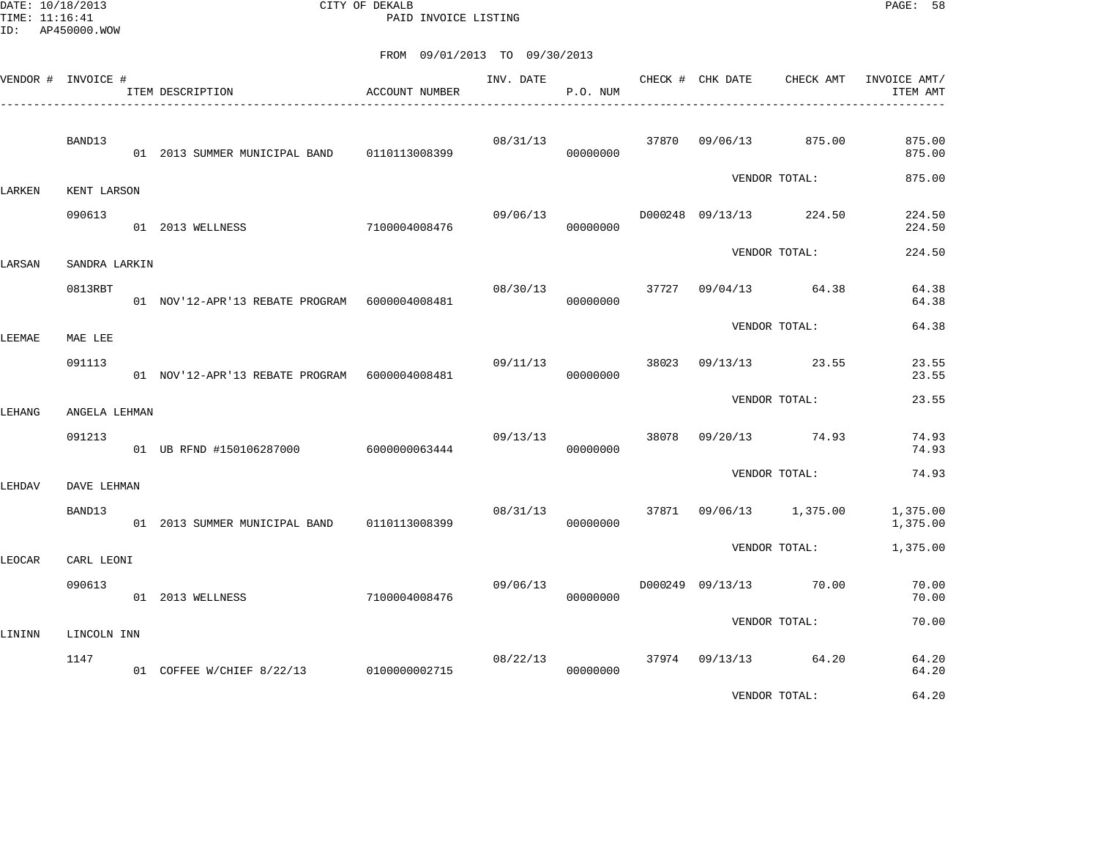DATE: 10/18/2013 CITY OF DEKALB PAGE: 58 PAID INVOICE LISTING

| VENDOR # INVOICE # |                     | ITEM DESCRIPTION                                | <b>ACCOUNT NUMBER</b> | INV. DATE | P.O. NUM |       | CHECK # CHK DATE | CHECK AMT               | INVOICE AMT/<br>ITEM AMT |
|--------------------|---------------------|-------------------------------------------------|-----------------------|-----------|----------|-------|------------------|-------------------------|--------------------------|
|                    | BAND13              | 01  2013  SUMMER MUNICIPAL BAND   0110113008399 |                       | 08/31/13  | 00000000 |       | 37870 09/06/13   | 875.00                  | 875.00<br>875.00         |
| LARKEN             | KENT LARSON         |                                                 |                       |           |          |       |                  | VENDOR TOTAL:           | 875.00                   |
|                    | 090613              | 01 2013 WELLNESS                                | 7100004008476         | 09/06/13  | 00000000 |       |                  | D000248 09/13/13 224.50 | 224.50<br>224.50         |
| LARSAN             | SANDRA LARKIN       |                                                 |                       |           |          |       |                  | VENDOR TOTAL:           | 224.50                   |
|                    | 0813RBT             | 01 NOV'12-APR'13 REBATE PROGRAM 6000004008481   |                       | 08/30/13  | 00000000 | 37727 | 09/04/13         | 64.38                   | 64.38<br>64.38           |
| LEEMAE             | MAE LEE             |                                                 |                       |           |          |       |                  | VENDOR TOTAL:           | 64.38                    |
|                    | 091113              | 01 NOV'12-APR'13 REBATE PROGRAM 6000004008481   |                       | 09/11/13  | 00000000 | 38023 |                  | 09/13/13 23.55          | 23.55<br>23.55           |
| LEHANG             | ANGELA LEHMAN       |                                                 |                       |           |          |       |                  | VENDOR TOTAL:           | 23.55                    |
|                    | 091213              | 01 UB RFND #150106287000 6000000063444          |                       | 09/13/13  | 00000000 | 38078 | 09/20/13         | 74.93                   | 74.93<br>74.93           |
| LEHDAV             | DAVE LEHMAN         |                                                 |                       |           |          |       |                  | VENDOR TOTAL:           | 74.93                    |
|                    | BAND13              | 01 2013 SUMMER MUNICIPAL BAND 0110113008399     |                       | 08/31/13  | 00000000 |       |                  | 37871 09/06/13 1,375.00 | 1,375.00<br>1,375.00     |
| LEOCAR             | CARL LEONI          |                                                 |                       |           |          |       |                  | VENDOR TOTAL:           | 1,375.00                 |
|                    | 090613              | 01 2013 WELLNESS                                | 7100004008476         | 09/06/13  | 00000000 |       |                  | D000249 09/13/13 70.00  | 70.00<br>70.00           |
|                    |                     |                                                 |                       |           |          |       |                  | VENDOR TOTAL:           | 70.00                    |
| LININN             | LINCOLN INN<br>1147 | 01 COFFEE W/CHIEF 8/22/13 0100000002715         |                       | 08/22/13  | 00000000 |       |                  | 37974 09/13/13 64.20    | 64.20<br>64.20           |
|                    |                     |                                                 |                       |           |          |       |                  | VENDOR TOTAL:           | 64.20                    |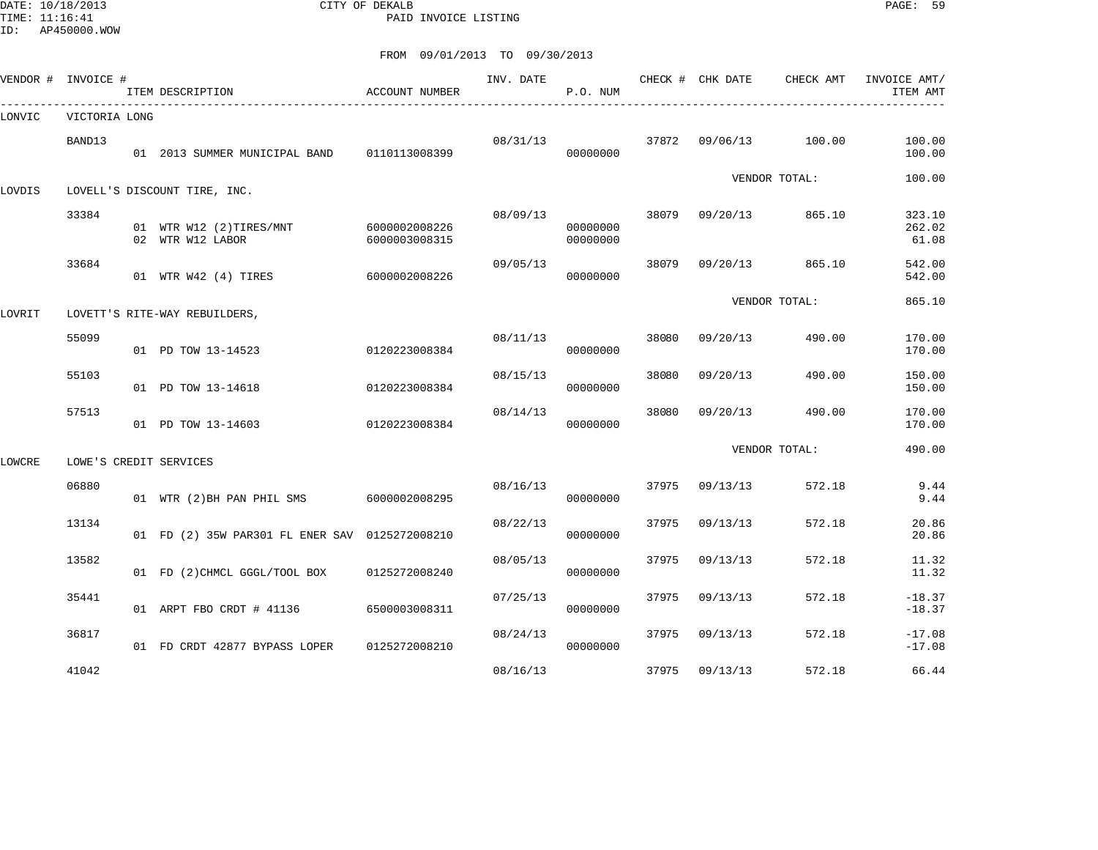DATE: 10/18/2013 CITY OF DEKALB PAGE: 59 PAID INVOICE LISTING

| VENDOR # | INVOICE #     | ITEM DESCRIPTION                               | ACCOUNT NUMBER                 | INV. DATE | P.O. NUM             |       | CHECK # CHK DATE | CHECK AMT     | INVOICE AMT/<br>ITEM AMT  |
|----------|---------------|------------------------------------------------|--------------------------------|-----------|----------------------|-------|------------------|---------------|---------------------------|
| LONVIC   | VICTORIA LONG |                                                |                                |           |                      |       |                  |               |                           |
|          | BAND13        | 01 2013 SUMMER MUNICIPAL BAND                  | 0110113008399                  | 08/31/13  | 00000000             | 37872 | 09/06/13         | 100.00        | 100.00<br>100.00          |
| LOVDIS   |               | LOVELL'S DISCOUNT TIRE, INC.                   |                                |           |                      |       |                  | VENDOR TOTAL: | 100.00                    |
|          | 33384         | 01 WTR W12 (2)TIRES/MNT<br>02 WTR W12 LABOR    | 6000002008226<br>6000003008315 | 08/09/13  | 00000000<br>00000000 | 38079 | 09/20/13         | 865.10        | 323.10<br>262.02<br>61.08 |
|          | 33684         | 01 WTR W42 (4) TIRES                           | 6000002008226                  | 09/05/13  | 00000000             | 38079 | 09/20/13         | 865.10        | 542.00<br>542.00          |
| LOVRIT   |               | LOVETT'S RITE-WAY REBUILDERS,                  |                                |           |                      |       |                  | VENDOR TOTAL: | 865.10                    |
|          | 55099         | 01 PD TOW 13-14523                             | 0120223008384                  | 08/11/13  | 00000000             | 38080 | 09/20/13         | 490.00        | 170.00<br>170.00          |
|          | 55103         | 01 PD TOW 13-14618                             | 0120223008384                  | 08/15/13  | 00000000             | 38080 | 09/20/13         | 490.00        | 150.00<br>150.00          |
|          | 57513         | 01 PD TOW 13-14603                             | 0120223008384                  | 08/14/13  | 00000000             | 38080 | 09/20/13         | 490.00        | 170.00<br>170.00          |
| LOWCRE   |               | LOWE'S CREDIT SERVICES                         |                                |           |                      |       |                  | VENDOR TOTAL: | 490.00                    |
|          | 06880         | 01 WTR (2)BH PAN PHIL SMS                      | 6000002008295                  | 08/16/13  | 00000000             | 37975 | 09/13/13         | 572.18        | 9.44<br>9.44              |
|          | 13134         | 01 FD (2) 35W PAR301 FL ENER SAV 0125272008210 |                                | 08/22/13  | 00000000             | 37975 | 09/13/13         | 572.18        | 20.86<br>20.86            |
|          | 13582         | 01 FD (2) CHMCL GGGL/TOOL BOX                  | 0125272008240                  | 08/05/13  | 00000000             | 37975 | 09/13/13         | 572.18        | 11.32<br>11.32            |
|          | 35441         | 01 ARPT FBO CRDT # 41136                       | 6500003008311                  | 07/25/13  | 00000000             | 37975 | 09/13/13         | 572.18        | $-18.37$<br>$-18.37$      |
|          | 36817         | 01 FD CRDT 42877 BYPASS LOPER                  | 0125272008210                  | 08/24/13  | 00000000             | 37975 | 09/13/13         | 572.18        | $-17.08$<br>$-17.08$      |
|          | 41042         |                                                |                                | 08/16/13  |                      | 37975 | 09/13/13         | 572.18        | 66.44                     |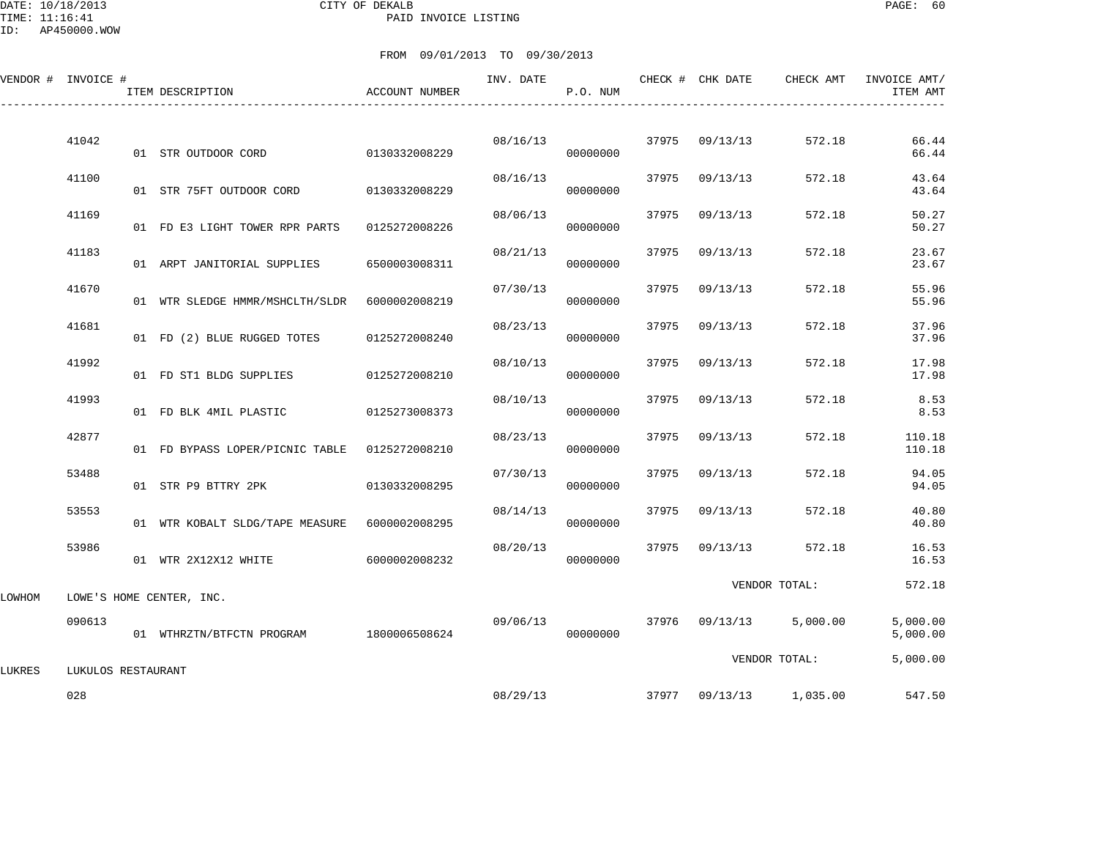DATE: 10/18/2013 CITY OF DEKALB PAGE: 60 PAID INVOICE LISTING

ID: AP450000.WOW

|        | VENDOR # INVOICE # | ITEM DESCRIPTION                              | <b>ACCOUNT NUMBER</b> | INV. DATE | P.O. NUM |       | CHECK # CHK DATE | CHECK AMT               | INVOICE AMT/<br>ITEM AMT |
|--------|--------------------|-----------------------------------------------|-----------------------|-----------|----------|-------|------------------|-------------------------|--------------------------|
|        | 41042              | 01 STR OUTDOOR CORD                           | 0130332008229         | 08/16/13  | 00000000 |       | 37975 09/13/13   | 572.18                  | 66.44<br>66.44           |
|        | 41100              | 01 STR 75FT OUTDOOR CORD                      | 0130332008229         | 08/16/13  | 00000000 | 37975 | 09/13/13         | 572.18                  | 43.64<br>43.64           |
|        | 41169              | 01 FD E3 LIGHT TOWER RPR PARTS                | 0125272008226         | 08/06/13  | 00000000 | 37975 | 09/13/13         | 572.18                  | 50.27<br>50.27           |
|        | 41183              | 01 ARPT JANITORIAL SUPPLIES                   | 6500003008311         | 08/21/13  | 00000000 | 37975 | 09/13/13         | 572.18                  | 23.67<br>23.67           |
|        | 41670              | 01 WTR SLEDGE HMMR/MSHCLTH/SLDR               | 6000002008219         | 07/30/13  | 00000000 | 37975 | 09/13/13         | 572.18                  | 55.96<br>55.96           |
|        | 41681              | 01 FD (2) BLUE RUGGED TOTES                   | 0125272008240         | 08/23/13  | 00000000 | 37975 | 09/13/13         | 572.18                  | 37.96<br>37.96           |
|        | 41992              | 01 FD ST1 BLDG SUPPLIES                       | 0125272008210         | 08/10/13  | 00000000 | 37975 | 09/13/13         | 572.18                  | 17.98<br>17.98           |
|        | 41993              | 01 FD BLK 4MIL PLASTIC                        | 0125273008373         | 08/10/13  | 00000000 | 37975 | 09/13/13         | 572.18                  | 8.53<br>8.53             |
|        | 42877              | 01 FD BYPASS LOPER/PICNIC TABLE 0125272008210 |                       | 08/23/13  | 00000000 | 37975 | 09/13/13         | 572.18                  | 110.18<br>110.18         |
|        | 53488              | 01 STR P9 BTTRY 2PK                           | 0130332008295         | 07/30/13  | 00000000 | 37975 | 09/13/13         | 572.18                  | 94.05<br>94.05           |
|        | 53553              | 01 WTR KOBALT SLDG/TAPE MEASURE               | 6000002008295         | 08/14/13  | 00000000 | 37975 | 09/13/13         | 572.18                  | 40.80<br>40.80           |
|        | 53986              | 01 WTR 2X12X12 WHITE                          | 6000002008232         | 08/20/13  | 00000000 | 37975 | 09/13/13         | 572.18                  | 16.53<br>16.53           |
| LOWHOM |                    | LOWE'S HOME CENTER, INC.                      |                       |           |          |       |                  | VENDOR TOTAL:           | 572.18                   |
|        | 090613             | 01 WTHRZTN/BTFCTN PROGRAM 1800006508624       |                       | 09/06/13  | 00000000 |       | 37976 09/13/13   | 5,000.00                | 5,000.00<br>5,000.00     |
| LUKRES | LUKULOS RESTAURANT |                                               |                       |           |          |       |                  | VENDOR TOTAL:           | 5,000.00                 |
|        | 028                |                                               |                       | 08/29/13  |          |       |                  | 37977 09/13/13 1,035.00 | 547.50                   |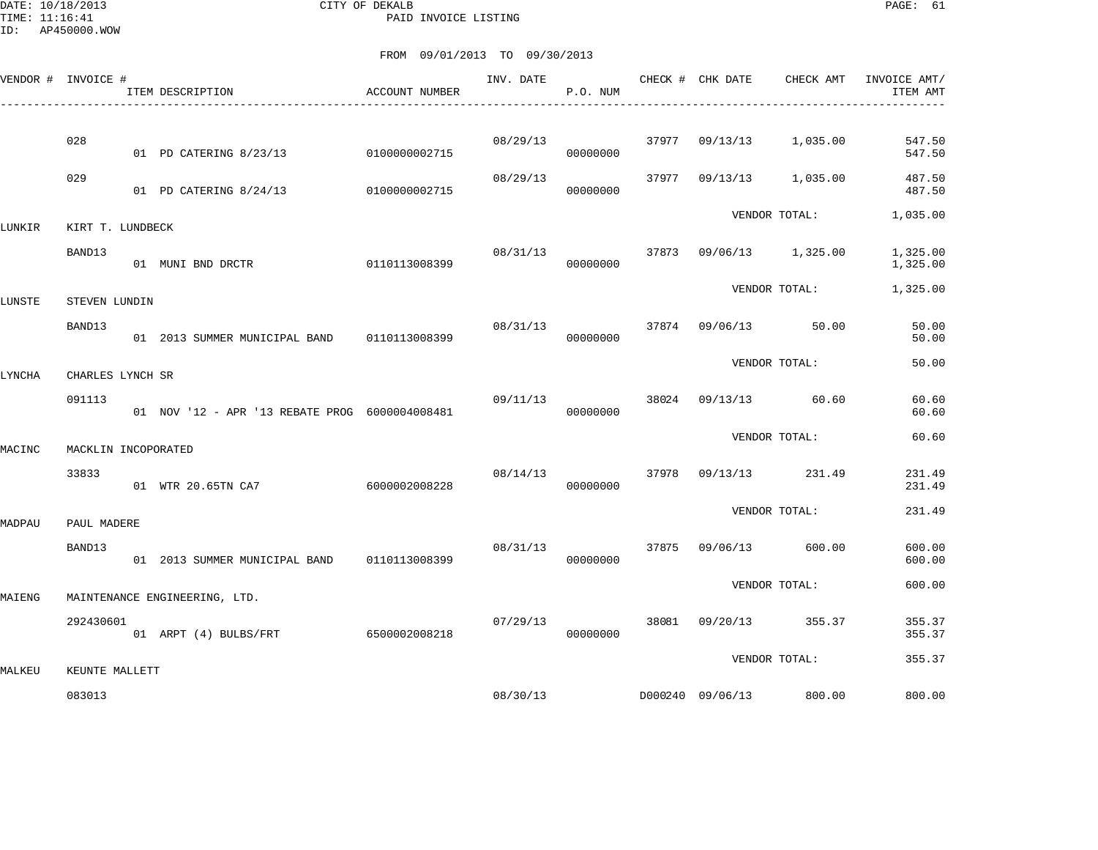DATE: 10/18/2013 CITY OF DEKALB PAGE: 61 PAID INVOICE LISTING

|        | VENDOR # INVOICE #  | ITEM DESCRIPTION                                 | ACCOUNT NUMBER                 | INV. DATE | P.O. NUM             |       | CHECK # CHK DATE | CHECK AMT               | INVOICE AMT/<br>ITEM AMT   |
|--------|---------------------|--------------------------------------------------|--------------------------------|-----------|----------------------|-------|------------------|-------------------------|----------------------------|
|        | 028                 |                                                  |                                | 08/29/13  |                      |       | 37977 09/13/13   | 1,035.00                | 547.50                     |
|        | 029                 | 01 PD CATERING 8/23/13<br>01 PD CATERING 8/24/13 | 0100000002715<br>0100000002715 | 08/29/13  | 00000000<br>00000000 | 37977 | 09/13/13         | 1,035.00                | 547.50<br>487.50<br>487.50 |
| LUNKIR | KIRT T. LUNDBECK    |                                                  |                                |           |                      |       |                  | VENDOR TOTAL:           | 1,035.00                   |
|        | BAND13              | 0110113008399<br>01 MUNI BND DRCTR               |                                | 08/31/13  | 00000000             |       |                  | 37873 09/06/13 1,325.00 | 1,325.00<br>1,325.00       |
| LUNSTE | STEVEN LUNDIN       |                                                  |                                |           |                      |       |                  | VENDOR TOTAL:           | 1,325.00                   |
|        | BAND13              | 01  2013  SUMMER MUNICIPAL BAND   0110113008399  |                                | 08/31/13  | 00000000             | 37874 | 09/06/13         | 50.00                   | 50.00<br>50.00             |
| LYNCHA | CHARLES LYNCH SR    |                                                  |                                |           |                      |       |                  | VENDOR TOTAL:           | 50.00                      |
|        | 091113              | 01 NOV '12 - APR '13 REBATE PROG 6000004008481   |                                | 09/11/13  | 00000000             |       |                  | 38024 09/13/13 60.60    | 60.60<br>60.60             |
| MACINC | MACKLIN INCOPORATED |                                                  |                                |           |                      |       |                  | VENDOR TOTAL:           | 60.60                      |
|        | 33833               | 01 WTR 20.65TN CA7                               | 6000002008228                  | 08/14/13  | 00000000             | 37978 |                  | 09/13/13 231.49         | 231.49<br>231.49           |
| MADPAU | PAUL MADERE         |                                                  |                                |           |                      |       |                  | VENDOR TOTAL:           | 231.49                     |
|        | BAND13              | 01 2013 SUMMER MUNICIPAL BAND                    | 0110113008399                  | 08/31/13  | 00000000             | 37875 | 09/06/13         | 600.00                  | 600.00<br>600.00           |
| MAIENG |                     | MAINTENANCE ENGINEERING, LTD.                    |                                |           |                      |       |                  | VENDOR TOTAL:           | 600.00                     |
|        | 292430601           | 01 ARPT (4) BULBS/FRT                            | 6500002008218                  | 07/29/13  | 00000000             | 38081 | 09/20/13         | 355.37                  | 355.37<br>355.37           |
| MALKEU | KEUNTE MALLETT      |                                                  |                                |           |                      |       |                  | VENDOR TOTAL:           | 355.37                     |
|        | 083013              |                                                  |                                | 08/30/13  |                      |       | D000240 09/06/13 | 800.00                  | 800.00                     |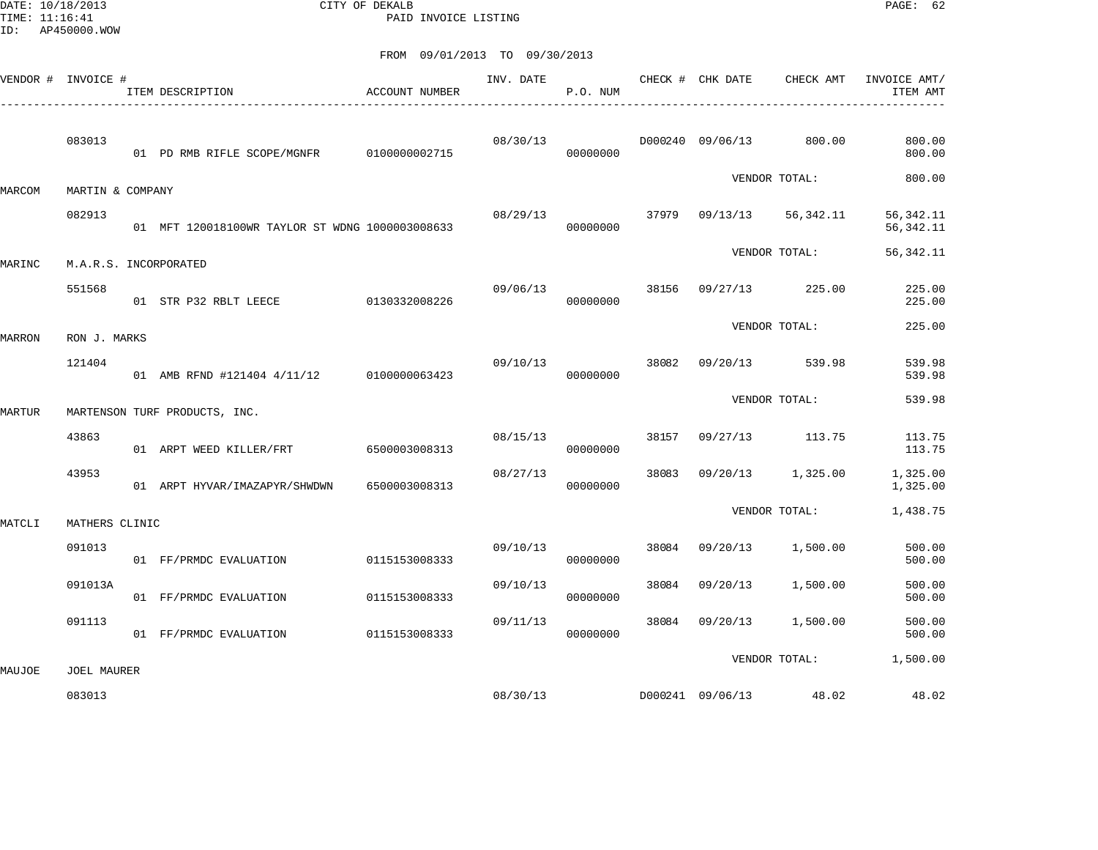DATE: 10/18/2013 CITY OF DEKALB PAGE: 62 PAID INVOICE LISTING

| VENDOR # INVOICE # |                       | ITEM DESCRIPTION                                | ACCOUNT NUMBER | INV. DATE | P.O. NUM |       | CHECK # CHK DATE | CHECK AMT               | INVOICE AMT/<br>ITEM AMT  |
|--------------------|-----------------------|-------------------------------------------------|----------------|-----------|----------|-------|------------------|-------------------------|---------------------------|
|                    | 083013                | 01 PD RMB RIFLE SCOPE/MGNFR   0100000002715     |                | 08/30/13  | 00000000 |       |                  | D000240 09/06/13 800.00 | 800.00<br>800.00          |
| MARCOM             | MARTIN & COMPANY      |                                                 |                |           |          |       |                  | VENDOR TOTAL:           | 800.00                    |
|                    | 082913                | 01 MFT 120018100WR TAYLOR ST WDNG 1000003008633 |                | 08/29/13  | 00000000 |       | 37979 09/13/13   | 56,342.11               | 56, 342.11<br>56, 342. 11 |
| MARINC             | M.A.R.S. INCORPORATED |                                                 |                |           |          |       |                  | VENDOR TOTAL:           | 56, 342.11                |
|                    | 551568                | 01 STR P32 RBLT LEECE 0130332008226             |                | 09/06/13  | 00000000 |       |                  | 38156 09/27/13 225.00   | 225.00<br>225.00          |
| <b>MARRON</b>      | RON J. MARKS          |                                                 |                |           |          |       |                  | VENDOR TOTAL:           | 225.00                    |
|                    | 121404                | 01 AMB RFND #121404 4/11/12 0100000063423       |                | 09/10/13  | 00000000 | 38082 | 09/20/13         | 539.98                  | 539.98<br>539.98          |
| MARTUR             |                       | MARTENSON TURF PRODUCTS, INC.                   |                |           |          |       |                  | VENDOR TOTAL:           | 539.98                    |
|                    | 43863                 | 01 ARPT WEED KILLER/FRT 6500003008313           |                | 08/15/13  | 00000000 |       |                  | 38157 09/27/13 113.75   | 113.75<br>113.75          |
|                    | 43953                 | 01 ARPT HYVAR/IMAZAPYR/SHWDWN                   | 6500003008313  | 08/27/13  | 00000000 |       |                  | 38083 09/20/13 1,325.00 | 1,325.00<br>1,325.00      |
| MATCLI             | MATHERS CLINIC        |                                                 |                |           |          |       |                  | VENDOR TOTAL:           | 1,438.75                  |
|                    | 091013                | 01 FF/PRMDC EVALUATION                          | 0115153008333  | 09/10/13  | 00000000 | 38084 | 09/20/13         | 1,500.00                | 500.00<br>500.00          |
|                    | 091013A               | 01 FF/PRMDC EVALUATION                          | 0115153008333  | 09/10/13  | 00000000 |       | 38084 09/20/13   | 1,500.00                | 500.00<br>500.00          |
|                    | 091113                | 01 FF/PRMDC EVALUATION                          | 0115153008333  | 09/11/13  | 00000000 |       | 38084 09/20/13   | 1,500.00                | 500.00<br>500.00          |
| MAUJOE             | <b>JOEL MAURER</b>    |                                                 |                |           |          |       |                  | VENDOR TOTAL:           | 1,500.00                  |
|                    | 083013                |                                                 |                | 08/30/13  |          |       |                  | D000241 09/06/13 48.02  | 48.02                     |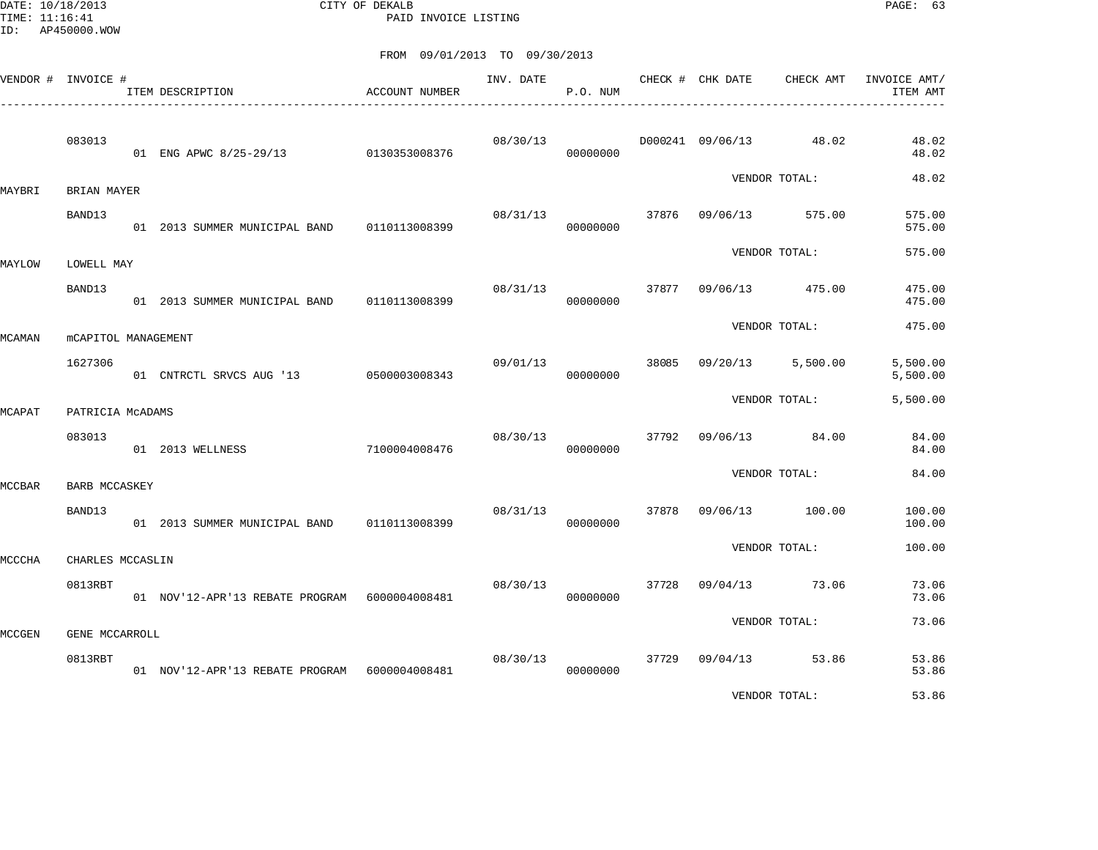DATE: 10/18/2013 CITY OF DEKALB PAGE: 63 PAID INVOICE LISTING

| VENDOR # INVOICE # |                      | ITEM DESCRIPTION                                | ACCOUNT NUMBER | INV. DATE | P.O. NUM |       | CHECK # CHK DATE | CHECK AMT       | INVOICE AMT/<br>ITEM AMT |
|--------------------|----------------------|-------------------------------------------------|----------------|-----------|----------|-------|------------------|-----------------|--------------------------|
|                    | 083013               | 01 ENG APWC 8/25-29/13 0130353008376            |                | 08/30/13  | 00000000 |       | D000241 09/06/13 | 48.02           | 48.02<br>48.02           |
| MAYBRI             | BRIAN MAYER          |                                                 |                |           |          |       |                  | VENDOR TOTAL:   | 48.02                    |
|                    | BAND13               | 01 2013 SUMMER MUNICIPAL BAND                   | 0110113008399  | 08/31/13  | 00000000 |       | 37876 09/06/13   | 575.00          | 575.00<br>575.00         |
| MAYLOW             | LOWELL MAY           |                                                 |                |           |          |       |                  | VENDOR TOTAL:   | 575.00                   |
|                    | BAND13               | 01 2013 SUMMER MUNICIPAL BAND 0110113008399     |                | 08/31/13  | 00000000 | 37877 |                  | 09/06/13 475.00 | 475.00<br>475.00         |
| MCAMAN             | mCAPITOL MANAGEMENT  |                                                 |                |           |          |       |                  | VENDOR TOTAL:   | 475.00                   |
|                    | 1627306              | 01 CNTRCTL SRVCS AUG '13 0500003008343          |                | 09/01/13  | 00000000 | 38085 | 09/20/13         | 5,500.00        | 5,500.00<br>5,500.00     |
| MCAPAT             | PATRICIA MCADAMS     |                                                 |                |           |          |       |                  | VENDOR TOTAL:   | 5,500.00                 |
|                    | 083013               | 01 2013 WELLNESS                                | 7100004008476  | 08/30/13  | 00000000 | 37792 | 09/06/13         | 84.00           | 84.00<br>84.00           |
| <b>MCCBAR</b>      | <b>BARB MCCASKEY</b> |                                                 |                |           |          |       |                  | VENDOR TOTAL:   | 84.00                    |
|                    | BAND13               | 01  2013  SUMMER MUNICIPAL BAND   0110113008399 |                | 08/31/13  | 00000000 | 37878 |                  | 09/06/13 100.00 | 100.00<br>100.00         |
| MCCCHA             | CHARLES MCCASLIN     |                                                 |                |           |          |       |                  | VENDOR TOTAL:   | 100.00                   |
|                    | 0813RBT              | 01 NOV'12-APR'13 REBATE PROGRAM 6000004008481   |                | 08/30/13  | 00000000 | 37728 | 09/04/13         | 73.06           | 73.06<br>73.06           |
| MCCGEN             | GENE MCCARROLL       |                                                 |                |           |          |       |                  | VENDOR TOTAL:   | 73.06                    |
|                    | 0813RBT              | 01 NOV'12-APR'13 REBATE PROGRAM 6000004008481   |                | 08/30/13  | 00000000 | 37729 |                  | 09/04/13 53.86  | 53.86<br>53.86           |
|                    |                      |                                                 |                |           |          |       |                  | VENDOR TOTAL:   | 53.86                    |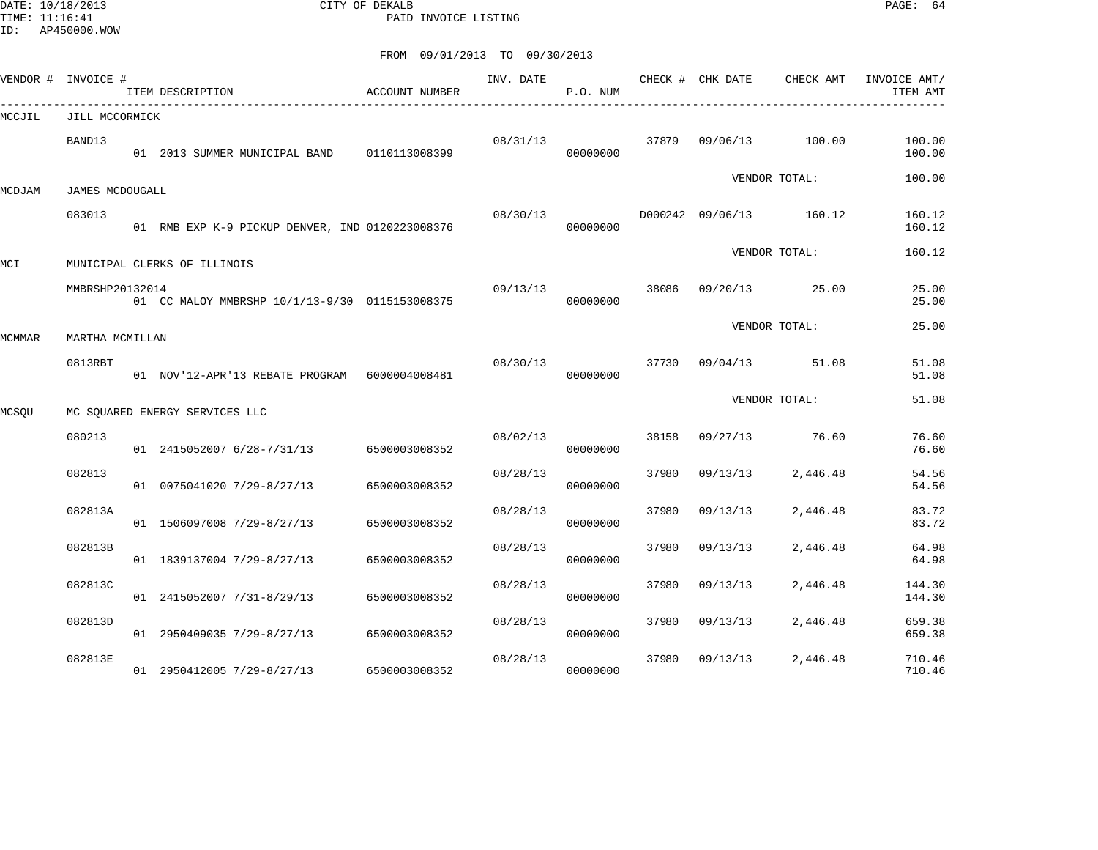DATE: 10/18/2013 CITY OF DEKALB PAGE: 64 PAID INVOICE LISTING

|        | VENDOR # INVOICE # | ITEM DESCRIPTION                                | ACCOUNT NUMBER | INV. DATE | P.O. NUM |       | CHECK # CHK DATE        | CHECK AMT     | INVOICE AMT/<br>ITEM AMT |
|--------|--------------------|-------------------------------------------------|----------------|-----------|----------|-------|-------------------------|---------------|--------------------------|
| MCCJIL | JILL MCCORMICK     |                                                 |                |           |          |       |                         |               |                          |
|        | BAND13             | 01  2013  SUMMER MUNICIPAL BAND   0110113008399 |                | 08/31/13  | 00000000 | 37879 | 09/06/13                | 100.00        | 100.00<br>100.00         |
| MCDJAM | JAMES MCDOUGALL    |                                                 |                |           |          |       |                         | VENDOR TOTAL: | 100.00                   |
|        | 083013             | 01 RMB EXP K-9 PICKUP DENVER, IND 0120223008376 |                | 08/30/13  | 00000000 |       | D000242 09/06/13 160.12 |               | 160.12<br>160.12         |
| MCI    |                    | MUNICIPAL CLERKS OF ILLINOIS                    |                |           |          |       |                         | VENDOR TOTAL: | 160.12                   |
|        | MMBRSHP20132014    | 01 CC MALOY MMBRSHP 10/1/13-9/30 0115153008375  |                | 09/13/13  | 00000000 | 38086 | 09/20/13                | 25.00         | 25.00<br>25.00           |
| MCMMAR | MARTHA MCMILLAN    |                                                 |                |           |          |       |                         | VENDOR TOTAL: | 25.00                    |
|        | 0813RBT            | 01 NOV'12-APR'13 REBATE PROGRAM 6000004008481   |                | 08/30/13  | 00000000 | 37730 | 09/04/13                | 51.08         | 51.08<br>51.08           |
| MCSQU  |                    | MC SQUARED ENERGY SERVICES LLC                  |                |           |          |       |                         | VENDOR TOTAL: | 51.08                    |
|        | 080213             | 01 2415052007 6/28-7/31/13                      | 6500003008352  | 08/02/13  | 00000000 | 38158 | 09/27/13                | 76.60         | 76.60<br>76.60           |
|        | 082813             | 01 0075041020 7/29-8/27/13                      | 6500003008352  | 08/28/13  | 00000000 | 37980 | 09/13/13                | 2,446.48      | 54.56<br>54.56           |
|        | 082813A            | 01 1506097008 7/29-8/27/13                      | 6500003008352  | 08/28/13  | 00000000 | 37980 | 09/13/13                | 2,446.48      | 83.72<br>83.72           |
|        | 082813B            | 01 1839137004 7/29-8/27/13                      | 6500003008352  | 08/28/13  | 00000000 | 37980 | 09/13/13                | 2,446.48      | 64.98<br>64.98           |
|        | 082813C            | 01 2415052007 7/31-8/29/13                      | 6500003008352  | 08/28/13  | 00000000 | 37980 | 09/13/13                | 2,446.48      | 144.30<br>144.30         |
|        | 082813D            | 01 2950409035 7/29-8/27/13                      | 6500003008352  | 08/28/13  | 00000000 | 37980 | 09/13/13                | 2,446.48      | 659.38<br>659.38         |
|        | 082813E            | 01 2950412005 7/29-8/27/13                      | 6500003008352  | 08/28/13  | 00000000 | 37980 | 09/13/13                | 2,446.48      | 710.46<br>710.46         |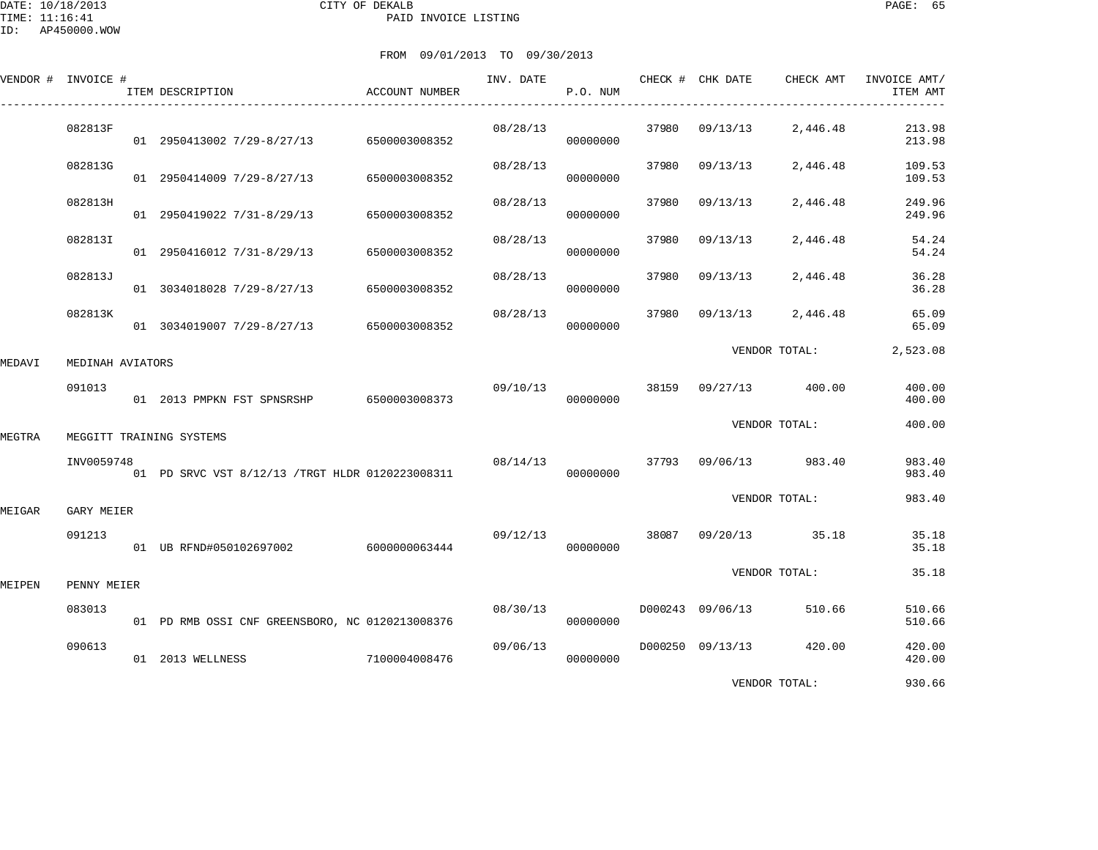|        | VENDOR # INVOICE # | ITEM DESCRIPTION                                | ACCOUNT NUMBER | INV. DATE | CHECK # CHK DATE<br>P.O. NUM |       |                  | CHECK AMT       | INVOICE AMT/<br>ITEM AMT |
|--------|--------------------|-------------------------------------------------|----------------|-----------|------------------------------|-------|------------------|-----------------|--------------------------|
|        | 082813F            | 01 2950413002 7/29-8/27/13                      | 6500003008352  | 08/28/13  | 00000000                     | 37980 | 09/13/13         | 2,446.48        | 213.98<br>213.98         |
|        | 082813G            | 01 2950414009 7/29-8/27/13                      | 6500003008352  | 08/28/13  | 00000000                     | 37980 | 09/13/13         | 2,446.48        | 109.53<br>109.53         |
|        | 082813H            | 01 2950419022 7/31-8/29/13                      | 6500003008352  | 08/28/13  | 00000000                     | 37980 | 09/13/13         | 2,446.48        | 249.96<br>249.96         |
|        | 082813I            | 01 2950416012 7/31-8/29/13                      | 6500003008352  | 08/28/13  | 00000000                     | 37980 | 09/13/13         | 2,446.48        | 54.24<br>54.24           |
|        | 082813J            | 01 3034018028 7/29-8/27/13                      | 6500003008352  | 08/28/13  | 00000000                     | 37980 | 09/13/13         | 2,446.48        | 36.28<br>36.28           |
|        | 082813K            | 01 3034019007 7/29-8/27/13                      | 6500003008352  | 08/28/13  | 00000000                     | 37980 | 09/13/13         | 2,446.48        | 65.09<br>65.09           |
| MEDAVI | MEDINAH AVIATORS   |                                                 |                |           |                              |       |                  | VENDOR TOTAL:   | 2,523.08                 |
|        | 091013             |                                                 |                | 09/10/13  | 00000000                     | 38159 | 09/27/13         | 400.00          | 400.00<br>400.00         |
| MEGTRA |                    | MEGGITT TRAINING SYSTEMS                        |                |           |                              |       |                  | VENDOR TOTAL:   | 400.00                   |
|        | INV0059748         | 01 PD SRVC VST 8/12/13 /TRGT HLDR 0120223008311 |                | 08/14/13  | 00000000                     | 37793 | 09/06/13         | 983.40          | 983.40<br>983.40         |
| MEIGAR | GARY MEIER         |                                                 |                |           |                              |       |                  | VENDOR TOTAL:   | 983.40                   |
|        | 091213             | 01 UB RFND#050102697002 6000000063444           |                | 09/12/13  | 00000000                     | 38087 | 09/20/13 35.18   |                 | 35.18<br>35.18           |
| MEIPEN | PENNY MEIER        |                                                 |                |           |                              |       |                  | VENDOR TOTAL:   | 35.18                    |
|        | 083013             | 01 PD RMB OSSI CNF GREENSBORO, NC 0120213008376 |                | 08/30/13  | 00000000                     |       | D000243 09/06/13 | 510.66          | 510.66<br>510.66         |
|        | 090613             | 01 2013 WELLNESS                                | 7100004008476  | 09/06/13  | 00000000                     |       | D000250 09/13/13 | 420.00          | 420.00<br>420.00         |
|        |                    |                                                 |                |           |                              |       |                  | ITOITOOD MOMITA | 02000                    |

VENDOR TOTAL: 930.66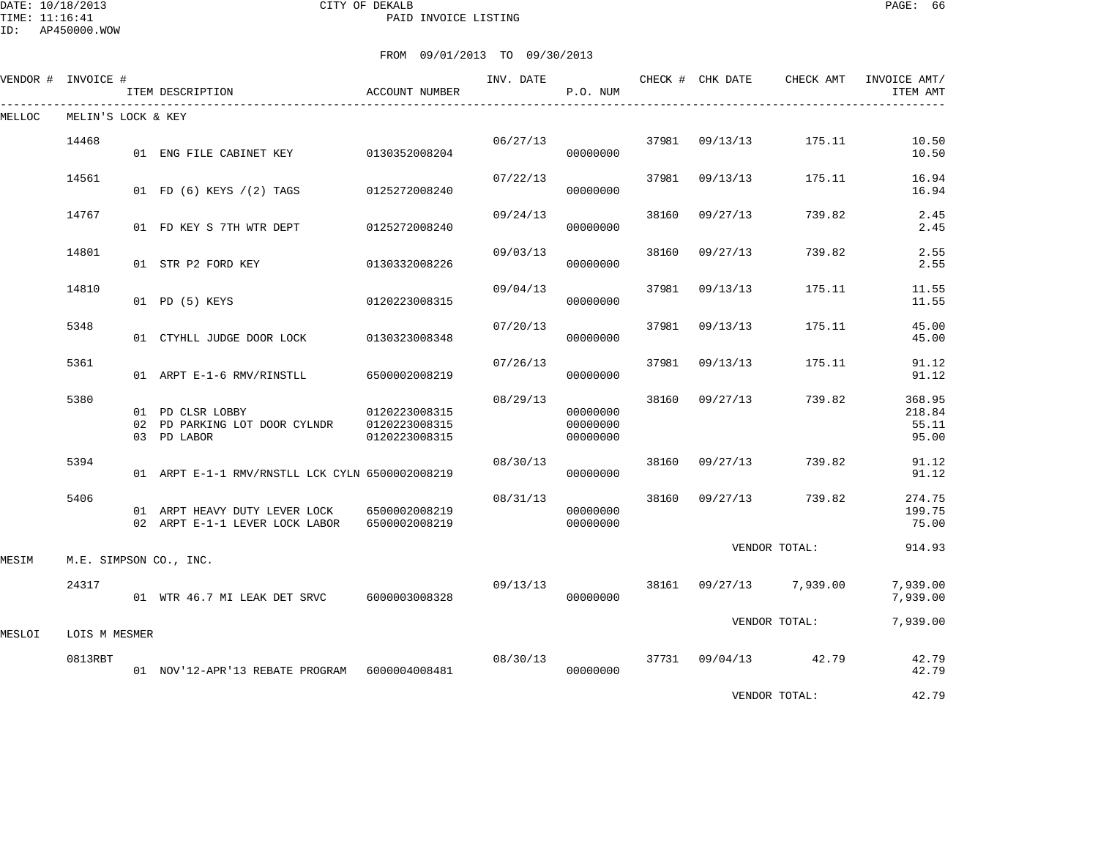DATE: 10/18/2013 CITY OF DEKALB PAGE: 66 PAID INVOICE LISTING

ID: AP450000.WOW

|        | VENDOR # INVOICE # | ITEM DESCRIPTION                                                 | ACCOUNT NUMBER                                  | INV. DATE | P.O. NUM                         |       | CHECK # CHK DATE | CHECK AMT     | INVOICE AMT/<br>ITEM AMT           |
|--------|--------------------|------------------------------------------------------------------|-------------------------------------------------|-----------|----------------------------------|-------|------------------|---------------|------------------------------------|
| MELLOC | MELIN'S LOCK & KEY |                                                                  |                                                 |           |                                  |       |                  |               |                                    |
|        | 14468              | 01 ENG FILE CABINET KEY                                          | 0130352008204                                   | 06/27/13  | 00000000                         | 37981 | 09/13/13         | 175.11        | 10.50<br>10.50                     |
|        | 14561              | 01 FD (6) KEYS / (2) TAGS                                        | 0125272008240                                   | 07/22/13  | 00000000                         | 37981 | 09/13/13         | 175.11        | 16.94<br>16.94                     |
|        | 14767              | 01 FD KEY S 7TH WTR DEPT                                         | 0125272008240                                   | 09/24/13  | 00000000                         | 38160 | 09/27/13         | 739.82        | 2.45<br>2.45                       |
|        | 14801              | 01 STR P2 FORD KEY                                               | 0130332008226                                   | 09/03/13  | 00000000                         | 38160 | 09/27/13         | 739.82        | 2.55<br>2.55                       |
|        | 14810              | 01 PD (5) KEYS                                                   | 0120223008315                                   | 09/04/13  | 00000000                         | 37981 | 09/13/13         | 175.11        | 11.55<br>11.55                     |
|        | 5348               | 01 CTYHLL JUDGE DOOR LOCK                                        | 0130323008348                                   | 07/20/13  | 00000000                         | 37981 | 09/13/13         | 175.11        | 45.00<br>45.00                     |
|        | 5361               | 01 ARPT E-1-6 RMV/RINSTLL                                        | 6500002008219                                   | 07/26/13  | 00000000                         | 37981 | 09/13/13         | 175.11        | 91.12<br>91.12                     |
|        | 5380               | 01 PD CLSR LOBBY<br>02 PD PARKING LOT DOOR CYLNDR<br>03 PD LABOR | 0120223008315<br>0120223008315<br>0120223008315 | 08/29/13  | 00000000<br>00000000<br>00000000 | 38160 | 09/27/13         | 739.82        | 368.95<br>218.84<br>55.11<br>95.00 |
|        | 5394               | 01 ARPT E-1-1 RMV/RNSTLL LCK CYLN 6500002008219                  |                                                 | 08/30/13  | 00000000                         | 38160 | 09/27/13         | 739.82        | 91.12<br>91.12                     |
|        | 5406               | 01 ARPT HEAVY DUTY LEVER LOCK<br>02 ARPT E-1-1 LEVER LOCK LABOR  | 6500002008219<br>6500002008219                  | 08/31/13  | 00000000<br>00000000             | 38160 | 09/27/13         | 739.82        | 274.75<br>199.75<br>75.00          |
| MESIM  |                    | M.E. SIMPSON CO., INC.                                           |                                                 |           |                                  |       |                  | VENDOR TOTAL: | 914.93                             |
|        | 24317              | 01 WTR 46.7 MI LEAK DET SRVC                                     | 6000003008328                                   | 09/13/13  | 00000000                         | 38161 | 09/27/13         | 7,939.00      | 7,939.00<br>7,939.00               |
| MESLOI | LOIS M MESMER      |                                                                  |                                                 |           |                                  |       |                  | VENDOR TOTAL: | 7,939.00                           |
|        | 0813RBT            | 01 NOV'12-APR'13 REBATE PROGRAM 6000004008481                    |                                                 | 08/30/13  | 00000000                         | 37731 | 09/04/13         | 42.79         | 42.79<br>42.79                     |
|        |                    |                                                                  |                                                 |           |                                  |       |                  | VENDOR TOTAL: | 42.79                              |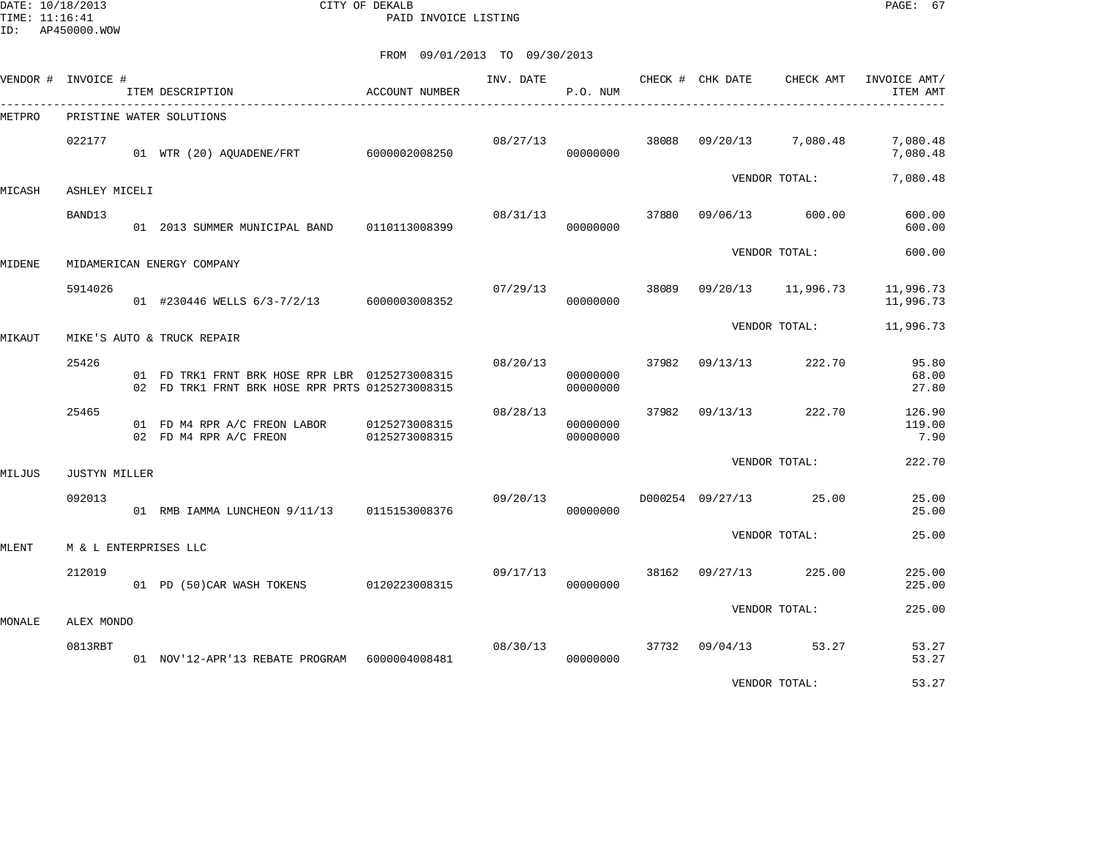DATE: 10/18/2013 CITY OF DEKALB PAGE: 67 PAID INVOICE LISTING

|        | VENDOR # INVOICE #    | ITEM DESCRIPTION                                                                                  | <b>ACCOUNT NUMBER</b> | INV. DATE | P.O. NUM             |       | CHECK # CHK DATE | CHECK AMT     | INVOICE AMT/<br>ITEM AMT |
|--------|-----------------------|---------------------------------------------------------------------------------------------------|-----------------------|-----------|----------------------|-------|------------------|---------------|--------------------------|
| METPRO |                       | PRISTINE WATER SOLUTIONS                                                                          |                       |           |                      |       |                  |               |                          |
|        | 022177                | 01 WTR (20) AQUADENE/FRT 6000002008250                                                            |                       | 08/27/13  | 00000000             | 38088 | 09/20/13         | 7,080.48      | 7,080.48<br>7,080.48     |
| MICASH | ASHLEY MICELI         |                                                                                                   |                       |           |                      |       |                  | VENDOR TOTAL: | 7,080.48                 |
|        | BAND13                | 01 2013 SUMMER MUNICIPAL BAND 0110113008399                                                       |                       | 08/31/13  | 00000000             | 37880 | 09/06/13         | 600.00        | 600.00<br>600.00         |
| MIDENE |                       | MIDAMERICAN ENERGY COMPANY                                                                        |                       |           |                      |       |                  | VENDOR TOTAL: | 600.00                   |
|        | 5914026               | 01 #230446 WELLS 6/3-7/2/13 6000003008352                                                         |                       | 07/29/13  | 00000000             | 38089 | 09/20/13         | 11,996.73     | 11,996.73<br>11,996.73   |
| MIKAUT |                       | MIKE'S AUTO & TRUCK REPAIR                                                                        |                       |           |                      |       |                  | VENDOR TOTAL: | 11,996.73                |
|        | 25426                 | 01 FD TRK1 FRNT BRK HOSE RPR LBR 0125273008315<br>02 FD TRK1 FRNT BRK HOSE RPR PRTS 0125273008315 |                       | 08/20/13  | 00000000<br>00000000 | 37982 | 09/13/13         | 222.70        | 95.80<br>68.00<br>27.80  |
|        | 25465                 | 01 FD M4 RPR A/C FREON LABOR 0125273008315<br>02 FD M4 RPR A/C FREON                              | 0125273008315         | 08/28/13  | 00000000<br>00000000 | 37982 | 09/13/13         | 222.70        | 126.90<br>119.00<br>7.90 |
| MILJUS | <b>JUSTYN MILLER</b>  |                                                                                                   |                       |           |                      |       |                  | VENDOR TOTAL: | 222.70                   |
|        | 092013                | 01 RMB IAMMA LUNCHEON 9/11/13 0115153008376                                                       |                       | 09/20/13  | 00000000             |       | D000254 09/27/13 | 25.00         | 25.00<br>25.00           |
| MLENT  | M & L ENTERPRISES LLC |                                                                                                   |                       |           |                      |       |                  | VENDOR TOTAL: | 25.00                    |
|        | 212019                | 01 PD (50) CAR WASH TOKENS 0120223008315                                                          |                       | 09/17/13  | 00000000             | 38162 | 09/27/13         | 225.00        | 225.00<br>225.00         |
| MONALE | ALEX MONDO            |                                                                                                   |                       |           |                      |       |                  | VENDOR TOTAL: | 225.00                   |
|        | 0813RBT               | 01 NOV'12-APR'13 REBATE PROGRAM 6000004008481                                                     |                       | 08/30/13  | 00000000             |       | 37732 09/04/13   | 53.27         | 53.27<br>53.27           |
|        |                       |                                                                                                   |                       |           |                      |       |                  | VENDOR TOTAL: | 53.27                    |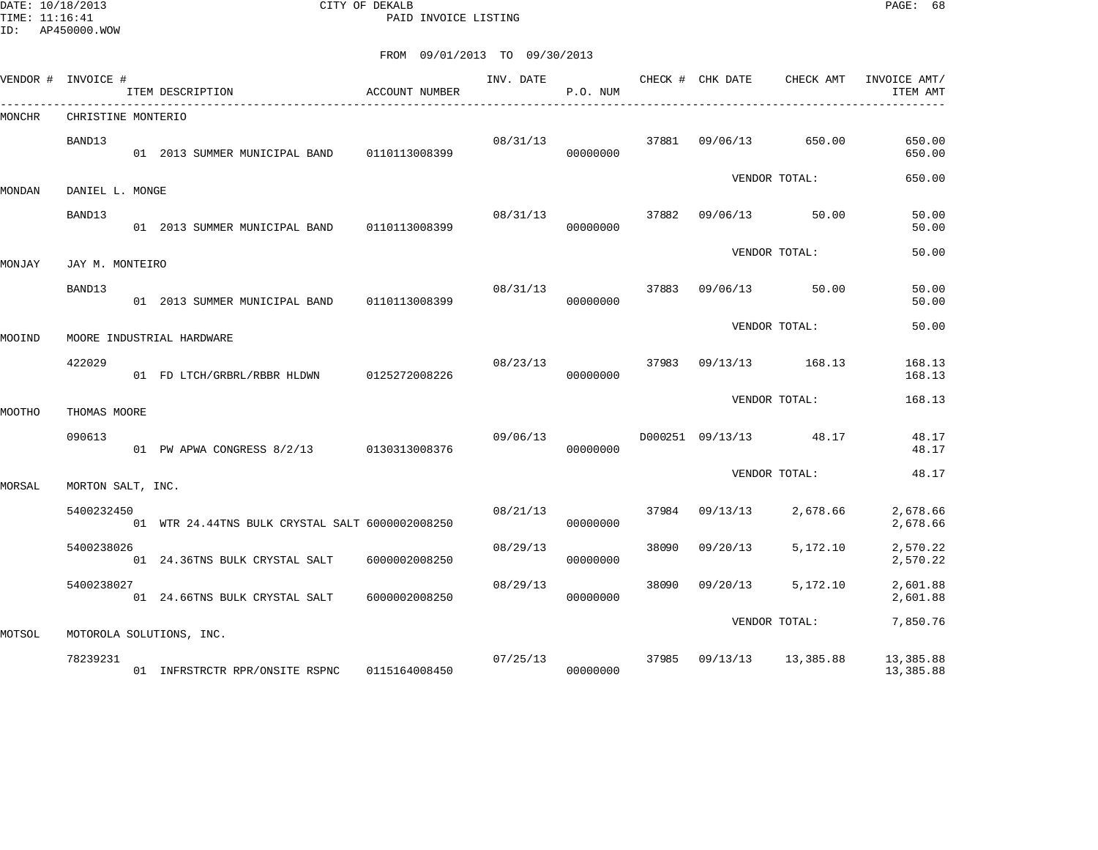DATE: 10/18/2013 CITY OF DEKALB PAGE: 68 PAID INVOICE LISTING

|        | VENDOR # INVOICE # | ITEM DESCRIPTION                                | ACCOUNT NUMBER | INV. DATE | P.O. NUM |       | CHECK # CHK DATE | CHECK AMT     | INVOICE AMT/<br>ITEM AMT |
|--------|--------------------|-------------------------------------------------|----------------|-----------|----------|-------|------------------|---------------|--------------------------|
| MONCHR | CHRISTINE MONTERIO |                                                 |                |           |          |       |                  |               |                          |
|        | BAND13             | 01 2013 SUMMER MUNICIPAL BAND 0110113008399     |                | 08/31/13  | 00000000 | 37881 | 09/06/13         | 650.00        | 650.00<br>650.00         |
| MONDAN | DANIEL L. MONGE    |                                                 |                |           |          |       |                  | VENDOR TOTAL: | 650.00                   |
|        |                    |                                                 |                |           |          |       |                  |               |                          |
|        | BAND13             | 01 2013 SUMMER MUNICIPAL BAND 0110113008399     |                | 08/31/13  | 00000000 |       | 37882 09/06/13   | 50.00         | 50.00<br>50.00           |
| MONJAY | JAY M. MONTEIRO    |                                                 |                |           |          |       |                  | VENDOR TOTAL: | 50.00                    |
|        |                    |                                                 |                |           |          |       |                  |               |                          |
|        | BAND13             | 01 2013 SUMMER MUNICIPAL BAND                   | 0110113008399  | 08/31/13  | 00000000 | 37883 | 09/06/13         | 50.00         | 50.00<br>50.00           |
| MOOIND |                    | MOORE INDUSTRIAL HARDWARE                       |                |           |          |       |                  | VENDOR TOTAL: | 50.00                    |
|        |                    |                                                 |                |           |          |       |                  |               |                          |
|        | 422029             | 01 FD LTCH/GRBRL/RBBR HLDWN 0125272008226       |                | 08/23/13  | 00000000 | 37983 | 09/13/13         | 168.13        | 168.13<br>168.13         |
| MOOTHO | THOMAS MOORE       |                                                 |                |           |          |       |                  | VENDOR TOTAL: | 168.13                   |
|        |                    |                                                 |                |           |          |       |                  |               |                          |
|        | 090613             | 01 PW APWA CONGRESS 8/2/13 0130313008376        |                | 09/06/13  | 00000000 |       | D000251 09/13/13 | 48.17         | 48.17<br>48.17           |
| MORSAL | MORTON SALT, INC.  |                                                 |                |           |          |       |                  | VENDOR TOTAL: | 48.17                    |
|        |                    |                                                 |                |           |          |       |                  |               |                          |
|        | 5400232450         | 01 WTR 24.44TNS BULK CRYSTAL SALT 6000002008250 |                | 08/21/13  | 00000000 | 37984 | 09/13/13         | 2,678.66      | 2,678.66<br>2,678.66     |
|        | 5400238026         |                                                 |                | 08/29/13  |          | 38090 | 09/20/13         | 5,172.10      | 2,570.22                 |
|        |                    | 01 24.36TNS BULK CRYSTAL SALT                   | 6000002008250  |           | 00000000 |       |                  |               | 2,570.22                 |
|        | 5400238027         | 01 24.66TNS BULK CRYSTAL SALT                   | 6000002008250  | 08/29/13  | 00000000 | 38090 | 09/20/13         | 5,172.10      | 2,601.88<br>2,601.88     |
|        |                    |                                                 |                |           |          |       |                  | VENDOR TOTAL: | 7,850.76                 |
| MOTSOL |                    | MOTOROLA SOLUTIONS, INC.                        |                |           |          |       |                  |               |                          |
|        | 78239231           | 01 INFRSTRCTR RPR/ONSITE RSPNC                  | 0115164008450  | 07/25/13  | 00000000 | 37985 | 09/13/13         | 13,385.88     | 13,385.88<br>13,385.88   |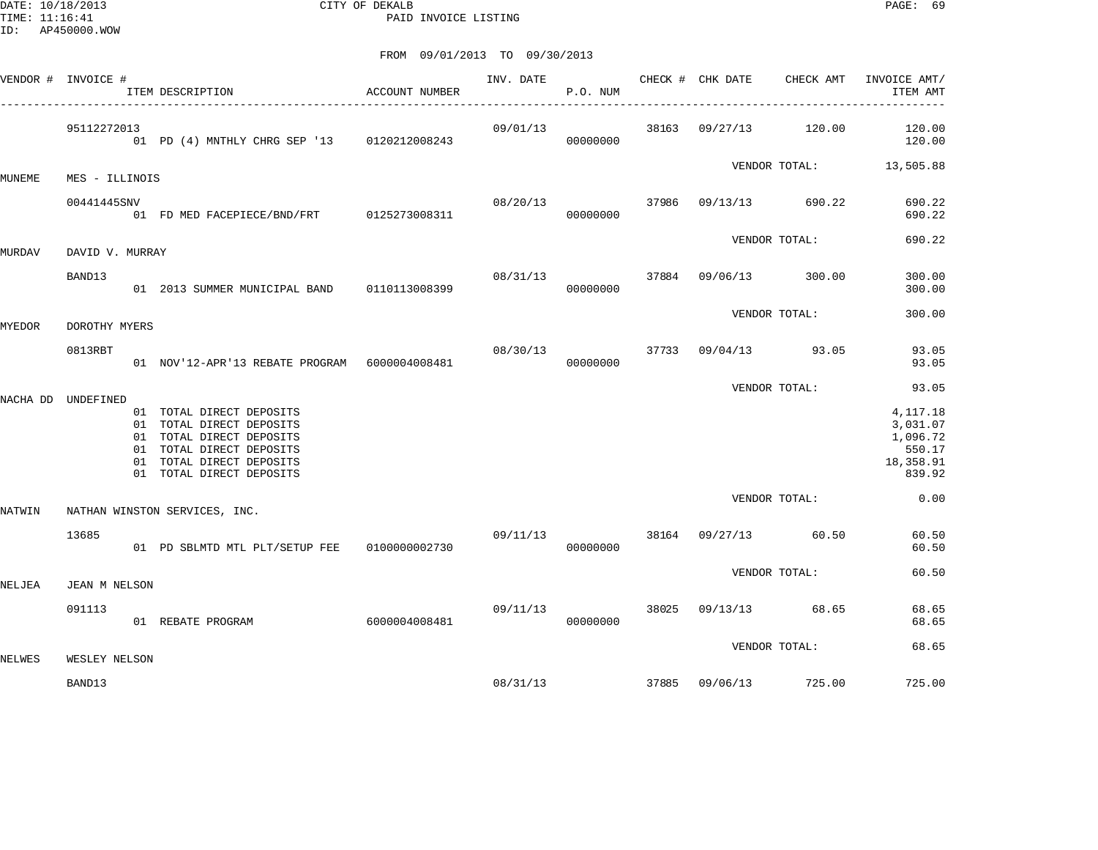DATE: 10/18/2013 CITY OF DEKALB PAGE: 69 PAID INVOICE LISTING

|        | VENDOR # INVOICE # | ITEM DESCRIPTION<br>--------------------------------------                                                                                                           | ACCOUNT NUMBER |          | INV. DATE<br>P.O. NUM | CHECK # CHK DATE | CHECK AMT                      | INVOICE AMT/<br>ITEM AMT                                          |
|--------|--------------------|----------------------------------------------------------------------------------------------------------------------------------------------------------------------|----------------|----------|-----------------------|------------------|--------------------------------|-------------------------------------------------------------------|
|        | 95112272013        | 01 PD (4) MNTHLY CHRG SEP '13 0120212008243                                                                                                                          |                | 09/01/13 | 00000000              |                  | 38163 09/27/13 120.00          | 120.00<br>120.00                                                  |
| MUNEME | MES - ILLINOIS     |                                                                                                                                                                      |                |          |                       |                  |                                | VENDOR TOTAL: 13,505.88                                           |
|        | 00441445SNV        | 01 FD MED FACEPIECE/BND/FRT 0125273008311                                                                                                                            |                |          | 00000000              |                  | 08/20/13 37986 09/13/13 690.22 | 690.22<br>690.22                                                  |
| MURDAV | DAVID V. MURRAY    |                                                                                                                                                                      |                |          |                       |                  | VENDOR TOTAL:                  | 690.22                                                            |
|        | BAND13             | 01 2013 SUMMER MUNICIPAL BAND 0110113008399                                                                                                                          |                | 08/31/13 | 00000000              |                  | 37884 09/06/13 300.00          | 300.00<br>300.00                                                  |
| MYEDOR | DOROTHY MYERS      |                                                                                                                                                                      |                |          |                       |                  | VENDOR TOTAL:                  | 300.00                                                            |
|        | 0813RBT            | 01 NOV'12-APR'13 REBATE PROGRAM 6000004008481                                                                                                                        |                |          | 00000000              |                  | 08/30/13 37733 09/04/13 93.05  | 93.05<br>93.05                                                    |
|        |                    |                                                                                                                                                                      |                |          |                       |                  | VENDOR TOTAL:                  | 93.05                                                             |
|        | NACHA DD UNDEFINED | 01 TOTAL DIRECT DEPOSITS<br>01 TOTAL DIRECT DEPOSITS<br>01 TOTAL DIRECT DEPOSITS<br>01 TOTAL DIRECT DEPOSITS<br>01 TOTAL DIRECT DEPOSITS<br>01 TOTAL DIRECT DEPOSITS |                |          |                       |                  |                                | 4,117.18<br>3,031.07<br>1,096.72<br>550.17<br>18,358.91<br>839.92 |
| NATWIN |                    | NATHAN WINSTON SERVICES, INC.                                                                                                                                        |                |          |                       |                  | VENDOR TOTAL:                  | 0.00                                                              |
|        | 13685              | 01 PD SBLMTD MTL PLT/SETUP FEE 0100000002730                                                                                                                         |                |          | 00000000              |                  | 09/11/13 38164 09/27/13 60.50  | 60.50<br>60.50                                                    |
| NELJEA | JEAN M NELSON      |                                                                                                                                                                      |                |          |                       |                  | VENDOR TOTAL:                  | 60.50                                                             |
|        | 091113             | 01 REBATE PROGRAM                                                                                                                                                    | 6000004008481  |          | 09/11/13<br>00000000  |                  | 38025 09/13/13 68.65           | 68.65<br>68.65                                                    |
| NELWES | WESLEY NELSON      |                                                                                                                                                                      |                |          |                       |                  | VENDOR TOTAL:                  | 68.65                                                             |
|        | BAND13             |                                                                                                                                                                      |                |          | 08/31/13              |                  | 37885 09/06/13 725.00          | 725.00                                                            |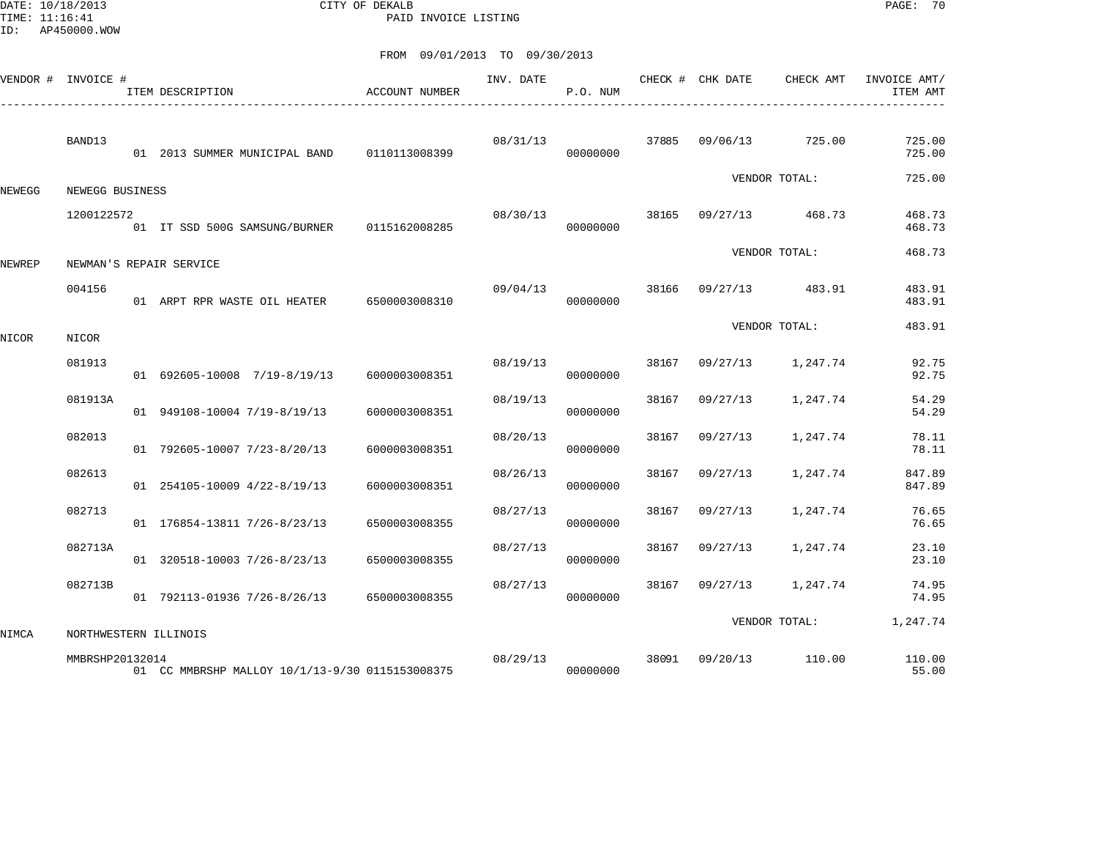DATE: 10/18/2013 CITY OF DEKALB PAGE: 70 PAID INVOICE LISTING

|        | VENDOR # INVOICE #    | ACCOUNT NUMBER<br>ITEM DESCRIPTION              |               | INV. DATE | P.O. NUM |       | CHECK # CHK DATE | CHECK AMT     | INVOICE AMT/<br>ITEM AMT |
|--------|-----------------------|-------------------------------------------------|---------------|-----------|----------|-------|------------------|---------------|--------------------------|
|        | BAND13                | 01 2013 SUMMER MUNICIPAL BAND                   | 0110113008399 | 08/31/13  | 00000000 | 37885 | 09/06/13         | 725.00        | 725.00<br>725.00         |
| NEWEGG | NEWEGG BUSINESS       |                                                 |               |           |          |       |                  | VENDOR TOTAL: | 725.00                   |
|        | 1200122572            | 01 IT SSD 500G SAMSUNG/BURNER                   | 0115162008285 | 08/30/13  | 00000000 | 38165 | 09/27/13         | 468.73        | 468.73<br>468.73         |
| NEWREP |                       | NEWMAN'S REPAIR SERVICE                         |               |           |          |       |                  | VENDOR TOTAL: | 468.73                   |
|        | 004156                | 01 ARPT RPR WASTE OIL HEATER 6500003008310      |               | 09/04/13  | 00000000 | 38166 | 09/27/13         | 483.91        | 483.91<br>483.91         |
| NICOR  | NICOR                 |                                                 |               |           |          |       |                  | VENDOR TOTAL: | 483.91                   |
|        | 081913                | 01 692605-10008 7/19-8/19/13                    | 6000003008351 | 08/19/13  | 00000000 | 38167 | 09/27/13         | 1,247.74      | 92.75<br>92.75           |
|        | 081913A               | 01 949108-10004 7/19-8/19/13                    | 6000003008351 | 08/19/13  | 00000000 | 38167 | 09/27/13         | 1,247.74      | 54.29<br>54.29           |
|        | 082013                | 01 792605-10007 7/23-8/20/13                    | 6000003008351 | 08/20/13  | 00000000 | 38167 | 09/27/13         | 1,247.74      | 78.11<br>78.11           |
|        | 082613                | 01 254105-10009 4/22-8/19/13                    | 6000003008351 | 08/26/13  | 00000000 | 38167 | 09/27/13         | 1,247.74      | 847.89<br>847.89         |
|        | 082713                | 01 176854-13811 7/26-8/23/13                    | 6500003008355 | 08/27/13  | 00000000 | 38167 | 09/27/13         | 1,247.74      | 76.65<br>76.65           |
|        | 082713A               | 01 320518-10003 7/26-8/23/13                    | 6500003008355 | 08/27/13  | 00000000 | 38167 | 09/27/13         | 1,247.74      | 23.10<br>23.10           |
|        | 082713B               | 01 792113-01936 7/26-8/26/13                    | 6500003008355 | 08/27/13  | 00000000 | 38167 | 09/27/13         | 1,247.74      | 74.95<br>74.95           |
| NIMCA  | NORTHWESTERN ILLINOIS |                                                 |               |           |          |       |                  | VENDOR TOTAL: | 1,247.74                 |
|        | MMBRSHP20132014       | 01 CC MMBRSHP MALLOY 10/1/13-9/30 0115153008375 |               | 08/29/13  | 00000000 | 38091 | 09/20/13         | 110.00        | 110.00<br>55.00          |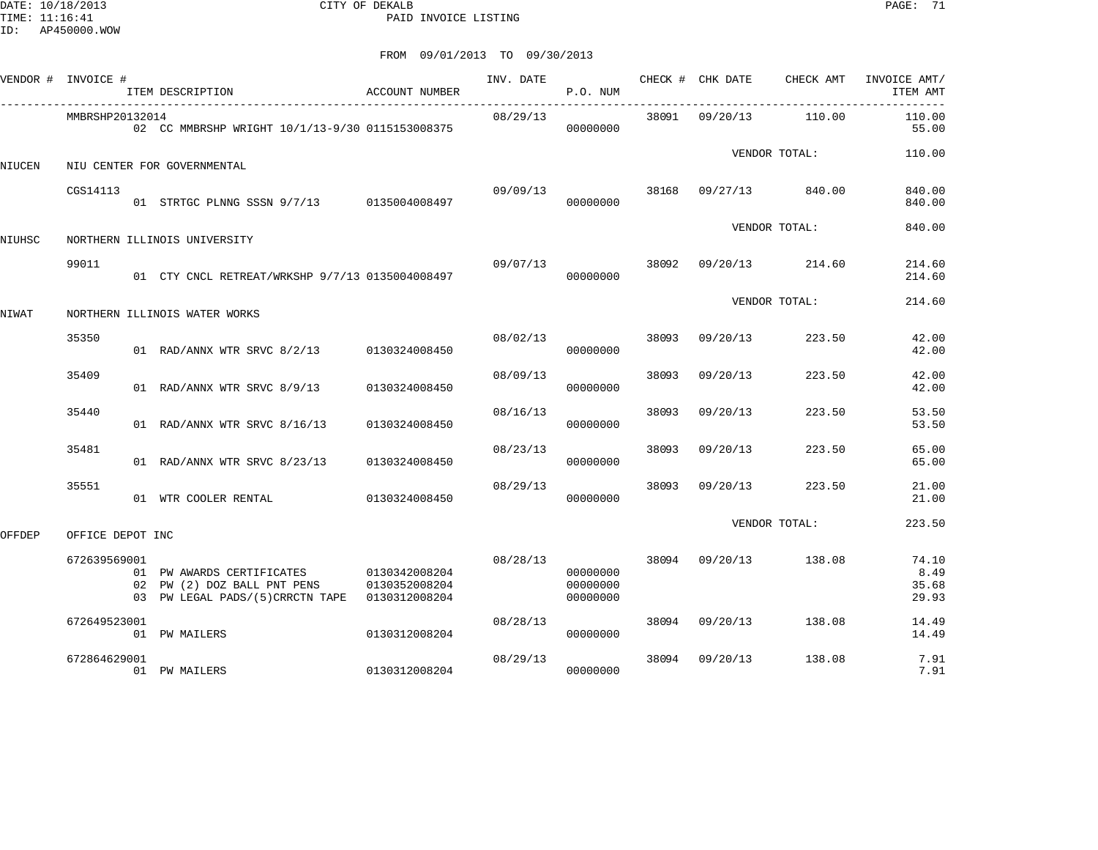DATE: 10/18/2013 CITY OF DEKALB PAGE: 71 PAID INVOICE LISTING

|        | VENDOR # INVOICE # | ITEM DESCRIPTION                                                                                                        | ACCOUNT NUMBER | INV. DATE | P.O. NUM                         |       | CHECK # CHK DATE | CHECK AMT             | INVOICE AMT/<br>ITEM AMT        |
|--------|--------------------|-------------------------------------------------------------------------------------------------------------------------|----------------|-----------|----------------------------------|-------|------------------|-----------------------|---------------------------------|
|        | MMBRSHP20132014    | 02 CC MMBRSHP WRIGHT 10/1/13-9/30 0115153008375                                                                         |                | 08/29/13  | 00000000                         |       | 38091 09/20/13   | 110.00                | 110.00<br>55.00                 |
| NIUCEN |                    | NIU CENTER FOR GOVERNMENTAL                                                                                             |                |           |                                  |       |                  | VENDOR TOTAL:         | 110.00                          |
|        | CGS14113           | 01 STRTGC PLNNG SSSN 9/7/13 0135004008497                                                                               |                |           | 09/09/13 38168<br>00000000       |       | 09/27/13         | 840.00                | 840.00<br>840.00                |
| NIUHSC |                    | NORTHERN ILLINOIS UNIVERSITY                                                                                            |                |           |                                  |       |                  | VENDOR TOTAL:         | 840.00                          |
|        | 99011              | 01 CTY CNCL RETREAT/WRKSHP 9/7/13 0135004008497                                                                         |                | 09/07/13  | 00000000                         |       |                  | 38092 09/20/13 214.60 | 214.60<br>214.60                |
| NIWAT  |                    | NORTHERN ILLINOIS WATER WORKS                                                                                           |                |           |                                  |       |                  | VENDOR TOTAL:         | 214.60                          |
|        | 35350              | 01 RAD/ANNX WTR SRVC 8/2/13 0130324008450                                                                               |                | 08/02/13  | 00000000                         | 38093 | 09/20/13         | 223.50                | 42.00<br>42.00                  |
|        | 35409              | 01 RAD/ANNX WTR SRVC 8/9/13                                                                                             | 0130324008450  | 08/09/13  | 00000000                         | 38093 | 09/20/13         | 223.50                | 42.00<br>42.00                  |
|        | 35440              | 01 RAD/ANNX WTR SRVC 8/16/13                                                                                            | 0130324008450  | 08/16/13  | 00000000                         | 38093 | 09/20/13         | 223.50                | 53.50<br>53.50                  |
|        | 35481              | 01 RAD/ANNX WTR SRVC 8/23/13                                                                                            | 0130324008450  | 08/23/13  | 00000000                         | 38093 | 09/20/13         | 223.50                | 65.00<br>65.00                  |
|        | 35551              | 01 WTR COOLER RENTAL                                                                                                    | 0130324008450  | 08/29/13  | 00000000                         | 38093 | 09/20/13         | 223.50                | 21.00<br>21.00                  |
| OFFDEP | OFFICE DEPOT INC   |                                                                                                                         |                |           |                                  |       |                  | VENDOR TOTAL:         | 223.50                          |
|        | 672639569001       | 01 PW AWARDS CERTIFICATES 0130342008204<br>02 PW (2) DOZ BALL PNT PENS<br>03 PW LEGAL PADS/(5)CRRCTN TAPE 0130312008204 | 0130352008204  | 08/28/13  | 00000000<br>00000000<br>00000000 | 38094 | 09/20/13         | 138.08                | 74.10<br>8.49<br>35.68<br>29.93 |
|        | 672649523001       | 01 PW MAILERS                                                                                                           | 0130312008204  | 08/28/13  | 00000000                         | 38094 | 09/20/13         | 138.08                | 14.49<br>14.49                  |
|        | 672864629001       | 01 PW MAILERS                                                                                                           | 0130312008204  | 08/29/13  | 00000000                         | 38094 | 09/20/13         | 138.08                | 7.91<br>7.91                    |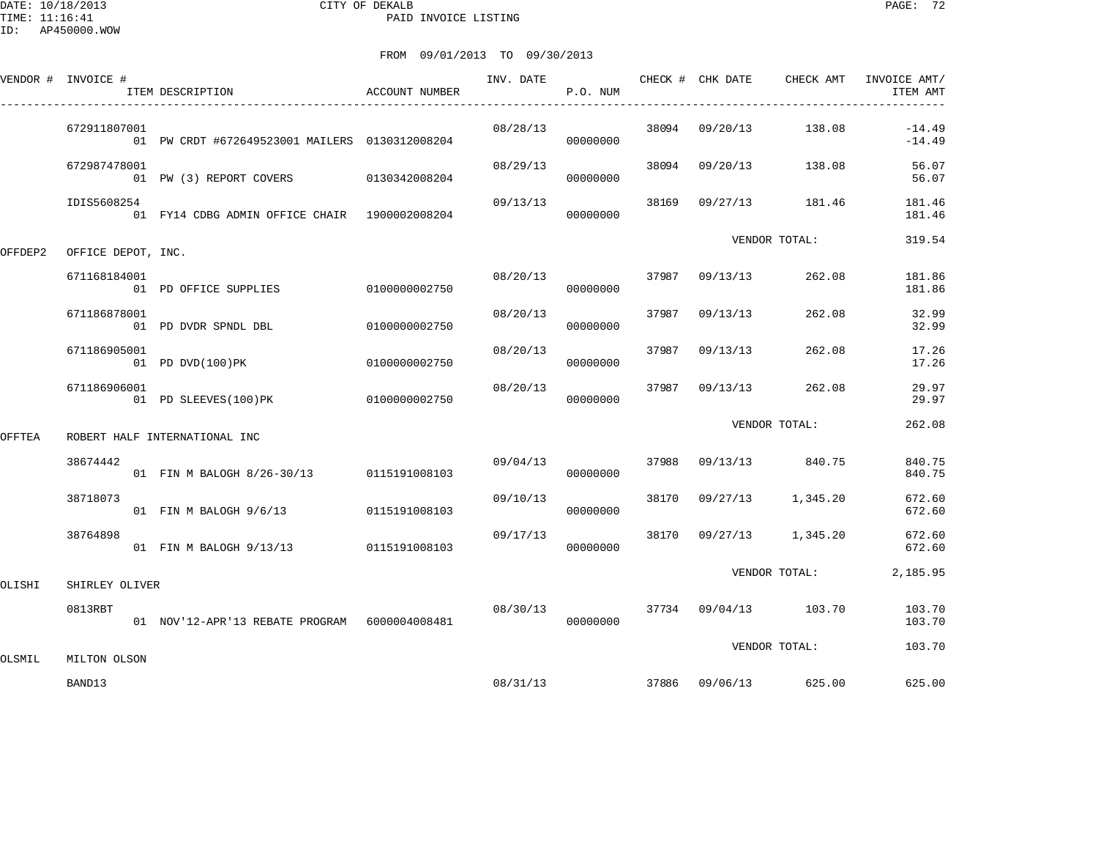DATE: 10/18/2013 CITY OF DEKALB PAGE: 72 PAID INVOICE LISTING

|         | VENDOR # INVOICE # | ITEM DESCRIPTION                               | ACCOUNT NUMBER | INV. DATE | P.O. NUM |       | CHECK # CHK DATE | CHECK AMT                      | INVOICE AMT/<br>ITEM AMT |
|---------|--------------------|------------------------------------------------|----------------|-----------|----------|-------|------------------|--------------------------------|--------------------------|
|         | 672911807001       | 01 PW CRDT #672649523001 MAILERS 0130312008204 |                | 08/28/13  | 00000000 |       |                  | 38094 09/20/13 138.08          | $-14.49$<br>$-14.49$     |
|         | 672987478001       | 01 PW (3) REPORT COVERS 0130342008204          |                | 08/29/13  | 00000000 |       |                  | 38094 09/20/13 138.08          | 56.07<br>56.07           |
|         | IDIS5608254        | 01 FY14 CDBG ADMIN OFFICE CHAIR 1900002008204  |                | 09/13/13  | 00000000 | 38169 |                  | 09/27/13 181.46                | 181.46<br>181.46         |
| OFFDEP2 | OFFICE DEPOT, INC. |                                                |                |           |          |       |                  | VENDOR TOTAL:                  | 319.54                   |
|         | 671168184001       | 01 PD OFFICE SUPPLIES                          | 0100000002750  | 08/20/13  | 00000000 | 37987 | 09/13/13         | 262.08                         | 181.86<br>181.86         |
|         | 671186878001       | 01 PD DVDR SPNDL DBL                           | 0100000002750  | 08/20/13  | 00000000 | 37987 | 09/13/13         | 262.08                         | 32.99<br>32.99           |
|         | 671186905001       | 01 PD DVD(100)PK                               | 0100000002750  | 08/20/13  | 00000000 | 37987 | 09/13/13         | 262.08                         | 17.26<br>17.26           |
|         | 671186906001       | 01 PD SLEEVES(100)PK                           | 0100000002750  | 08/20/13  | 00000000 | 37987 | 09/13/13         | 262.08                         | 29.97<br>29.97           |
| OFFTEA  |                    | ROBERT HALF INTERNATIONAL INC                  |                |           |          |       |                  | VENDOR TOTAL:                  | 262.08                   |
|         | 38674442           | 01 FIN M BALOGH 8/26-30/13 0115191008103       |                | 09/04/13  | 00000000 | 37988 |                  | 09/13/13 840.75                | 840.75<br>840.75         |
|         | 38718073           | 01 FIN M BALOGH 9/6/13                         | 0115191008103  | 09/10/13  | 00000000 |       |                  | 38170 09/27/13 1,345.20        | 672.60<br>672.60         |
|         | 38764898           | 01 FIN M BALOGH 9/13/13 0115191008103          |                | 09/17/13  | 00000000 | 38170 |                  | 09/27/13 1,345.20              | 672.60<br>672.60         |
| OLISHI  | SHIRLEY OLIVER     |                                                |                |           |          |       |                  | VENDOR TOTAL:                  | 2,185.95                 |
|         | 0813RBT            | 01 NOV'12-APR'13 REBATE PROGRAM 6000004008481  |                | 08/30/13  | 00000000 |       |                  | 37734 09/04/13 103.70          | 103.70<br>103.70         |
| OLSMIL  | MILTON OLSON       |                                                |                |           |          |       |                  | VENDOR TOTAL:                  | 103.70                   |
|         | BAND13             |                                                |                |           |          |       |                  | 08/31/13 37886 09/06/13 625.00 | 625.00                   |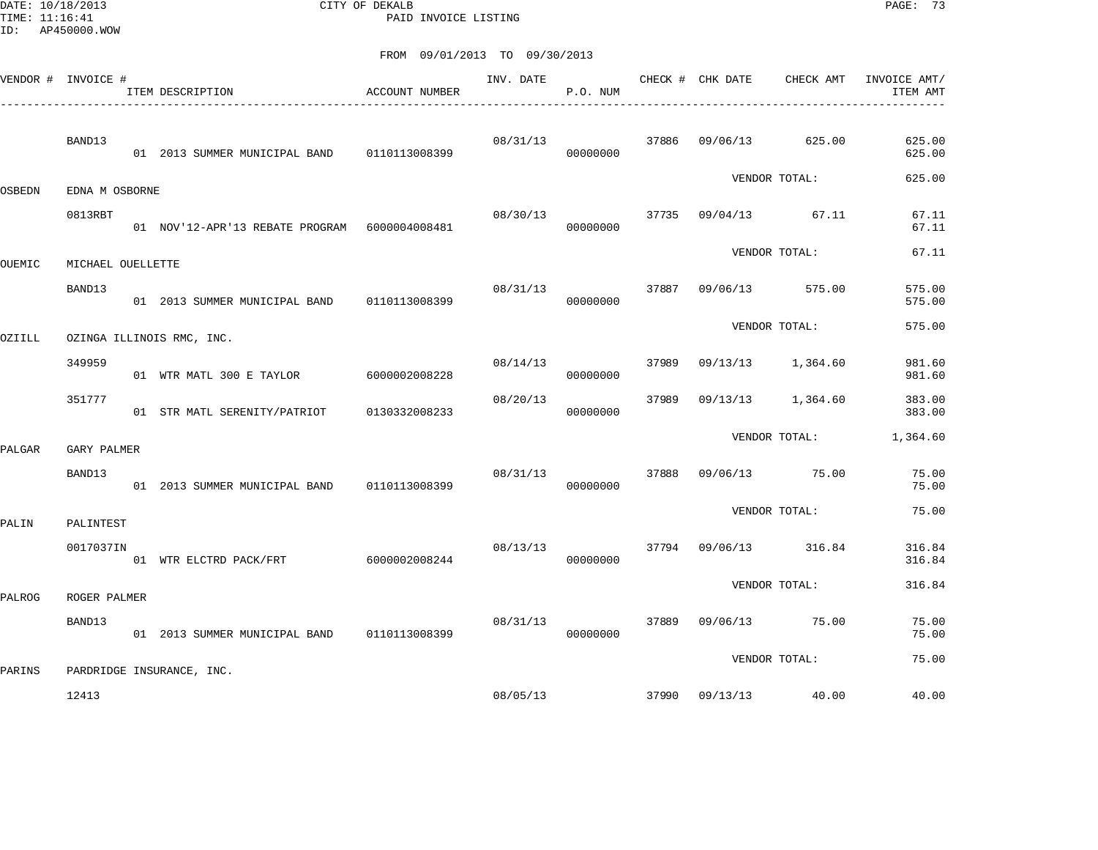DATE: 10/18/2013 CITY OF DEKALB PAGE: 73 PAID INVOICE LISTING

|        | VENDOR # INVOICE # | ITEM DESCRIPTION                                | ACCOUNT NUMBER | INV. DATE | P.O. NUM |       | CHECK # CHK DATE | CHECK AMT            | INVOICE AMT/<br>ITEM AMT |
|--------|--------------------|-------------------------------------------------|----------------|-----------|----------|-------|------------------|----------------------|--------------------------|
|        | BAND13             | 01  2013  SUMMER MUNICIPAL BAND   0110113008399 |                | 08/31/13  | 00000000 | 37886 | 09/06/13         | 625.00               | 625.00<br>625.00         |
| OSBEDN | EDNA M OSBORNE     |                                                 |                |           |          |       |                  | VENDOR TOTAL:        | 625.00                   |
|        | 0813RBT            | 01 NOV'12-APR'13 REBATE PROGRAM 6000004008481   |                | 08/30/13  | 00000000 | 37735 | 09/04/13         | 67.11                | 67.11<br>67.11           |
| OUEMIC | MICHAEL OUELLETTE  |                                                 |                |           |          |       |                  | VENDOR TOTAL:        | 67.11                    |
|        | BAND13             | 01 2013 SUMMER MUNICIPAL BAND                   | 0110113008399  | 08/31/13  | 00000000 | 37887 | 09/06/13         | 575.00               | 575.00<br>575.00         |
| OZIILL |                    | OZINGA ILLINOIS RMC, INC.                       |                |           |          |       |                  | VENDOR TOTAL:        | 575.00                   |
|        | 349959             | 01 WTR MATL 300 E TAYLOR                        | 6000002008228  | 08/14/13  | 00000000 | 37989 | 09/13/13         | 1,364.60             | 981.60<br>981.60         |
|        | 351777             | 01 STR MATL SERENITY/PATRIOT                    | 0130332008233  | 08/20/13  | 00000000 | 37989 | 09/13/13         | 1,364.60             | 383.00<br>383.00         |
| PALGAR | GARY PALMER        |                                                 |                |           |          |       |                  | VENDOR TOTAL:        | 1,364.60                 |
|        | BAND13             | 01  2013  SUMMER MUNICIPAL BAND   0110113008399 |                | 08/31/13  | 00000000 | 37888 |                  | 09/06/13 75.00       | 75.00<br>75.00           |
| PALIN  | PALINTEST          |                                                 |                |           |          |       |                  | VENDOR TOTAL:        | 75.00                    |
|        | 0017037IN          | 01 WTR ELCTRD PACK/FRT                          | 6000002008244  | 08/13/13  | 00000000 |       | 37794 09/06/13   | 316.84               | 316.84<br>316.84         |
| PALROG | ROGER PALMER       |                                                 |                |           |          |       |                  | VENDOR TOTAL:        | 316.84                   |
|        | BAND13             | 01 2013 SUMMER MUNICIPAL BAND 0110113008399     |                | 08/31/13  | 00000000 | 37889 | 09/06/13         | 75.00                | 75.00<br>75.00           |
| PARINS |                    | PARDRIDGE INSURANCE, INC.                       |                |           |          |       |                  | VENDOR TOTAL:        | 75.00                    |
|        | 12413              |                                                 |                | 08/05/13  |          |       |                  | 37990 09/13/13 40.00 | 40.00                    |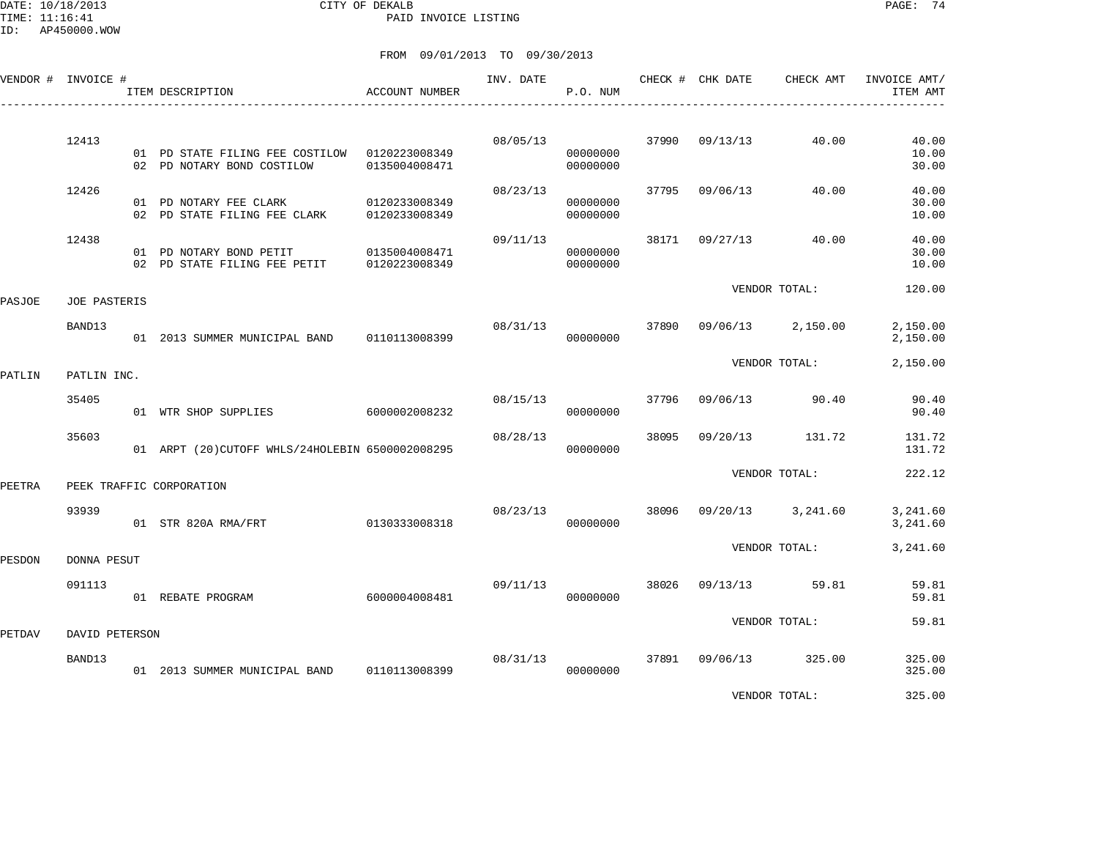DATE: 10/18/2013 CITY OF DEKALB PAGE: 74 PAID INVOICE LISTING

ID: AP450000.WOW

|        | VENDOR # INVOICE #  |    | ITEM DESCRIPTION                                              | <b>ACCOUNT NUMBER</b>          | INV. DATE | P.O. NUM             |       | CHECK # CHK DATE | CHECK AMT     | INVOICE AMT/<br>ITEM AMT |
|--------|---------------------|----|---------------------------------------------------------------|--------------------------------|-----------|----------------------|-------|------------------|---------------|--------------------------|
|        | 12413               |    | 01 PD STATE FILING FEE COSTILOW<br>02 PD NOTARY BOND COSTILOW | 0120223008349<br>0135004008471 | 08/05/13  | 00000000<br>00000000 | 37990 | 09/13/13         | 40.00         | 40.00<br>10.00<br>30.00  |
|        | 12426               |    | 01 PD NOTARY FEE CLARK<br>02 PD STATE FILING FEE CLARK        | 0120233008349<br>0120233008349 | 08/23/13  | 00000000<br>00000000 | 37795 | 09/06/13         | 40.00         | 40.00<br>30.00<br>10.00  |
|        | 12438               | 02 | 01 PD NOTARY BOND PETIT<br>PD STATE FILING FEE PETIT          | 0135004008471<br>0120223008349 | 09/11/13  | 00000000<br>00000000 | 38171 | 09/27/13         | 40.00         | 40.00<br>30.00<br>10.00  |
| PASJOE | <b>JOE PASTERIS</b> |    |                                                               |                                |           |                      |       |                  | VENDOR TOTAL: | 120.00                   |
|        | BAND13              |    | 01 2013 SUMMER MUNICIPAL BAND                                 | 0110113008399                  | 08/31/13  | 00000000             | 37890 | 09/06/13         | 2,150.00      | 2,150.00<br>2,150.00     |
| PATLIN | PATLIN INC.         |    |                                                               |                                |           |                      |       |                  | VENDOR TOTAL: | 2,150.00                 |
|        | 35405               |    | 01 WTR SHOP SUPPLIES                                          | 6000002008232                  | 08/15/13  | 00000000             | 37796 | 09/06/13         | 90.40         | 90.40<br>90.40           |
|        | 35603               |    | 01 ARPT (20)CUTOFF WHLS/24HOLEBIN 6500002008295               |                                | 08/28/13  | 00000000             | 38095 | 09/20/13         | 131.72        | 131.72<br>131.72         |
| PEETRA |                     |    | PEEK TRAFFIC CORPORATION                                      |                                |           |                      |       |                  | VENDOR TOTAL: | 222.12                   |
|        | 93939               |    | 01 STR 820A RMA/FRT                                           | 0130333008318                  | 08/23/13  | 00000000             | 38096 | 09/20/13         | 3,241.60      | 3,241.60<br>3,241.60     |
| PESDON | DONNA PESUT         |    |                                                               |                                |           |                      |       |                  | VENDOR TOTAL: | 3,241.60                 |
|        | 091113              |    | 01 REBATE PROGRAM                                             | 6000004008481                  | 09/11/13  | 00000000             | 38026 | 09/13/13         | 59.81         | 59.81<br>59.81           |
| PETDAV | DAVID PETERSON      |    |                                                               |                                |           |                      |       |                  | VENDOR TOTAL: | 59.81                    |
|        | BAND13              |    | 01 2013 SUMMER MUNICIPAL BAND                                 | 0110113008399                  | 08/31/13  | 00000000             | 37891 | 09/06/13         | 325.00        | 325.00<br>325.00         |
|        |                     |    |                                                               |                                |           |                      |       |                  | VENDOR TOTAL: | 325.00                   |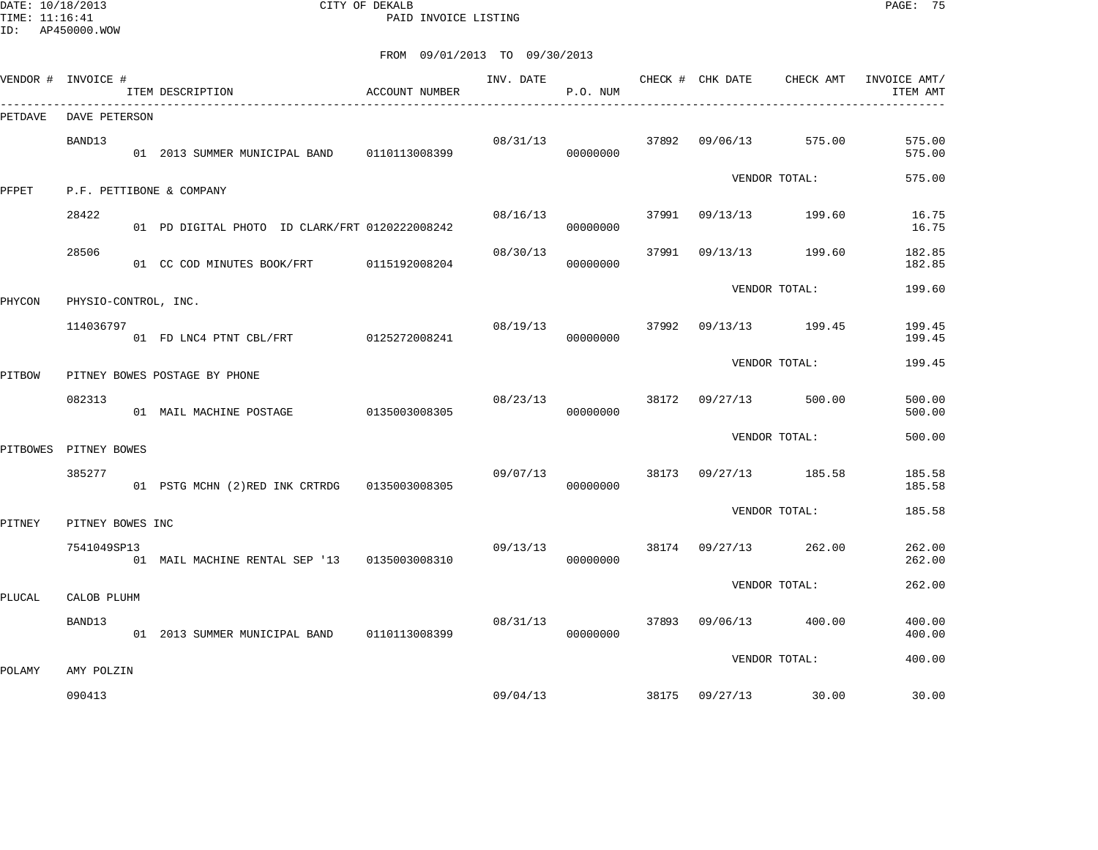DATE: 10/18/2013 CITY OF DEKALB PAGE: 75 PAID INVOICE LISTING

|          | VENDOR # INVOICE #   | ITEM DESCRIPTION                                | ACCOUNT NUMBER | INV. DATE CHECK # CHK DATE | P.O. NUM |       |                | CHECK AMT       | INVOICE AMT/<br>ITEM AMT |
|----------|----------------------|-------------------------------------------------|----------------|----------------------------|----------|-------|----------------|-----------------|--------------------------|
| PETDAVE  | DAVE PETERSON        |                                                 |                |                            |          |       |                |                 |                          |
|          | BAND13               | 01 2013 SUMMER MUNICIPAL BAND 0110113008399     |                | 08/31/13                   | 00000000 |       | 37892 09/06/13 | 575.00          | 575.00<br>575.00         |
| PFPET    |                      | P.F. PETTIBONE & COMPANY                        |                |                            |          |       |                | VENDOR TOTAL:   | 575.00                   |
|          | 28422                |                                                 |                | 08/16/13                   |          | 37991 | 09/13/13       | 199.60          | 16.75                    |
|          |                      | 01 PD DIGITAL PHOTO ID CLARK/FRT 0120222008242  |                |                            | 00000000 |       |                |                 | 16.75                    |
|          | 28506                | 01 CC COD MINUTES BOOK/FRT                      | 0115192008204  | 08/30/13                   | 00000000 | 37991 | 09/13/13       | 199.60          | 182.85<br>182.85         |
| PHYCON   | PHYSIO-CONTROL, INC. |                                                 |                |                            |          |       |                | VENDOR TOTAL:   | 199.60                   |
|          |                      |                                                 |                |                            |          |       |                |                 |                          |
|          | 114036797            | 01 FD LNC4 PTNT CBL/FRT 0125272008241           |                | 08/19/13                   | 00000000 | 37992 |                | 09/13/13 199.45 | 199.45<br>199.45         |
| PITBOW   |                      | PITNEY BOWES POSTAGE BY PHONE                   |                |                            |          |       |                | VENDOR TOTAL:   | 199.45                   |
|          |                      |                                                 |                |                            |          |       |                |                 |                          |
|          | 082313               | 01 MAIL MACHINE POSTAGE                         | 0135003008305  | 08/23/13                   | 00000000 | 38172 | 09/27/13       | 500.00          | 500.00<br>500.00         |
|          |                      |                                                 |                |                            |          |       |                | VENDOR TOTAL:   | 500.00                   |
| PITBOWES | PITNEY BOWES         |                                                 |                |                            |          |       |                |                 |                          |
|          | 385277               | 01 PSTG MCHN (2) RED INK CRTRDG 0135003008305   |                | 09/07/13                   | 00000000 | 38173 |                | 09/27/13 185.58 | 185.58<br>185.58         |
| PITNEY   | PITNEY BOWES INC     |                                                 |                |                            |          |       |                | VENDOR TOTAL:   | 185.58                   |
|          |                      |                                                 |                |                            |          |       |                |                 |                          |
|          | 7541049SP13          | 01 MAIL MACHINE RENTAL SEP '13 0135003008310    |                | 09/13/13                   | 00000000 | 38174 | 09/27/13       | 262.00          | 262.00<br>262.00         |
| PLUCAL   | CALOB PLUHM          |                                                 |                |                            |          |       |                | VENDOR TOTAL:   | 262.00                   |
|          |                      |                                                 |                |                            |          |       |                |                 |                          |
|          | BAND13               | 01  2013  SUMMER MUNICIPAL BAND   0110113008399 |                | 08/31/13                   | 00000000 | 37893 | 09/06/13       | 400.00          | 400.00<br>400.00         |
|          |                      |                                                 |                |                            |          |       |                | VENDOR TOTAL:   | 400.00                   |
| POLAMY   | AMY POLZIN           |                                                 |                |                            |          |       |                |                 |                          |
|          | 090413               |                                                 |                | 09/04/13                   |          |       | 38175 09/27/13 | 30.00           | 30.00                    |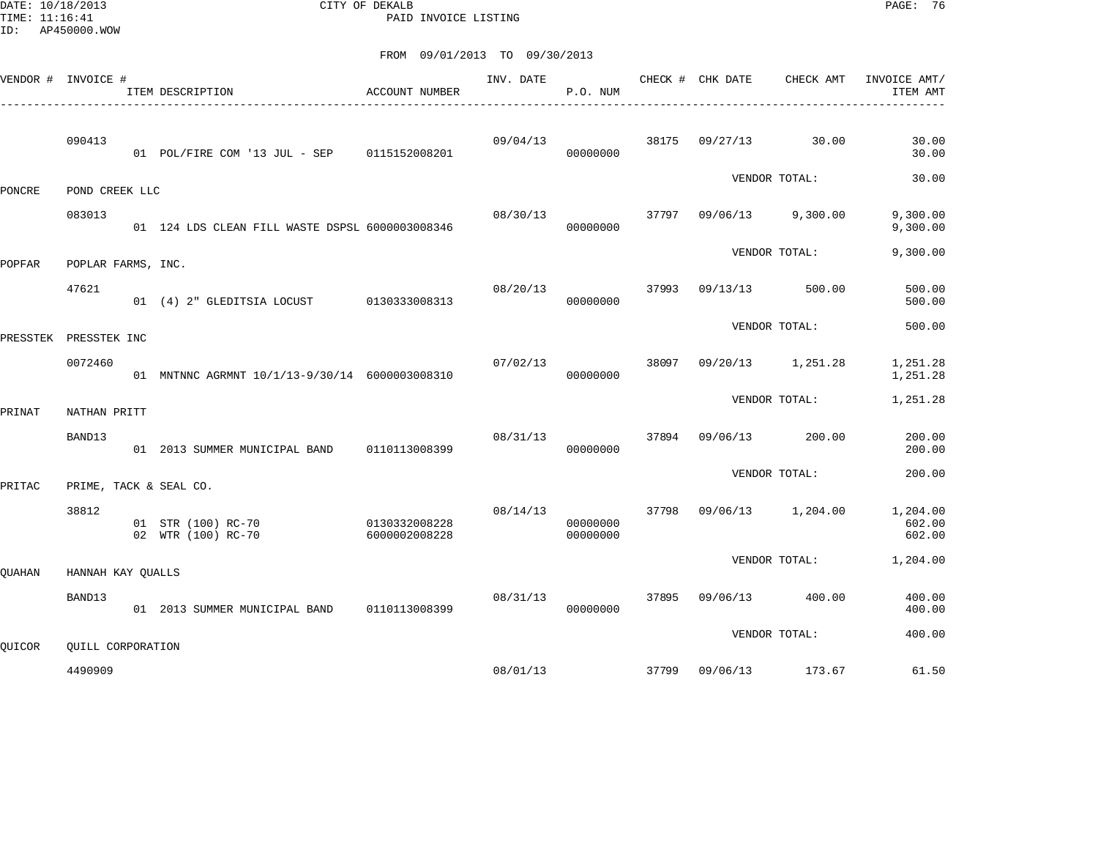DATE: 10/18/2013 CITY OF DEKALB PAGE: 76 PAID INVOICE LISTING

|         |         |                                                    |                                                                                                                                                                                                                                         | INV. DATE                                                                                                                                                                                                                                                            | P.O. NUM             |       |          | CHECK AMT                    | INVOICE AMT/<br>ITEM AMT                                                                                                                                          |
|---------|---------|----------------------------------------------------|-----------------------------------------------------------------------------------------------------------------------------------------------------------------------------------------------------------------------------------------|----------------------------------------------------------------------------------------------------------------------------------------------------------------------------------------------------------------------------------------------------------------------|----------------------|-------|----------|------------------------------|-------------------------------------------------------------------------------------------------------------------------------------------------------------------|
| 090413  |         |                                                    |                                                                                                                                                                                                                                         | 09/04/13                                                                                                                                                                                                                                                             | 00000000             | 38175 | 09/27/13 | 30.00                        | 30.00<br>30.00                                                                                                                                                    |
|         |         |                                                    |                                                                                                                                                                                                                                         |                                                                                                                                                                                                                                                                      |                      |       |          |                              | 30.00                                                                                                                                                             |
| 083013  |         |                                                    |                                                                                                                                                                                                                                         | 08/30/13                                                                                                                                                                                                                                                             | 00000000             | 37797 | 09/06/13 |                              | 9,300.00<br>9,300.00                                                                                                                                              |
|         |         |                                                    |                                                                                                                                                                                                                                         |                                                                                                                                                                                                                                                                      |                      |       |          |                              | 9,300.00                                                                                                                                                          |
| 47621   |         |                                                    |                                                                                                                                                                                                                                         | 08/20/13                                                                                                                                                                                                                                                             | 00000000             | 37993 | 09/13/13 | 500.00                       | 500.00<br>500.00                                                                                                                                                  |
|         |         |                                                    |                                                                                                                                                                                                                                         |                                                                                                                                                                                                                                                                      |                      |       |          |                              | 500.00                                                                                                                                                            |
| 0072460 |         |                                                    |                                                                                                                                                                                                                                         | 07/02/13                                                                                                                                                                                                                                                             | 00000000             | 38097 | 09/20/13 |                              | 1,251.28<br>1,251.28                                                                                                                                              |
|         |         |                                                    |                                                                                                                                                                                                                                         |                                                                                                                                                                                                                                                                      |                      |       |          |                              | 1,251.28                                                                                                                                                          |
| BAND13  |         |                                                    |                                                                                                                                                                                                                                         | 08/31/13                                                                                                                                                                                                                                                             | 00000000             | 37894 | 09/06/13 | 200.00                       | 200.00<br>200.00                                                                                                                                                  |
|         |         |                                                    |                                                                                                                                                                                                                                         |                                                                                                                                                                                                                                                                      |                      |       |          |                              | 200.00                                                                                                                                                            |
| 38812   |         |                                                    | 6000002008228                                                                                                                                                                                                                           | 08/14/13                                                                                                                                                                                                                                                             | 00000000<br>00000000 | 37798 | 09/06/13 |                              | 1,204.00<br>602.00<br>602.00                                                                                                                                      |
|         |         |                                                    |                                                                                                                                                                                                                                         |                                                                                                                                                                                                                                                                      |                      |       |          |                              | 1,204.00                                                                                                                                                          |
| BAND13  |         |                                                    |                                                                                                                                                                                                                                         | 08/31/13                                                                                                                                                                                                                                                             | 00000000             | 37895 | 09/06/13 | 400.00                       | 400.00<br>400.00                                                                                                                                                  |
|         |         |                                                    |                                                                                                                                                                                                                                         |                                                                                                                                                                                                                                                                      |                      |       |          |                              | 400.00                                                                                                                                                            |
|         |         |                                                    |                                                                                                                                                                                                                                         |                                                                                                                                                                                                                                                                      |                      |       |          |                              | 61.50                                                                                                                                                             |
|         | 4490909 | VENDOR # INVOICE #<br>PRESSTEK INC<br>NATHAN PRITT | ITEM DESCRIPTION<br>POND CREEK LLC<br>POPLAR FARMS, INC.<br>01 (4) 2" GLEDITSIA LOCUST<br>PRIME, TACK & SEAL CO.<br>01 STR (100) RC-70<br>02 WTR (100) RC-70<br>HANNAH KAY OUALLS<br>01 2013 SUMMER MUNICIPAL BAND<br>QUILL CORPORATION | ACCOUNT NUMBER<br>01 POL/FIRE COM '13 JUL - SEP 0115152008201<br>01 124 LDS CLEAN FILL WASTE DSPSL 6000003008346<br>0130333008313<br>01 MNTNNC AGRMNT 10/1/13-9/30/14 6000003008310<br>01 2013 SUMMER MUNICIPAL BAND 0110113008399<br>0130332008228<br>0110113008399 | 08/01/13             |       | 37799    | CHECK # CHK DATE<br>09/06/13 | VENDOR TOTAL:<br>9,300.00<br>VENDOR TOTAL:<br>VENDOR TOTAL:<br>1,251.28<br>VENDOR TOTAL:<br>VENDOR TOTAL:<br>1,204.00<br>VENDOR TOTAL:<br>VENDOR TOTAL:<br>173.67 |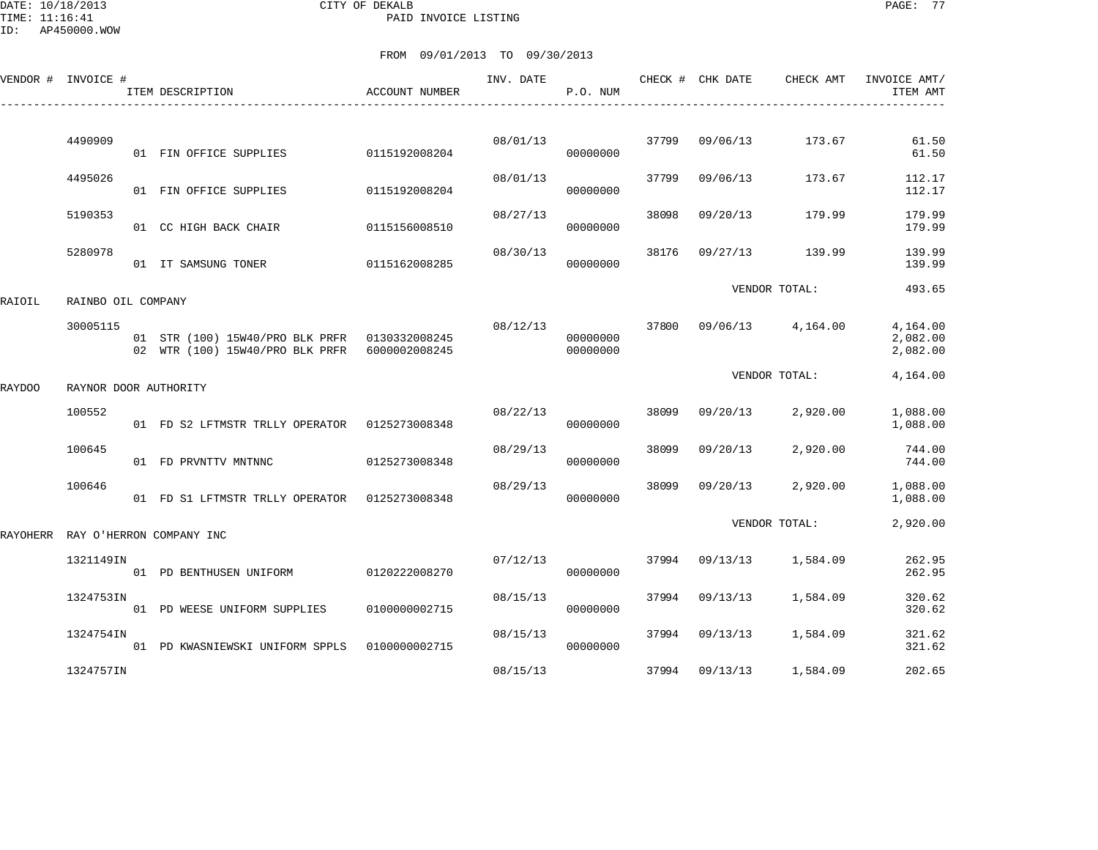DATE: 10/18/2013 CITY OF DEKALB PAGE: 77 PAID INVOICE LISTING

ID: AP450000.WOW

|          | VENDOR # INVOICE #    | ITEM DESCRIPTION                                                                 | ACCOUNT NUMBER | INV. DATE | P.O. NUM             |       | CHECK # CHK DATE | CHECK AMT         | INVOICE AMT/<br>ITEM AMT         |
|----------|-----------------------|----------------------------------------------------------------------------------|----------------|-----------|----------------------|-------|------------------|-------------------|----------------------------------|
|          |                       |                                                                                  |                |           |                      |       |                  |                   |                                  |
|          | 4490909               | 01 FIN OFFICE SUPPLIES                                                           | 0115192008204  | 08/01/13  | 00000000             | 37799 | 09/06/13         | 173.67            | 61.50<br>61.50                   |
|          | 4495026               | 01 FIN OFFICE SUPPLIES                                                           | 0115192008204  | 08/01/13  | 00000000             | 37799 | 09/06/13         | 173.67            | 112.17<br>112.17                 |
|          | 5190353               | 01 CC HIGH BACK CHAIR                                                            | 0115156008510  | 08/27/13  | 00000000             | 38098 | 09/20/13         | 179.99            | 179.99<br>179.99                 |
|          | 5280978               | 01 IT SAMSUNG TONER                                                              | 0115162008285  | 08/30/13  | 00000000             | 38176 | 09/27/13         | 139.99            | 139.99<br>139.99                 |
| RAIOIL   | RAINBO OIL COMPANY    |                                                                                  |                |           |                      |       |                  | VENDOR TOTAL:     | 493.65                           |
|          | 30005115              | 01 STR (100) 15W40/PRO BLK PRFR 0130332008245<br>02 WTR (100) 15W40/PRO BLK PRFR | 6000002008245  | 08/12/13  | 00000000<br>00000000 | 37800 |                  | 09/06/13 4,164.00 | 4,164.00<br>2,082.00<br>2,082.00 |
| RAYDOO   | RAYNOR DOOR AUTHORITY |                                                                                  |                |           |                      |       |                  | VENDOR TOTAL:     | 4,164.00                         |
|          | 100552                | 01 FD S2 LFTMSTR TRLLY OPERATOR 0125273008348                                    |                | 08/22/13  | 00000000             | 38099 | 09/20/13         | 2,920.00          | 1,088.00<br>1,088.00             |
|          | 100645                | 01 FD PRVNTTV MNTNNC                                                             | 0125273008348  | 08/29/13  | 00000000             | 38099 | 09/20/13         | 2,920.00          | 744.00<br>744.00                 |
|          | 100646                | 01 FD S1 LFTMSTR TRLLY OPERATOR 0125273008348                                    |                | 08/29/13  | 00000000             | 38099 | 09/20/13         | 2,920.00          | 1,088.00<br>1,088.00             |
| RAYOHERR |                       | RAY O'HERRON COMPANY INC                                                         |                |           |                      |       |                  | VENDOR TOTAL:     | 2,920.00                         |
|          | 1321149IN             | 01 PD BENTHUSEN UNIFORM                                                          | 0120222008270  | 07/12/13  | 00000000             | 37994 | 09/13/13         | 1,584.09          | 262.95<br>262.95                 |
|          | 1324753IN             | 01 PD WEESE UNIFORM SUPPLIES                                                     | 0100000002715  | 08/15/13  | 00000000             | 37994 | 09/13/13         | 1,584.09          | 320.62<br>320.62                 |
|          | 1324754IN             | 01 PD KWASNIEWSKI UNIFORM SPPLS                                                  | 0100000002715  | 08/15/13  | 00000000             | 37994 | 09/13/13         | 1,584.09          | 321.62<br>321.62                 |
|          | 1324757IN             |                                                                                  |                | 08/15/13  |                      | 37994 | 09/13/13         | 1,584.09          | 202.65                           |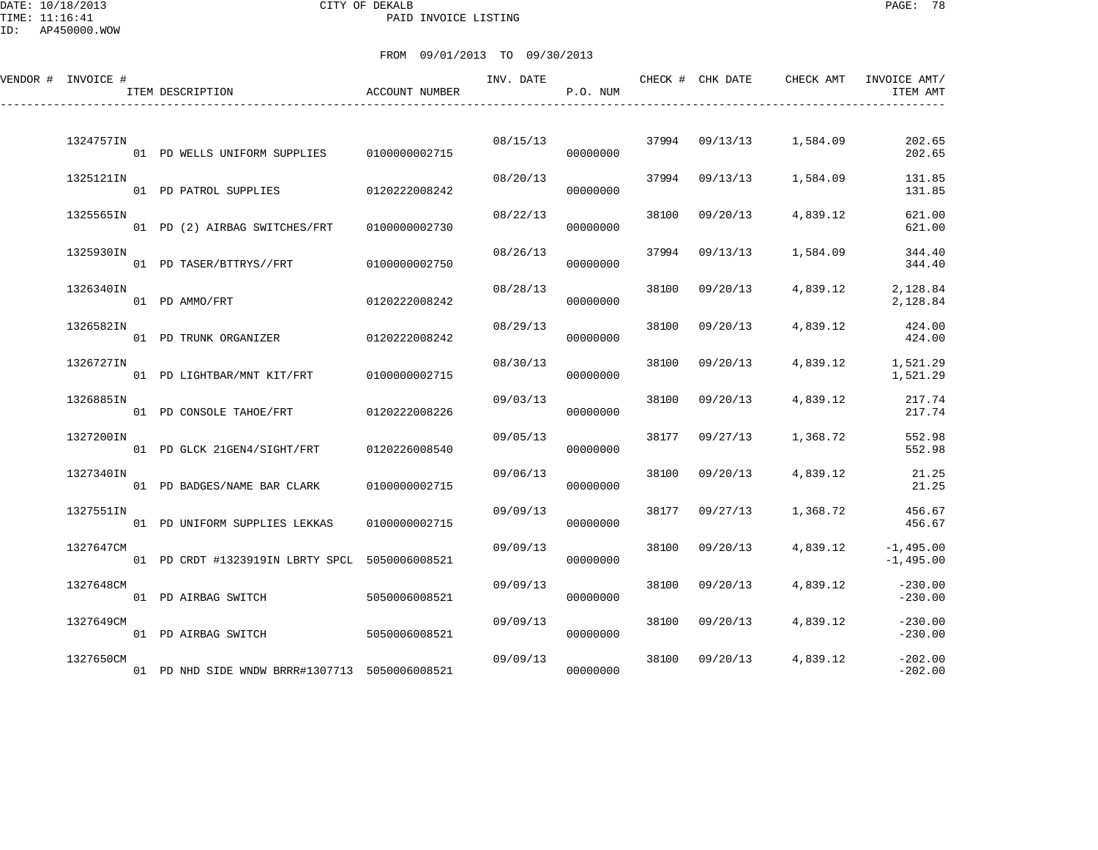DATE: 10/18/2013 CITY OF DEKALB PAGE: 78 PAID INVOICE LISTING

| VENDOR # INVOICE #<br>ITEM DESCRIPTION |                                                | ACCOUNT NUMBER | INV. DATE | P.O. NUM             |       | CHECK # CHK DATE | CHECK AMT               | INVOICE AMT/<br>ITEM AMT            |
|----------------------------------------|------------------------------------------------|----------------|-----------|----------------------|-------|------------------|-------------------------|-------------------------------------|
| 1324757IN                              | 01 PD WELLS UNIFORM SUPPLIES                   | 0100000002715  | 08/15/13  | 00000000             |       |                  | 37994 09/13/13 1,584.09 | 202.65<br>202.65                    |
| 1325121IN                              | 01 PD PATROL SUPPLIES                          | 0120222008242  | 08/20/13  | 00000000             | 37994 | 09/13/13         | 1,584.09                | 131.85<br>131.85                    |
| 1325565IN                              | 01 PD (2) AIRBAG SWITCHES/FRT                  | 0100000002730  | 08/22/13  | 00000000             | 38100 | 09/20/13         | 4,839.12                | 621.00<br>621.00                    |
| 1325930IN                              | 01 PD TASER/BTTRYS//FRT                        | 0100000002750  | 08/26/13  | 00000000             | 37994 | 09/13/13         | 1,584.09                | 344.40<br>344.40                    |
| 1326340IN<br>01 PD AMMO/FRT            |                                                | 0120222008242  | 08/28/13  | 00000000             | 38100 | 09/20/13         | 4,839.12                | 2,128.84<br>2,128.84                |
| 1326582IN                              | 01 PD TRUNK ORGANIZER                          | 0120222008242  | 08/29/13  | 00000000             | 38100 | 09/20/13         | 4,839.12                | 424.00<br>424.00                    |
| 1326727IN                              | 01 PD LIGHTBAR/MNT KIT/FRT                     | 0100000002715  | 08/30/13  | 00000000             | 38100 | 09/20/13         | 4,839.12                | 1,521.29<br>1,521.29                |
| 1326885IN                              | 01 PD CONSOLE TAHOE/FRT                        | 0120222008226  | 09/03/13  | 00000000             | 38100 | 09/20/13         | 4,839.12                | 217.74<br>217.74                    |
| 1327200IN                              | 01 PD GLCK 21GEN4/SIGHT/FRT                    | 0120226008540  | 09/05/13  | 00000000             | 38177 | 09/27/13         | 1,368.72                | 552.98<br>552.98                    |
| 1327340IN                              | 01 PD BADGES/NAME BAR CLARK                    | 0100000002715  | 09/06/13  | 00000000             | 38100 | 09/20/13         | 4,839.12                | 21.25<br>21.25                      |
| 1327551IN                              | 01 PD UNIFORM SUPPLIES LEKKAS                  | 0100000002715  | 09/09/13  | 00000000             | 38177 | 09/27/13         | 1,368.72                | 456.67<br>456.67                    |
| 1327647CM                              | 01 PD CRDT #1323919IN LBRTY SPCL               | 5050006008521  | 09/09/13  | 00000000             | 38100 | 09/20/13         | 4,839.12                | $-1,495.00$<br>$-1,495.00$          |
| 1327648CM                              |                                                |                | 09/09/13  |                      | 38100 | 09/20/13         | 4,839.12                | $-230.00$                           |
| 01 PD AIRBAG SWITCH<br>1327649CM       |                                                | 5050006008521  | 09/09/13  | 00000000             | 38100 | 09/20/13         | 4,839.12                | $-230.00$<br>$-230.00$              |
| 01 PD AIRBAG SWITCH<br>1327650CM       | 01 PD NHD SIDE WNDW BRRR#1307713 5050006008521 | 5050006008521  | 09/09/13  | 00000000<br>00000000 | 38100 | 09/20/13         | 4,839.12                | $-230.00$<br>$-202.00$<br>$-202.00$ |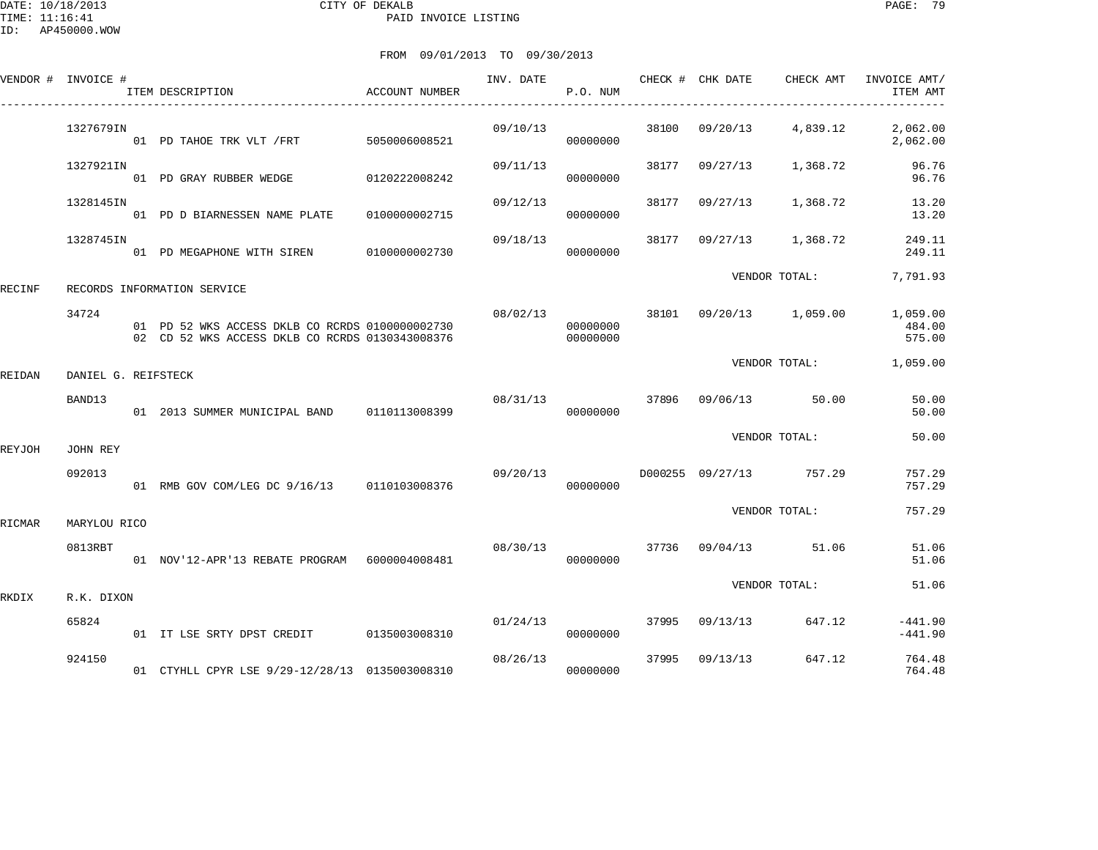DATE: 10/18/2013 CITY OF DEKALB PAGE: 79 PAID INVOICE LISTING

|        | VENDOR # INVOICE #  | ITEM DESCRIPTION                                                                                   | ACCOUNT NUMBER | INV. DATE | P.O. NUM             |       | CHECK # CHK DATE | CHECK AMT               | INVOICE AMT/<br>ITEM AMT     |
|--------|---------------------|----------------------------------------------------------------------------------------------------|----------------|-----------|----------------------|-------|------------------|-------------------------|------------------------------|
|        | 1327679IN           | 01 PD TAHOE TRK VLT / FRT 5050006008521                                                            |                | 09/10/13  | 00000000             |       | 38100 09/20/13   | 4,839.12                | 2,062.00<br>2,062.00         |
|        | 1327921IN           |                                                                                                    |                | 09/11/13  | 00000000             | 38177 | 09/27/13         | 1,368.72                | 96.76<br>96.76               |
|        | 1328145IN           | 01 PD D BIARNESSEN NAME PLATE                                                                      | 0100000002715  | 09/12/13  | 00000000             | 38177 | 09/27/13         | 1,368.72                | 13.20<br>13.20               |
|        | 1328745IN           | 01 PD MEGAPHONE WITH SIREN 0100000002730                                                           |                | 09/18/13  | 00000000             | 38177 | 09/27/13         | 1,368.72                | 249.11<br>249.11             |
| RECINF |                     | RECORDS INFORMATION SERVICE                                                                        |                |           |                      |       |                  | VENDOR TOTAL:           | 7,791.93                     |
|        | 34724               | 01 PD 52 WKS ACCESS DKLB CO RCRDS 0100000002730<br>02 CD 52 WKS ACCESS DKLB CO RCRDS 0130343008376 |                | 08/02/13  | 00000000<br>00000000 |       |                  | 38101 09/20/13 1,059.00 | 1,059.00<br>484.00<br>575.00 |
| REIDAN | DANIEL G. REIFSTECK |                                                                                                    |                |           |                      |       |                  |                         | VENDOR TOTAL: 1,059.00       |
|        | BAND13              | 01  2013  SUMMER MUNICIPAL BAND   0110113008399                                                    |                | 08/31/13  | 00000000             |       |                  | 37896 09/06/13 50.00    | 50.00<br>50.00               |
| REYJOH | JOHN REY            |                                                                                                    |                |           |                      |       |                  | VENDOR TOTAL:           | 50.00                        |
|        | 092013              | 01 RMB GOV COM/LEG DC 9/16/13 0110103008376                                                        |                | 09/20/13  | 00000000             |       |                  | D000255 09/27/13 757.29 | 757.29<br>757.29             |
| RICMAR | MARYLOU RICO        |                                                                                                    |                |           |                      |       |                  | VENDOR TOTAL:           | 757.29                       |
|        | 0813RBT             | 01 NOV'12-APR'13 REBATE PROGRAM 6000004008481                                                      |                | 08/30/13  | 00000000             |       |                  | 37736 09/04/13 51.06    | 51.06<br>51.06               |
| RKDIX  | R.K. DIXON          |                                                                                                    |                |           |                      |       |                  | VENDOR TOTAL:           | 51.06                        |
|        | 65824               | 01 IT LSE SRTY DPST CREDIT 0135003008310                                                           |                | 01/24/13  | 00000000             |       | 37995 09/13/13   | 647.12                  | $-441.90$<br>$-441.90$       |
|        | 924150              | 01 CTYHLL CPYR LSE 9/29-12/28/13 0135003008310                                                     |                | 08/26/13  | 00000000             | 37995 | 09/13/13         | 647.12                  | 764.48<br>764.48             |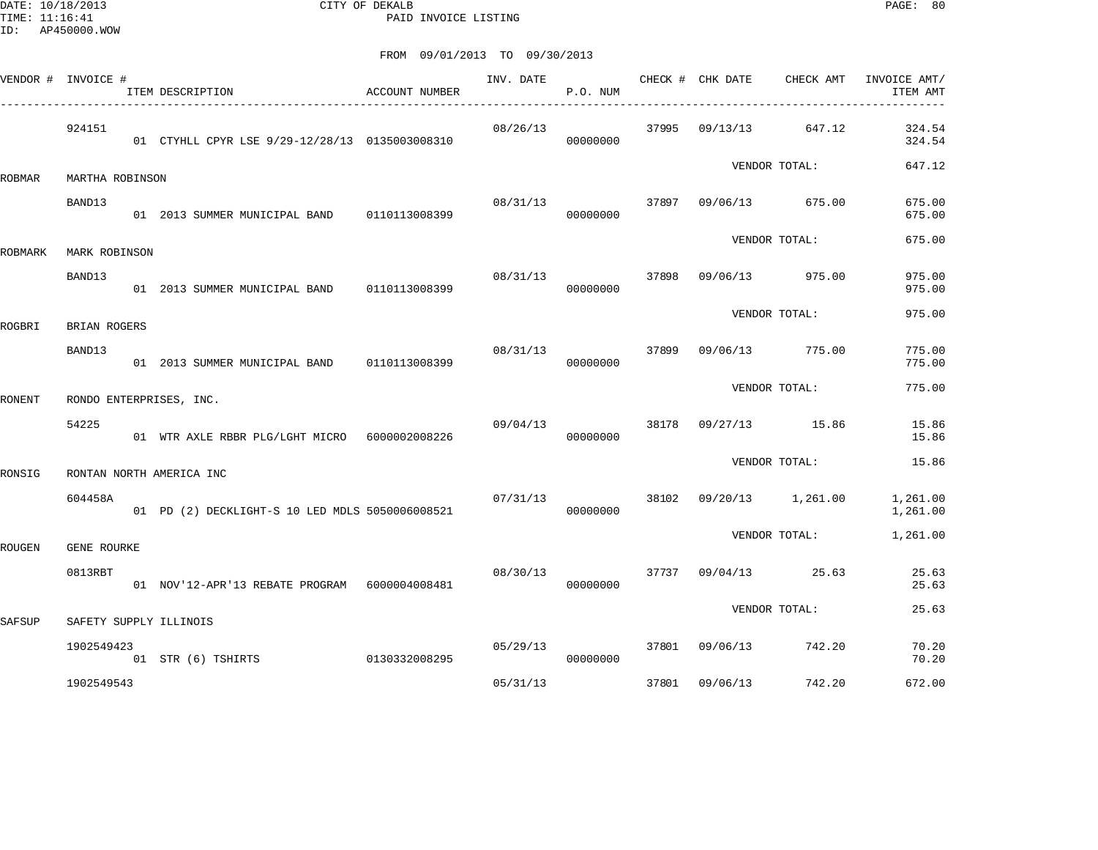DATE: 10/18/2013 CITY OF DEKALB PAGE: 80 PAID INVOICE LISTING

|         | VENDOR # INVOICE # | ITEM DESCRIPTION                                | <b>ACCOUNT NUMBER</b> | INV. DATE | P.O. NUM |       | CHECK # CHK DATE        | CHECK AMT       | INVOICE AMT/<br>ITEM AMT |
|---------|--------------------|-------------------------------------------------|-----------------------|-----------|----------|-------|-------------------------|-----------------|--------------------------|
|         | 924151             | 01 CTYHLL CPYR LSE 9/29-12/28/13 0135003008310  |                       | 08/26/13  | 00000000 |       | 37995 09/13/13          | 647.12          | 324.54<br>324.54         |
| ROBMAR  | MARTHA ROBINSON    |                                                 |                       |           |          |       |                         | VENDOR TOTAL:   | 647.12                   |
|         | BAND13             | 01  2013  SUMMER MUNICIPAL BAND   0110113008399 |                       | 08/31/13  | 00000000 | 37897 |                         | 09/06/13 675.00 | 675.00<br>675.00         |
| ROBMARK | MARK ROBINSON      |                                                 |                       |           |          |       |                         | VENDOR TOTAL:   | 675.00                   |
|         | BAND13             | 01 2013 SUMMER MUNICIPAL BAND 0110113008399     |                       | 08/31/13  | 00000000 | 37898 |                         | 09/06/13 975.00 | 975.00<br>975.00         |
| ROGBRI  | BRIAN ROGERS       |                                                 |                       |           |          |       |                         | VENDOR TOTAL:   | 975.00                   |
|         | BAND13             | 01  2013  SUMMER MUNICIPAL BAND   0110113008399 |                       | 08/31/13  | 00000000 | 37899 |                         | 09/06/13 775.00 | 775.00<br>775.00         |
| RONENT  |                    | RONDO ENTERPRISES, INC.                         |                       |           |          |       |                         | VENDOR TOTAL:   | 775.00                   |
|         | 54225              | 01 WTR AXLE RBBR PLG/LGHT MICRO 6000002008226   |                       | 09/04/13  | 00000000 |       | 38178 09/27/13 15.86    |                 | 15.86<br>15.86           |
| RONSIG  |                    | RONTAN NORTH AMERICA INC                        |                       |           |          |       |                         | VENDOR TOTAL:   | 15.86                    |
|         | 604458A            | 01 PD (2) DECKLIGHT-S 10 LED MDLS 5050006008521 |                       | 07/31/13  | 00000000 |       | 38102 09/20/13 1,261.00 |                 | 1,261.00<br>1,261.00     |
| ROUGEN  | GENE ROURKE        |                                                 |                       |           |          |       |                         | VENDOR TOTAL:   | 1,261.00                 |
|         | 0813RBT            | 01 NOV'12-APR'13 REBATE PROGRAM 6000004008481   |                       | 08/30/13  | 00000000 | 37737 | 09/04/13                | 25.63           | 25.63<br>25.63           |
| SAFSUP  |                    | SAFETY SUPPLY ILLINOIS                          |                       |           |          |       |                         | VENDOR TOTAL:   | 25.63                    |
|         | 1902549423         | 01 STR (6) TSHIRTS                              | 0130332008295         | 05/29/13  | 00000000 | 37801 |                         | 09/06/13 742.20 | 70.20<br>70.20           |
|         | 1902549543         |                                                 |                       | 05/31/13  |          | 37801 | 09/06/13                | 742.20          | 672.00                   |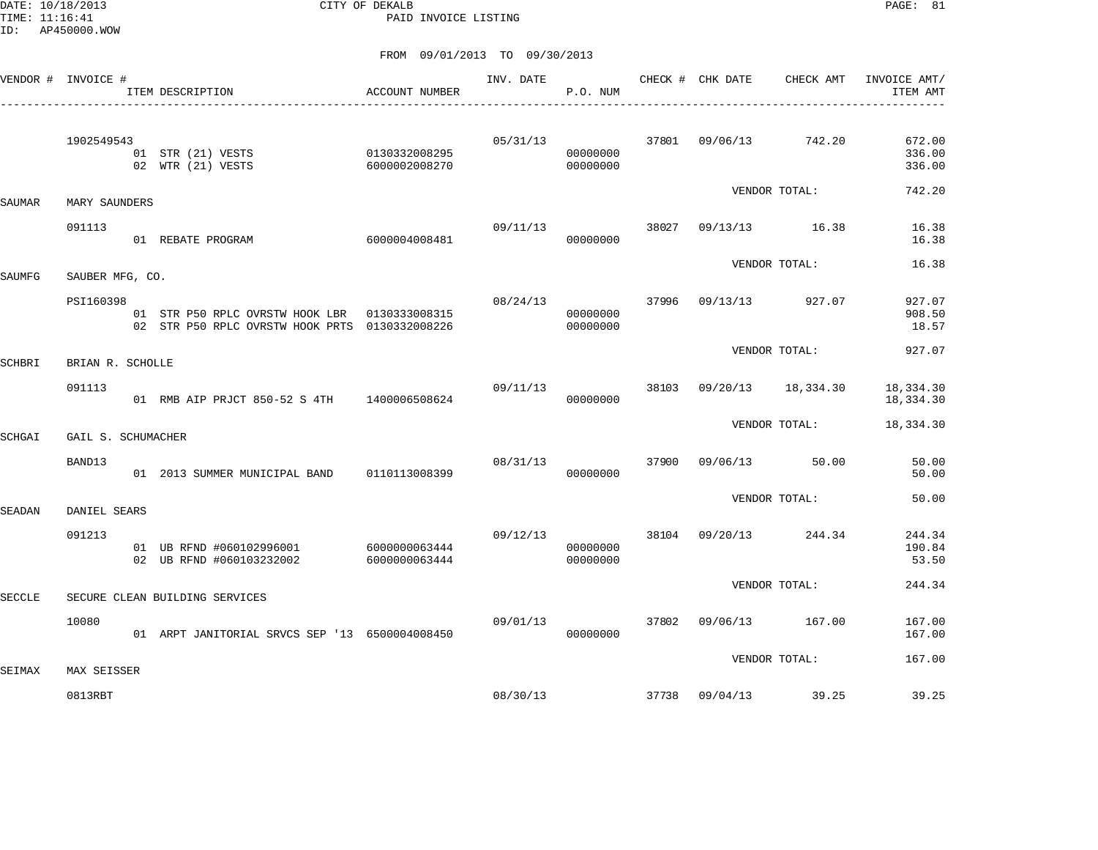DATE: 10/18/2013 CITY OF DEKALB PAGE: 81 PAID INVOICE LISTING

|               | VENDOR # INVOICE #     | ITEM DESCRIPTION                                                                                  | ACCOUNT NUMBER                 | INV. DATE | P.O. NUM             |       | CHECK # CHK DATE | CHECK AMT          | INVOICE AMT/<br>ITEM AMT   |
|---------------|------------------------|---------------------------------------------------------------------------------------------------|--------------------------------|-----------|----------------------|-------|------------------|--------------------|----------------------------|
|               | 1902549543             | 01 STR (21) VESTS<br>02 WTR (21) VESTS                                                            | 0130332008295<br>6000002008270 | 05/31/13  | 00000000<br>00000000 | 37801 | 09/06/13 742.20  |                    | 672.00<br>336.00<br>336.00 |
| SAUMAR        | MARY SAUNDERS          |                                                                                                   |                                |           |                      |       |                  | VENDOR TOTAL:      | 742.20                     |
|               | 091113                 | 01 REBATE PROGRAM                                                                                 | 6000004008481                  | 09/11/13  | 00000000             | 38027 |                  | 09/13/13 16.38     | 16.38<br>16.38             |
| SAUMFG        | SAUBER MFG, CO.        |                                                                                                   |                                |           |                      |       |                  | VENDOR TOTAL:      | 16.38                      |
|               | PSI160398              | 01 STR P50 RPLC OVRSTW HOOK LBR   0130333008315<br>02 STR P50 RPLC OVRSTW HOOK PRTS 0130332008226 |                                | 08/24/13  | 00000000<br>00000000 | 37996 |                  | 09/13/13 927.07    | 927.07<br>908.50<br>18.57  |
| SCHBRI        | BRIAN R. SCHOLLE       |                                                                                                   |                                |           |                      |       |                  | VENDOR TOTAL:      | 927.07                     |
|               | 091113                 | 01 RMB AIP PRJCT 850-52 S 4TH 1400006508624                                                       |                                | 09/11/13  | 00000000             | 38103 |                  | 09/20/13 18,334.30 | 18,334.30<br>18,334.30     |
| SCHGAI        | GAIL S. SCHUMACHER     |                                                                                                   |                                |           |                      |       |                  | VENDOR TOTAL:      | 18,334.30                  |
|               | BAND13                 | 01 2013 SUMMER MUNICIPAL BAND 0110113008399                                                       |                                | 08/31/13  | 00000000             | 37900 | 09/06/13         | 50.00              | 50.00<br>50.00             |
| SEADAN        | DANIEL SEARS           |                                                                                                   |                                |           |                      |       |                  | VENDOR TOTAL:      | 50.00                      |
|               | 091213                 | 01 UB RFND #060102996001 6000000063444<br>02 UB RFND #060103232002                                | 6000000063444                  | 09/12/13  | 00000000<br>00000000 | 38104 |                  | 09/20/13 244.34    | 244.34<br>190.84<br>53.50  |
| <b>SECCLE</b> |                        | SECURE CLEAN BUILDING SERVICES                                                                    |                                |           |                      |       |                  | VENDOR TOTAL:      | 244.34                     |
|               | 10080                  | 01 ARPT JANITORIAL SRVCS SEP '13 6500004008450                                                    |                                | 09/01/13  | 00000000             | 37802 |                  | 09/06/13 167.00    | 167.00<br>167.00           |
|               |                        |                                                                                                   |                                |           |                      |       |                  | VENDOR TOTAL:      | 167.00                     |
| SEIMAX        | MAX SEISSER<br>0813RBT |                                                                                                   |                                | 08/30/13  |                      |       | 37738 09/04/13   | 39.25              | 39.25                      |
|               |                        |                                                                                                   |                                |           |                      |       |                  |                    |                            |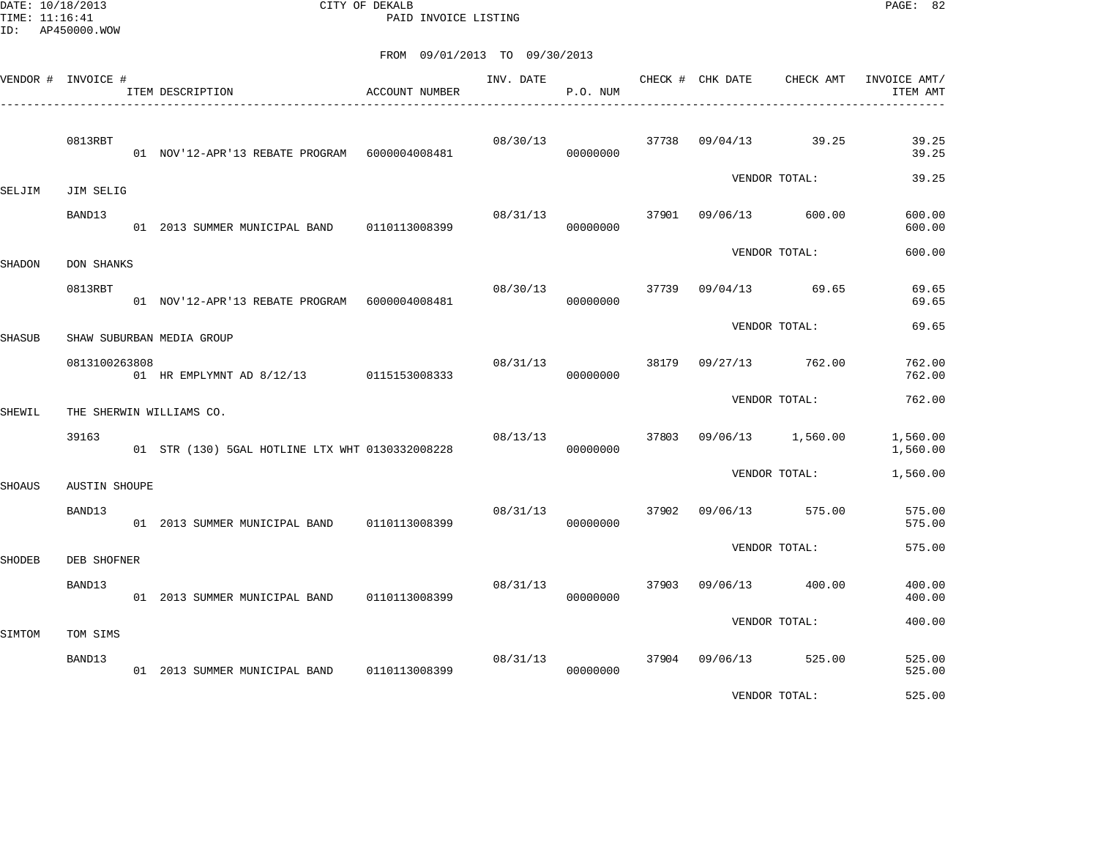DATE: 10/18/2013 CITY OF DEKALB PAGE: 82 PAID INVOICE LISTING

| VENDOR # INVOICE # |                      | ITEM DESCRIPTION                                | ACCOUNT NUMBER | INV. DATE | P.O. NUM |       | CHECK # CHK DATE  | CHECK AMT     | INVOICE AMT/<br>ITEM AMT |
|--------------------|----------------------|-------------------------------------------------|----------------|-----------|----------|-------|-------------------|---------------|--------------------------|
|                    | 0813RBT              | 01 NOV'12-APR'13 REBATE PROGRAM 6000004008481   |                | 08/30/13  | 00000000 |       | 37738 09/04/13    | 39.25         | 39.25<br>39.25           |
| SELJIM             | JIM SELIG            |                                                 |                |           |          |       |                   | VENDOR TOTAL: | 39.25                    |
|                    | BAND13               | 01 2013 SUMMER MUNICIPAL BAND 0110113008399     |                | 08/31/13  | 00000000 | 37901 | 09/06/13          | 600.00        | 600.00<br>600.00         |
| SHADON             | <b>DON SHANKS</b>    |                                                 |                |           |          |       |                   | VENDOR TOTAL: | 600.00                   |
|                    | 0813RBT              | 01 NOV'12-APR'13 REBATE PROGRAM 6000004008481   |                | 08/30/13  | 00000000 | 37739 | 09/04/13 69.65    |               | 69.65<br>69.65           |
| SHASUB             |                      | SHAW SUBURBAN MEDIA GROUP                       |                |           |          |       |                   | VENDOR TOTAL: | 69.65                    |
|                    | 0813100263808        | 01 HR EMPLYMNT AD 8/12/13 0115153008333         |                | 08/31/13  | 00000000 | 38179 | 09/27/13          | 762.00        | 762.00<br>762.00         |
| SHEWIL             |                      | THE SHERWIN WILLIAMS CO.                        |                |           |          |       |                   | VENDOR TOTAL: | 762.00                   |
|                    | 39163                | 01 STR (130) 5GAL HOTLINE LTX WHT 0130332008228 |                | 08/13/13  | 00000000 | 37803 | 09/06/13 1,560.00 |               | 1,560.00<br>1,560.00     |
| <b>SHOAUS</b>      | <b>AUSTIN SHOUPE</b> |                                                 |                |           |          |       |                   | VENDOR TOTAL: | 1,560.00                 |
|                    | BAND13               | 01 2013 SUMMER MUNICIPAL BAND 0110113008399     |                | 08/31/13  | 00000000 | 37902 | 09/06/13          | 575.00        | 575.00<br>575.00         |
| SHODEB             | DEB SHOFNER          |                                                 |                |           |          |       |                   | VENDOR TOTAL: | 575.00                   |
|                    | BAND13               | 01 2013 SUMMER MUNICIPAL BAND                   | 0110113008399  | 08/31/13  | 00000000 | 37903 | 09/06/13          | 400.00        | 400.00<br>400.00         |
| SIMTOM             | TOM SIMS             |                                                 |                |           |          |       |                   | VENDOR TOTAL: | 400.00                   |
|                    | BAND13               | 01 2013 SUMMER MUNICIPAL BAND 0110113008399     |                | 08/31/13  | 00000000 |       | 37904 09/06/13    | 525.00        | 525.00<br>525.00         |
|                    |                      |                                                 |                |           |          |       |                   | VENDOR TOTAL: | 525.00                   |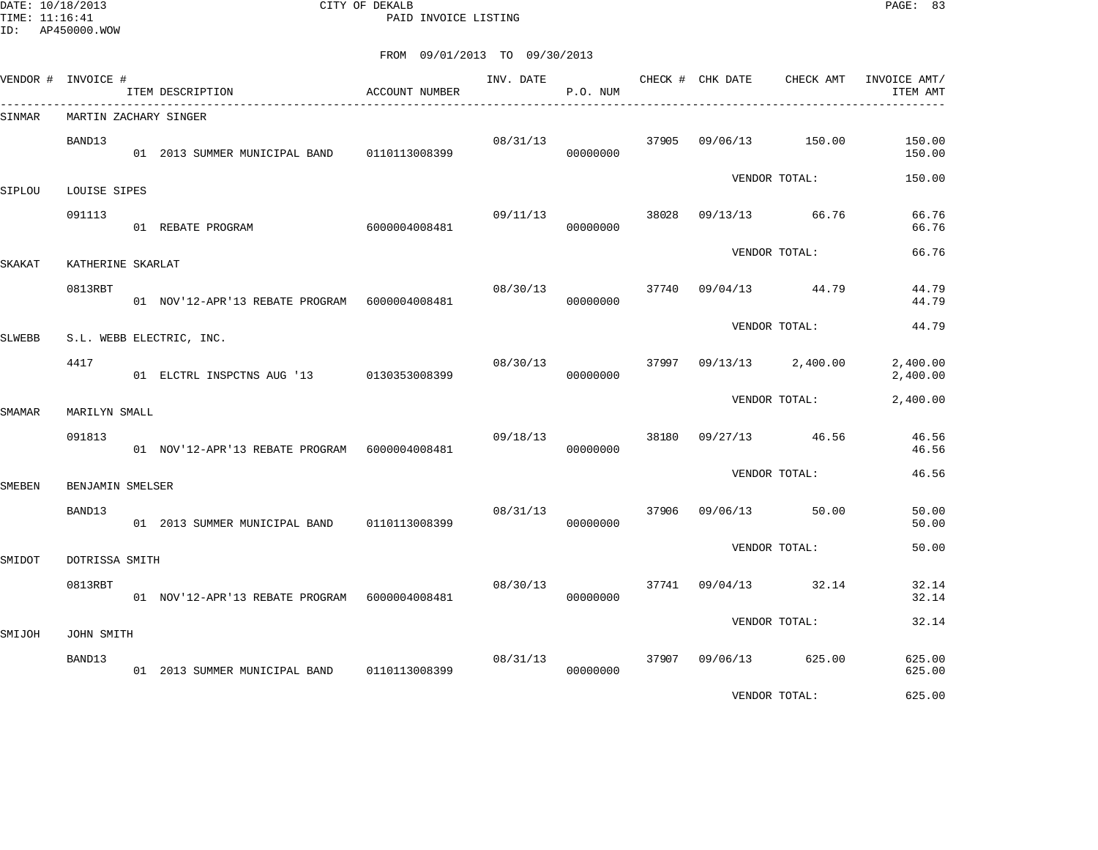DATE: 10/18/2013 CITY OF DEKALB PAGE: 83 PAID INVOICE LISTING

|        | VENDOR # INVOICE #        | ITEM DESCRIPTION                                | ACCOUNT NUMBER | INV. DATE | P.O. NUM |       | CHECK # CHK DATE | CHECK AMT     | INVOICE AMT/<br>ITEM AMT |
|--------|---------------------------|-------------------------------------------------|----------------|-----------|----------|-------|------------------|---------------|--------------------------|
| SINMAR | MARTIN ZACHARY SINGER     |                                                 |                |           |          |       |                  |               |                          |
|        | BAND13                    | 01  2013  SUMMER MUNICIPAL BAND   0110113008399 |                | 08/31/13  | 00000000 | 37905 | 09/06/13         | 150.00        | 150.00<br>150.00         |
| SIPLOU | LOUISE SIPES              |                                                 |                |           |          |       |                  | VENDOR TOTAL: | 150.00                   |
|        | 091113                    | 01 REBATE PROGRAM                               | 6000004008481  | 09/11/13  | 00000000 | 38028 | 09/13/13         | 66.76         | 66.76<br>66.76           |
| SKAKAT | KATHERINE SKARLAT         |                                                 |                |           |          |       |                  | VENDOR TOTAL: | 66.76                    |
|        | 0813RBT                   | 01 NOV'12-APR'13 REBATE PROGRAM 6000004008481   |                | 08/30/13  | 00000000 | 37740 | 09/04/13         | 44.79         | 44.79<br>44.79           |
| SLWEBB |                           | S.L. WEBB ELECTRIC, INC.                        |                |           |          |       |                  | VENDOR TOTAL: | 44.79                    |
|        | 4417                      | 01 ELCTRL INSPCTNS AUG '13 0130353008399        |                | 08/30/13  | 00000000 | 37997 | 09/13/13         | 2,400.00      | 2,400.00<br>2,400.00     |
| SMAMAR | MARILYN SMALL             |                                                 |                |           |          |       |                  | VENDOR TOTAL: | 2,400.00                 |
|        | 091813                    | 01 NOV'12-APR'13 REBATE PROGRAM 6000004008481   |                | 09/18/13  | 00000000 | 38180 | 09/27/13         | 46.56         | 46.56<br>46.56           |
| SMEBEN | BENJAMIN SMELSER          |                                                 |                |           |          |       |                  | VENDOR TOTAL: | 46.56                    |
|        | BAND13                    | 01 2013 SUMMER MUNICIPAL BAND 0110113008399     |                | 08/31/13  | 00000000 | 37906 | 09/06/13         | 50.00         | 50.00<br>50.00           |
|        |                           |                                                 |                |           |          |       |                  | VENDOR TOTAL: | 50.00                    |
| SMIDOT | DOTRISSA SMITH<br>0813RBT | 01 NOV'12-APR'13 REBATE PROGRAM 6000004008481   |                | 08/30/13  | 00000000 | 37741 | 09/04/13         | 32.14         | 32.14<br>32.14           |
|        |                           |                                                 |                |           |          |       |                  | VENDOR TOTAL: | 32.14                    |
| SMIJOH | JOHN SMITH                |                                                 |                |           |          |       |                  |               |                          |
|        | BAND13                    | 01  2013  SUMMER MUNICIPAL BAND   0110113008399 |                | 08/31/13  | 00000000 | 37907 | 09/06/13         | 625.00        | 625.00<br>625.00         |
|        |                           |                                                 |                |           |          |       |                  | VENDOR TOTAL: | 625.00                   |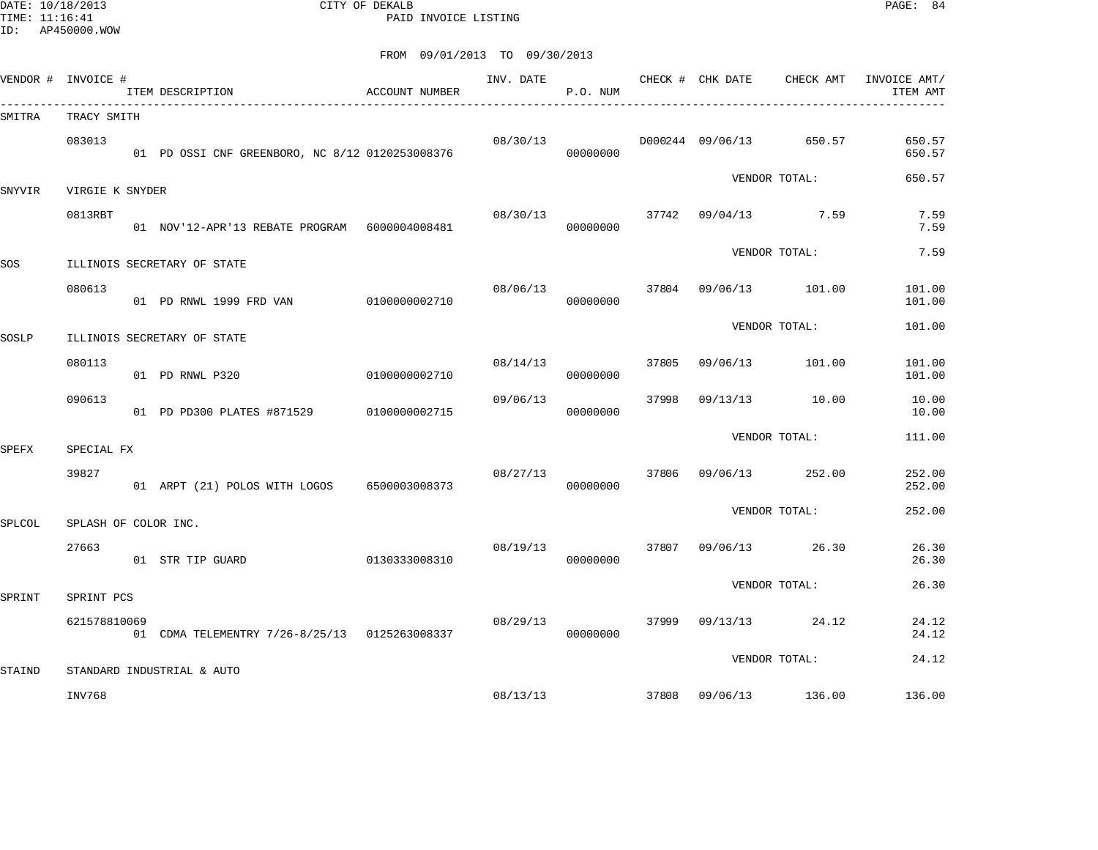DATE: 10/18/2013 CITY OF DEKALB PAGE: 84 PAID INVOICE LISTING

| VENDOR # INVOICE # |                      | ITEM DESCRIPTION                                | ACCOUNT NUMBER | INV. DATE | P.O. NUM |       | CHECK # CHK DATE | CHECK AMT               | INVOICE AMT/<br>ITEM AMT |
|--------------------|----------------------|-------------------------------------------------|----------------|-----------|----------|-------|------------------|-------------------------|--------------------------|
| SMITRA             | TRACY SMITH          |                                                 |                |           |          |       |                  |                         |                          |
|                    | 083013               | 01 PD OSSI CNF GREENBORO, NC 8/12 0120253008376 |                | 08/30/13  | 00000000 |       |                  | D000244 09/06/13 650.57 | 650.57<br>650.57         |
| SNYVIR             | VIRGIE K SNYDER      |                                                 |                |           |          |       |                  | VENDOR TOTAL:           | 650.57                   |
|                    | 0813RBT              | 01 NOV'12-APR'13 REBATE PROGRAM 6000004008481   |                | 08/30/13  | 00000000 |       |                  | $37742$ 09/04/13 7.59   | 7.59<br>7.59             |
| SOS                |                      | ILLINOIS SECRETARY OF STATE                     |                |           |          |       |                  | VENDOR TOTAL:           | 7.59                     |
|                    | 080613               | 01 PD RNWL 1999 FRD VAN 0100000002710           |                | 08/06/13  | 00000000 |       |                  | 37804 09/06/13 101.00   | 101.00<br>101.00         |
| SOSLP              |                      | ILLINOIS SECRETARY OF STATE                     |                |           |          |       |                  | VENDOR TOTAL:           | 101.00                   |
|                    | 080113               | 01 PD RNWL P320                                 | 0100000002710  | 08/14/13  | 00000000 | 37805 | 09/06/13         | 101.00                  | 101.00<br>101.00         |
|                    | 090613               | 01 PD PD300 PLATES #871529 0100000002715        |                | 09/06/13  | 00000000 | 37998 | 09/13/13         | 10.00                   | 10.00<br>10.00           |
| SPEFX              | SPECIAL FX           |                                                 |                |           |          |       |                  | VENDOR TOTAL:           | 111.00                   |
|                    | 39827                | 01 ARPT (21) POLOS WITH LOGOS                   | 6500003008373  | 08/27/13  | 00000000 | 37806 |                  | 09/06/13 252.00         | 252.00<br>252.00         |
| SPLCOL             | SPLASH OF COLOR INC. |                                                 |                |           |          |       |                  | VENDOR TOTAL:           | 252.00                   |
|                    | 27663                | 01 STR TIP GUARD                                | 0130333008310  | 08/19/13  | 00000000 | 37807 |                  | 09/06/13 26.30          | 26.30<br>26.30           |
| SPRINT             | SPRINT PCS           |                                                 |                |           |          |       |                  | VENDOR TOTAL:           | 26.30                    |
|                    | 621578810069         | 01 CDMA TELEMENTRY 7/26-8/25/13 0125263008337   |                | 08/29/13  | 00000000 | 37999 |                  | 09/13/13 24.12          | 24.12<br>24.12           |
| STAIND             |                      | STANDARD INDUSTRIAL & AUTO                      |                |           |          |       |                  | VENDOR TOTAL:           | 24.12                    |
|                    | INV768               |                                                 |                | 08/13/13  |          |       |                  | 37808 09/06/13 136.00   | 136.00                   |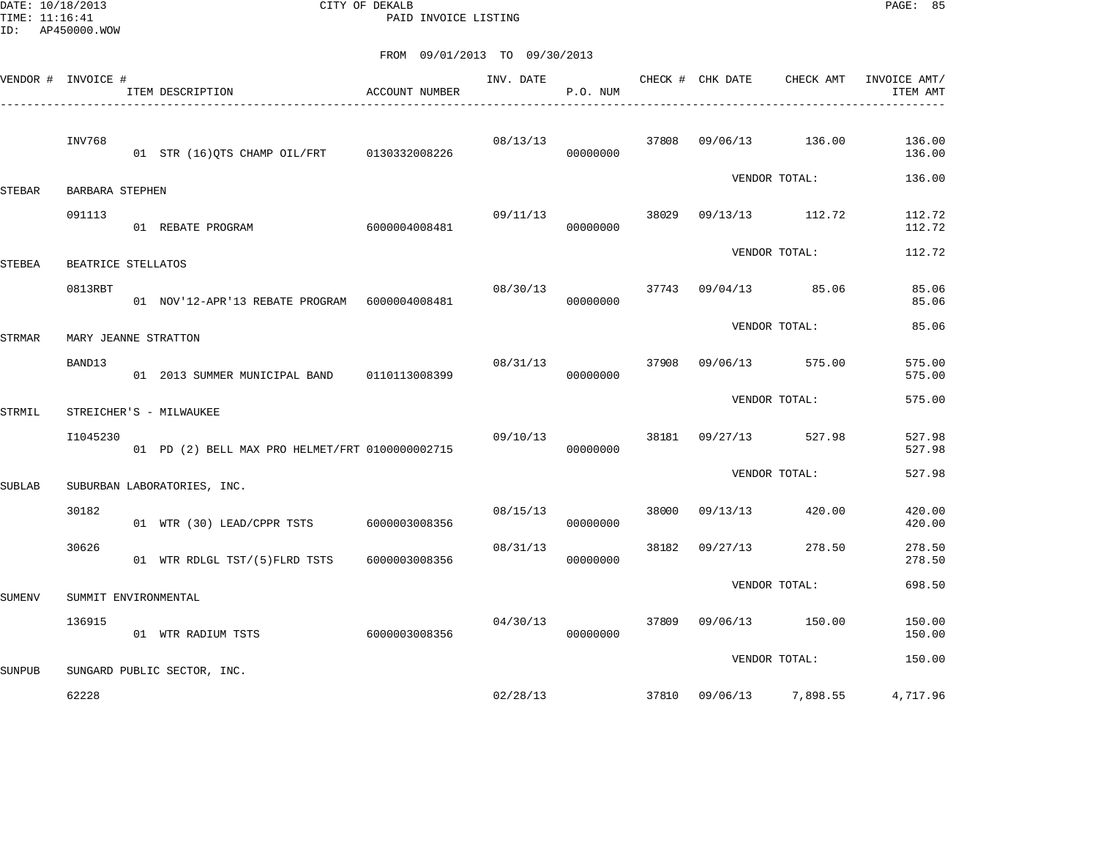DATE: 10/18/2013 CITY OF DEKALB PAGE: 85 PAID INVOICE LISTING

|               | VENDOR # INVOICE #   | ITEM DESCRIPTION                                | ACCOUNT NUMBER | INV. DATE | P.O. NUM |       | CHECK # CHK DATE | CHECK AMT       | INVOICE AMT/<br>ITEM AMT |
|---------------|----------------------|-------------------------------------------------|----------------|-----------|----------|-------|------------------|-----------------|--------------------------|
|               | INV768               | 01 STR (16) QTS CHAMP OIL/FRT 0130332008226     |                | 08/13/13  | 00000000 | 37808 | 09/06/13         | 136.00          | 136.00<br>136.00         |
| <b>STEBAR</b> | BARBARA STEPHEN      |                                                 |                |           |          |       |                  | VENDOR TOTAL:   | 136.00                   |
|               | 091113               | 01 REBATE PROGRAM                               | 6000004008481  | 09/11/13  | 00000000 | 38029 |                  | 09/13/13 112.72 | 112.72<br>112.72         |
| STEBEA        | BEATRICE STELLATOS   |                                                 |                |           |          |       |                  | VENDOR TOTAL:   | 112.72                   |
|               | 0813RBT              | 01 NOV'12-APR'13 REBATE PROGRAM 6000004008481   |                | 08/30/13  | 00000000 | 37743 | 09/04/13         | 85.06           | 85.06<br>85.06           |
| STRMAR        | MARY JEANNE STRATTON |                                                 |                |           |          |       |                  | VENDOR TOTAL:   | 85.06                    |
|               | BAND13               | 01 2013 SUMMER MUNICIPAL BAND                   | 0110113008399  | 08/31/13  | 00000000 | 37908 | 09/06/13         | 575.00          | 575.00<br>575.00         |
| STRMIL        |                      | STREICHER'S - MILWAUKEE                         |                |           |          |       |                  | VENDOR TOTAL:   | 575.00                   |
|               | I1045230             | 01 PD (2) BELL MAX PRO HELMET/FRT 0100000002715 |                | 09/10/13  | 00000000 | 38181 | 09/27/13         | 527.98          | 527.98<br>527.98         |
| <b>SUBLAB</b> |                      | SUBURBAN LABORATORIES, INC.                     |                |           |          |       |                  | VENDOR TOTAL:   | 527.98                   |
|               | 30182                | 01 WTR (30) LEAD/CPPR TSTS 6000003008356        |                | 08/15/13  | 00000000 | 38000 | 09/13/13         | 420.00          | 420.00<br>420.00         |
|               | 30626                | 01 WTR RDLGL TST/(5)FLRD TSTS                   | 6000003008356  | 08/31/13  | 00000000 | 38182 | 09/27/13         | 278.50          | 278.50<br>278.50         |
| <b>SUMENV</b> | SUMMIT ENVIRONMENTAL |                                                 |                |           |          |       |                  | VENDOR TOTAL:   | 698.50                   |
|               | 136915               | 01 WTR RADIUM TSTS                              | 6000003008356  | 04/30/13  | 00000000 | 37809 | 09/06/13         | 150.00          | 150.00<br>150.00         |
| SUNPUB        |                      | SUNGARD PUBLIC SECTOR, INC.                     |                |           |          |       |                  | VENDOR TOTAL:   | 150.00                   |
|               | 62228                |                                                 |                | 02/28/13  |          | 37810 | 09/06/13         | 7,898.55        | 4,717.96                 |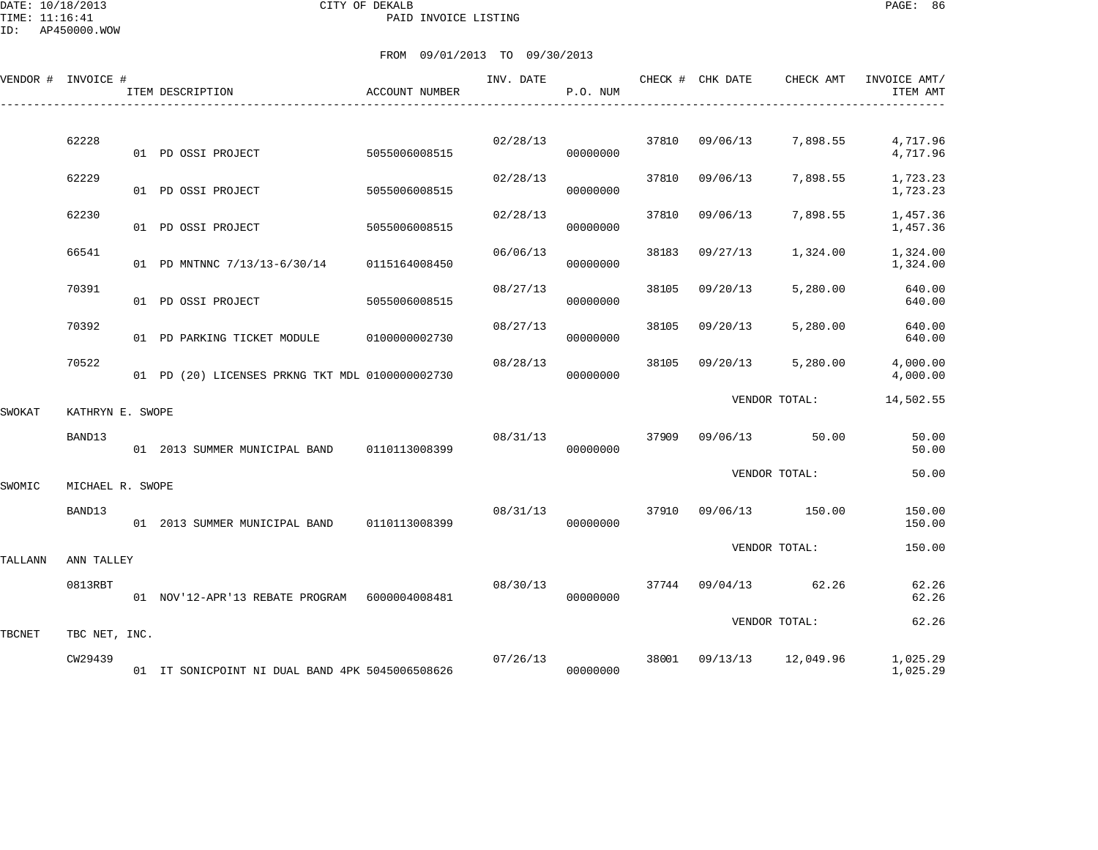DATE: 10/18/2013 CITY OF DEKALB PAGE: 86 PAID INVOICE LISTING

ID: AP450000.WOW

|         | VENDOR # INVOICE # | ITEM DESCRIPTION                                | ACCOUNT NUMBER | INV. DATE | P.O. NUM |       | CHECK # CHK DATE | CHECK AMT     | INVOICE AMT/<br>ITEM AMT |
|---------|--------------------|-------------------------------------------------|----------------|-----------|----------|-------|------------------|---------------|--------------------------|
|         | 62228              | 01 PD OSSI PROJECT                              | 5055006008515  | 02/28/13  | 00000000 | 37810 | 09/06/13         | 7,898.55      | 4,717.96<br>4,717.96     |
|         | 62229              | 01 PD OSSI PROJECT                              | 5055006008515  | 02/28/13  | 00000000 | 37810 | 09/06/13         | 7,898.55      | 1,723.23<br>1,723.23     |
|         | 62230              | 01 PD OSSI PROJECT                              | 5055006008515  | 02/28/13  | 00000000 | 37810 | 09/06/13         | 7,898.55      | 1,457.36<br>1,457.36     |
|         | 66541              | 01 PD MNTNNC 7/13/13-6/30/14                    | 0115164008450  | 06/06/13  | 00000000 | 38183 | 09/27/13         | 1,324.00      | 1,324.00<br>1,324.00     |
|         | 70391              | 01 PD OSSI PROJECT                              | 5055006008515  | 08/27/13  | 00000000 | 38105 | 09/20/13         | 5,280.00      | 640.00<br>640.00         |
|         | 70392              | 01 PD PARKING TICKET MODULE                     | 0100000002730  | 08/27/13  | 00000000 | 38105 | 09/20/13         | 5,280.00      | 640.00<br>640.00         |
|         | 70522              | 01 PD (20) LICENSES PRKNG TKT MDL 0100000002730 |                | 08/28/13  | 00000000 | 38105 | 09/20/13         | 5,280.00      | 4,000.00<br>4,000.00     |
| SWOKAT  | KATHRYN E. SWOPE   |                                                 |                |           |          |       |                  | VENDOR TOTAL: | 14,502.55                |
|         | BAND13             | 01 2013 SUMMER MUNICIPAL BAND                   | 0110113008399  | 08/31/13  | 00000000 | 37909 | 09/06/13         | 50.00         | 50.00<br>50.00           |
| SWOMIC  | MICHAEL R. SWOPE   |                                                 |                |           |          |       |                  | VENDOR TOTAL: | 50.00                    |
|         | BAND13             | 01 2013 SUMMER MUNICIPAL BAND                   | 0110113008399  | 08/31/13  | 00000000 | 37910 | 09/06/13         | 150.00        | 150.00<br>150.00         |
| TALLANN | ANN TALLEY         |                                                 |                |           |          |       |                  | VENDOR TOTAL: | 150.00                   |
|         | 0813RBT            | 01 NOV'12-APR'13 REBATE PROGRAM 6000004008481   |                | 08/30/13  | 00000000 | 37744 | 09/04/13         | 62.26         | 62.26<br>62.26           |
| TBCNET  | TBC NET, INC.      |                                                 |                |           |          |       |                  | VENDOR TOTAL: | 62.26                    |
|         | CW29439            | 01 IT SONICPOINT NI DUAL BAND 4PK 5045006508626 |                | 07/26/13  | 00000000 | 38001 | 09/13/13         | 12,049.96     | 1,025.29<br>1,025.29     |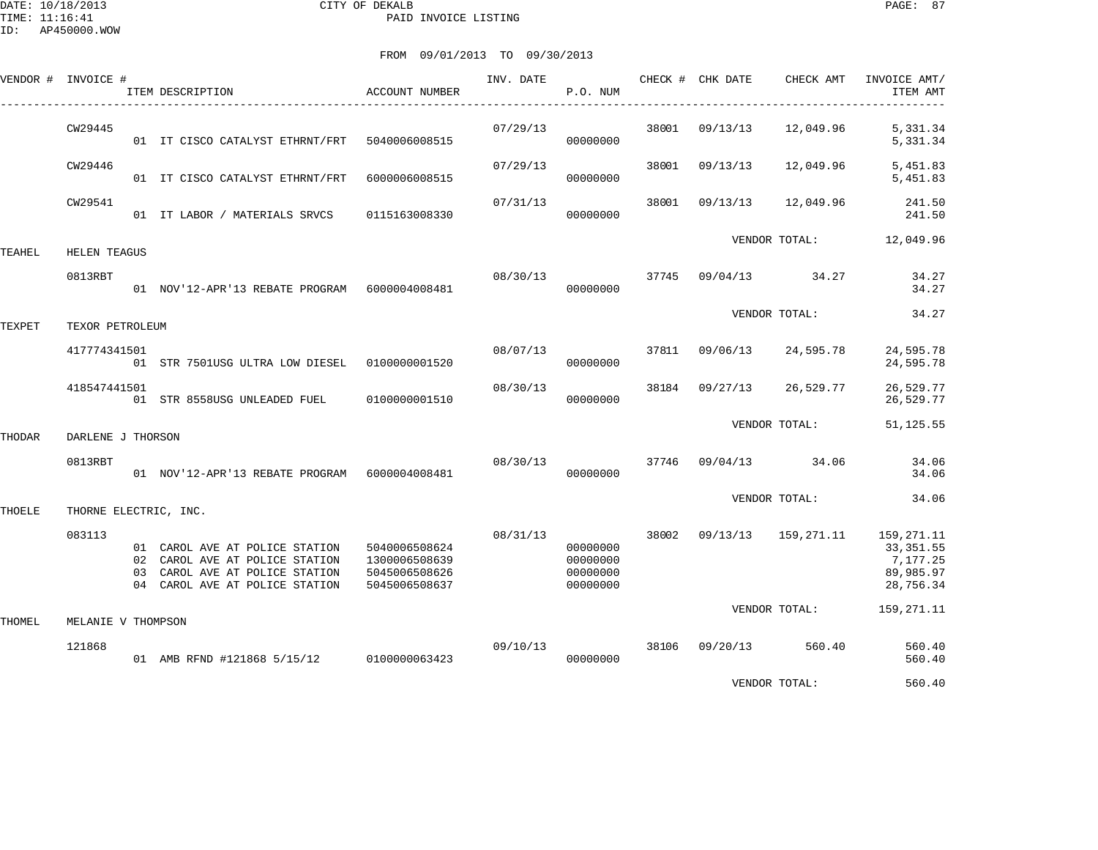DATE: 10/18/2013 CITY OF DEKALB PAGE: 87 PAID INVOICE LISTING

|        | VENDOR # INVOICE #    | ITEM DESCRIPTION                                                                                                                     | ACCOUNT NUMBER                                                   | INV. DATE | P.O. NUM                                     |       | CHECK # CHK DATE | CHECK AMT            | INVOICE AMT/<br>ITEM AMT                                       |
|--------|-----------------------|--------------------------------------------------------------------------------------------------------------------------------------|------------------------------------------------------------------|-----------|----------------------------------------------|-------|------------------|----------------------|----------------------------------------------------------------|
|        | CW29445               | 01 IT CISCO CATALYST ETHRNT/FRT 5040006008515                                                                                        |                                                                  | 07/29/13  | 00000000                                     | 38001 | 09/13/13         | 12,049.96            | 5,331.34<br>5,331.34                                           |
|        | CW29446               | 01 IT CISCO CATALYST ETHRNT/FRT                                                                                                      | 6000006008515                                                    | 07/29/13  | 00000000                                     | 38001 | 09/13/13         | 12,049.96            | 5,451.83<br>5,451.83                                           |
|        | CW29541               | 01 IT LABOR / MATERIALS SRVCS                                                                                                        | 0115163008330                                                    | 07/31/13  | 00000000                                     | 38001 | 09/13/13         | 12,049.96            | 241.50<br>241.50                                               |
| TEAHEL | <b>HELEN TEAGUS</b>   |                                                                                                                                      |                                                                  |           |                                              |       |                  | VENDOR TOTAL:        | 12,049.96                                                      |
|        | 0813RBT               | 01 NOV'12-APR'13 REBATE PROGRAM 6000004008481                                                                                        |                                                                  | 08/30/13  | 00000000                                     | 37745 |                  | $09/04/13$ 34.27     | 34.27<br>34.27                                                 |
| TEXPET | TEXOR PETROLEUM       |                                                                                                                                      |                                                                  |           |                                              |       |                  | VENDOR TOTAL:        | 34.27                                                          |
|        | 417774341501          | 01 STR 7501USG ULTRA LOW DIESEL  01000000001520                                                                                      |                                                                  | 08/07/13  | 00000000                                     | 37811 | 09/06/13         | 24,595.78            | 24,595.78<br>24,595.78                                         |
|        | 418547441501          | 01 STR 8558USG UNLEADED FUEL 0100000001510                                                                                           |                                                                  | 08/30/13  | 00000000                                     | 38184 | 09/27/13         | 26,529.77            | 26,529.77<br>26,529.77                                         |
| THODAR | DARLENE J THORSON     |                                                                                                                                      |                                                                  |           |                                              |       |                  | VENDOR TOTAL:        | 51, 125.55                                                     |
|        | 0813RBT               | 01 NOV'12-APR'13 REBATE PROGRAM 6000004008481                                                                                        |                                                                  | 08/30/13  | 00000000                                     |       |                  | 37746 09/04/13 34.06 | 34.06<br>34.06                                                 |
| THOELE | THORNE ELECTRIC, INC. |                                                                                                                                      |                                                                  |           |                                              |       |                  | VENDOR TOTAL:        | 34.06                                                          |
|        | 083113                | 01 CAROL AVE AT POLICE STATION<br>02 CAROL AVE AT POLICE STATION<br>03 CAROL AVE AT POLICE STATION<br>04 CAROL AVE AT POLICE STATION | 5040006508624<br>1300006508639<br>5045006508626<br>5045006508637 | 08/31/13  | 00000000<br>00000000<br>00000000<br>00000000 | 38002 | 09/13/13         | 159,271.11           | 159,271.11<br>33, 351.55<br>7,177.25<br>89,985.97<br>28,756.34 |
| THOMEL | MELANIE V THOMPSON    |                                                                                                                                      |                                                                  |           |                                              |       |                  | VENDOR TOTAL:        | 159,271.11                                                     |
|        | 121868                | 01 AMB RFND #121868 5/15/12 0100000063423                                                                                            |                                                                  | 09/10/13  | 00000000                                     |       | 38106 09/20/13   | 560.40               | 560.40<br>560.40                                               |
|        |                       |                                                                                                                                      |                                                                  |           |                                              |       |                  | VENDOR TOTAL:        | 560.40                                                         |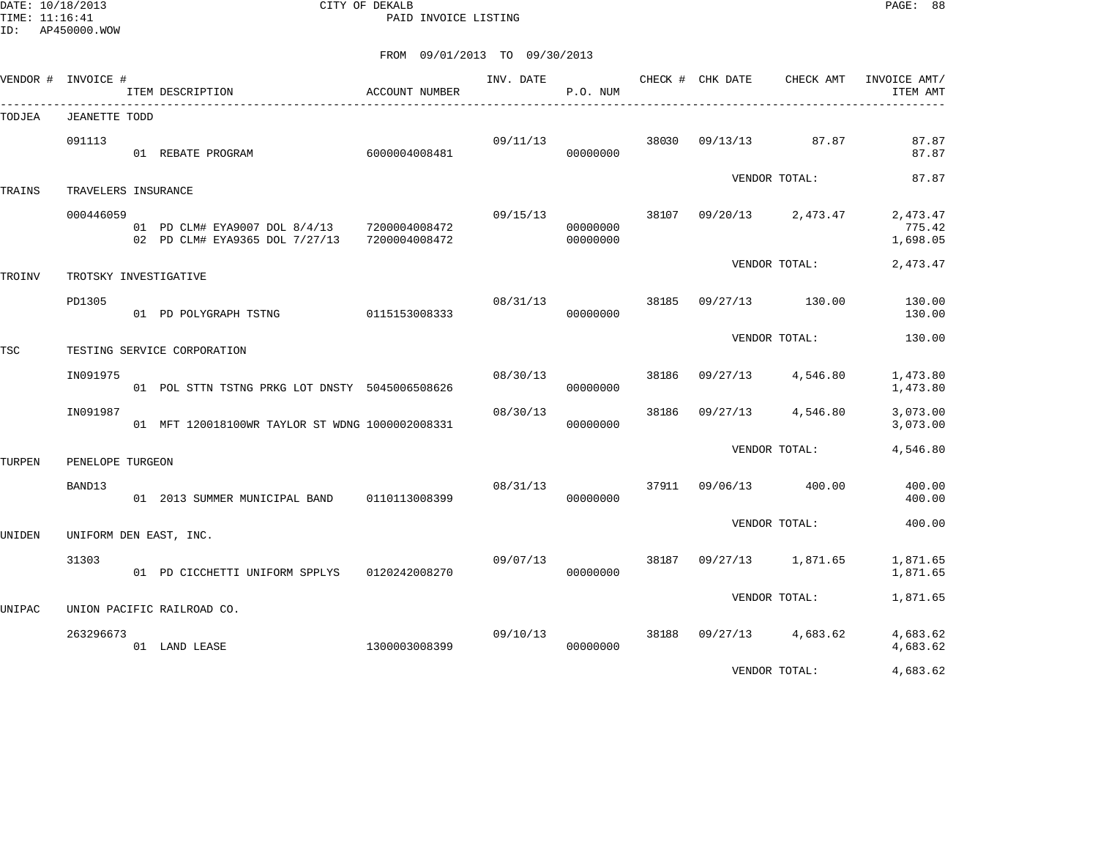DATE: 10/18/2013 CITY OF DEKALB PAGE: 88 PAID INVOICE LISTING

ID: AP450000.WOW

|        | VENDOR # INVOICE #    | ITEM DESCRIPTION                                                              | ACCOUNT NUMBER | INV. DATE | P.O. NUM             |       | CHECK # CHK DATE | CHECK AMT<br>_________________________________ | INVOICE AMT/<br>ITEM AMT       |
|--------|-----------------------|-------------------------------------------------------------------------------|----------------|-----------|----------------------|-------|------------------|------------------------------------------------|--------------------------------|
| TODJEA | <b>JEANETTE TODD</b>  |                                                                               |                |           |                      |       |                  |                                                |                                |
|        | 091113                | 01 REBATE PROGRAM                                                             | 6000004008481  | 09/11/13  | 00000000             | 38030 | 09/13/13         | 87.87                                          | 87.87<br>87.87                 |
| TRAINS | TRAVELERS INSURANCE   |                                                                               |                |           |                      |       |                  | VENDOR TOTAL:                                  | 87.87                          |
|        | 000446059             | 01 PD CLM# EYA9007 DOL 8/4/13 7200004008472<br>02 PD CLM# EYA9365 DOL 7/27/13 | 7200004008472  | 09/15/13  | 00000000<br>00000000 | 38107 |                  | 09/20/13 2,473.47                              | 2,473.47<br>775.42<br>1,698.05 |
| TROINV | TROTSKY INVESTIGATIVE |                                                                               |                |           |                      |       |                  | VENDOR TOTAL:                                  | 2,473.47                       |
|        | PD1305                | 01 PD POLYGRAPH TSTNG                                                         | 0115153008333  | 08/31/13  | 00000000             | 38185 | 09/27/13         | 130.00                                         | 130.00<br>130.00               |
| TSC    |                       | TESTING SERVICE CORPORATION                                                   |                |           |                      |       |                  | VENDOR TOTAL:                                  | 130.00                         |
|        | IN091975              | 01 POL STTN TSTNG PRKG LOT DNSTY 5045006508626                                |                | 08/30/13  | 00000000             | 38186 | 09/27/13         | 4,546.80                                       | 1,473.80<br>1,473.80           |
|        | IN091987              | 01 MFT 120018100WR TAYLOR ST WDNG 1000002008331                               |                | 08/30/13  | 00000000             | 38186 | 09/27/13         | 4,546.80                                       | 3,073.00<br>3,073.00           |
| TURPEN | PENELOPE TURGEON      |                                                                               |                |           |                      |       |                  | VENDOR TOTAL:                                  | 4,546.80                       |
|        | BAND13                | 01 2013 SUMMER MUNICIPAL BAND 0110113008399                                   |                | 08/31/13  | 00000000             |       | 37911 09/06/13   | 400.00                                         | 400.00<br>400.00               |
| UNIDEN |                       | UNIFORM DEN EAST, INC.                                                        |                |           |                      |       |                  | VENDOR TOTAL:                                  | 400.00                         |
|        | 31303                 | 01 PD CICCHETTI UNIFORM SPPLYS 0120242008270                                  |                | 09/07/13  | 00000000             | 38187 | 09/27/13         | 1,871.65                                       | 1,871.65<br>1,871.65           |
| UNIPAC |                       | UNION PACIFIC RAILROAD CO.                                                    |                |           |                      |       |                  | VENDOR TOTAL:                                  | 1,871.65                       |
|        | 263296673             | 01 LAND LEASE                                                                 | 1300003008399  | 09/10/13  | 00000000             | 38188 | 09/27/13         | 4,683.62                                       | 4,683.62<br>4,683.62           |
|        |                       |                                                                               |                |           |                      |       |                  | VENDOR TOTAL:                                  | 4,683.62                       |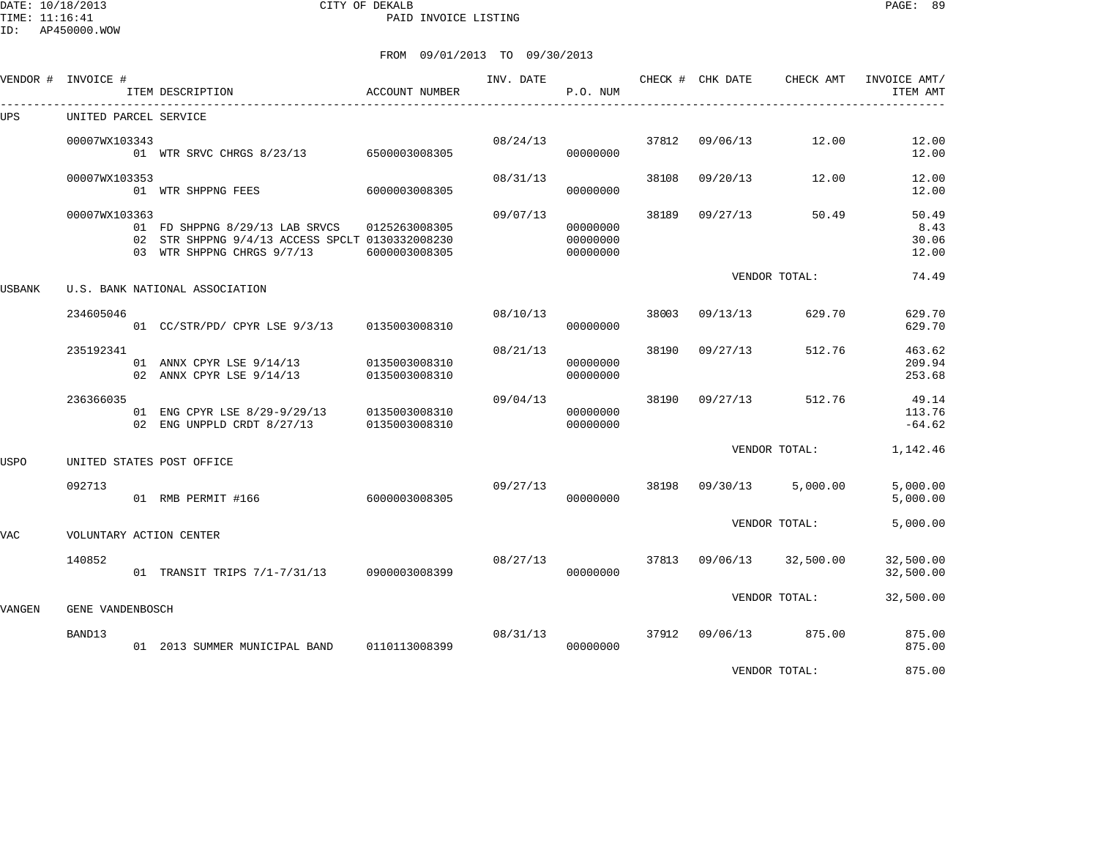DATE: 10/18/2013 CITY OF DEKALB PAGE: 89 PAID INVOICE LISTING

ID: AP450000.WOW

| VENDOR #   | INVOICE #             | ITEM DESCRIPTION                                                                                                              | ACCOUNT NUMBER                 | INV. DATE | P.O. NUM                         |       | CHECK # CHK DATE | CHECK AMT     | INVOICE AMT/<br>ITEM AMT        |
|------------|-----------------------|-------------------------------------------------------------------------------------------------------------------------------|--------------------------------|-----------|----------------------------------|-------|------------------|---------------|---------------------------------|
| UPS        | UNITED PARCEL SERVICE |                                                                                                                               |                                |           |                                  |       |                  |               |                                 |
|            | 00007WX103343         | 01 WTR SRVC CHRGS 8/23/13 6500003008305                                                                                       |                                | 08/24/13  | 00000000                         | 37812 | 09/06/13         | 12.00         | 12.00<br>12.00                  |
|            | 00007WX103353         | 01 WTR SHPPNG FEES                                                                                                            | 6000003008305                  | 08/31/13  | 00000000                         | 38108 | 09/20/13         | 12.00         | 12.00<br>12.00                  |
|            | 00007WX103363         | 01 FD SHPPNG 8/29/13 LAB SRVCS 0125263008305<br>02 STR SHPPNG 9/4/13 ACCESS SPCLT 0130332008230<br>03 WTR SHPPNG CHRGS 9/7/13 | 6000003008305                  | 09/07/13  | 00000000<br>00000000<br>00000000 | 38189 | 09/27/13         | 50.49         | 50.49<br>8.43<br>30.06<br>12.00 |
| USBANK     |                       | U.S. BANK NATIONAL ASSOCIATION                                                                                                |                                |           |                                  |       |                  | VENDOR TOTAL: | 74.49                           |
|            | 234605046             | 01 CC/STR/PD/ CPYR LSE 9/3/13 0135003008310                                                                                   |                                | 08/10/13  | 00000000                         | 38003 | 09/13/13         | 629.70        | 629.70<br>629.70                |
|            | 235192341             | 01 ANNX CPYR LSE 9/14/13<br>02 ANNX CPYR LSE 9/14/13                                                                          | 0135003008310<br>0135003008310 | 08/21/13  | 00000000<br>00000000             | 38190 | 09/27/13         | 512.76        | 463.62<br>209.94<br>253.68      |
|            | 236366035             | 01 ENG CPYR LSE 8/29-9/29/13<br>02 ENG UNPPLD CRDT 8/27/13                                                                    | 0135003008310<br>0135003008310 | 09/04/13  | 00000000<br>00000000             | 38190 | 09/27/13         | 512.76        | 49.14<br>113.76<br>$-64.62$     |
| USPO       |                       | UNITED STATES POST OFFICE                                                                                                     |                                |           |                                  |       |                  | VENDOR TOTAL: | 1,142.46                        |
|            | 092713                | 01 RMB PERMIT #166                                                                                                            | 6000003008305                  | 09/27/13  | 00000000                         |       | 38198 09/30/13   | 5,000.00      | 5,000.00<br>5,000.00            |
| <b>VAC</b> |                       | VOLUNTARY ACTION CENTER                                                                                                       |                                |           |                                  |       |                  | VENDOR TOTAL: | 5,000.00                        |
|            | 140852                | 01 TRANSIT TRIPS 7/1-7/31/13 0900003008399                                                                                    |                                | 08/27/13  | 00000000                         | 37813 | 09/06/13         | 32,500.00     | 32,500.00<br>32,500.00          |
| VANGEN     | GENE VANDENBOSCH      |                                                                                                                               |                                |           |                                  |       |                  | VENDOR TOTAL: | 32,500.00                       |
|            | BAND13                | 01 2013 SUMMER MUNICIPAL BAND                                                                                                 | 0110113008399                  | 08/31/13  | 00000000                         |       | 37912 09/06/13   | 875.00        | 875.00<br>875.00                |
|            |                       |                                                                                                                               |                                |           |                                  |       |                  | VENDOR TOTAL: | 875.00                          |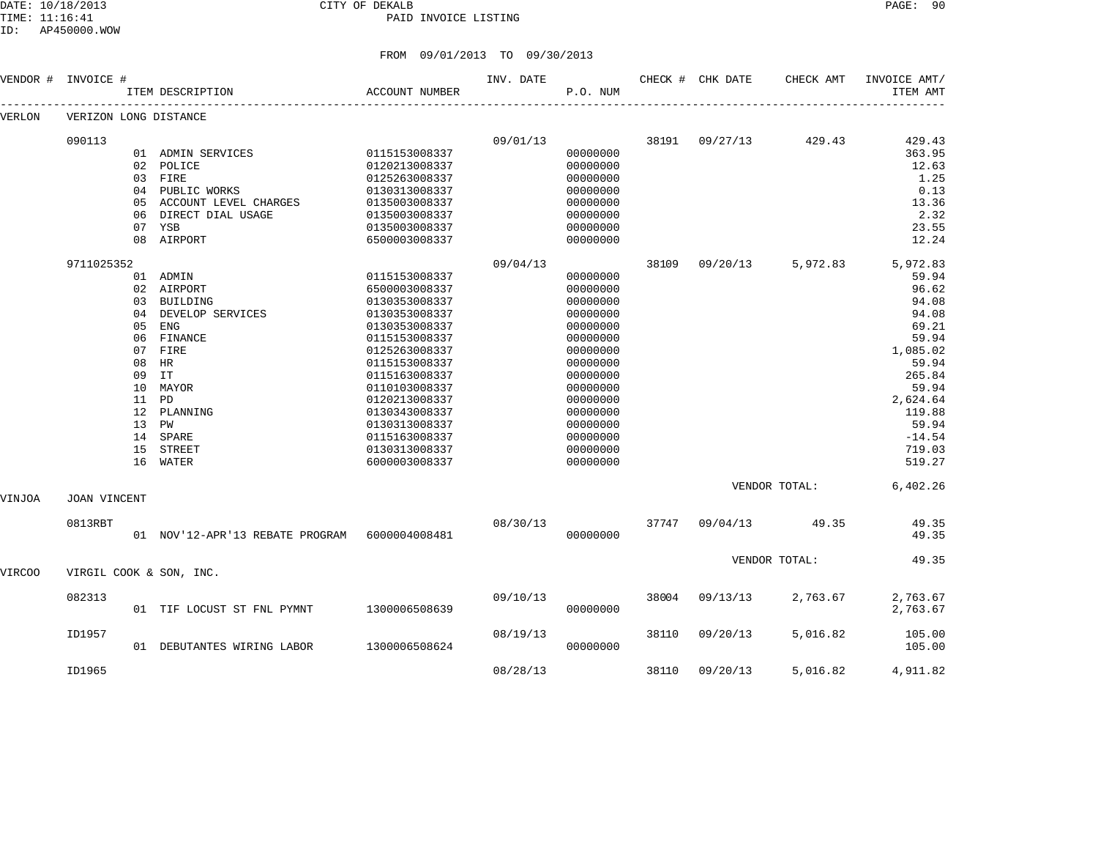#### DATE: 10/18/2013 CITY OF DEKALB PAGE: 90 PAID INVOICE LISTING

| VENDOR # | INVOICE #             |       | ITEM DESCRIPTION                              | ACCOUNT NUMBER | INV. DATE | P.O. NUM |       | CHECK # CHK DATE | CHECK AMT         | INVOICE AMT/<br>ITEM AMT |
|----------|-----------------------|-------|-----------------------------------------------|----------------|-----------|----------|-------|------------------|-------------------|--------------------------|
| VERLON   | VERIZON LONG DISTANCE |       |                                               |                |           |          |       |                  |                   |                          |
|          | 090113                |       |                                               |                | 09/01/13  |          | 38191 | 09/27/13         | 429.43            | 429.43                   |
|          |                       |       | 01 ADMIN SERVICES                             | 0115153008337  |           | 00000000 |       |                  |                   | 363.95                   |
|          |                       |       | 02 POLICE                                     | 0120213008337  |           | 00000000 |       |                  |                   | 12.63                    |
|          |                       |       | 03 FIRE                                       | 0125263008337  |           | 00000000 |       |                  |                   | 1.25                     |
|          |                       |       | 04 PUBLIC WORKS                               | 0130313008337  |           | 00000000 |       |                  |                   | 0.13                     |
|          |                       | 05    | ACCOUNT LEVEL CHARGES                         | 0135003008337  |           | 00000000 |       |                  |                   | 13.36                    |
|          |                       | 06    | DIRECT DIAL USAGE                             | 0135003008337  |           | 00000000 |       |                  |                   | 2.32                     |
|          |                       | 07    | YSB                                           | 0135003008337  |           | 00000000 |       |                  |                   | 23.55                    |
|          |                       | 08    | AIRPORT                                       | 6500003008337  |           | 00000000 |       |                  |                   | 12.24                    |
|          | 9711025352            |       |                                               |                | 09/04/13  |          | 38109 |                  | 09/20/13 5,972.83 | 5,972.83                 |
|          |                       |       | 01 ADMIN                                      | 0115153008337  |           | 00000000 |       |                  |                   | 59.94                    |
|          |                       | 02    | AIRPORT                                       | 6500003008337  |           | 00000000 |       |                  |                   | 96.62                    |
|          |                       | 03    | BUILDING                                      | 0130353008337  |           | 00000000 |       |                  |                   | 94.08                    |
|          |                       | 04    | DEVELOP SERVICES                              | 0130353008337  |           | 00000000 |       |                  |                   | 94.08                    |
|          |                       | 05    | <b>ENG</b>                                    | 0130353008337  |           | 00000000 |       |                  |                   | 69.21                    |
|          |                       | 06    | FINANCE                                       | 0115153008337  |           | 00000000 |       |                  |                   | 59.94                    |
|          |                       | 07    | FIRE                                          | 0125263008337  |           | 00000000 |       |                  |                   | 1,085.02                 |
|          |                       | 08    | HR                                            | 0115153008337  |           | 00000000 |       |                  |                   | 59.94                    |
|          |                       | 09    | IT                                            | 0115163008337  |           | 00000000 |       |                  |                   | 265.84                   |
|          |                       | 10    | MAYOR                                         | 0110103008337  |           | 00000000 |       |                  |                   | 59.94                    |
|          |                       | 11 PD |                                               | 0120213008337  |           | 00000000 |       |                  |                   | 2,624.64                 |
|          |                       | 12    | PLANNING                                      | 0130343008337  |           | 00000000 |       |                  |                   | 119.88                   |
|          |                       | 13    | PW                                            | 0130313008337  |           | 00000000 |       |                  |                   | 59.94                    |
|          |                       | 14    | SPARE                                         | 0115163008337  |           | 00000000 |       |                  |                   | $-14.54$                 |
|          |                       | 15    | <b>STREET</b>                                 | 0130313008337  |           | 00000000 |       |                  |                   | 719.03                   |
|          |                       | 16    | WATER                                         | 6000003008337  |           | 00000000 |       |                  |                   | 519.27                   |
| VINJOA   | JOAN VINCENT          |       |                                               |                |           |          |       |                  | VENDOR TOTAL:     | 6,402.26                 |
|          |                       |       |                                               |                |           |          |       |                  |                   |                          |
|          | 0813RBT               |       | 01 NOV'12-APR'13 REBATE PROGRAM 6000004008481 |                | 08/30/13  | 00000000 | 37747 | 09/04/13         | 49.35             | 49.35<br>49.35           |
|          |                       |       |                                               |                |           |          |       |                  | VENDOR TOTAL:     | 49.35                    |
| VIRCOO   |                       |       | VIRGIL COOK & SON, INC.                       |                |           |          |       |                  |                   |                          |
|          | 082313                |       |                                               |                | 09/10/13  |          | 38004 | 09/13/13         | 2,763.67          | 2,763.67                 |
|          |                       |       | 01 TIF LOCUST ST FNL PYMNT                    | 1300006508639  |           | 00000000 |       |                  |                   | 2,763.67                 |
|          | ID1957                |       |                                               |                | 08/19/13  |          | 38110 | 09/20/13         | 5,016.82          | 105.00                   |
|          |                       |       | 01 DEBUTANTES WIRING LABOR                    | 1300006508624  |           | 00000000 |       |                  |                   | 105.00                   |
|          | ID1965                |       |                                               |                | 08/28/13  |          | 38110 | 09/20/13         | 5,016.82          | 4,911.82                 |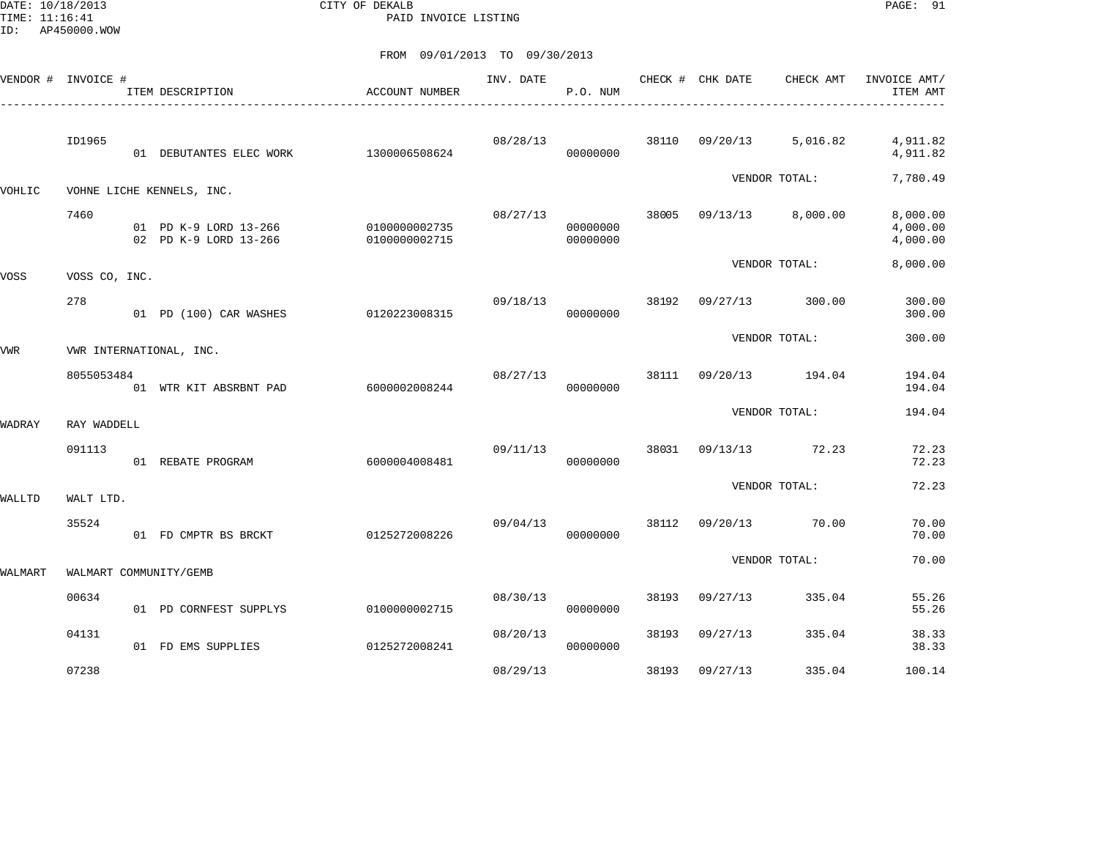DATE: 10/18/2013 CITY OF DEKALB PAGE: 91 PAID INVOICE LISTING

| VENDOR # INVOICE # |               | ITEM DESCRIPTION                               | ACCOUNT NUMBER                 | INV. DATE | P.O. NUM             |       | CHECK # CHK DATE | CHECK AMT               | INVOICE AMT/<br>ITEM AMT         |
|--------------------|---------------|------------------------------------------------|--------------------------------|-----------|----------------------|-------|------------------|-------------------------|----------------------------------|
|                    | ID1965        | 01 DEBUTANTES ELEC WORK                        | 1300006508624                  | 08/28/13  | 00000000             |       |                  | 38110 09/20/13 5,016.82 | 4,911.82<br>4,911.82             |
| VOHLIC             |               | VOHNE LICHE KENNELS, INC.                      |                                |           |                      |       |                  | VENDOR TOTAL:           | 7,780.49                         |
|                    | 7460          | 01 PD K-9 LORD 13-266<br>02 PD K-9 LORD 13-266 | 0100000002735<br>0100000002715 | 08/27/13  | 00000000<br>00000000 | 38005 |                  | 09/13/13 8,000.00       | 8,000.00<br>4,000.00<br>4,000.00 |
| VOSS               | VOSS CO, INC. |                                                |                                |           |                      |       |                  | VENDOR TOTAL:           | 8,000.00                         |
|                    | 278           | 01 PD (100) CAR WASHES                         | 0120223008315                  | 09/18/13  | 00000000             | 38192 | 09/27/13         | 300.00                  | 300.00<br>300.00                 |
| VWR                |               | VWR INTERNATIONAL, INC.                        |                                |           |                      |       |                  | VENDOR TOTAL:           | 300.00                           |
|                    | 8055053484    | 01 WTR KIT ABSRBNT PAD                         | 6000002008244                  | 08/27/13  | 00000000             |       |                  | 38111 09/20/13 194.04   | 194.04<br>194.04                 |
| WADRAY             | RAY WADDELL   |                                                |                                |           |                      |       |                  | VENDOR TOTAL:           | 194.04                           |
|                    | 091113        | 01 REBATE PROGRAM                              | 6000004008481                  | 09/11/13  | 00000000             |       |                  | 38031 09/13/13 72.23    | 72.23<br>72.23                   |
| WALLTD             | WALT LTD.     |                                                |                                |           |                      |       |                  | VENDOR TOTAL:           | 72.23                            |
|                    | 35524         | 01 FD CMPTR BS BRCKT                           | 0125272008226                  | 09/04/13  | 00000000             |       |                  | 38112 09/20/13 70.00    | 70.00<br>70.00                   |
| WALMART            |               | WALMART COMMUNITY/GEMB                         |                                |           |                      |       |                  | VENDOR TOTAL:           | 70.00                            |
|                    | 00634         | 01 PD CORNFEST SUPPLYS                         | 0100000002715                  | 08/30/13  | 00000000             | 38193 | 09/27/13         | 335.04                  | 55.26<br>55.26                   |
|                    | 04131         | 01 FD EMS SUPPLIES                             | 0125272008241                  | 08/20/13  | 00000000             | 38193 | 09/27/13         | 335.04                  | 38.33<br>38.33                   |
|                    | 07238         |                                                |                                | 08/29/13  |                      | 38193 | 09/27/13         | 335.04                  | 100.14                           |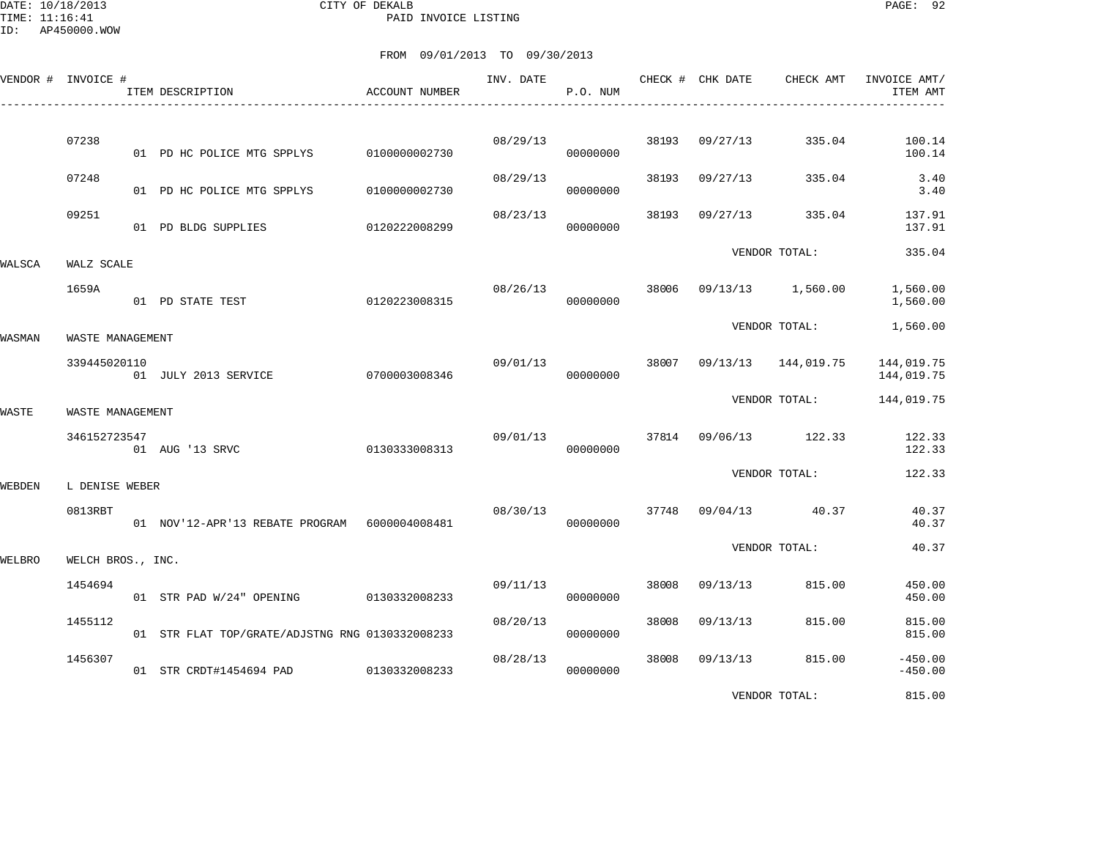DATE: 10/18/2013 CITY OF DEKALB PAGE: 92 PAID INVOICE LISTING

|        | VENDOR # INVOICE # | ITEM DESCRIPTION                                | ACCOUNT NUMBER | INV. DATE | P.O. NUM |       | CHECK # CHK DATE | CHECK AMT             | INVOICE AMT/<br>ITEM AMT |
|--------|--------------------|-------------------------------------------------|----------------|-----------|----------|-------|------------------|-----------------------|--------------------------|
|        | 07238              | 01 PD HC POLICE MTG SPPLYS                      | 0100000002730  | 08/29/13  | 00000000 | 38193 | 09/27/13         | 335.04                | 100.14<br>100.14         |
|        | 07248              | 01 PD HC POLICE MTG SPPLYS                      | 0100000002730  | 08/29/13  | 00000000 | 38193 | 09/27/13         | 335.04                | 3.40<br>3.40             |
|        | 09251              | 01 PD BLDG SUPPLIES                             | 0120222008299  | 08/23/13  | 00000000 | 38193 | 09/27/13         | 335.04                | 137.91<br>137.91         |
| WALSCA | WALZ SCALE         |                                                 |                |           |          |       |                  | VENDOR TOTAL:         | 335.04                   |
|        | 1659A              | 01 PD STATE TEST                                | 0120223008315  | 08/26/13  | 00000000 | 38006 |                  | 09/13/13 1,560.00     | 1,560.00<br>1,560.00     |
| WASMAN | WASTE MANAGEMENT   |                                                 |                |           |          |       |                  | VENDOR TOTAL:         | 1,560.00                 |
|        | 339445020110       | 01 JULY 2013 SERVICE                            | 0700003008346  | 09/01/13  | 00000000 | 38007 |                  | 09/13/13 144,019.75   | 144,019.75<br>144,019.75 |
| WASTE  | WASTE MANAGEMENT   |                                                 |                |           |          |       |                  | VENDOR TOTAL:         | 144,019.75               |
|        | 346152723547       | 01 AUG '13 SRVC                                 | 0130333008313  | 09/01/13  | 00000000 |       |                  | 37814 09/06/13 122.33 | 122.33<br>122.33         |
| WEBDEN | L DENISE WEBER     |                                                 |                |           |          |       |                  | VENDOR TOTAL:         | 122.33                   |
|        | 0813RBT            | 01 NOV'12-APR'13 REBATE PROGRAM 6000004008481   |                | 08/30/13  | 00000000 | 37748 |                  | 09/04/13 40.37        | 40.37<br>40.37           |
| WELBRO | WELCH BROS., INC.  |                                                 |                |           |          |       |                  | VENDOR TOTAL:         | 40.37                    |
|        | 1454694            | 01 STR PAD W/24" OPENING 0130332008233          |                | 09/11/13  | 00000000 | 38008 | 09/13/13         | 815.00                | 450.00<br>450.00         |
|        | 1455112            | 01 STR FLAT TOP/GRATE/ADJSTNG RNG 0130332008233 |                | 08/20/13  | 00000000 | 38008 | 09/13/13         | 815.00                | 815.00<br>815.00         |
|        | 1456307            | 01 STR CRDT#1454694 PAD 0130332008233           |                | 08/28/13  | 00000000 | 38008 | 09/13/13         | 815.00                | $-450.00$<br>$-450.00$   |
|        |                    |                                                 |                |           |          |       |                  | VENDOR TOTAL:         | 815.00                   |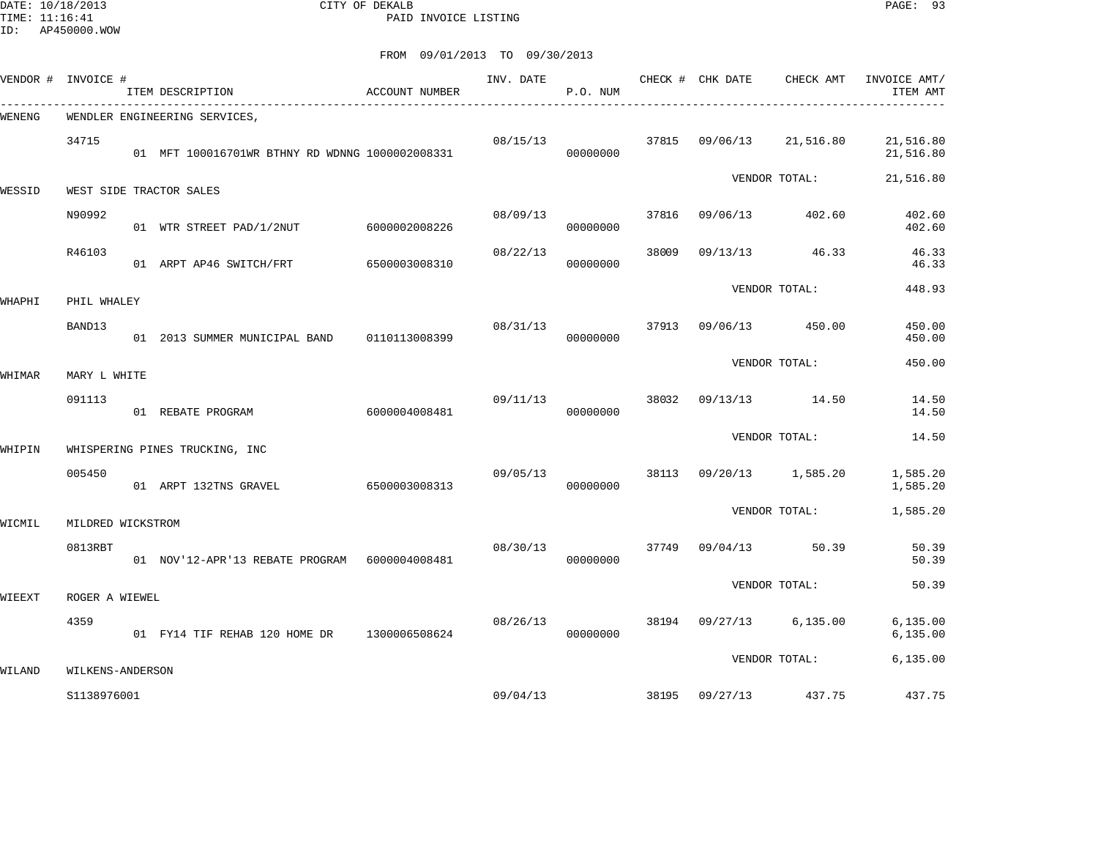DATE: 10/18/2013 CITY OF DEKALB PAGE: 93 PAID INVOICE LISTING

| VENDOR # | INVOICE #         | ITEM DESCRIPTION                                | ACCOUNT NUMBER | INV. DATE | P.O. NUM |       | CHECK # CHK DATE | CHECK AMT<br>___________________________________ | INVOICE AMT/<br>ITEM AMT |
|----------|-------------------|-------------------------------------------------|----------------|-----------|----------|-------|------------------|--------------------------------------------------|--------------------------|
| WENENG   |                   | WENDLER ENGINEERING SERVICES,                   |                |           |          |       |                  |                                                  |                          |
|          | 34715             | 01 MFT 100016701WR BTHNY RD WDNNG 1000002008331 |                | 08/15/13  | 00000000 |       | 37815 09/06/13   | 21,516.80                                        | 21,516.80<br>21,516.80   |
| WESSID   |                   | WEST SIDE TRACTOR SALES                         |                |           |          |       |                  | VENDOR TOTAL:                                    | 21,516.80                |
|          | N90992            | 01 WTR STREET PAD/1/2NUT 6000002008226          |                | 08/09/13  | 00000000 | 37816 | 09/06/13         | 402.60                                           | 402.60<br>402.60         |
|          | R46103            | 01 ARPT AP46 SWITCH/FRT                         | 6500003008310  | 08/22/13  | 00000000 | 38009 | 09/13/13         | 46.33                                            | 46.33<br>46.33           |
| WHAPHI   | PHIL WHALEY       |                                                 |                |           |          |       |                  | VENDOR TOTAL:                                    | 448.93                   |
|          | BAND13            | 01 2013 SUMMER MUNICIPAL BAND                   | 0110113008399  | 08/31/13  | 00000000 | 37913 | 09/06/13         | 450.00                                           | 450.00<br>450.00         |
| WHIMAR   | MARY L WHITE      |                                                 |                |           |          |       |                  | VENDOR TOTAL:                                    | 450.00                   |
|          | 091113            | 01 REBATE PROGRAM                               | 6000004008481  | 09/11/13  | 00000000 | 38032 | 09/13/13         | 14.50                                            | 14.50<br>14.50           |
|          |                   |                                                 |                |           |          |       |                  | VENDOR TOTAL:                                    | 14.50                    |
| WHIPIN   |                   | WHISPERING PINES TRUCKING, INC                  |                |           |          |       |                  |                                                  |                          |
|          | 005450            | 01 ARPT 132TNS GRAVEL                           | 6500003008313  | 09/05/13  | 00000000 | 38113 |                  | 09/20/13 1,585.20                                | 1,585.20<br>1,585.20     |
| WICMIL   | MILDRED WICKSTROM |                                                 |                |           |          |       |                  | VENDOR TOTAL:                                    | 1,585.20                 |
|          | 0813RBT           | 01 NOV'12-APR'13 REBATE PROGRAM 6000004008481   |                | 08/30/13  | 00000000 | 37749 | 09/04/13         | 50.39                                            | 50.39<br>50.39           |
| WIEEXT   | ROGER A WIEWEL    |                                                 |                |           |          |       |                  | VENDOR TOTAL:                                    | 50.39                    |
|          | 4359              | 01 FY14 TIF REHAB 120 HOME DR 1300006508624     |                | 08/26/13  | 00000000 |       |                  | 38194 09/27/13 6,135.00                          | 6, 135.00<br>6, 135.00   |
|          |                   |                                                 |                |           |          |       |                  | VENDOR TOTAL:                                    | 6, 135.00                |
| WILAND   | WILKENS-ANDERSON  |                                                 |                |           |          |       |                  |                                                  |                          |
|          | S1138976001       |                                                 |                | 09/04/13  |          | 38195 | 09/27/13         | 437.75                                           | 437.75                   |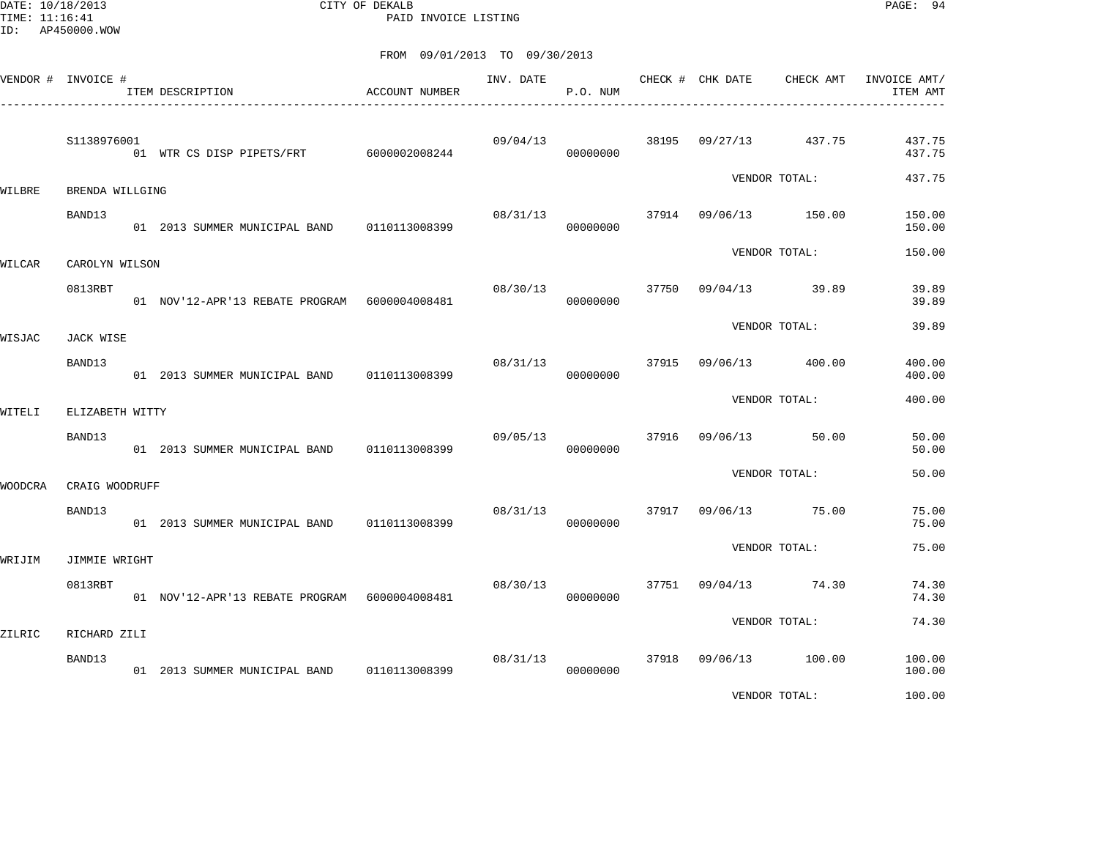DATE: 10/18/2013 CITY OF DEKALB PAGE: 94 PAID INVOICE LISTING

|         | VENDOR # INVOICE # | ITEM DESCRIPTION                                | ACCOUNT NUMBER | INV. DATE | P.O. NUM |       | CHECK # CHK DATE | CHECK AMT        | INVOICE AMT/<br>ITEM AMT |
|---------|--------------------|-------------------------------------------------|----------------|-----------|----------|-------|------------------|------------------|--------------------------|
|         | S1138976001        | 01 WTR CS DISP PIPETS/FRT 6000002008244         |                | 09/04/13  | 00000000 | 38195 | 09/27/13         | 437.75           | 437.75<br>437.75         |
| WILBRE  | BRENDA WILLGING    |                                                 |                |           |          |       |                  | VENDOR TOTAL:    | 437.75                   |
|         | BAND13             | 01 2013 SUMMER MUNICIPAL BAND 0110113008399     |                | 08/31/13  | 00000000 |       | 37914 09/06/13   | 150.00           | 150.00<br>150.00         |
| WILCAR  | CAROLYN WILSON     |                                                 |                |           |          |       |                  | VENDOR TOTAL:    | 150.00                   |
|         | 0813RBT            | 01 NOV'12-APR'13 REBATE PROGRAM 6000004008481   |                | 08/30/13  | 00000000 | 37750 |                  | $09/04/13$ 39.89 | 39.89<br>39.89           |
| WISJAC  | JACK WISE          |                                                 |                |           |          |       |                  | VENDOR TOTAL:    | 39.89                    |
|         | BAND13             | 01  2013 SUMMER MUNICIPAL BAND   0110113008399  |                | 08/31/13  | 00000000 | 37915 | 09/06/13         | 400.00           | 400.00<br>400.00         |
| WITELI  | ELIZABETH WITTY    |                                                 |                |           |          |       |                  | VENDOR TOTAL:    | 400.00                   |
|         | BAND13             | 01 2013 SUMMER MUNICIPAL BAND                   | 0110113008399  | 09/05/13  | 00000000 | 37916 | 09/06/13         | 50.00            | 50.00<br>50.00           |
| WOODCRA | CRAIG WOODRUFF     |                                                 |                |           |          |       |                  | VENDOR TOTAL:    | 50.00                    |
|         | BAND13             | 01 2013 SUMMER MUNICIPAL BAND 0110113008399     |                | 08/31/13  | 00000000 | 37917 |                  | 09/06/13 75.00   | 75.00<br>75.00           |
| WRIJIM  | JIMMIE WRIGHT      |                                                 |                |           |          |       |                  | VENDOR TOTAL:    | 75.00                    |
|         | 0813RBT            | 01 NOV'12-APR'13 REBATE PROGRAM 6000004008481   |                | 08/30/13  | 00000000 | 37751 | 09/04/13         | 74.30            | 74.30<br>74.30           |
| ZILRIC  | RICHARD ZILI       |                                                 |                |           |          |       |                  | VENDOR TOTAL:    | 74.30                    |
|         | BAND13             | 01  2013  SUMMER MUNICIPAL BAND   0110113008399 |                | 08/31/13  | 00000000 | 37918 |                  | 09/06/13 100.00  | 100.00<br>100.00         |
|         |                    |                                                 |                |           |          |       |                  | VENDOR TOTAL:    | 100.00                   |